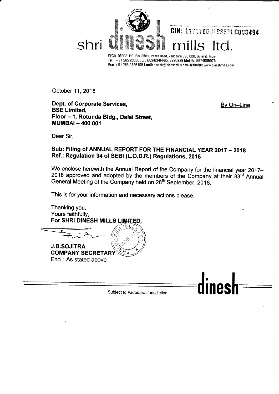

REGD OFFICE: P0. Box 2501, Padra Road, Vadodara 390 020, Gujarat, tndia Tel.: +91 265 2330060/61/62/63/64/65, 3290938 Mobile: 9974005975 Fax: +91 265 2336195 Email: dinesh@dineshmills.com Website: www.dineshmills.com

October 11, 2018

Dept. of Corporate Services, BSE Limited, Floor - 1, Rotunda BIdg., Dalal Street, MUMBAI - 4OO OO1

By On-Line

inesh

Dear Sir,

# Sub: Filing of ANNUAL REPORT FOR THE FINANCIAL YEAR 2017 - 2018 Ref.: Regulation 34 of SEBI (L.O.D.R.) Regulations, 201S

We enclose herewith the Annual Report of the Company for the financial year 2017-2018 approved and adopted by the members of the Company at their 83<sup>rd</sup> Annual General Meeting of the Company held on 28<sup>th</sup> September, 2018.

This is for your information and necessary actions please.

Thanking you, Yours faithfully, For SHRI DINESH MILLS

 $=$  $\frac{1}{2\pi\hbar\lambda}$ 

J.B.SOJITRA **COMPANY SECRETAI** Encl.: As stated above

Subject to Vadodara Jurisdiction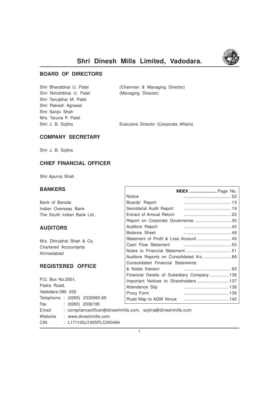

# **Shri Dinesh Mills Limited, Vadodara.**

# **BOARD OF DIRECTORS**

Shri Nimishbhai U. Patel (Managing Director) Shri Tanujbhai M. Patel Shri Rakesh Agrawal Shri Sanjiv Shah Mrs. Taruna P. Patel

Shri Bharatbhai U. Patel (Chairman & Managing Director)

Shri J. B. Sojitra **Executive Director (Corporate Affairs)** 

# **COMPANY SECRETARY**

Shri J. B. Sojitra

# **CHIEF FINANCIAL OFFICER**

Shri Apurva Shah

# **BANKERS**

| <b>BANKERS</b>                                                        |                                   | <b>INDEX</b> Page No.                        |
|-----------------------------------------------------------------------|-----------------------------------|----------------------------------------------|
|                                                                       | <b>Notice</b>                     |                                              |
| Bank of Baroda                                                        | Boards' Report                    |                                              |
| Indian Overseas Bank                                                  |                                   |                                              |
| The South Indian Bank Ltd                                             |                                   |                                              |
|                                                                       |                                   | Report on Corporate Governance  30           |
| <b>AUDITORS</b>                                                       | Auditors Report                   |                                              |
|                                                                       | Balance Sheet                     |                                              |
| M/s. Dhirubhai Shah & Co.                                             |                                   | Statement of Profit & Loss Account  49       |
| <b>Chartered Accountants</b>                                          |                                   |                                              |
| Ahmedabad                                                             |                                   |                                              |
|                                                                       |                                   | Auditors Reports on Consolidated A/c 89      |
|                                                                       | Consolidated Financial Statements |                                              |
| <b>REGISTERED OFFICE</b>                                              | & Notes thereon                   |                                              |
|                                                                       |                                   | Financial Details of Subsidiary Company  136 |
| P.O. Box No.2501.                                                     |                                   | Important Notices to Shareholders  137       |
| Padra Road,                                                           | Attendance Slip                   |                                              |
| Vadodara-390 020                                                      | Proxy Form                        |                                              |
| Telephone : (0265) 2330060-65                                         |                                   |                                              |
| <b>Fax</b><br>$(0265)$ 2336195                                        |                                   |                                              |
| : complianceofficer@dineshmills.com, sojitra@dineshmills.com<br>Email |                                   |                                              |
| : www.dineshmills.com<br>Website                                      |                                   |                                              |

CIN : L17110GJ1935PLC000494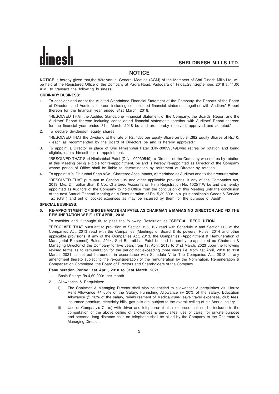# **NOTICE**

**NOTICE** is hereby given that,the 83rdAnnual General Meeting (AGM) of the Members of Shri Dinesh Mills Ltd. will be held at the Registered Office of the Company at Padra Road, Vadodara on Friday,28thSeptember, 2018 at 11.00 A.M. to transact the following business:

# **ORDINARY BUSINESS:**

**1.** To consider and adopt the Audited Standalone Financial Statement of the Company, the Reports of the Board of Directors and Auditors' thereon including consolidated financial statement together with Auditors' Report thereon for the financial year ended 31st March, 2018.

"RESOLVED THAT the Audited Standalone Financial Statement of the Company, the Boards' Report and the Auditors' Report thereon including consolidated financial statements together with Auditors' Report thereon for the financial year ended 31st March, 2018 be and are hereby received, approved and adopted."

- 2. To declare dividendon equity shares. "RESOLVED THAT the Dividend at the rate of Rs. 1.50 per Equity Share on 50,84,382 Equity Shares of Rs.10/ - each as recommended by the Board of Directors be and is hereby approved."
- 3. To appoint a Director in place of Shri Nimishbhai Patel (DIN-00039549),who retires by rotation and being eligible, offers himself for re-appointment.

"RESOLVED THAT Shri Nimishbhai Patel (DIN - 00039549), a Director of the Company who retires by rotation at this Meeting being eligible for re-appointment, be and is hereby re-appointed as Director of the Company whose period of Office shall be liable to determination by retirement of Director by rotation."

4. To appoint M/s. Dhirubhai Shah &Co., Chartered Accountants, Ahmedabad as Auditors and fix their remuneration.

"RESOLVED THAT pursuant to Section 139 and other applicable provisions, if any of the Companies Act, 2013, M/s. Dhirubhai Shah & Co., Chartered Accountants, Firm Registration No. 102511W be and are hereby appointed as Auditors of the Company to hold Office from the conclusion of this Meeting until the conclusion of the next Annual General Meeting on a Remuneration of Rs. 5,39,600/- p.a. plus applicable Goods & Service Tax (GST) and out of pocket expenses as may be incurred by them for the purpose of Audit"

# **SPECIAL BUSINESS:**

# **5. RE-APPOINTMENT OF SHRI BHARATBHAI PATEL AS CHAIRMAN & MANAGING DIRECTOR AND FIX THE REMUNERATION W.E.F. 1ST APRIL, 2018**

To consider and if thought fit, to pass the following Resolution as **"SPECIAL RESOLUTION"**

**"RESOLVED THAT** pursuant to provision of Section 196, 197 read with Schedule V and Section 203 of the Companies Act, 2013 read with the Companies (Meetings of Board & its powers) Rules, 2014 and other applicable provisions, if any of the Companies Act, 2013, the Companies (Appointment & Remuneration of Managerial Personnel) Rules, 2014, Shri Bharatbhai Patel be and is hereby re-appointed as Chairman & Managing Director of the Company for five years from 1st April, 2018 to 31st March, 2023 upon the following revised terms as to remuneration for the period not exceeding three years i.e. from 1st April, 2018 to 31st March, 2021 as set out hereunder in accordance with Schedule V to The Companies Act, 2013 or any amendment thereto subject to the re-consideration of the remuneration by the Nomination, Remuneration & Compensation Committee, the Board of Directors and Shareholders of the Company.

# **Remuneration Period: 1st April, 2018 to 31st March, 2021**

- 1. Basic Salary: Rs.4,60,000/- per month
- 2. Allowances & Perquisites:
	- i) The Chairman & Managing Director shall also be entitled to allowances & perquisites viz. House Rent Allowance @ 60% of the Salary, Furnishing Allowance @ 20% of the salary, Education Allowance @ 10% of the salary, reimbursement of Medical-cum-Leave travel expenses, club fees, insurance premium, electricity bills, gas bills etc. subject to the overall ceiling of his Annual salary.
	- ii) Use of Company's Car(s) with driver and telephone at his residence shall not be included in the computation of the above ceiling of allowances & perquisites, use of car(s) for private purpose and personal long distance calls on telephone shall be billed by the Company to the Chairman & Managing Director.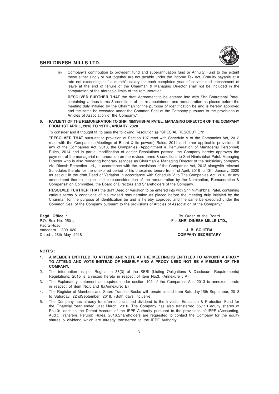

iii) Company's contribution to provident fund and superannuation fund or Annuity Fund to the extent these either singly or put together are not taxable under the Income Tax Act, Gratuity payable at a rate not exceeding half a month's salary for each completed year of service and encashment of leave at the end of tenure of the Chairman & Managing Director shall not be included in the computation of the aforesaid limits of the remuneration.

**RESOLVED FURTHER THAT** the draft Agreement to be entered into with Shri Bharatbhai Patel, containing various terms & conditions of his re-appointment and remuneration as placed before the meeting duly initialed by the Chairman for the purpose of identification be and is hereby approved and the same be executed under the Common Seal of the Company pursuant to the provisions of Articles of Association of the Company."

## **6. PAYMENT OF THE REMUNERATION TO SHRI NIMISHBHAI PATEL, MANAGING DIRECTOR OF THE COMPANY FROM 1ST APRIL, 2018 TO 13TH JANUARY, 2020**

To consider and if thought fit, to pass the following Resolution as "SPECIAL RESOLUTION"

**"RESOLVED THAT** pursuant to provision of Section 197 read with Schedule V of the Companies Act, 2013 read with the Companies (Meetings of Board & its powers) Rules, 2014 and other applicable provisions, if any of the Companies Act, 2013, the Companies (Appointment & Remuneration of Managerial Personnel) Rules, 2014 and in partial modification of earlier Resolutions passed, the Company hereby approves the payment of the managerial remuneration on the revised terms & conditions to Shri Nimishbhai Patel, Managing Director who is also rendering honorary services as Chairman & Managing Director of the subsidiary company viz. Dinesh Remedies Ltd., in accordance with the provisions of the Companies Act, 2013 alongwith relevant Schedules thereto for the unexpired period of his unexpired tenure from 1st April, 2018 to 13th January, 2020 as set out in the draft Deed of Variation in accordance with Schedule V to The Companies Act, 2013 or any amendment thereto subject to the re-consideration of the remuneration by the Nomination, Remuneration & Compensation Committee, the Board of Directors and Shareholders of the Company.

**RESOLVED FURTHER THAT** the draft Deed of Variation to be entered into with Shri Nimishbhai Patel, containing various terms & conditions of his revised remuneration as placed before the meeting duly initialed by the Chairman for the purpose of identification be and is hereby approved and the same be executed under the Common Seal of the Company pursuant to the provisions of Articles of Association of the Company."

Padra Road, Vadodara - 390 020. **J. B. SOJITRA** Dated : 28th May, 2018 **COMPANY SECRETARY**

**Regd. Office :** By Order of the Board<br>
P.O. Box No. 2501, **By Order of the Board**<br> **Regd. Box No. 2501, Southern Street Street Street Street Street Street Street Street Street Street Street Street Street Street Street Str** For SHRI DINESH MILLS LTD.,

#### **NOTES :**

- 1. **A MEMBER ENTITLED TO ATTEND AND VOTE AT THE MEETING IS ENTITLED TO APPOINT A PROXY TO ATTEND AND VOTE INSTEAD OF HIMSELF AND A PROXY NEED NOT BE A MEMBER OF THE COMPANY.**
- 2. The information as per Regulation 36(3) of the SEBI (Listing Obligations & Disclosure Requirements) Regulations, 2015 is annexed hereto in respect of item No.3. (Annexure : A)
- 3. The Explanatory statement as required under section 102 of the Companies Act, 2013 is annexed hereto in respect of item No.5.and 6.(Annexure: B)
- 4. The Register of Members and Share Transfer Books will remain closed from Saturday,15th September, 2018 to Saturday, 22ndSeptember, 2018. (Both days inclusive)
- 5. The Company has already transferred unclaimed dividend to the Investor Education & Protection Fund for the Financial Year ended 31st March, 2010. The Company has also transferred 55,110 equity shares of Rs.10/- each to the Demat Account of the IEPF Authority pursuant to the provisions of IEPF (Accounting, Audit, Transfer& Refund) Rules, 2016.Shareholders are requested to contact the Company for the equity shares & dividend which are already transferred to the IEPF Authority.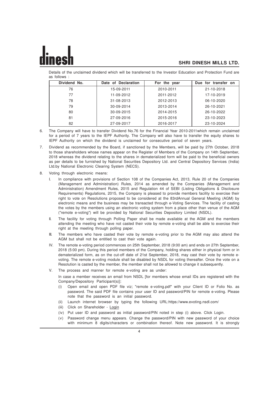

Details of the unclaimed dividend which will be transferred to the Investor Education and Protection Fund are as follows :

| Dividend No. | Date of Declaration | For the year | Due for transfer on |
|--------------|---------------------|--------------|---------------------|
| 76           | 15-09-2011          | 2010-2011    | 21-10-2018          |
| 77           | 11-09-2012          | 2011-2012    | 17-10-2019          |
| 78           | 31-08-2013          | 2012-2013    | 06-10-2020          |
| 79           | 30-09-2014          | 2013-2014    | 26-10-2021          |
| 80           | 30-09-2015          | 2014-2015    | 26-10-2022          |
| 81           | 27-09-2016          | 2015-2016    | 23-10-2023          |
| 82           | 27-09-2017          | 2016-2017    | 23-10-2024          |

6. The Company will have to transfer Dividend No.76 for the Financial Year 2010-2011which remain unclaimed for a period of 7 years to the IEPF Authority. The Company will also have to transfer the equity shares to IEPF Authority on which the dividend is unclaimed for consecutive period of seven years.

- 7. Dividend as recommended by the Board, if sanctioned by the Members, will be paid by 27th October, 2018 to those shareholders whose names appear on the Register of Members of the Company on 14th September, 2018 whereas the dividend relating to the shares in dematerialized form will be paid to the beneficial owners as per details to be furnished by National Securities Depository Ltd. and Central Depository Services (India) Ltd.by National Electronic Clearing System (NECS).
- 8. Voting through electronic means:
	- I. In compliance with provisions of Section 108 of the Companies Act, 2013, Rule 20 of the Companies (Management and Administration) Rules, 2014 as amended by the Companies (Management and Administration) Amendment Rules, 2015 and Regulation 44 of SEBI (Listing Obligations & Disclosure Requirements) Regulations, 2015, the Company is pleased to provide members facility to exercise their right to vote on Resolutions proposed to be considered at the 83rdAnnual General Meeting (AGM) by electronic means and the business may be transacted through e-Voting Services. The facility of casting the votes by the members using an electronic voting system from a place other than venue of the AGM ("remote e-voting") will be provided by National Securities Depository Limited (NSDL).
	- II. The facility for voting through Polling Paper shall be made available at the AGM and the members attending the meeting who have not casted their vote by remote e-voting shall be able to exercise their right at the meeting through polling paper.
	- III. The members who have casted their vote by remote e-voting prior to the AGM may also attend the AGM but shall not be entitled to cast their vote again.
	- IV. The remote e-voting period commences on 25th September, 2018 (9:00 am) and ends on 27th September, 2018 (5:00 pm). During this period members of the Company, holding shares either in physical form or in dematerialized form, as on the cut-off date of 21st September, 2018, may cast their vote by remote evoting. The remote e-voting module shall be disabled by NSDL for voting thereafter. Once the vote on a Resolution is casted by the member, the member shall not be allowed to change it subsequently.
	- V. The process and manner for remote e-voting are as under:

In case a member receives an email from NSDL [for members whose email IDs are registered with the Company/Depository Participant(s)]:

- (i) Open email and open PDF file viz; "remote e-voting.pdf" with your Client ID or Folio No. as password. The said PDF file contains your user ID and password/PIN for remote e-voting. Please note that the password is an initial password.
- (ii) Launch internet browser by typing the following URL:https://www.evoting.nsdl.com/
- (iii) Click on Shareholder Login
- (iv) Put user ID and password as initial password/PIN noted in step (i) above. Click Login.
- (v) Password change menu appears. Change the password/PIN with new password of your choice with minimum 8 digits/characters or combination thereof. Note new password. It is strongly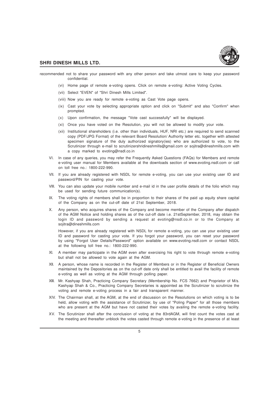

recommended not to share your password with any other person and take utmost care to keep your password confidential.

- (vi) Home page of remote e-voting opens. Click on remote e-voting: Active Voting Cycles.
- (vii) Select "EVEN" of "Shri Dinesh Mills Limited".
- (viii) Now you are ready for remote e-voting as Cast Vote page opens.
- (ix) Cast your vote by selecting appropriate option and click on "Submit" and also "Confirm" when prompted.
- (x) Upon confirmation, the message "Vote cast successfully" will be displayed.
- (xi) Once you have voted on the Resolution, you will not be allowed to modify your vote.
- (xii) Institutional shareholders (i.e. other than individuals, HUF, NRI etc.) are required to send scanned copy (PDF/JPG Format) of the relevant Board Resolution/ Authority letter etc. together with attested specimen signature of the duly authorized signatory(ies) who are authorized to vote, to the Scrutinizer through e-mail to scrutinizershridineshmills@gmail.com or sojitra@dineshmills.com with a copy marked to evoting@nsdl.co.in
- VI. In case of any queries, you may refer the Frequently Asked Questions (FAQs) for Members and remote e-voting user manual for Members available at the downloads section of www.evoting.nsdl.com or call on toll free no.: 1800-222-990.
- VII. If you are already registered with NSDL for remote e-voting, you can use your existing user ID and password/PIN for casting your vote.
- VIII. You can also update your mobile number and e-mail id in the user profile details of the folio which may be used for sending future communication(s).
- IX. The voting rights of members shall be in proportion to their shares of the paid up equity share capital of the Company as on the cut-off date of 21st September, 2018.
- X. Any person, who acquires shares of the Company and become member of the Company after dispatch of the AGM Notice and holding shares as of the cut-off date i.e. 21stSeptember, 2018, may obtain the login ID and password by sending a request at evoting@nsdl.co.in or to the Company at sojitra@dineshmills.com

However, if you are already registered with NSDL for remote e-voting, you can use your existing user ID and password for casting your vote. If you forgot your password, you can reset your password by using "Forgot User Details/Password" option available on www.evoting.nsdl.com or contact NSDL at the following toll free no.: 1800-222-990.

- XI. A member may participate in the AGM even after exercising his right to vote through remote e-voting but shall not be allowed to vote again at the AGM.
- XII. A person, whose name is recorded in the Register of Members or in the Register of Beneficial Owners maintained by the Depositories as on the cut-off date only shall be entitled to avail the facility of remote e-voting as well as voting at the AGM through polling paper.
- XIII. Mr. Kashyap Shah, Practicing Company Secretary (Membership No. FCS 7662) and Proprietor of M/s. Kashyap Shah & Co., Practicing Company Secretaries is appointed as the Scrutinizer to scrutinize the voting and remote e-voting process in a fair and transparent manner.
- XIV. The Chairman shall, at the AGM, at the end of discussion on the Resolutions on which voting is to be held, allow voting with the assistance of Scrutinizer, by use of "Poling Paper" for all those members who are present at the AGM but have not casted their votes by availing the remote e-voting facility.
- XV. The Scrutinizer shall after the conclusion of voting at the 83rdAGM, will first count the votes cast at the meeting and thereafter unblock the votes casted through remote e-voting in the presence of at least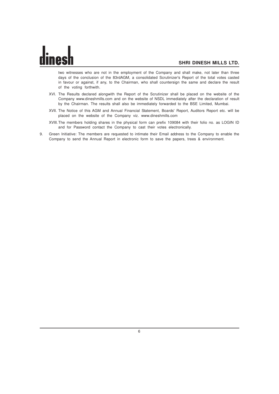two witnesses who are not in the employment of the Company and shall make, not later than three days of the conclusion of the 83rdAGM, a consolidated Scrutinizer's Report of the total votes casted in favour or against, if any, to the Chairman, who shall countersign the same and declare the result of the voting forthwith.

- XVI. The Results declared alongwith the Report of the Scrutinizer shall be placed on the website of the Company www.dineshmills.com and on the website of NSDL immediately after the declaration of result by the Chairman. The results shall also be immediately forwarded to the BSE Limited, Mumbai.
- XVII. The Notice of this AGM and Annual Financial Statement, Boards' Report, Auditors Report etc. will be placed on the website of the Company viz. www.dineshmills.com
- XVIII.The members holding shares in the physical form can prefix 109084 with their folio no. as LOGIN ID and for Password contact the Company to cast their votes electronically.
- 9. Green Initiative: The members are requested to intimate their Email address to the Company to enable the Company to send the Annual Report in electronic form to save the papers, trees & environment.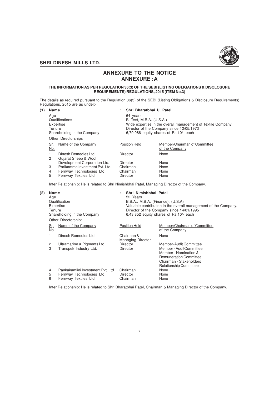

# **ANNEXURE TO THE NOTICE ANNEXURE : A**

#### **THE INFORMATION AS PER REGULATION 36(3) OF THE SEBI (LISTING OBLIGATIONS & DISCLOSURE REQUIREMENTS) REGULATIONS, 2015 (ITEM No.3)**

The details as required pursuant to the Regulation 36(3) of the SEBI (Listing Obligations & Disclosure Requirements) Regulations, 2015 are as under:-

| (1) | <b>Name</b>                                                                                        |                                              |                                                                                                                                                                                           | Shri Bharatbhai U. Patel |                                                |
|-----|----------------------------------------------------------------------------------------------------|----------------------------------------------|-------------------------------------------------------------------------------------------------------------------------------------------------------------------------------------------|--------------------------|------------------------------------------------|
|     | Age<br>Qualifications<br>Expertise<br>Tenure<br>Shareholding in the Company<br>Other Directorships |                                              | 64 years<br>B. Text, M.B.A. (U.S.A.)<br>Wide expertise in the overall management of Textile Company<br>Director of the Company since 12/05/1973<br>6.70.088 equity shares of Rs.10/- each |                          |                                                |
|     | <u>Sr.</u><br>No.                                                                                  | Name of the Company                          |                                                                                                                                                                                           | <b>Position Held</b>     | Member/Chairman of Committee<br>of the Company |
|     | 2                                                                                                  | Dinesh Remedies Ltd.<br>Gujarat Sheep & Wool |                                                                                                                                                                                           | Director                 | None                                           |
|     |                                                                                                    | Development Corporation Ltd.                 |                                                                                                                                                                                           | Director                 | None                                           |
|     | 3                                                                                                  | Parikamma Investment Pvt. Ltd.               |                                                                                                                                                                                           | Chairman                 | None                                           |
|     | 4                                                                                                  | Fernway Technologies Ltd.                    |                                                                                                                                                                                           | Chairman                 | None                                           |
|     | 5                                                                                                  | Fernway Textiles Ltd.                        |                                                                                                                                                                                           | Director                 | None                                           |

Inter Relationship: He is related to Shri Nimishbhai Patel, Managing Director of the Company.

| (2) | Name<br>Age<br>Tenure | Qualification<br>Expertise<br>Shareholding in the Company<br>Other Directorship:        | Shri Nimishbhai Patel<br>52 Years<br>B.B.A., M.B.A. (Finance), (U.S.A) | Valuable contribution in the overall management of the Company.<br>Director of the Company since 14/01/1995<br>6,43,852 equity shares of Rs.10/- each |
|-----|-----------------------|-----------------------------------------------------------------------------------------|------------------------------------------------------------------------|-------------------------------------------------------------------------------------------------------------------------------------------------------|
|     | Sr.<br>No.            | Name of the Company                                                                     | <b>Position Held</b>                                                   | Member/Chairman of Committee<br>of the Company                                                                                                        |
|     | 1                     | Dinesh Remedies Ltd.                                                                    | Chairman &<br><b>Managing Director</b>                                 | None                                                                                                                                                  |
|     | 2                     | Ultramarine & Pigments Ltd                                                              | Director                                                               | Member-Audit Committee                                                                                                                                |
|     | 3                     | Transpek Industry Ltd.                                                                  | Director                                                               | Member - AuditCommittee<br>Member - Nomination &<br><b>Remuneration Committee</b><br>Chairman - Stakeholders<br><b>Relationship Committee</b>         |
|     | 4<br>5<br>6           | Pankakamlini Investment Pvt. Ltd.<br>Fernway Technologies Ltd.<br>Fernway Textiles Ltd. | Chairman<br>Director<br>Chairman                                       | None<br>None<br>None                                                                                                                                  |

Inter Relationship: He is related to Shri Bharatbhai Patel, Chairman & Managing Director of the Company.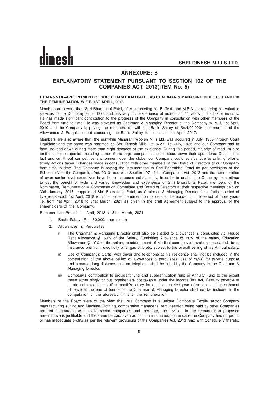

# **ANNEXURE: B**

# **EXPLANATORY STATEMENT PURSUANT TO SECTION 102 OF THE COMPANIES ACT, 2013(ITEM No. 5)**

#### **ITEM No.5 RE-APPOINTMENT OF SHRI BHARATBHAI PATEL AS CHAIRMAN & MANAGING DIRECTOR AND FIX THE REMUNERATION W.E.F. 1ST APRIL, 2018**

Members are aware that, Shri Bharatbhai Patel, after completing his B. Text. and M.B.A., is rendering his valuable services to the Company since 1973 and has very rich experience of more than 44 years in the textile industry. He has made significant contribution to the progress of the Company in consultation with other members of the Board from time to time. He was elevated as Chairman & Managing Director of the Company w. e. f. 1st April, 2010 and the Company is paying the remuneration with the Basic Salary of Rs.4,00,000/- per month and the Allowances & Perquisites not exceeding the Basic Salary to him since 1st April, 2017.

Members are also aware that, the erstwhile Maharani Woolen Mills Ltd. was acquired in July, 1935 through Court Liquidator and the same was renamed as Shri Dinesh Mills Ltd. w.e.f. 1st July, 1935 and our Company had to face ups and down during more than eight decades of the existence. During this period, majority of medium size textile sector companies including some of the large companies had to close down their operations. Despite this fact and cut throat competitive environment over the globe, our Company could survive due to untiring efforts, timely actions taken / changes made in consultation with other members of the Board of Directors of our Company from time to time. The Company is paying the remuneration to Shri Bharatbhai Patel as per provisions of the Schedule V to the Companies Act, 2013 read with Section 197 of the Companies Act, 2013 and the remuneration of even senior level executives have been increased substantially. In order to enable the Company to continue to get the benefit of wide and varied knowledge and experience of Shri Bharatbhai Patel, members of the Nomination, Remuneration & Compensation Committee and Board of Directors at their respective meetings held on 30th January, 2018 reappointed Shri Bharatbhai Patel, as Chairman & Managing Director for a further period of five years w.e.f. 1st April, 2018 with the revised remuneration as detailed hereunder for the period of three years i.e. from 1st April, 2018 to 31st March, 2021 as given in the draft Agreement subject to the approval of the shareholders of the Company.

Remuneration Period: 1st April, 2018 to 31st March, 2021

1. Basic Salary: Rs.4,60,000/- per month

- 2. Allowances & Perquisites:
	- i) The Chairman & Managing Director shall also be entitled to allowances & perquisites viz. House Rent Allowance @ 60% of the Salary, Furnishing Allowance @ 20% of the salary, Education Allowance @ 10% of the salary, reimbursement of Medical-cum-Leave travel expenses, club fees, insurance premium, electricity bills, gas bills etc. subject to the overall ceiling of his Annual salary.
	- ii) Use of Company's Car(s) with driver and telephone at his residence shall not be included in the computation of the above ceiling of allowances & perquisites, use of car(s) for private purpose and personal long distance calls on telephone shall be billed by the Company to the Chairman & Managing Director.
	- iii) Company's contribution to provident fund and superannuation fund or Annuity Fund to the extent these either singly or put together are not taxable under the Income Tax Act, Gratuity payable at a rate not exceeding half a month's salary for each completed year of service and encashment of leave at the end of tenure of the Chairman & Managing Director shall not be included in the computation of the aforesaid limits of the remuneration.

Members of the Board were of the view that, our Company is a unique Composite Textile sector Company manufacturing suiting and Machine Clothing, comparative managerial remuneration being paid by other Companies are not comparable with textile sector companies and therefore, the revision in the remuneration proposed hereinabove is justifiable and the same be paid even as minimum remuneration in case the Company has no profits or has inadequate profits as per the relevant provisions of the Companies Act, 2013 read with Schedule V thereto.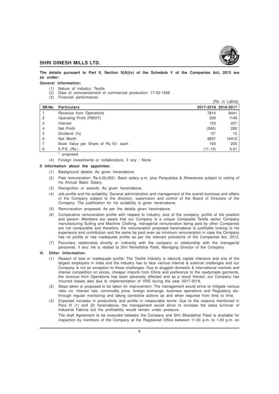

**The details pursuant to Part II, Section II(A)(iv) of the Schedule V of the Companies Act, 2013 are as under:**

#### **General Information:**

- (1) Nature of industry: Textile
- (2) Date of commencement of commercial production: 17-02-1936
- (3) Financial performance:

|              |                                      |         | (Rs. in Lakhs)      |
|--------------|--------------------------------------|---------|---------------------|
| <b>SR.No</b> | <b>Particulars</b>                   |         | 2017-2018 2016-2017 |
|              | Revenue from Operations              | 7814    | 8441                |
| 2            | Operating Profit (PBDIT)             | 209     | 1149                |
| 3            | Interest                             | 150     | 207                 |
| 4            | Net Profit                           | (565)   | 280                 |
| 5            | Dividend (%)                         | $15*$   | 15                  |
| 6            | Net Worth                            | 9837    | 10410               |
|              | Book Value per Share of Rs.10/- each | 193     | 205                 |
| 8            | E.P.S. (Rs.)                         | (11.13) | 5.51                |
|              |                                      |         |                     |

proposed

(4) Foreign investments or collaborators, if any : None

# **II Information about the appointee:**

- (1) Background details: As given hereinabove.
- (2) Past remuneration: Rs.4,00,000/- Basic salary p.m. plus Perquisites & Allowances subject to ceiling of his Annual Basic Salary.
- (3) Recognition or awards: As given hereinabove.
- (4) Job profile and his suitability: General administration and management of the overall business and affairs of the Company subject to the direction, supervision and control of the Board of Directors of the Company. The justification for his suitability is given hereinabove.
- (5) Remuneration proposed: As per the details given hereinabove.
- (6) Comparative remuneration profile with respect to industry, size of the company, profile of the position and person: Members are aware that our Company is a unique Composite Textile sector Company manufacturing Suiting and Machine Clothing, managerial remuneration being paid by other Companies are not comparable and therefore, the remuneration proposed hereinabove is justifiable looking to his experience and contribution and the same be paid even as minimum remuneration in case the Company has no profits or has inadequate profits as per the relevant provisions of the Companies Act, 2013.
- (7) Pecuniary relationship directly or indirectly with the company or relationship with the managerial personnel, if any: He is related to Shri Nimishbhai Patel, Managing Director of the Company.
- **iii. Other Information:**
	- (1) Reason of loss or inadequate profits: The Textile Industry is labour& capital intensive and one of the largest employers in India and the industry has to face various internal & external challenges and our Company is not an exception to these challenges. Due to sluggish domestic & international markets and intense competition on prices, cheaper imports from China and preference to the readymade garments, the revenue from Operations has been adversely affected and as a result thereof, our Company has incurred losses also due to implementation of VRS during the year 2017-2018.
	- (2) Steps taken or proposed to be taken for improvement: The management would strive to mitigate various risks viz. interest rate, commodity price, foreign exchange, business operations and Regulatory etc. through regular monitoring and taking corrective actions as and when required from time to time.
	- (3) Expected increase in productivity and profits in measurable terms: Due to the reasons mentioned in Para III (1) and (2) hereinabove, the management would strive to increase the sales turnover of Industrial Fabrics but the profitability would remain under pressure. The draft Agreement to be executed between the Company and Shri Bharatbhai Patel is available for

inspection by members of the Company at the Registered Office between 11.00 a.m. to 1.00 p.m. on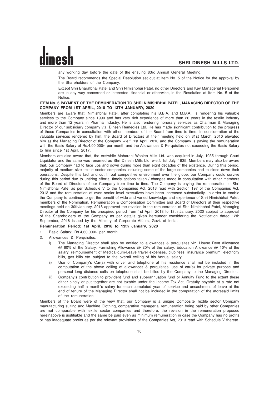any working day before the date of the ensuing 83rd Annual General Meeting.

The Board recommends the Special Resolution set out at Item No. 5 of the Notice for the approval by the Shareholders of the Company.

Except Shri Bharatbhai Patel and Shri Nimishbhai Patel, no other Directors and Key Managerial Personnel are in any way concerned or interested, financial or otherwise, in the Resolution at Item No. 5 of the Notice.

# **ITEM No. 6 PAYMENT OF THE REMUNERATION TO SHRI NIMISHBHAI PATEL, MANAGING DIRECTOR OF THE COMPANY FROM 1ST APRIL, 2018 TO 13TH JANUARY, 2020**

Members are aware that, Nimishbhai Patel, after completing his B.B.A. and M.B.A., is rendering his valuable services to the Company since 1990 and has very rich experience of more than 26 years in the textile industry and more than 12 years in Pharma industry. He is also rendering honorary services as Chairman & Managing Director of our subsidiary company viz. Dinesh Remedies Ltd. He has made significant contribution to the progress of these Companies in consultation with other members of the Board from time to time. In consideration of the valuable services rendered by him, the Board of Directors at their meeting held on 31st March, 2010 elevated him as the Managing Director of the Company w.e.f. 1st April, 2010 and the Company is paying the remuneration with the Basic Salary of Rs.4,00,000/- per month and the Allowances & Perquisites not exceeding the Basic Salary to him since 1st April, 2017.

Members are also aware that, the erstwhile Maharani Woolen Mills Ltd. was acquired in July, 1935 through Court Liquidator and the same was renamed as Shri Dinesh Mills Ltd. w.e.f. 1st July, 1935. Members may also be aware that, our Company had to face ups and down during more than eight decades of the existence. During this period, majority of medium size textile sector companies including some of the large companies had to close down their operations. Despite this fact and cut throat competitive environment over the globe, our Company could survive during this period due to untiring efforts, timely actions taken / changes made in consultation with other members of the Board of Directors of our Company from time to time. The Company is paying the remuneration to Shri Nimishbhai Patel as per Schedule V to the Companies Act, 2013 read with Section 197 of the Companies Act, 2013 and the remuneration of even senior level executives have been increased substantially. In order to enable the Company to continue to get the benefit of wide and varied knowledge and experience of Shri Nimishbhai Patel, members of the Nomination, Remuneration & Compensation Committee and Board of Directors at their respective meetings held on 30thJanuary, 2018 approved the revision in the remuneration of Shri Nimishbhai Patel, Managing Director of the Company for his unexpired period from 1st April, 2018 to 13th January, 2020 subject to approval of the Shareholders of the Company as per details given hereunder considering the Notification dated 12th September, 2016 issued by the Ministry of Corporate Affairs, Govt. of India.

**Remuneration Period: 1st April, 2018 to 13th January, 2020**

- 1. Basic Salary: Rs.4,60,000/- per month
- 2. Allowances & Perquisites:
	- i) The Managing Director shall also be entitled to allowances & perquisites viz. House Rent Allowance @ 60% of the Salary, Furnishing Allowance @ 20% of the salary, Education Allowance @ 10% of the salary, reimbursement of Medical-cum-Leave travel expenses, club fees, insurance premium, electricity bills, gas bills etc. subject to the overall ceiling of his Annual salary.
	- ii) Use of Company's Car(s) with driver and telephone at his residence shall not be included in the computation of the above ceiling of allowances & perquisites, use of car(s) for private purpose and personal long distance calls on telephone shall be billed by the Company to the Managing Director.
	- iii) Company's contribution to provident fund and superannuation fund or Annuity Fund to the extent these either singly or put together are not taxable under the Income Tax Act, Gratuity payable at a rate not exceeding half a month's salary for each completed year of service and encashment of leave at the end of tenure of the Managing Director shall not be included in the computation of the aforesaid limits of the remuneration.

Members of the Board were of the view that, our Company is a unique Composite Textile sector Company manufacturing suiting and Machine Clothing, comparative managerial remuneration being paid by other Companies are not comparable with textile sector companies and therefore, the revision in the remuneration proposed hereinabove is justifiable and the same be paid even as minimum remuneration in case the Company has no profits or has inadequate profits as per the relevant provisions of the Companies Act, 2013 read with Schedule V thereto.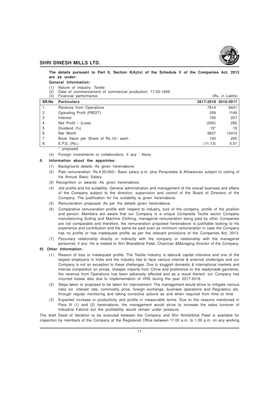

**The details pursuant to Part II, Section II(A)(iv) of the Schedule V of the Companies Act, 2013 are as under:**

#### **General Information:**

- (1) Nature of industry: Textile
- (2) Date of commencement of commercial production: 17-02-1936
- $(3)$  Financial performance:  $(8)$  Financial performance:

| <b>SR.No</b> | <b>Particulars</b>                   |         | 2017-2018 2016-2017 |
|--------------|--------------------------------------|---------|---------------------|
|              | Revenue from Operations              | 7814    | 8441                |
| 2            | Operating Profit (PBDIT)             | 209     | 1149                |
| 3            | Interest                             | 150     | 207                 |
| 4            | Net Profit / (Loss)                  | (565)   | 280                 |
| 5            | Dividend (%)                         | $15*$   | 15                  |
| 6            | Net Worth                            | 9837    | 10410               |
|              | Book Value per Share of Rs.10/- each | 193     | 205                 |
| 8            | E.P.S. (Rs.)                         | (11.13) | 5.51                |
|              | proposed                             |         |                     |

(4) Foreign investments or collaborators, if any : None

# **II. Information about the appointee:**

- (1) Background details: As given hereinabove.
- (2) Past remuneration: Rs.4,00,000/- Basic salary p.m. plus Perquisites & Allowances subject to ceiling of his Annual Basic Salary.
- (3) Recognition or awards: As given hereinabove.
- (4) Job profile and his suitability: General administration and management of the overall business and affairs of the Company subject to the direction, supervision and control of the Board of Directors of the Company. The justification for his suitability is given hereinabove.
- (5) Remuneration proposed: As per the details given hereinabove.
- (6) Comparative remuneration profile with respect to industry, size of the company, profile of the position and person: Members are aware that our Company is a unique Composite Textile sector Company manufacturing Suiting and Machine Clothing, managerial remuneration being paid by other Companies are not comparable and therefore, the remuneration proposed hereinabove is justifiable looking to his experience and contribution and the same be paid even as minimum remuneration in case the Company has no profits or has inadequate profits as per the relevant provisions of the Companies Act, 2013.
- (7) Pecuniary relationship directly or indirectly with the company or relationship with the managerial personnel, if any: He is related to Shri Bharatbhai Patel, Chairman &Managing Director of the Company.

# **III. Other Information:**

- (1) Reason of loss or inadequate profits: The Textile Industry is labour& capital intensive and one of the largest employers in India and the industry has to face various internal & external challenges and our Company is not an exception to these challenges. Due to sluggish domestic & international markets and intense competition on prices, cheaper imports from China and preference to the readymade garments, the revenue from Operations has been adversely affected and as a result thereof, our Company has incurred losses also due to implementation of VRS during the year 2017-2018.
- (2) Steps taken or proposed to be taken for improvement: The management would strive to mitigate various risks viz. interest rate, commodity price, foreign exchange, business operations and Regulatory etc. through regular monitoring and taking corrective actions as and when required from time to time.
- (3) Expected increase in productivity and profits in measurable terms: Due to the reasons mentioned in Para III (1) and (2) hereinabove, the management would strive to increase the sales turnover of Industrial Fabrics but the profitability would remain under pressure.

The draft Deed of Variation to be executed between the Company and Shri Nimishbhai Patel is available for inspection by members of the Company at the Registered Office between 11.00 a.m. to 1.00 p.m. on any working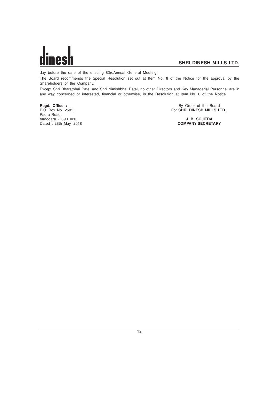

day before the date of the ensuing 83rdAnnual General Meeting.

The Board recommends the Special Resolution set out at Item No. 6 of the Notice for the approval by the Shareholders of the Company.

Except Shri Bharatbhai Patel and Shri Nimishbhai Patel, no other Directors and Key Managerial Personnel are in any way concerned or interested, financial or otherwise, in the Resolution at Item No. 6 of the Notice.

Padra Road, Vadodara - 390 020. **J. B. SOJITRA** Dated : 28th May, 2018

**Regd. Office :** By Order of the Board<br>
P.O. Box No. 2501, **By Order of the Board**<br> **P.O. Box No. 2501, By Order of the Board** For **SHRI DINESH MILLS LTD.,**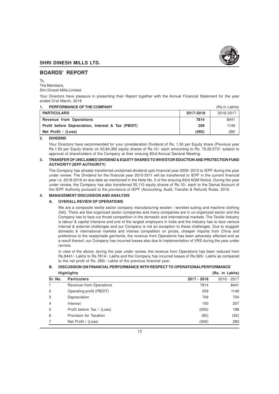

# **BOARDS' REPORT**

To,

The Members,

Shri Dinesh Mills Limited.

Your Directors have pleasure in presenting their Report together with the Annual Financial Statement for the year ended 31st March, 2018

| PERFORMANCE OF THE COMPANY<br>1.                   |           | (Rs.in Lakhs) |
|----------------------------------------------------|-----------|---------------|
| <b>PARTICULARS</b>                                 | 2017-2018 | 2016-2017     |
| <b>Revenue from Operations</b>                     | 7814      | 8441          |
| Profit before Depreciation, Interest & Tax (PBDIT) | 209       | 1149          |
| Net Profit / (Loss)                                | (565)     | 280           |

**2. DIVIDEND**

Your Directors have recommended for your consideration Dividend of Rs. 1.50 per Equity share (Previous year Rs.1.50 per Equity share) on 50,84,382 equity shares of Rs.10/- each amounting to Rs. 76,26,573/- subject to approval of shareholders of the Company at their ensuing 83rd Annual General Meeting.

# **3. TRANSFER OF UNCLAIMED DIVIDEND & EQUITY SHARES TO INVESTOR EDUCTION AND PROTECTION FUND AUTHORITY (IEPF AUTHORITY)**

The Company has already transferred unclaimed dividend upto financial year 2009- 2010 to IEPF during the year under review. The Dividend for the financial year 2010-2011 will be transferred to IEPF in the current financial year i.e. 2018-2019 on due date as mentioned in the Note No. 5 of the ensuing 83rd AGM Notice. During the year under review, the Company has also transferred 55,110 equity shares of Rs.10/- each to the Demat Account of the IEPF Authority pursuant to the provisions of IEPF (Accounting, Audit, Transfer & Refund) Rules, 2016.

# **4. MANAGEMENT DISCUSSION AND ANALYSIS**

# **A. OVERALL REVIEW OF OPERATIONS**

We are a composite textile sector company manufacturing woolen / worsted suiting and machine clothing (felt). There are few organized sector companies and many companies are in un-organized sector and the Company has to face cut throat competition in the domestic and international markets. The Textile Industry is labour & capital intensive and one of the largest employers in India and the industry has to face various internal & external challenges and our Company is not an exception to these challenges. Due to sluggish domestic & international markets and intense competition on prices, cheaper imports from China and preference to the readymade garments, the revenue from Operations has been adversely affected and as a result thereof, our Company has incurred losses also due to implementation of VRS during the year under review.

In view of the above, during the year under review, the revenue from Operations has been reduced from Rs.8441/- Lakhs to Rs.7814/- Lakhs and the Company has incurred losses of Rs.565/- Lakhs as compared to the net profit of Rs. 280/- Lakhs of the previous financial year.

|         | <b>Highlights</b>          |             | (Rs. in Lakhs) |  |
|---------|----------------------------|-------------|----------------|--|
| Sr. No. | <b>Particulars</b>         | 2017 - 2018 | 2016 - 2017    |  |
|         | Revenue from Operations    | 7814        | 8441           |  |
| 2       | Operating profit (PBDIT)   | 209         | 1149           |  |
| 3       | Depreciation               | 709         | 754            |  |
| 4       | Interest                   | 150         | 207            |  |
| 5       | Profit before Tax / (Loss) | (650)       | 188            |  |
| 6       | Provision for Taxation     | (85)        | (92)           |  |
|         | Net Profit / (Loss)        | (565)       | 280            |  |
|         |                            |             |                |  |

# **B. DISCUSSION ON FINANCIAL PERFORMANCE WITH RESPECT TO OPERATIONALPERFORMANCE**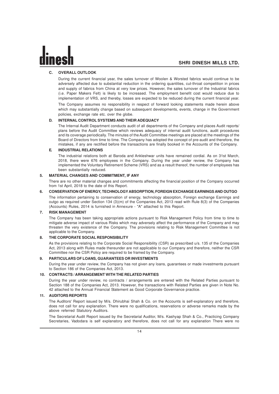# **C. OVERALL OUTLOOK**

During the current financial year, the sales turnover of Woolen & Worsted fabrics would continue to be adversely affected due to substantial reduction in the ordering quantities, cut-throat competition in prices and supply of fabrics from China at very low prices. However, the sales turnover of the Industrial fabrics (i.e. Paper Makers Felt) is likely to be increased. The employment benefit cost would reduce due to implementation of VRS, and thereby, losses are expected to be reduced during the current financial year.

The Company assumes no responsibility in respect of forward looking statements made herein above which may substantially change based on subsequent developments, events, change in the Government policies, exchange rate etc. over the globe.

#### **D. INTERNAL CONTROL SYSTEMS AND THEIR ADEQUACY**

The Internal Audit Department conducts audit of all departments of the Company and places Audit reports/ plans before the Audit Committee which reviews adequacy of internal audit functions, audit procedures and its coverage periodically. The minutes of the Audit Committee meetings are placed at the meetings of the Board of Directors from time to time. The Company has adopted the concept of pre-audit and therefore, the mistakes, if any are rectified before the transactions are finally booked in the Accounts of the Company.

## **E. INDUSTRIAL RELATIONS**

The industrial relations both at Baroda and Ankleshwar units have remained cordial. As on 31st March, 2018, there were 676 employees in the Company. During the year under review, the Company has implemented the Voluntary Retirement Scheme (VRS) and as a result thereof, the number of employees has been substantially reduced.

#### **5. MATERIAL CHANGES AND COMMITMENT, IF ANY**

There are no other material changes and commitments affecting the financial position of the Company occurred from 1st April, 2018 to the date of this Report.

## **6. CONSERVATION OF ENERGY, TECHNOLOGY ABSORPTION, FOREIGN EXCHANGE EARNINGS AND OUTGO**

The information pertaining to conservation of energy, technology absorption, Foreign exchange Earnings and outgo as required under Section 134 (3)(m) of the Companies Act, 2013 read with Rule 8(3) of the Companies (Accounts) Rules, 2014 is furnished in Annexure - "A" attached to this Report.

# **7. RISK MANAGEMENT**

The Company has been taking appropriate actions pursuant to Risk Management Policy from time to time to mitigate adverse impact of various Risks which may adversely affect the performance of the Company and may threaten the very existence of the Company. The provisions relating to Risk Management Committee is not applicable to the Company.

#### **8. THE CORPORATE SOCIAL RESPONSIBILITY**

As the provisions relating to the Corporate Social Responsibility (CSR) as prescribed u/s. 135 of the Companies Act, 2013 along with Rules made thereunder are not applicable to our Company and therefore, neither the CSR Committee nor the CSR Policy are required to be framed by the Company.

#### **9. PARTICULARS OF LOANS, GUARANTEES OR INVESTMENTS**

During the year under review, the Company has not given any loans, guarantees or made investments pursuant to Section 186 of the Companies Act, 2013.

#### **10. CONTRACTS / ARRANGEMENT WITH THE RELATED PARTIES**

During the year under review, no contracts / arrangements are entered with the Related Parties pursuant to Section 188 of the Companies Act, 2013. However, the transactions with Related Parties are given in Note No. 42 attached to the Annual Financial Statement as Good Corporate Governance practice.

# **11. AUDITORS REPORTS**

The Auditors' Report issued by M/s. Dhirubhai Shah & Co. on the Accounts is self-explanatory and therefore, does not call for any explanation. There were no qualifications, reservations or adverse remarks made by the above referred Statutory Auditors.

The Secretarial Audit Report issued by the Secretarial Auditor, M/s. Kashyap Shah & Co., Practicing Company Secretaries, Vadodara is self explanatory and therefore, does not call for any explanation There were no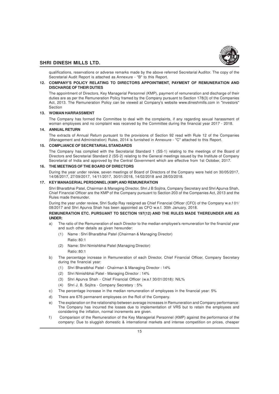

qualifications, reservations or adverse remarks made by the above referred Secretarial Auditor. The copy of the Secretarial Audit Report is attached as Annexure - "B" to this Report.

# **12. COMPANY'S POLICY RELATING TO DIRECTORS APPOINTMENT, PAYMENT OF REMUNERATION AND DISCHARGE OF THEIR DUTIES**

The appointment of Directors, Key Managerial Personnel (KMP), payment of remuneration and discharge of their duties are as per the Remuneration Policy framed by the Company pursuant to Section 178(3) of the Companies Act, 2013. The Remuneration Policy can be viewed at Company's website www.dineshmills.com in "Investors" Section

## **13. WOMAN HARRASSMENT**

The Company has formed the Committee to deal with the complaints, if any regarding sexual harassment of woman employees and no complaint was received by the Committee during the financial year 2017 - 2018.

#### **14. ANNUAL RETURN**

The extracts of Annual Return pursuant to the provisions of Section 92 read with Rule 12 of the Companies (Management and Administration) Rules, 2014 is furnished in Annexure - "C" attached to this Report.

# **15. COMPLIANCE OF SECRETARIAL STANDARDS**

The Company has complied with the Secretarial Standard 1 (SS-1) relating to the meetings of the Board of Directors and Secretarial Standard 2 (SS-2) relating to the General meetings issued by the Institute of Company Secretarial of India and approved by the Central Government which are effective from 1st October, 2017.

## **16. THE MEETINGS OF THE BOARD OF DIRECTORS**

During the year under review, seven meetings of Board of Directors of the Company were held on 30/05/2017, 14/08/2017, 27/09/2017, 14/11/2017, 30/01/2018, 14/02/2018 and 28/03/2018.

# **17. KEY MANAGERIAL PERSONNEL (KMP) AND REMUNERATION**

Shri Bharatbhai Patel, Chairman & Managing Director, Shri J B Sojitra, Company Secretary and Shri Apurva Shah, Chief Financial Officer are the KMP of the Company pursuant to Section 203 of the Companies Act, 2013 and the Rules made thereunder.

During the year under review, Shri Sudip Ray resigned as Chief Financial Officer (CFO) of the Company w.e.f 01/ 08/2017 and Shri Apurva Shah has been appointed as CFO w.e.f. 30th January, 2018.

# **REMUNERATION ETC. PURSUANT TO SECTION 197(12) AND THE RULES MADE THEREUNDER ARE AS UNDER:**

- a) The ratio of the Remuneration of each Director to the median employee's remuneration for the financial year and such other details as given hereunder:
	- (1) Name : Shri Bharatbhai Patel (Chairman & Managing Director) Ratio: 80:1
	- (2) Name: Shri Nimishbhai Patel (Managing Director) Ratio: 80:1
- b) The percentage increase in Remuneration of each Director, Chief Financial Officer, Company Secretary during the financial year:
	- (1) Shri Bharatbhai Patel Chairman & Managing Director : 14%
	- (2) Shri Nimishbhai Patel Managing Director : 14%
	- (3) Shri Apurva Shah Chief Financial Officer (w.e.f 30/01/2018): NIL%
	- (4) Shri J. B. Sojitra Company Secretary : 5%
- c) The percentage increase in the median remuneration of employees in the financial year: 5%
- d) There are 676 permanent employees on the Roll of the Company.
- e) The explanation on the relationship between average increases in Remuneration and Company performance: The Company has incurred the losses due to implementation of VRS but to retain the employees and considering the inflation, normal increments are given.
- f ) Comparison of the Remuneration of the Key Managerial Personnel (KMP) against the performance of the company: Due to sluggish domestic & international markets and intense competition on prices, cheaper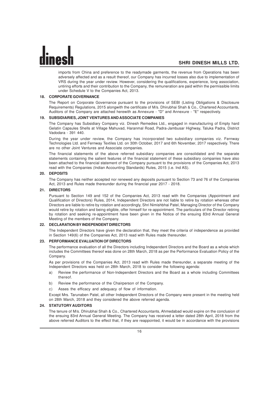imports from China and preference to the readymade garments, the revenue from Operations has been adversely affected and as a result thereof, our Company has incurred losses also due to implementation of VRS during the year under review. However, considering the qualifications, experience, long association, untiring efforts and their contribution to the Company, the remuneration are paid within the permissible limits under Schedule V to the Companies Act, 2013.

#### **18. CORPORATE GOVERNANCE**

The Report on Corporate Governance pursuant to the provisions of SEBI (Listing Obligations & Disclosure Requirements) Regulations, 2015 alongwith the certificate of M/s. Dhirubhai Shah & Co., Chartered Accountants, Auditors of the Company are attached herewith as Annexure - "D" and Annexure - "E" respectively.

#### **19. SUBSIDIARIES, JOINT VENTURES AND ASSOCIATE COMPANIES**

The Company has Subsidiary Company viz. Dinesh Remedies Ltd., engaged in manufacturing of Empty hard Gelatin Capsules Shells at Village Mahuvad, Haranmal Road, Padra-Jambusar Highway, Taluka Padra, District Vadodara - 391 440.

During the year under review, the Company has incorporated two subsidiary companies viz. Fernway Technologies Ltd. and Fernway Textiles Ltd. on 30th October, 2017 and 6th November, 2017 respectively. There are no other Joint Ventures and Associate companies.

The financial statements of the above referred subsidiary companies are consolidated and the separate statements containing the salient features of the financial statement of these subsidiary companies have also been attached to the financial statement of the Company pursuant to the provisions of the Companies Act, 2013 read with the Companies (Indian Accounting Standards) Rules, 2015 (i.e. Ind AS).

#### **20. DEPOSITS**

The Company has neither accepted nor renewed any deposits pursuant to Section 73 and 76 of the Companies Act, 2013 and Rules made thereunder during the financial year 2017 - 2018.

#### **21. DIRECTORS**

Pursuant to Section 149 and 152 of the Companies Act, 2013 read with the Companies (Appointment and Qualification of Directors) Rules, 2014, Independent Directors are not liable to retire by rotation whereas other Directors are liable to retire by rotation and accordingly, Shri Nimishbhai Patel, Managing Director of the Company would retire by rotation and being eligible, offer himself for re-appointment. The particulars of the Director retiring by rotation and seeking re-appointment have been given in the Notice of the ensuing 83rd Annual General Meeting of the members of the Company.

#### **22. DECLARATION BY INDEPENDENT DIRECTORS**

The Independent Directors have given the declaration that, they meet the criteria of independence as provided in Section 149(6) of the Companies Act, 2013 read with Rules made thereunder.

#### **23. PERFORMANCE EVALUATION OF DIRECTORS**

The performance evaluation of all the Directors including Independent Directors and the Board as a whole which includes the Committees thereof was done on 28th March, 2018 as per the Performance Evaluation Policy of the Company.

As per provisions of the Companies Act, 2013 read with Rules made thereunder, a separate meeting of the Independent Directors was held on 28th March, 2018 to consider the following agenda:

- a) Review the performance of Non-Independent Directors and the Board as a whole including Committees thereof.
- b) Review the performance of the Chairperson of the Company.
- c) Asses the efficacy and adequacy of flow of information.

Except Mrs. Tarunaben Patel, all other Independent Directors of the Company were present in the meeting held on 28th March, 2018 and they considered the above referred agenda.

#### **24. STATUTORY AUDITORS**

The tenure of M/s. Dhirubhai Shah & Co., Chartered Accountants, Ahmedabad would expire on the conclusion of the ensuing 83rd Annual General Meeting. The Company has received a letter dated 28th April, 2018 from the above referred Auditors to the effect that, if they are reappointed, it would be in accordance with the provisions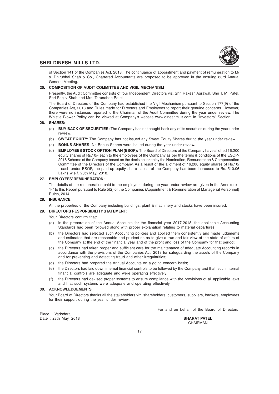

of Section 141 of the Companies Act, 2013. The continuance of appointment and payment of remuneration to M/ s. Dhirubhai Shah & Co., Chartered Accountants are proposed to be approved in the ensuing 83rd Annual General Meeting.

## **25. COMPOSITION OF AUDIT COMMITTEE AND VIGIL MECHANISM**

Presently, the Audit Committee consists of four Independent Directors viz. Shri Rakesh Agrawal, Shri T. M. Patel, Shri Sanjiv Shah and Mrs. Tarunaben Patel.

The Board of Directors of the Company had established the Vigil Mechanism pursuant to Section 177(9) of the Companies Act, 2013 and Rules made for Directors and Employees to report their genuine concerns. However, there were no instances reported to the Chairman of the Audit Committee during the year under review. The Whistle Blower Policy can be viewed at Company's website www.dineshmills.com in "Investors" Section.

#### **26. SHARES:**

- (a) **BUY BACK OF SECURITIES:** The Company has not bought back any of its securities during the year under review.
- (b) **SWEAT EQUITY:** The Company has not issued any Sweat Equity Shares during the year under review.
- (c) **BONUS SHARES:** No Bonus Shares were issued during the year under review.
- (d) **EMPLOYEES STOCK OPTION PLAN (ESOP):** The Board of Directors of the Company have allotted 16,200 equity shares of Rs.10/- each to the employees of the Company as per the terms & conditions of the ESOP-2016 Scheme of the Company based on the decision taken by the Nomination, Remuneration & Compensation Committee of the Directors of the Company. As a result of the allotment of 16,200 equity shares of Rs.10/ - each under ESOP, the paid up equity share capital of the Company has been increased to Rs. 510.06 Lakhs w.e.f. 28th May, 2018.

#### **27. EMPLOYEES' REMUNERATION:**

The details of the remuneration paid to the employees during the year under review are given in the Annexure - "F" to this Report pursuant to Rule 5(2) of the Companies (Appointment & Remuneration of Managerial Personnel) Rules, 2014.

# **28. INSURANCE:**

All the properties of the Company including buildings, plant & machinery and stocks have been insured.

#### **29. DIRECTORS RESPONSIBILITY STATEMENT:**

Your Directors confirm that:

- (a) in the preparation of the Annual Accounts for the financial year 2017-2018, the applicable Accounting Standards had been followed along with proper explanation relating to material departures;
- (b) the Directors had selected such Accounting policies and applied them consistently and made judgments and estimates that are reasonable and prudent so as to give a true and fair view of the state of affairs of the Company at the end of the financial year and of the profit and loss of the Company for that period;
- (c) the Directors had taken proper and sufficient care for the maintenance of adequate Accounting records in accordance with the provisions of the Companies Act, 2013 for safeguarding the assets of the Company and for preventing and detecting fraud and other irregularities;
- (d) the Directors had prepared the Annual Accounts on a going concern basis;
- (e) the Directors had laid down internal financial controls to be followed by the Company and that, such internal financial controls are adequate and were operating effectively.
- (f) the Directors had devised proper systems to ensure compliance with the provisions of all applicable laws and that such systems were adequate and operating effectively.

## **30. ACKNOWLEDGEMENTS**

Your Board of Directors thanks all the stakeholders viz. shareholders, customers, suppliers, bankers, employees for their support during the year under review.

For and on behalf of the Board of Directors

| Place: Vadodara      |                     |
|----------------------|---------------------|
| Date: 28th May, 2018 | <b>BHARAT PATEL</b> |
|                      | CHAIRMAN            |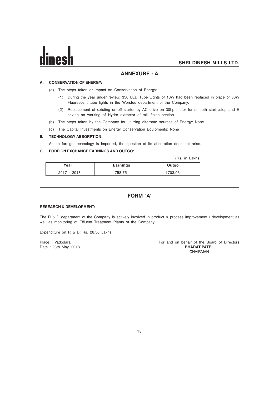# **ANNEXURE : A**

# **A. CONSERVATION OF ENERGY:**

- (a) The steps taken or impact on Conservation of Energy:
	- (1) During the year under review, 350 LED Tube Lights of 18W had been replaced in place of 36W Fluorescent tube lights in the Worsted department of the Company.
	- (2) Replacement of existing on-off starter by AC drive on 30hp motor for smooth start /stop and E saving on working of Hydro extractor of mill finish section
- (b) The steps taken by the Company for utilizing alternate sources of Energy: None
- (c) The Capital Investments on Energy Conservation Equipments: None

## **B. TECHNOLOGY ABSORPTION:**

As no foreign technology is imported, the question of its absorption does not arise.

# **C. FOREIGN EXCHANGE EARNINGS AND OUTGO:**

(Rs. in Lakhs)

| Year          | <b>Earnings</b> | Outgo  |
|---------------|-----------------|--------|
| $2017 - 2018$ | 758.75          | 703.03 |

# **FORM 'A'**

# **RESEARCH & DEVELOPMENT:**

The R & D department of the Company is actively involved in product & process improvement / development as well as monitoring of Effluent Treatment Plants of the Company.

Expenditure on R & D: Rs. 26.56 Lakhs

Date: 28th May, 2018

# Place : Vadodara For and on behalf of the Board of Directors<br>Date : 28th May, 2018 **For and on behalf of the Board of Directors** CHAIRMAN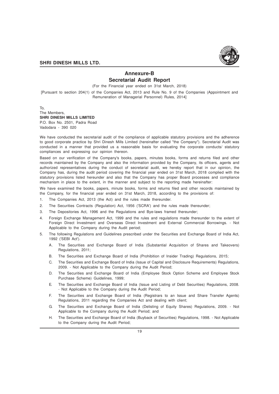

# **Annexure-B Secretarial Audit Report**

(For the Financial year ended on 31st March, 2018)

[Pursuant to section 204(1) of the Companies Act, 2013 and Rule No. 9 of the Companies (Appointment and Remuneration of Managerial Personnel) Rules, 2014]

To, The Members, **SHRI DINESH MILLS LIMITED** P.O. Box No. 2501, Padra Road Vadodara - 390 020

We have conducted the secretarial audit of the compliance of applicable statutory provisions and the adherence to good corporate practice by Shri Dinesh Mills Limited (hereinafter called "the Company"). Secretarial Audit was conducted in a manner that provided us a reasonable basis for evaluating the corporate conducts/ statutory compliances and expressing our opinion thereon.

Based on our verification of the Company's books, papers, minutes books, forms and returns filed and other records maintained by the Company and also the information provided by the Company, its officers, agents and authorized representatives during the conduct of secretarial audit, we hereby report that in our opinion, the Company has, during the audit period covering the financial year ended on 31st March, 2018 complied with the statutory provisions listed hereunder and also that the Company has proper Board processes and compliance mechanism in place to the extent, in the manner and subject to the reporting made hereinafter:

We have examined the books, papers, minute books, forms and returns filed and other records maintained by the Company, for the financial year ended on 31st March, 2018, according to the provisions of:

- 1. The Companies Act, 2013 (the Act) and the rules made thereunder.
- 2. The Securities Contracts (Regulation) Act, 1956 ('SCRA') and the rules made thereunder;
- 3. The Depositories Act, 1996 and the Regulations and Bye-laws framed thereunder;
- 4. Foreign Exchange Management Act, 1999 and the rules and regulations made thereunder to the extent of Foreign Direct Investment and Overseas Direct Investment and External Commercial Borrowings. - Not Applicable to the Company during the Audit period;
- 5. The following Regulations and Guidelines prescribed under the Securities and Exchange Board of India Act, 1992 ('SEBI Act').
	- A. The Securities and Exchange Board of India (Substantial Acquisition of Shares and Takeovers) Regulations, 2011;
	- B. The Securities and Exchange Board of India (Prohibition of Insider Trading) Regulations, 2015;
	- C. The Securities and Exchange Board of India (Issue of Capital and Disclosure Requirements) Regulations, 2009. - Not Applicable to the Company during the Audit Period;
	- D. The Securities and Exchange Board of India (Employee Stock Option Scheme and Employee Stock Purchase Scheme) Guidelines, 1999;
	- E. The Securities and Exchange Board of India (Issue and Listing of Debt Securities) Regulations, 2008. - Not Applicable to the Company during the Audit Period;
	- F. The Securities and Exchange Board of India (Registrars to an Issue and Share Transfer Agents) Regulations, 2011 regarding the Companies Act and dealing with client;
	- G. The Securities and Exchange Board of India (Delisting of Equity Shares) Regulations, 2009. Not Applicable to the Company during the Audit Period; and
	- H. The Securities and Exchange Board of India (Buyback of Securities) Regulations, 1998. Not Applicable to the Company during the Audit Period;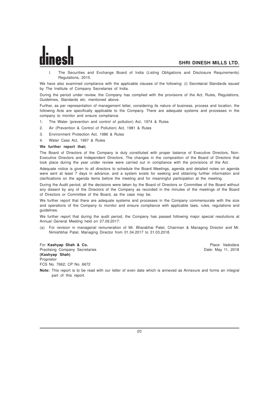I. The Securities and Exchange Board of India (Listing Obligations and Disclosure Requirements) Regulations, 2015.

We have also examined compliance with the applicable clauses of the following: (i) Secretarial Standards issued by The Institute of Company Secretaries of India.

During the period under review, the Company has complied with the provisions of the Act, Rules, Regulations, Guidelines, Standards etc. mentioned above.

Further, as per representation of management letter, considering its nature of business, process and location, the following Acts are specifically applicable to the Company. There are adequate systems and processes in the company to monitor and ensure compliance.

- 1. The Water (prevention and control of pollution) Act, 1974 & Rules
- 2. Air (Prevention & Control of Pollution) Act, 1981 & Rules
- 3. Environment Protection Act, 1986 & Rules
- 4. Water Cess Act, 1997 & Rules

#### **We further report that;**

The Board of Directors of the Company is duly constituted with proper balance of Executive Directors, Non-Executive Directors and Independent Directors. The changes in the composition of the Board of Directors that took place during the year under review were carried out in compliance with the provisions of the Act.

Adequate notice is given to all directors to schedule the Board Meetings, agenda and detailed notes on agenda were sent at least 7 days in advance, and a system exists for seeking and obtaining further information and clarifications on the agenda items before the meeting and for meaningful participation at the meeting.

During the Audit period, all the decisions were taken by the Board of Directors or Committee of the Board without any dissent by any of the Directors of the Company as recorded in the minutes of the meetings of the Board of Directors or Committee of the Board, as the case may be.

We further report that there are adequate systems and processes in the Company commensurate with the size and operations of the Company to monitor and ensure compliance with applicable laws, rules, regulations and guidelines.

We further report that during the audit period, the Company has passed following major special resolutions at Annual General Meeting held on 27.09.2017:

(a) For revision in managerial remuneration of Mr. Bharabhai Patel, Chairman & Managing Director and Mr. Nimishbhai Patel, Managing Director from 01.04.2017 to 31.03.2018.

For **Kashyap Shah & Co.** Place: Vadodara Practising Company Secretaries **(Kashyap Shah)** Proprietor FCS No. 7662; CP No. 6672

**SHRI DINESH MILLS LTD.**

**Note:** This report is to be read with our letter of even date which is annexed as Annexure and forms an integral part of this report.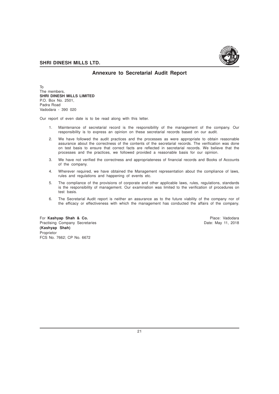

# **Annexure to Secretarial Audit Report**

To The members, **SHRI DINESH MILLS LIMITED** P.O. Box No. 2501, Padra Road Vadodara - 390 020

Our report of even date is to be read along with this letter.

- 1. Maintenance of secretarial record is the responsibility of the management of the company. Our responsibility is to express an opinion on these secretarial records based on our audit.
- 2. We have followed the audit practices and the processes as were appropriate to obtain reasonable assurance about the correctness of the contents of the secretarial records. The verification was done on test basis to ensure that correct facts are reflected in secretarial records. We believe that the processes and the practices, we followed provided a reasonable basis for our opinion.
- 3. We have not verified the correctness and appropriateness of financial records and Books of Accounts of the company.
- 4. Wherever required, we have obtained the Management representation about the compliance of laws, rules and regulations and happening of events etc.
- 5. The compliance of the provisions of corporate and other applicable laws, rules, regulations, standards is the responsibility of management. Our examination was limited to the verification of procedures on test basis.
- 6. The Secretarial Audit report is neither an assurance as to the future viability of the company nor of the efficacy or effectiveness with which the management has conducted the affairs of the company.

For Kashyap Shah & Co. **Place: Vadodara** Place: Vadodara Place: Vadodara Place: Vadodara Place: Vadodara Place: Vadodara Place: Vadodara Place: Vadodara Place: Vadodara Place: Vadodara Place: Vadodara Place: Vadodara Place Practising Company Secretaries **Date: May 11, 2018** Date: May 11, 2018 **(Kashyap Shah)** Proprietor FCS No. 7662; CP No. 6672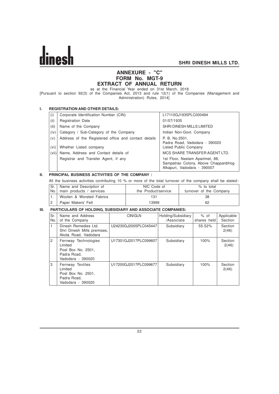

# **ANNEXURE - "C" FORM No. MGT-9 EXTRACT OF ANNUAL RETURN**

as at the Financial Year ended on 31st March, 2018

[Pursuant to section 92(3) of the Companies Act, 2013 and rule 12(1) of the Companies (Management and Administration) Rules, 2014]

# **I. REGISTRATION AND OTHER DETAILS:**

| (i)   | Corporate Identification Number (CIN)                | L17110GJ1935PLC000494                                                                                 |
|-------|------------------------------------------------------|-------------------------------------------------------------------------------------------------------|
| (ii)  | <b>Registration Date</b>                             | 01/07/1935                                                                                            |
| (iii) | Name of the Company                                  | SHRI DINESH MILLS LIMITED                                                                             |
| (iv)  | Category / Sub-Category of the Company               | Indian Non-Govt. Company                                                                              |
| (v)   | Address of the Registered office and contact details | P. B. No.2501.<br>Padra Road, Vadodara - 390020                                                       |
| (vi)  | Whether Listed company                               | Listed Public Company                                                                                 |
| (vii) | Name, Address and Contact details of                 | MCS SHARE TRANSFER AGENT LTD.                                                                         |
|       | Registrar and Transfer Agent, if any                 | 1st Floor, Neelam Apartmet, 88,<br>Sampatrao Colony, Above Chappanbhog<br>Alkapuri, Vadodara - 390007 |

# **II. PRINCIPAL BUSINESS ACTIVITIES OF THE COMPANY :**

All the business activities contributing 10 % or more of the total turnover of the company shall be stated:-

| Sr.   Name and Description of  | NIC Code of         | $%$ to total            |
|--------------------------------|---------------------|-------------------------|
| No.   main products / services | the Product/service | turnover of the Company |
| Woolen & Worsted Fabrics       | 131                 | 38                      |
| Paper Makers' Felt             | 13999               | 62                      |

# **III. PARTICULARS OF HOLDING, SUBSIDIARY AND ASSOCIATE COMPANIES:**

| Sr.<br>No.     | Name and Address<br>of the Company                                                        | CIN/GLN               | Holding/Subsidiary<br>/Associate | $%$ of<br>shares held | Applicable<br>Section |  |  |  |
|----------------|-------------------------------------------------------------------------------------------|-----------------------|----------------------------------|-----------------------|-----------------------|--|--|--|
| 1              | Dinesh Remedies Ltd.<br>Shri Dinesh Mills premises,<br>Akota Road, Vadodara               | U24230GJ2005PLC045447 | Subsidiary                       | 55.52%                | Section<br>2(46)      |  |  |  |
| $\overline{2}$ | Fernway Technologies<br>Limited<br>Post Box No. 2501.<br>Padra Road.<br>Vadodara - 390020 | U17301GJ2017PLC099607 | Subsidiary                       | 100%                  | Section<br>2(46)      |  |  |  |
| 3              | Fernway Textiles<br>Limited<br>Post Box No. 2501.<br>Padra Road.<br>Vadodara - 390020     | U17200GJ2017PLC099677 | Subsidiary                       | 100%                  | Section<br>2(46)      |  |  |  |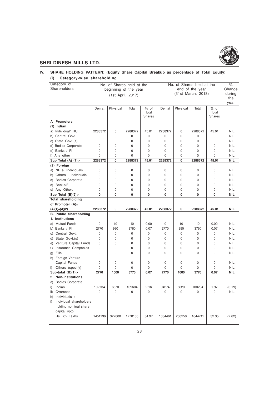

# **IV. SHARE HOLDING PATTERN: (Equity Share Capital Breakup as percentage of Total Equity) (i) Category-wise shareholding**

| Category of                                            | No. of Shares held at the |             | No. of Shares held at the |               |                 |          | $\%$               |               |            |
|--------------------------------------------------------|---------------------------|-------------|---------------------------|---------------|-----------------|----------|--------------------|---------------|------------|
| Shareholders                                           |                           |             | beginning of the year     |               | end of the year |          |                    |               | Change     |
|                                                        |                           |             |                           |               |                 |          | (31st March, 2018) |               | during     |
|                                                        |                           |             | (1st April, 2017)         |               |                 |          |                    |               | the        |
|                                                        |                           |             |                           |               |                 |          |                    |               | year       |
|                                                        | Demat                     | Physical    | Total                     | % of          | Demat           | Physical | Total              | % of          |            |
|                                                        |                           |             |                           | Total         |                 |          |                    | Total         |            |
|                                                        |                           |             |                           | <b>Shares</b> |                 |          |                    | <b>Shares</b> |            |
| A Promoters                                            |                           |             |                           |               |                 |          |                    |               |            |
| $(1)$ Indian                                           |                           |             |                           |               |                 |          |                    |               |            |
| a) Individual/ HUF                                     | 2288372                   | $\mathbf 0$ | 2288372                   | 45.01         | 2288372         | 0        | 2288372            | 45.01         | <b>NIL</b> |
| b) Central Govt.                                       | 0                         | $\mathbf 0$ | 0                         | $\mathbf 0$   | $\mathbf 0$     | 0        | 0                  | 0             | <b>NIL</b> |
| c) State Govt.(s)                                      | 0                         | $\mathbf 0$ | 0                         | $\mathbf 0$   | $\mathbf 0$     | 0        | 0                  | 0             | <b>NIL</b> |
| d) Bodies Corporate                                    | $\Omega$                  | $\mathbf 0$ | $\Omega$                  | $\Omega$      | $\Omega$        | $\Omega$ | $\Omega$           | $\Omega$      | <b>NIL</b> |
| e) Banks / Fl                                          | 0                         | $\mathbf 0$ | $\Omega$                  | $\mathbf 0$   | $\Omega$        | 0        | 0                  | $\Omega$      | <b>NIL</b> |
| f) Any other                                           | $\Omega$                  | $\mathbf 0$ | $\Omega$                  | $\Omega$      | $\Omega$        | 0        | $\Omega$           | $\Omega$      | <b>NIL</b> |
| Sub Total (A) (1):-                                    | 2288372                   | 0           | 2288372                   | 45.01         | 2288372         | 0        | 2288372            | 45.01         | <b>NIL</b> |
| (2) Foreign                                            |                           |             |                           |               |                 |          |                    |               |            |
| a) NRIs- Individuals                                   | $\Omega$                  | 0           | 0                         | 0             | $\Omega$        | $\Omega$ | 0                  | 0             | <b>NIL</b> |
| b) Others - Individuals                                | $\Omega$                  | $\mathbf 0$ | 0                         | $\Omega$      | $\Omega$        | $\Omega$ | 0                  | $\Omega$      | <b>NIL</b> |
| c) Bodies Corporate                                    | 0                         | $\mathbf 0$ | $\mathbf 0$               | $\Omega$      | $\mathbf 0$     | 0        | $\Omega$           | 0             | <b>NIL</b> |
| d) Banks/FI                                            | 0                         | $\mathbf 0$ | $\mathbf 0$               | $\mathbf 0$   | $\mathbf 0$     | 0        | $\mathbf 0$        | 0             | <b>NIL</b> |
| e) Any Other.                                          | 0                         | $\mathbf 0$ | 0                         | $\mathbf 0$   | $\mathbf 0$     | 0        | 0                  | 0             | <b>NIL</b> |
| Sub Total $(B)(2)$ :-                                  | 0                         | 0           | 0                         | $\Omega$      | 0               | 0        | 0                  | 0             | NIL        |
| <b>Total shareholding</b>                              |                           |             |                           |               |                 |          |                    |               |            |
| of Promoter (A)=                                       |                           |             |                           |               |                 |          |                    |               |            |
| $(A)(1)+(A)(2)$                                        | 2288372                   | 0           | 2288372                   | 45.01         | 2288372         | 0        | 2288372            | 45.01         | <b>NIL</b> |
| <b>B. Public Shareholding</b>                          |                           |             |                           |               |                 |          |                    |               |            |
| 1. Institutions                                        |                           |             |                           |               |                 |          |                    |               |            |
| a) Mutual Funds                                        | 0                         | 10          | 10                        | 0.00          | $\pmb{0}$       | 10       | 10                 | 0.00          | <b>NIL</b> |
| b) Banks / Fl                                          | 2770                      | 990         | 3760                      | 0.07          | 2770            | 990      | 3760               | 0.07          | <b>NIL</b> |
| c) Central Govt.                                       | 0                         | $\pmb{0}$   | 0                         | $\mathbf 0$   | $\mathbf 0$     | 0        | 0                  | 0             | <b>NIL</b> |
| d) State Govt.(s)                                      | 0                         | $\mathbf 0$ | $\mathbf 0$               | 0             | $\mathbf 0$     | 0        | $\mathbf 0$        | 0             | <b>NIL</b> |
| e) Venture Capital Funds                               | 0                         | $\mathbf 0$ | 0                         | 0             | $\mathbf 0$     | 0        | 0                  | 0             | <b>NIL</b> |
| f) Insurance Companies                                 | 0                         | $\mathbf 0$ | 0                         | $\mathbf 0$   | 0               | 0        | 0                  | 0             | <b>NIL</b> |
| g) Flls                                                | 0                         | $\mathbf 0$ | $\mathbf 0$               | $\Omega$      | $\mathbf 0$     | 0        | 0                  | 0             | <b>NIL</b> |
| h) Foreign Venture                                     |                           |             |                           |               |                 |          |                    |               |            |
| Capital Funds                                          | 0                         | $\mathbf 0$ | 0                         | $\mathbf 0$   | $\mathbf 0$     | 0        | 0                  | 0             | <b>NIL</b> |
| i)<br>Others (specify)                                 | 0                         | $\mathbf 0$ | 0                         | $\mathbf 0$   | $\mathbf 0$     | 0        | 0                  | 0             | <b>NIL</b> |
| Sub-total $(B)(1)$ :-                                  | 2770                      | 1000        | 3770                      | 0.07          | 2770            | 1000     | 3770               | 0.07          | <b>NIL</b> |
| <b>Non-Institutions</b><br>2.                          |                           |             |                           |               |                 |          |                    |               |            |
| a) Bodies Corporate                                    |                           |             |                           |               |                 |          |                    |               |            |
| i)<br>Indian                                           | 102734                    | 6870        | 109604                    | 2.16          | 94274           | 6020     | 100294             | 1.97          | (0.19)     |
| ii) Overseas                                           | 0                         | 0           | $\mathbf 0$               | $\mathbf 0$   | $\mathbf 0$     | 0        | 0                  | 0             | <b>NIL</b> |
| Individuals :                                          |                           |             |                           |               |                 |          |                    |               |            |
| b)                                                     |                           |             |                           |               |                 |          |                    |               |            |
| Individual shareholders<br>i)<br>holding nominal share |                           |             |                           |               |                 |          |                    |               |            |
|                                                        |                           |             |                           |               |                 |          |                    |               |            |
|                                                        |                           |             |                           |               |                 |          |                    |               |            |
| capital upto                                           |                           |             |                           |               |                 |          |                    |               |            |
| Rs. 2/- Lakhs.                                         | 1451136                   | 327000      | 1778136                   | 34.97         | 1384461         | 260250   | 1644711            | 32.35         | (2.62)     |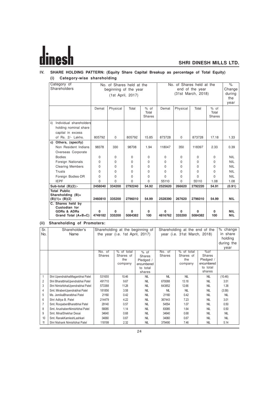# Ŀ

# **SHRI DINESH MILLS LTD.**

# **IV. SHARE HOLDING PATTERN: (Equity Share Capital Breakup as percentage of Total Equity) (i) Category-wise shareholding**

| Category of<br>Shareholders                                                            | No. of Shares held at the<br>beginning of the year<br>(1st April, 2017) |             |                     | No. of Shares held at the<br>end of the year<br>(31st March, 2018) |                     |             |              | $\%$<br>Change<br>during<br>the<br>year |                          |
|----------------------------------------------------------------------------------------|-------------------------------------------------------------------------|-------------|---------------------|--------------------------------------------------------------------|---------------------|-------------|--------------|-----------------------------------------|--------------------------|
|                                                                                        | Demat                                                                   | Physical    | Total               | $%$ of<br>Total<br>Shares                                          | Demat               | Physical    | Total        | $%$ of<br>Total<br><b>Shares</b>        |                          |
| Individual shareholders<br>ii)<br>holding nominal share<br>capital in excess           |                                                                         |             |                     |                                                                    |                     |             |              |                                         |                          |
| of Rs. 2/- Lakhs.                                                                      | 805792                                                                  | $\mathbf 0$ | 805792              | 15.85                                                              | 873728              | $\Omega$    | 873728       | 17.18                                   | 1.33                     |
| Others, (specify)<br>C)<br>Non Resident Indians<br>Overseas Corporate<br><b>Bodies</b> | 98378<br>$\Omega$                                                       | 330<br>0    | 98708<br>$\Omega$   | 1.94<br>$\Omega$                                                   | 118047<br>$\Omega$  | 350<br>0    | 118397<br>0  | 2.33<br>$\Omega$                        | 0.39<br><b>NIL</b>       |
| Foreign Nationals                                                                      | 0                                                                       | 0           | $\Omega$            | $\Omega$                                                           | $\Omega$            | $\Omega$    | $\Omega$     | $\Omega$                                | <b>NIL</b>               |
| <b>Clearing Members</b>                                                                | 0                                                                       | $\Omega$    | $\Omega$            | $\Omega$                                                           | $\Omega$            | 0           | $\Omega$     | $\Omega$                                | <b>NIL</b>               |
| Trusts                                                                                 | 0                                                                       | $\Omega$    | $\Omega$            | $\Omega$                                                           | $\Omega$            | $\Omega$    | $\Omega$     | $\Omega$                                | <b>NIL</b>               |
| Foreign Bodies-DR                                                                      | 0                                                                       | 0           | $\Omega$            | $\Omega$                                                           | $\Omega$            | $\Omega$    | $\Omega$     | $\Omega$                                | <b>NIL</b>               |
| <b>IEPF</b>                                                                            | 0                                                                       | $\Omega$    | $\Omega$            | $\Omega$                                                           | 55110               | $\Omega$    | 55110        | 1.08                                    | 1.08                     |
| Sub-total $(B)(2)$ :-                                                                  | 2458040                                                                 | 334200      | 2792240             | 54.92                                                              | 2525620             | 266620      | 2792220      | 54.91                                   | (0.91)                   |
| <b>Total Public</b><br>Shareholding $(B)$ =<br>$(B)(1)$ + $(B)(2)$                     | 2460810                                                                 | 335200      | 2796010             | 54.99                                                              | 2528390             | 267620      | 2796010      | 54.99                                   | <b>NIL</b>               |
| C. Shares held by<br>Custodian for<br><b>GDRs &amp; ADRs</b><br>Grand Total (A+B+C)    | O<br>4749182                                                            | 0<br>335200 | $\Omega$<br>5084382 | $\mathbf{0}$<br>100                                                | $\Omega$<br>4816762 | 0<br>335200 | 0<br>5084382 | $\Omega$<br>100                         | <b>NIL</b><br><b>NIL</b> |

# **(ii) Shareholding of Promoters:**

| Sr.<br>No.     | Shareholder's<br>Name            |                         | Shareholding at the beginning of<br>the year (i.e. 1st April, 2017) |                                                                   |                  | Shareholding at the end of the<br>year (i.e. 31st March, 2018) |                                                                |            |
|----------------|----------------------------------|-------------------------|---------------------------------------------------------------------|-------------------------------------------------------------------|------------------|----------------------------------------------------------------|----------------------------------------------------------------|------------|
|                |                                  | No. of<br><b>Shares</b> | $%$ of total<br>Shares of<br>the<br>company                         | $%$ of<br>Shares<br>Pledged /<br>encumbered<br>to total<br>shares | No. of<br>Shares | % of total<br>Shares of<br>the<br>company                      | %of<br>Shares<br>Pledged /<br>encumbered<br>to total<br>shares |            |
| 1              | Shri UpendrabhaiMaganbhai Patel  | 531655                  | 10.46                                                               | <b>NIL</b>                                                        | <b>NIL</b>       | <b>NIL</b>                                                     | <b>NIL</b>                                                     | (10.46)    |
| $\overline{2}$ | Shri BharatbhaiUpendrabhai Patel | 491710                  | 9.67                                                                | <b>NIL</b>                                                        | 670088           | 13.18                                                          | <b>NIL</b>                                                     | 3.51       |
| 3              | Shri NimishbhaiUpendrabhai Patel | 573388                  | 11.28                                                               | <b>NIL</b>                                                        | 643852           | 12.66                                                          | <b>NIL</b>                                                     | 1.38       |
| 4              | Smt. MirabenUpendrabhai Patel    | 181856                  | 3.58                                                                | <b>NIL</b>                                                        | <b>NIL</b>       | NII                                                            | <b>NIL</b>                                                     | (3.58)     |
| 5              | Ms. JemikaBharatbhai Patel       | 21160                   | 0.42                                                                | <b>NIL</b>                                                        | 21160            | 0.42                                                           | <b>NIL</b>                                                     | <b>NIL</b> |
| 6              | Shri Aditya B. Patel             | 214479                  | 4.22                                                                | <b>NIL</b>                                                        | 367443           | 7.23                                                           | <b>NIL</b>                                                     | 3.01       |
|                | Smt. RoopabenBharatbhai Patel    | 29140                   | 0.57                                                                | <b>NIL</b>                                                        | 54554            | 1.07                                                           | <b>NIL</b>                                                     | 0.50       |
| 8              | Smt. ArushabenNimishbhai Patel   | 58085                   | 1.14                                                                | <b>NIL</b>                                                        | 83085            | 164                                                            | <b>NIL</b>                                                     | 0.50       |
| 9              | Smt. MinalShekhar Desai          | 34640                   | 0.68                                                                | <b>NIL</b>                                                        | 34640            | 0.68                                                           | <b>NIL</b>                                                     | <b>NIL</b> |
| 10             | Smt. RanakKamleshLashkari        | 34060                   | 0.67                                                                | <b>NIL</b>                                                        | 34060            | 0.67                                                           | <b>NIL</b>                                                     | <b>NIL</b> |
| 11             | Shri Nishank Nimishbhai Patel    | 118199                  | 2.32                                                                | <b>NIL</b>                                                        | 379490           | 7.46                                                           | <b>NIL</b>                                                     | 5.14       |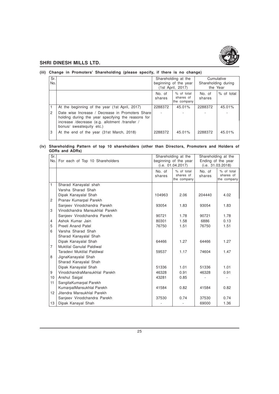

# **(iii) Change in Promoters' Shareholding (please specify, if there is no change)**

| Sr.<br>No. |                                                                                                                                                                                      |                  | Shareholding at the<br>beginning of the year<br>(1st April, 2017) | Cumulative<br>Shareholding during<br>the Year |              |
|------------|--------------------------------------------------------------------------------------------------------------------------------------------------------------------------------------|------------------|-------------------------------------------------------------------|-----------------------------------------------|--------------|
|            |                                                                                                                                                                                      | No. of<br>shares | % of total<br>shares of<br>the company                            | No. of<br>shares                              | $%$ of total |
|            | At the beginning of the year (1st April, 2017)                                                                                                                                       | 2288372          | 45.01%                                                            | 2288372                                       | 45.01%       |
| 2          | Date wise Increase / Decrease in Promoters Share<br>holding during the year specifying the reasons for<br>increase /decrease (e.g. allotment /transfer /<br>bonus/ sweatequity etc.) |                  |                                                                   |                                               |              |
| 3          | At the end of the year (31st March, 2018)                                                                                                                                            | 2288372          | 45.01%                                                            | 2288372                                       | 45.01%       |

# **(iv) Shareholding Pattern of top 10 shareholders (other than Directors, Promoters and Holders of GDRs and ADRs)**

| Sr.<br>No.     | For each of Top 10 Shareholders |                  | Shareholding at the<br>beginning of the year | Shareholding at the<br>Ending of the year |                                        |
|----------------|---------------------------------|------------------|----------------------------------------------|-------------------------------------------|----------------------------------------|
|                |                                 |                  | (i.e. 01.04.2017)                            |                                           | (i.e. 31.03.2018)                      |
|                |                                 | No. of<br>shares | % of total<br>shares of<br>the company       | No. of<br>shares                          | % of total<br>shares of<br>the company |
| $\mathbf{1}$   | Sharad Kanayalal shah           |                  |                                              |                                           |                                        |
|                | Varsha Sharad Shah              |                  |                                              |                                           |                                        |
|                | Dipak Kanayalal Shah            | 104963           | 2.06                                         | 204440                                    | 4.02                                   |
| $\overline{2}$ | Pranav Kumarpal Parekh          |                  |                                              |                                           |                                        |
|                | Sanjeev Vinodchandra Parekh     | 93054            | 1.83                                         | 93054                                     | 1.83                                   |
| 3              | Vinodchandra Mansukhlal Parekh  |                  |                                              |                                           |                                        |
|                | Sanjeev Vinodchandra Parekh     | 90721            | 1.78                                         | 90721                                     | 1.78                                   |
| $\overline{4}$ | Ashok Kumar Jain                | 80301            | 1.58                                         | 6886                                      | 0.13                                   |
| 5              | Preeti Anand Patel              | 76750            | 1.51                                         | 76750                                     | 1.51                                   |
| 6              | Varsha Sharad Shah              |                  |                                              |                                           |                                        |
|                | Sharad Kanayalal Shah           |                  |                                              |                                           |                                        |
|                | Dipak Kanayalal Shah            | 64466            | 1.27                                         | 64466                                     | 1.27                                   |
| $\overline{7}$ | Muktilal Ganulal Paldiwal       |                  |                                              |                                           |                                        |
|                | Taradevi Muktilal Paldiwal      | 59537            | 1.17                                         | 74604                                     | 1.47                                   |
| 8              | JignaKanayalal Shah             |                  |                                              |                                           |                                        |
|                | Sharad Kanayalal Shah           |                  |                                              |                                           |                                        |
|                | Dipak Kanayalal Shah            | 51336            | 1.01                                         | 51336                                     | 1.01                                   |
| 9              | VinodchandraMansukhlal Parekh   | 46328            | 0.91                                         | 46328                                     | 0.91                                   |
| 10             | Anshul Saigal                   | 43281            | 0.85                                         |                                           |                                        |
| 11             | SangitaKumarpal Parekh          |                  |                                              |                                           |                                        |
|                | KumarpalMansukhlal Parekh       | 41584            | 0.82                                         | 41584                                     | 0.82                                   |
| 12             | Jitendra Mansukhlal Parekh      |                  |                                              |                                           |                                        |
|                | Sanjeev Vinodchandra Parekh     | 37530            | 0.74                                         | 37530                                     | 0.74                                   |
| 13             | Dipak Kanayal Shah              |                  |                                              | 69000                                     | 1.36                                   |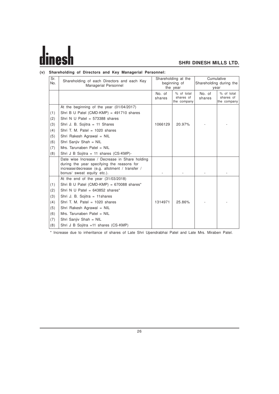# dines

# **SHRI DINESH MILLS LTD.**

# **(v) Shareholding of Directors and Key Managerial Personnel:**

| Sr. |                                                                                              | Shareholding at the |                          | Cumulative              |                          |
|-----|----------------------------------------------------------------------------------------------|---------------------|--------------------------|-------------------------|--------------------------|
| No. | Shareholding of each Directors and each Key<br>Managerial Personnel                          |                     | beginning of             | Shareholding during the |                          |
|     |                                                                                              |                     | the year                 | year                    |                          |
|     |                                                                                              | No. of              | $%$ of total             | No. of                  | % of total               |
|     |                                                                                              | shares              | shares of<br>the company | shares                  | shares of<br>the company |
|     | At the beginning of the year (01/04/2017)                                                    |                     |                          |                         |                          |
| (1) | Shri B U Patel (CMD-KMP) = $491710$ shares                                                   |                     |                          |                         |                          |
| (2) | Shri N U Patel = $573388$ shares                                                             |                     |                          |                         |                          |
| (3) | Shri J. B. Sojitra = 11 Shares                                                               | 1066129             | 20.97%                   |                         |                          |
| (4) | Shri T. M. Patel = $1020$ shares                                                             |                     |                          |                         |                          |
| (5) | Shri Rakesh Agrawal = NIL                                                                    |                     |                          |                         |                          |
| (6) | Shri Sanjiv Shah = NIL                                                                       |                     |                          |                         |                          |
| (7) | Mrs. Tarunaben Patel = NIL                                                                   |                     |                          |                         |                          |
| (8) | Shri J B Sojitra = 11 shares (CS-KMP)-                                                       |                     |                          |                         |                          |
|     | Date wise Increase / Decrease in Share holding<br>during the year specifying the reasons for |                     |                          |                         |                          |
|     | increase/decrease (e.g. allotment / transfer /                                               |                     |                          |                         |                          |
|     | bonus/ sweat equity etc.).                                                                   |                     |                          |                         |                          |
|     | At the end of the year $(31/03/2018)$                                                        |                     |                          |                         |                          |
| (1) | Shri B U Patel (CMD-KMP) = 670088 shares*                                                    |                     |                          |                         |                          |
| (2) | Shri N U Patel = $643852$ shares*                                                            |                     |                          |                         |                          |
| (3) | Shri J. B. Sojitra = 11shares                                                                |                     |                          |                         |                          |
| (4) | Shri T. M. Patel = $1020$ shares                                                             | 1314971             | 25.86%                   |                         |                          |
| (5) | Shri Rakesh Agrawal = NIL                                                                    |                     |                          |                         |                          |
| (6) | Mrs. Tarunaben Patel = $NIL$                                                                 |                     |                          |                         |                          |
| (7) | Shri Sanjiv Shah = NIL                                                                       |                     |                          |                         |                          |
| (8) | Shri J B Sojitra =11 shares (CS-KMP)                                                         |                     |                          |                         |                          |

\* Increase due to inheritance of shares of Late Shri Upendrabhai Patel and Late Mrs. Miraben Patel.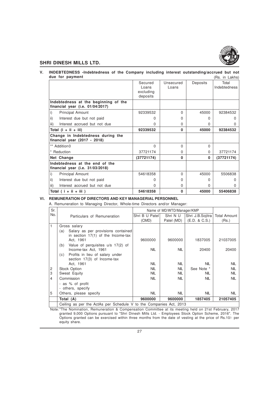

#### **V. INDEBTEDNESS -Indebtedness of the Company including interest outstanding/accrued but not due for payment** (Rs. in Lakhs)

|                                                                             | Secured<br>Loans<br>excluding<br>deposits | Unsecured<br>Loans | Deposits | Total<br>Indebtedness |
|-----------------------------------------------------------------------------|-------------------------------------------|--------------------|----------|-----------------------|
| Indebtedness at the beginning of the<br>financial year (i.e. $01/04/2017$ ) |                                           |                    |          |                       |
| i)<br><b>Principal Amount</b>                                               | 92339532                                  | $\Omega$           | 45000    | 92384532              |
| ii)<br>Interest due but not paid                                            | <sup>o</sup>                              | $\Omega$           |          |                       |
| Interest accrued but not due<br>iii)                                        | 0                                         | 0                  | 0        |                       |
| Total $(i + ii + iii)$                                                      | 92339532                                  | $\mathbf{0}$       | 45000    | 92384532              |
| Change in Indebtedness during the<br>financial year (2017 - 2018)           |                                           |                    |          |                       |
| ** Addition0                                                                | $\Omega$                                  | $\Omega$           | U        |                       |
| * Reduction                                                                 | 37721174                                  | 0                  | 0        | 37721174              |
| Net Change                                                                  | (37721174)                                | 0                  | 0        | (37721174)            |
| Indebtedness at the end of the<br>financial year (i.e. $31/03/2018$ )       |                                           |                    |          |                       |
| i)<br><b>Principal Amount</b>                                               | 54618358                                  | $\Omega$           | 45000    | 5506838               |
| ii)<br>Interest due but not paid                                            | <sup>0</sup>                              | $\Omega$           | O        |                       |
| iii)<br>Interest accrued but not due                                        | 0                                         | $\Omega$           | 0        |                       |
| Total $(i + ii + iii)$                                                      | 54618358                                  | $\mathbf{0}$       | 45000    | 55406838              |

# **VI. REMUNERATION OF DIRECTORS AND KEY MANAGERIAL PERSONNEL**

A. Remuneration to Managing Director, Whole-time Directors and/or Manager:

| Sr. |            |                                                                            |                | Name of MD/WTD/Manager/KMP |                  |              |
|-----|------------|----------------------------------------------------------------------------|----------------|----------------------------|------------------|--------------|
| No. |            | Particulars of Remuneration                                                | Shri B U Patel | Shri N U                   | Shri J.B.Sojitra | Total Amount |
|     |            |                                                                            | (CMD)          | Patel (MD)                 | (E.D. & C.S.)    | (Rs.)        |
| 1   |            | Gross salary                                                               |                |                            |                  |              |
|     | (a)        | Salary as per provisions contained<br>in section $17(1)$ of the Income-tax |                |                            |                  |              |
|     |            | Act, 1961                                                                  | 9600000        | 9600000                    | 1837005          | 21037005     |
|     | (b)        | Value of perquisites u/s 17(2) of<br>Income-tax Act, 1961                  | <b>NIL</b>     | <b>NIL</b>                 | 20400            | 20400        |
|     | (c)        | Profits in lieu of salary under<br>section 17(3) of Income-tax             |                |                            |                  |              |
|     |            | Act. 1961                                                                  | <b>NIL</b>     | <b>NIL</b>                 | <b>NIL</b>       | <b>NIL</b>   |
| 2   |            | Stock Option                                                               | <b>NIL</b>     | <b>NIL</b>                 | See Note *       | <b>NIL</b>   |
| 3   |            | Sweat Equity                                                               | <b>NIL</b>     | <b>NIL</b>                 | NIL              | <b>NIL</b>   |
| 4   | Commission |                                                                            | <b>NIL</b>     | <b>NIL</b>                 | <b>NIL</b>       | <b>NIL</b>   |
|     |            | - as % of profit                                                           |                |                            |                  |              |
|     |            | - others, specify                                                          |                |                            |                  |              |
| 5   |            | Others, please specify                                                     | <b>NIL</b>     | <b>NIL</b>                 | <b>NIL</b>       | <b>NIL</b>   |
|     | Total (A)  |                                                                            | 9600000        | 9600000                    | 1857405          | 21057405     |
|     |            | Ceiling as per the ActAs per Schedule V to the Companies Act, 2013         |                |                            |                  |              |

Note:\*The Nomination, Remuneration & Compensation Committee at its meeting held on 21st February, 2017 granted 9,000 Options pursuant to "Shri Dinesh Mills Ltd. - Employees Stock Option Scheme, 2016". The Options granted can be exercised within three months from the date of vesting at the price of Rs.10/- per equity share.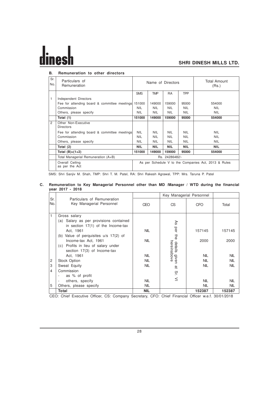# **B. Remuneration to other directors**

| Sr.<br>No. | Particulars of<br>Remuneration                      |                                                      |            | Name of Directors |            | Total Amount<br>(Rs.) |  |
|------------|-----------------------------------------------------|------------------------------------------------------|------------|-------------------|------------|-----------------------|--|
|            |                                                     | <b>SMS</b>                                           | <b>TMP</b> | <b>RA</b>         | TPP        |                       |  |
| 1          | Independent Directors                               |                                                      |            |                   |            |                       |  |
|            | Fee for attending board & committee meetings 151000 |                                                      | 149000     | 159000            | 95000      | 554000                |  |
|            | Commission                                          | NIL.                                                 | <b>NIL</b> | <b>NIL</b>        | <b>NIL</b> | <b>NIL</b>            |  |
|            | Others, please specify                              | <b>NIL</b>                                           | <b>NIL</b> | <b>NIL</b>        | <b>NIL</b> | <b>NIL</b>            |  |
|            | Total (1)                                           | 151000                                               | 149000     | 159000            | 95000      | 554000                |  |
| 2          | Other Non-Executive<br><b>Directors</b>             |                                                      |            |                   |            |                       |  |
|            | Fee for attending board & committee meetings        | NIL.                                                 | <b>NIL</b> | <b>NIL</b>        | <b>NIL</b> | <b>NIL</b>            |  |
|            | Commission                                          | NIL.                                                 | <b>NIL</b> | <b>NIL</b>        | <b>NIL</b> | <b>NIL</b>            |  |
|            | Others, please specify                              | <b>NIL</b>                                           | <b>NIL</b> | <b>NIL</b>        | <b>NIL</b> | <b>NIL</b>            |  |
|            | Total (2)                                           | <b>NIL</b>                                           | <b>NIL</b> | <b>NIL</b>        | <b>NIL</b> | <b>NIL</b>            |  |
|            | Total $(B)=(1+2)$                                   | 151000                                               | 149000     | 159000            | 95000      | 554000                |  |
|            | Total Managerial Remuneration (A+B)                 |                                                      |            | Rs. 24286482/-    |            |                       |  |
|            | Overall Ceiling<br>as per the Act                   | As per Schedule V to the Companies Act, 2013 & Rules |            |                   |            |                       |  |

SMS: Shri Sanjiv M. Shah, TMP: Shri T. M. Patel, RA: Shri Rakesh Agrawal, TPP: Mrs. Taruna P. Patel

# **C. Remuneration to Key Managerial Personnel other than MD /Manager / WTD during the financial year 2017 - 2018**

|                | Particulars of Remuneration                                                                         |            | Key Managerial Personnel |            |            |
|----------------|-----------------------------------------------------------------------------------------------------|------------|--------------------------|------------|------------|
| Sr.<br>No.     | Key Managerial Personnel                                                                            | <b>CEO</b> | CS                       | <b>CFO</b> | Total      |
| 1              | Gross salary                                                                                        |            |                          |            |            |
|                | (a) Salary as per provisions contained                                                              |            | Æ                        |            |            |
|                | in section $17(1)$ of the Income-tax                                                                |            |                          |            |            |
|                | Act. 1961                                                                                           | <b>NIL</b> | per                      | 157145     | 157145     |
|                | (b) Value of perquisites u/s 17(2) of                                                               |            | the                      |            |            |
|                | Income-tax Act, 1961                                                                                | <b>NIL</b> |                          | 2000       | 2000       |
|                | (c) Profits in lieu of salary under                                                                 |            | hereinabove<br>details   |            |            |
|                | section 17(3) of Income-tax                                                                         |            |                          |            |            |
|                | Act. 1961                                                                                           | <b>NIL</b> | given                    | <b>NIL</b> | <b>NIL</b> |
| $\overline{c}$ | Stock Option                                                                                        | <b>NIL</b> |                          | <b>NIL</b> | <b>NIL</b> |
| 3              | Sweat Equity                                                                                        | <b>NIL</b> | हैं                      | <b>NIL</b> | <b>NIL</b> |
| 4              | Commission                                                                                          |            | őΓ.                      |            |            |
|                | as % of profit                                                                                      |            |                          |            |            |
|                | others, specify                                                                                     | <b>NIL</b> | $\leq$                   | <b>NIL</b> | <b>NIL</b> |
| 5              | Others, please specify                                                                              | <b>NIL</b> |                          | <b>NIL</b> | <b>NIL</b> |
|                | Total                                                                                               | <b>NIL</b> |                          | 152387     | 152387     |
|                | CEO: Chief Executive Officer, CS: Company Secretary, CFO: Chief Financial Officer w.e.f. 30/01/2018 |            |                          |            |            |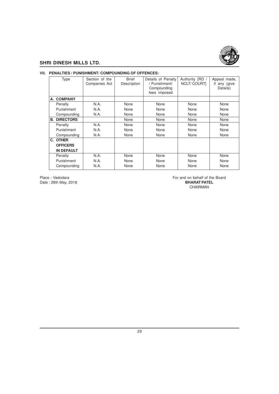

# **VII. PENALTIES / PUNISHMENT/ COMPOUNDING OF OFFENCES:**

| <b>Type</b>         | Section of the<br>Companies Act | <b>Brief</b><br>Description | Details of Penalty<br>/ Punishment/<br>Compounding<br>fees imposed | Authority [RD<br><b>NCLT/COURTI</b> | Appeal made,<br>if<br>any (give<br>Details) |
|---------------------|---------------------------------|-----------------------------|--------------------------------------------------------------------|-------------------------------------|---------------------------------------------|
| A. COMPANY          |                                 |                             |                                                                    |                                     |                                             |
| Penalty             | N.A.                            | None                        | None                                                               | <b>None</b>                         | None                                        |
| Punishment          | N.A.                            | None                        | None                                                               | None                                | None                                        |
| Compounding         | N.A.                            | None                        | None                                                               | None                                | None                                        |
| <b>B. DIRECTORS</b> |                                 | None                        | None                                                               | None                                | None                                        |
| Penalty             | N.A.                            | None                        | None                                                               | None                                | None                                        |
| Punishment          | N.A.                            | <b>None</b>                 | None                                                               | None                                | None                                        |
| Compounding         | N.A.                            | None                        | None                                                               | None                                | None                                        |
| C. OTHER            |                                 |                             |                                                                    |                                     |                                             |
| <b>OFFICERS</b>     |                                 |                             |                                                                    |                                     |                                             |
| <b>IN DEFAULT</b>   |                                 |                             |                                                                    |                                     |                                             |
| Penalty             | N.A.                            | None                        | None                                                               | None                                | None                                        |
| Punishment          | N.A.                            | None                        | None                                                               | None                                | None                                        |
| Compounding         | N.A.                            | None                        | None                                                               | None                                | None                                        |

Date: 28th May, 2018

Place : Vadodara **For and on behalf of the Board** For and on behalf of the Board Date : 28th May, 2018 CHAIRMAN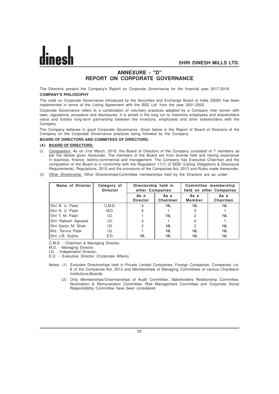# **ANNEXURE - "D" REPORT ON CORPORATE GOVERNANCE**

The Directors present the Company's Report on Corporate Governance for the financial year 2017-2018. **COMPANY'S PHILOSOPHY**

The code on Corporate Governance introduced by the Securities and Exchange Board of India (SEBI) has been implemented in terms of the Listing Agreement with the BSE Ltd. from the year 2001-2002.

Corporate Governance refers to a combination of voluntary practices adopted by a Company inter woven with laws, regulations, procedure and disclosures. It is aimed in the long run to maximize employees and shareholders value and fosters long-term partnership between the investors, employees and other stakeholders with the Company.

The Company believes in good Corporate Governance. Given below is the Report of Board of Directors of the Company on the Corporate Governance practices being followed by the Company.

# **BOARD OF DIRECTORS AND COMMITEES OF DIRECTORS:**

# **(A) BOARD OF DIRECTORS:**

- (i) Composition: As on 31st March, 2018, the Board of Directors of the Company consisted of 7 members as per the details given hereunder. The members of the Board are from diverse field and having experience in business, finance, techno-commercial and management. The Company has Executive Chairman and the composition of the Board is in conformity with the Regulation 17(1) of SEBI (Listing Obligations & Disclosure Requirements), Regulations, 2015 and the provisions of the Companies Act, 2013 and Rules made thereunder.
- (ii) Other Directorship: Other Directorships/Committee memberships held by the Directors are as under:

| Name of Director    | Category of<br><b>Director</b> | Directorship held in<br>other Companies |                  | Committee membership<br>held on other Companies |                  |
|---------------------|--------------------------------|-----------------------------------------|------------------|-------------------------------------------------|------------------|
|                     |                                | As a<br><b>Director</b>                 | As a<br>Chairman | As a<br>Member                                  | As a<br>Chairman |
| Shri B. U. Patel    | C.M.D.                         | 4                                       | <b>NIL</b>       | <b>NIL</b>                                      | <b>NIL</b>       |
| Shri N. U. Patel    | M.D.                           | 5                                       |                  | 3                                               |                  |
| Shri T. M. Patel    | I.D.                           |                                         | <b>NIL</b>       | 2                                               | <b>NIL</b>       |
| Shri Rakesh Agrawal | I.D.                           | 4                                       |                  |                                                 |                  |
| Shri Sanjiv M. Shah | I.D.                           | 2                                       | <b>NIL</b>       | 2                                               | <b>NIL</b>       |
| Mrs. Taruna Patel   | I.D.                           |                                         | <b>NIL</b>       | <b>NIL</b>                                      | <b>NIL</b>       |
| Shri J.B. Sojitra   | E.D.                           | <b>NIL</b>                              | <b>NIL</b>       | <b>NIL</b>                                      | <b>NIL</b>       |

C.M.D. - Chairman & Managing Director,

M.D. - Managing Director,

I.D. - Independent Director,

E.D. - Executive Director (Corporate Affairs).

- Notes: (1) Excludes Directorships held in Private Limited Companies, Foreign Companies, Companies u/s. 8 of the Companies Act, 2013 and Memberships of Managing Committees of various Chambers/ Institutions/Boards.
	- (2) Only Memberships/Chairmanships of Audit Committee, Stakeholders Relationship Committee, Nomination & Remuneration Committee, Risk Management Committee and Corporate Social Responsibility Committee have been considered.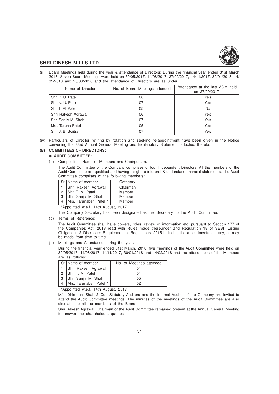

(iii) Board Meetings held during the year & attendance of Directors: During the financial year ended 31st March 2018, Seven Board Meetings were held on 30/05/2017, 14/08/2017, 27/09/2017, 14/11/2017, 30/01/2018, 14/ 02/2018 and 28/03/2018 and the attendance of Directors are as under:

| Name of Director    | No. of Board Meetings attended | Attendance at the last AGM held<br>on 27/09/2017. |
|---------------------|--------------------------------|---------------------------------------------------|
| Shri B. U. Patel    | 06                             | Yes                                               |
| Shri N. U. Patel    | 07                             | Yes                                               |
| Shri T. M. Patel    | 05                             | No.                                               |
| Shri Rakesh Agrawal | 06                             | Yes                                               |
| Shri Sanjiv M. Shah | 07                             | Yes                                               |
| Mrs. Taruna Patel   | 05                             | Yes                                               |
| Shri J. B. Sojitra  | 07                             | Yes                                               |

(iv) Particulars of Director retiring by rotation and seeking re-appointment have been given in the Notice convening the 83rd Annual General Meeting and Explanatory Statement, attached thereto.

### **(B) COMMITTEES OF DIRECTORS:**

# v **AUDIT COMMITTEE:**

(a) Composition, Name of Members and Chairperson:

The Audit Committee of the Company comprises of four Independent Directors. All the members of the Audit Committee are qualified and having insight to interpret & understand financial statements. The Audit Committee comprises of the following members:

|   | Sr.   Name of member   | Category |
|---|------------------------|----------|
|   | Shri Rakesh Agrawal    | Chairman |
|   | 2 Shri T. M. Patel     | Member   |
| 3 | Shri Sanjiv M. Shah    | Member   |
|   | Mrs. Tarunaben Patel * | Member   |

\*Appointed w.e.f. 14th August, 2017.

The Company Secretary has been designated as the 'Secretary' to the Audit Committee.

(b) Terms of Reference:

The Audit Committee shall have powers, roles, review of information etc. pursuant to Section 177 of the Companies Act, 2013 read with Rules made thereunder and Regulation 18 of SEBI (Listing Obligations & Disclosure Requirements), Regulations, 2015 including the amendment(s), if any, as may be made from time to time.

(c) Meetings and Attendance during the year:

During the financial year ended 31st March, 2018, five meetings of the Audit Committee were held on 30/05/2017, 14/08/2017, 14/11/2017, 30/01/2018 and 14/02/2018 and the attendances of the Members are as follows:

| Sr. Name of member     | No. of Meetings attended |
|------------------------|--------------------------|
| 1 Shri Rakesh Agrawal  | 04                       |
| 2 Shri T. M. Patel     | 04                       |
| 3 Shri Sanjiv M. Shah  | 05                       |
| Mrs. Tarunaben Patel * | 02                       |

\*Appointed w.e.f. 14th August, 2017

M/s. Dhirubhai Shah & Co., Statutory Auditors and the Internal Auditor of the Company are invited to attend the Audit Committee meetings. The minutes of the meetings of the Audit Committee are also circulated to all the members of the Board.

Shri Rakesh Agrawal, Chairman of the Audit Committee remained present at the Annual General Meeting to answer the shareholders queries.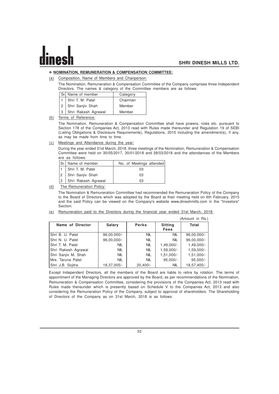# v **NOMINATION, REMUNERATION & COMPENSATION COMMITTEE:**

(a) Composition, Name of Members and Chairperson:

The Nomination, Remuneration & Compensation Committee of the Company comprises three Independent Directors. The names & category of the Committee members are as follows:

| Sr. Name of member  | Category |
|---------------------|----------|
| 1 Shri T. M. Patel  | Chairman |
| 2 Shri Sanjiv Shah  | Member   |
| Shri Rakesh Agrawal | Member   |

(b) Terms of Reference:

The Nomination, Remuneration & Compensation Committee shall have powers, roles etc. pursuant to Section 178 of the Companies Act, 2013 read with Rules made thereunder and Regulation 19 of SEBI (Listing Obligations & Disclosure Requirements), Regulations, 2015 including the amendment(s), if any, as may be made from time to time.

(c) Meetings and Attendance during the year:

During the year ended 31st March, 2018, three meetings of the Nomination, Remuneration & Compensation Committee were held on 30/05/2017, 30/01/2018 and 28/03/2018 and the attendances of the Members are as follows:

|   | Sr. Name of member   | No. of Meetings attended |
|---|----------------------|--------------------------|
|   | 1   Shri T. M. Patel | 03                       |
|   | 2   Shri Sanjiv Shah | 03                       |
| 3 | Shri Rakesh Agrawal  | በ3                       |

(d) The Remuneration Policy:

The Nomination & Remuneration Committee had recommended the Remuneration Policy of the Company to the Board of Directors which was adopted by the Board at their meeting held on 6th February, 2015 and the said Policy can be viewed on the Company's website www.dineshmills.com in the "Investors" Section.

| (e) Remuneration paid to the Directors during the financial year ended 31st March, 2018: |  |  |  |
|------------------------------------------------------------------------------------------|--|--|--|
|------------------------------------------------------------------------------------------|--|--|--|

|                     |             |              |                               | (Amount in Rs.) |
|---------------------|-------------|--------------|-------------------------------|-----------------|
| Name of Director    | Salary      | <b>Perks</b> | <b>Sitting</b><br><b>Fees</b> | Total           |
| Shri B. U. Patel    | 96,00,000/- | <b>NIL</b>   | <b>NIL</b>                    | 96,00,000/-     |
| Shri N. U. Patel    | 96,00,000/- | <b>NIL</b>   | <b>NIL</b>                    | 96,00,000/-     |
| Shri T. M. Patel    | <b>NIL</b>  | <b>NIL</b>   | $1,49,000/-$                  | $1,49,000/-$    |
| Shri Rakesh Agrawal | <b>NIL</b>  | <b>NIL</b>   | $1,59,000/-$                  | $1,59,000/-$    |
| Shri Sanjiv M. Shah | <b>NIL</b>  | <b>NIL</b>   | $1,51,000/-$                  | $1,51,000/-$    |
| Mrs. Taruna Patel   | <b>NIL</b>  | <b>NIL</b>   | $95,000/-$                    | $95,000/-$      |
| Shri J.B. Sojitra   | 18,37,005/- | $20,400/-$   | <b>NIL</b>                    | 18,57,405/-     |

Except Independent Directors, all the members of the Board are liable to retire by rotation. The terms of appointment of the Managing Directors are approved by the Board, as per recommendations of the Nomination, Remuneration & Compensation Committee, considering the provisions of the Companies Act, 2013 read with Rules made thereunder which is presently based on Schedule V to the Companies Act, 2013 and also considering the Remuneration Policy of the Company, subject to approval of shareholders. The Shareholding of Directors of the Company as on 31st March, 2018 is as follows: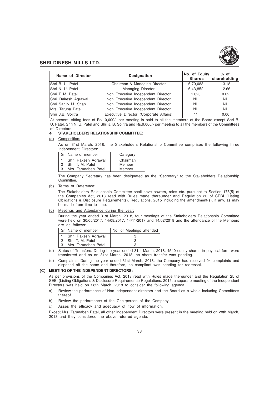

| Name of Director    | <b>Designation</b>                     | No. of Equity<br><b>Shares</b> | $%$ of<br>shareholding |
|---------------------|----------------------------------------|--------------------------------|------------------------|
| IShri B. U. Patel   | Chairman & Managing Director           | 6,70,088                       | 13.18                  |
| IShri N. U. Patel   | <b>Managing Director</b>               | 6,43,852                       | 12.66                  |
| IShri T. M. Patel   | Non Executive Independent Director     | 1.020                          | 0.02                   |
| Shri Rakesh Agrawal | Non Executive Independent Director     | <b>NIL</b>                     | <b>NIL</b>             |
| Shri Sanjiv M. Shah | Non Executive Independent Director     | <b>NIL</b>                     | <b>NIL</b>             |
| IMrs. Taruna Patel  | Non Executive Independent Director     | <b>NIL</b>                     | <b>NIL</b>             |
| Shri J.B. Sojitra   | Executive Director (Corporate Affairs) | 11                             | 0.00                   |

At present, sitting fees of Rs.10,000/- per meeting is paid to all the members of the Board except Shri B. U. Patel, Shri N. U. Patel and Shri J. B. Sojitra and Rs.9,000/- per meeting to all the members of the Committees of Directors.

#### v **STAKEHOLDERS RELATIONSHIP COMMITTEE:**

(a) Composition:

As on 31st March, 2018, the Stakeholders Relationship Committee comprises the following three Independent Directors:

|   | Sr. Name of member    | Category |  |
|---|-----------------------|----------|--|
|   | 1 Shri Rakesh Agrawal | Chairman |  |
|   | 2 Shri T. M. Patel    | Member   |  |
| 3 | Mrs. Tarunaben Patel  | Member   |  |

The Company Secretary has been designated as the "Secretary" to the Stakeholders Relationship Committee.

(b) Terms of Reference:

The Stakeholders Relationship Committee shall have powers, roles etc. pursuant to Section 178(5) of the Companies Act, 2013 read with Rules made thereunder and Regulation 20 of SEBI (Listing Obligations & Disclosure Requirements), Regulations, 2015 including the amendment(s), if any, as may be made from time to time.

#### (c) Meetings and Attendance during the year:

During the year ended 31st March, 2018, four meetings of the Stakeholders Relationship Committee were held on 30/05/2017, 14/08/2017, 14/11/2017 and 14/02/2018 and the attendance of the Members are as follows:

| Sr. Name of member    | No. of Meetings attended |
|-----------------------|--------------------------|
| 1 Shri Rakesh Agrawal |                          |
| 2 Shri T. M. Patel    |                          |
| Mrs. Tarunaben Patel  |                          |

- (d) Status of Transfers: During the year ended 31st March, 2018, 4540 equity shares in physical form were transferred and as on 31st March, 2018, no share transfer was pending.
- (e) Complaints: During the year ended 31st March, 2018, the Company had received 04 complaints and disposed off the same and therefore, no compliant was pending for redressal.

### **(C) MEETING OF THE INDEPENDENT DIRECTORS:**

As per provisions of the Companies Act, 2013 read with Rules made thereunder and the Regulation 25 of SEBI (Listing Obligations & Disclosure Requirements) Regulations, 2015, a separate meeting of the Independent Directors was held on 28th March, 2018 to consider the following agenda:

- a) Review the performance of Non-Independent directors and the Board as a whole including Committees thereof.
- b) Review the performance of the Chairperson of the Company.
- c) Asses the efficacy and adequacy of flow of information.

Except Mrs. Tarunaben Patel, all other Independent Directors were present in the meeting held on 28th March, 2018 and they considered the above referred agenda.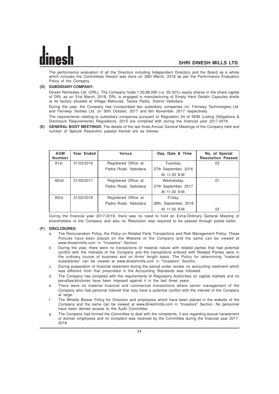The performance evaluation of all the Directors including Independent Directors and the Board as a whole which includes the Committees thereof was done on 28th March, 2018 as per the Performance Evaluation Policy of the Company.

# **(D) SUBSIDIARY COMPANY:**

Dinesh Remedies Ltd. (DRL). The Company holds 1,30,98,095 (i.e. 55.52%) equity shares in the share capital of DRL as on 31st March, 2018. DRL is engaged in manufacturing of Empty Hard Gelatin Capsules shells at its factory situated at Village Mahuvad, Taluka Padra, District Vadodara.

During the year, the Company has incorporated two subsidiary companies viz. Fernway Technologies Ltd. and Fernway Textiles Ltd. on 30th October, 2017 and 6th November, 2017 respectively.

The requirements relating to subsidiary companies pursuant to Regulation 24 of SEBI (Listing Obligations & Disclosure Requirements) Regulations, 2015 are complied with during the financial year 2017-2018.

**(E) GENERAL BODY MEETINGS:** The details of the last three Annual General Meetings of the Company held and number of Special Resolution passed thereat are as follows:

| <b>AGM</b><br><b>Number</b> | Year Ended | Venue                | Day, Date & Time      | No. of Special<br><b>Resolution Passed</b> |
|-----------------------------|------------|----------------------|-----------------------|--------------------------------------------|
| 81st                        | 31/03/2016 | Registered Office at | Tuesday,              | 03                                         |
|                             |            | Padra Road, Vadodara | 27th September, 2016  |                                            |
|                             |            |                      | At 11.00 A.M.         |                                            |
| 82nd                        | 31/03/2017 | Registered Office at | Wednesday,            | 01                                         |
|                             |            | Padra Road, Vadodara | 27th September, 2017  |                                            |
|                             |            |                      | At 11.00 A.M.         |                                            |
| 83rd                        | 31/03/2018 | Registered Office at | Friday,               |                                            |
|                             |            | Padra Road, Vadodara | 28th, September, 2018 |                                            |
|                             |            |                      | At 11.00 A.M.         | 02                                         |

During the financial year 2017-2018, there was no need to hold an Extra-Ordinary General Meeting of shareholders of the Company and also no Resolution was required to be passed through postal ballot.

#### **(F) DISCLOSURES:**

- a. The Remuneration Policy, the Policy on Related Party Transactions and Risk Management Policy: These Policies have been placed on the Website of the Company and the same can be viewed at www.dineshmills.com in "Investors" Section.
- b. During the year, there were no transactions of material nature with related parties that had potential conflict with the interests of the Company and the transactions entered with Related Parties were in the ordinary course of business and on Arms' length basis. The Policy for determining "material subsidiaries" can be viewed at www.dineshmills.com in "Investors" Section.
- c. During preparation of financial statement during the period under review, no accounting treatment which was different from that prescribed in the Accounting Standards was followed.
- d. The Company has complied with the requirements of Regulatory Authorities on capital markets and no penalties/strictures have been imposed against it in the last three years.
- e. There were no material financial and commercial transactions where senior management of the Company who had personal interest that may have a potential conflict with the interest of the Company at large.
- f. The Whistle Blower Policy for Directors and employees which have been placed in the website of the Company and the same can be viewed at www.dineshmills.com in "Investors" Section. No personnel have been denied access to the Audit Committee.
- g. The Company had formed the Committee to deal with the complaints, if any regarding sexual harassment of woman employees and no complaint was received by the Committee during the financial year 2017- 2018.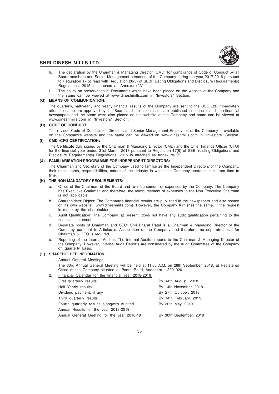

- h. The declaration by the Chairman & Managing Director (CMD) for compliance of Code of Conduct by all Board members and Senior Management personnel of the Company during the year 2017-2018 pursuant to Regulation 17(5) read with Regulation 26(3) of SEBI (Listing Obligations and Disclosure Requirements) Regulations, 2015 is attached as Annexure-"A".
- i. The policy on preservation of Documents which have been placed on the website of the Company and the same can be viewed at www.dineshmills.com in "Investors" Section.

# **(G) MEANS OF COMMUNICATION:**

The quarterly, half-yearly and yearly financial results of the Company are sent to the BSE Ltd. immediately after the same are approved by the Board and the said results are published in financial and non-financial newspapers and the same were also placed on the website of the Company and same can be viewed at www.dineshmills.com in "Investors" Section.

## **(H) CODE OF CONDUCT:**

The revised Code of Conduct for Directors and Senior Management Employees of the Company is available on the Company's website and the same can be viewed on www.dineshmills.com in "Investors" Section.

## **(I) CMD /CFO CERTIFICATION:**

The Certificate duly signed by the Chairman & Managing Director (CMD) and the Chief Finance Officer (CFO) for the financial year ended 31st March, 2018 pursuant to Regulation 17(8) of SEBI (Listing Obligations and Disclosure Requirements) Regulations, 2015 is attached as Annexure-"B".

# **(J) FAMILIARISATION PROGRAMME FOR INDEPENDENT DIRECTORS:**

The Chairman and Secretary of the Company used to familiarize the Independent Directors of the Company, their roles, rights, responsibilities, nature of the industry in which the Company operates, etc. from time to time.

#### **(K) THE NON-MANDATORY REQUIREMENTS:**

- a. Office of the Chairman of the Board and re-imbursement of expenses by the Company: The Company has Executive Chairman and therefore, the reimbursement of expenses to the Non Executive Chairman is not applicable.
- b. Shareholders' Rights: The Company's financial results are published in the newspapers and also posted on its own website. (www.dineshmills.com). However, the Company furnishes the same, if the request is made by the shareholders.
- c. Audit Qualification: The Company, at present, does not have any audit qualification pertaining to the financial statement.
- d. Separate posts of Chairman and CEO: Shri Bharat Patel is a Chairman & Managing Director of the Company pursuant to Articles of Association of the Company and therefore, no separate posts for Chairman & CEO is required.
- e. Reporting of the Internal Auditor: The Internal Auditor reports to the Chairman & Managing Director of the Company. However, Internal Audit Reports are considered by the Audit Committee of the Company on quarterly basis.

# **(L) SHAREHOLDER INFORMATION:**

#### Annual General Meetings:

The 83rd Annual General Meeting will be held at 11.00 A.M. on 28th September, 2018, at Registered Office of the Company situated at Padra Road, Vadodara - 390 020.

2. Financial Calendar for the financial year 2018-2019:

| First quarterly results                     |  | By 14th August, 2018    |
|---------------------------------------------|--|-------------------------|
| Half Yearly results                         |  | By 14th November, 2018  |
| Dividend payment, if any                    |  | By 27th October, 2018   |
| Third quarterly results                     |  | By 14th February, 2019  |
| Fourth quarterly results alongwith Audited  |  | By 30th May, 2019       |
| Annual Results for the year 2018-2019       |  |                         |
| Annual General Meeting for the year 2018-19 |  | By 30th September, 2019 |
|                                             |  |                         |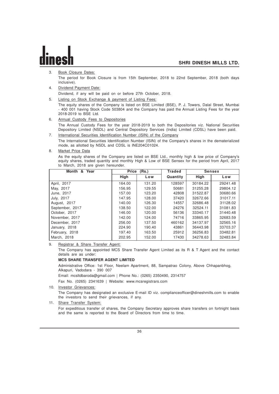3. Book Closure Dates:

The period for Book Closure is from 15th September, 2018 to 22nd September, 2018 (both days inclusive).

4. Dividend Payment Date:

Dividend, if any will be paid on or before 27th October, 2018.

5. Listing on Stock Exchange & payment of Listing Fees:

The equity shares of the Company is listed on BSE Limited (BSE), P. J. Towers, Dalal Street, Mumbai - 400 001 having Stock Code 503804 and the Company has paid the Annual Listing Fees for the year 2018-2019 to BSE Ltd.

- 6. Annual Custody Fees to Depositories The Annual Custody Fees for the year 2018-2019 to both the Depositories viz. National Securities
- Depository Limited (NSDL) and Central Depository Services (India) Limited (CDSL) have been paid. 7. International Securities Identification Number (ISIN) of the Company

The International Securities Identification Number (ISIN) of the Company's shares in the dematerialized mode, as allotted by NSDL and CDSL is INE204C01024.

8. Market Price Data

As the equity shares of the Company are listed on BSE Ltd., monthly high & low price of Company's equity shares, traded quantity and monthly High & Low of BSE Sensex for the period from April, 2017 to March, 2018 are given hereunder.

| Month &<br>Year | Price<br>(Rs.) |        | Traded   |             | <b>Sensex</b> |
|-----------------|----------------|--------|----------|-------------|---------------|
|                 | <b>High</b>    | Low    | Quantity | <b>High</b> | Low           |
| April, 2017     | 164.00         | 131.20 | 128597   | 30184.22    | 29241.48      |
| May, 2017       | 156.95         | 129.55 | 50681    | 31255.28    | 29804.12      |
| June, 2017      | 157.00         | 123.20 | 42808    | 31522.87    | 30680.66      |
| July, 2017      | 147.95         | 128.00 | 37420    | 32672.66    | 31017.11      |
| August, 2017    | 140.00         | 126.30 | 14557    | 32686.48    | 31128.02      |
| September, 2017 | 138.50         | 122.00 | 24276    | 32524.11    | 31081.83      |
| October, 2017   | 146.00         | 120.00 | 56136    | 33340.17    | 31440.48      |
| November, 2017  | 142.00         | 124.00 | 74716    | 33865.95    | 32683.59      |
| December, 2017  | 256.00         | 137.50 | 460162   | 34137.97    | 32565.16      |
| January, 2018   | 224.90         | 190.40 | 43861    | 36443.98    | 33703.37      |
| February, 2018  | 197.40         | 163.50 | 25912    | 36256.83    | 33482.81      |
| March, 2018     | 202.95         | 152.00 | 17430    | 34278.63    | 32483.84      |

9. Registrar & Share Transfer Agent:

The Company has appointed MCS Share Transfer Agent Limited as its R & T Agent and the contact details are as under:

#### **MCS SHARE TRANSFER AGENT LIMITED**

Administrative Office: 1st Floor, Neelam Apartment, 88, Sampatrao Colony, Above Chhapanbhog, Alkapuri, Vadodara - 390 007

Email: mcsltdbaroda@gmail.com | Phone No.: (0265) 2350490, 2314757

Fax No. (0265) 2341639 | Website: www.mcsregistrars.com

10. Investor Grievances:

The Company has designated an exclusive E-mail ID viz. complianceofficer@dineshmills.com to enable the investors to send their grievances, if any.

11. Share Transfer System: For expeditious transfer of shares, the Company Secretary approves share transfers on fortnight basis and the same is reported to the Board of Directors from time to time.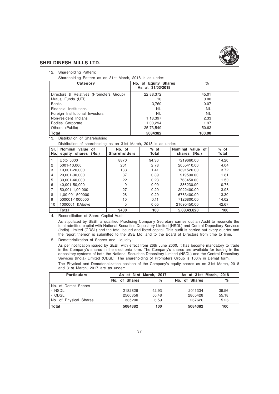

#### 12. Shareholding Pattern:

Shareholding Pattern as on 31st March, 2018 is as under:

| Category                                | No. of Equity Shares<br>As at 31/03/2018 | %          |
|-----------------------------------------|------------------------------------------|------------|
| Directors & Relatives (Promoters Group) | 22,88,372                                | 45.01      |
| Mutual Funds (UTI)                      | 10                                       | 0.00       |
| Banks                                   | 3,760                                    | 0.07       |
| Financial Institutions                  | <b>NIL</b>                               | <b>NIL</b> |
| Foreign Institutional Investors         | <b>NIL</b>                               | <b>NIL</b> |
| Non-resident Indians                    | 1,18,397                                 | 2.33       |
| Bodies Corporate                        | 1,00,294                                 | 1.97       |
| Others (Public)                         | 25,73,549                                | 50.62      |
| Total                                   | 5084382                                  | 100.00     |

13. Distribution of Shareholding:

Distribution of shareholding as on 31st March, 2018 is as under:

| Sr.<br>No. | Nominal value of<br>equity shares<br>(Rs.) | No. of<br><b>Shareholders</b> | $%$ of<br>Total | Nominal<br>value of<br>shares (Rs.) | $%$ of<br>Total |
|------------|--------------------------------------------|-------------------------------|-----------------|-------------------------------------|-----------------|
|            | Upto 5000                                  | 8870                          | 94.36           | 7219660.00                          | 14.20           |
| 2          | 5001-10,000                                | 261                           | 2.78            | 2055410.00                          | 4.04            |
| 3          | 10.001-20,000                              | 133                           | 1.41            | 1891520.00                          | 3.72            |
| 4          | 20.001-30.000                              | 37                            | 0.39            | 919500.00                           | 1.81            |
| 5          | 30,001-40,000                              | 22                            | 0.23            | 763450.00                           | 1.50            |
| 6          | 40.001-50.000                              | 9                             | 0.09            | 386230.00                           | 0.76            |
| 7          | 50.001-1.00.000                            | 27                            | 0.29            | 2022400.00                          | 3.98            |
| 8          | 1,00,001-500000                            | 26                            | 0.29            | 6763400.00                          | 13.30           |
| 9          | 500001-1000000                             | 10                            | 0.11            | 7126800.00                          | 14.02           |
| 10         | 1000001 & Above                            | 5                             | 0.05            | 21695450.00                         | 42.67           |
|            | Total                                      | 9400                          | 100             | 5,08,43,820                         | 100             |

14. Reconciliation of Share Capital Audit:

As stipulated by SEBI, a qualified Practising Company Secretary carries out an Audit to reconcile the total admitted capital with National Securities Depository Limited (NSDL) and Central Depository Services (India) Limited (CDSL) and the total issued and listed capital. This audit is carried out every quarter and the report thereon is submitted to the BSE Ltd. and to the Board of Directors from time to time.

#### 15. Dematerialization of Shares and Liquidity:

As per notification issued by SEBI, with effect from 26th June 2000, it has become mandatory to trade in the Company's shares in the electronic form. The Company's shares are available for trading in the depository systems of both the National Securities Depository Limited (NSDL) and the Central Depository Services (India) Limited (CDSL). The shareholding of Promoters Group is 100% in Demat form.

The Physical and Dematerialization position of the Company's equity shares as on 31st March, 2018 and 31st March, 2017 are as under:

| <b>Particulars</b>     |               | As at 31st March, 2017 | As at 31st March, 2018 |       |  |
|------------------------|---------------|------------------------|------------------------|-------|--|
|                        | No. of Shares | $\%$                   | No. of Shares          | $\%$  |  |
| No. of Demat Shares    |               |                        |                        |       |  |
| - NSDL                 | 2182826       | 42.93                  | 2011334                | 39.56 |  |
| - CDSL                 | 2566356       | 50.48                  | 2805428                | 55.18 |  |
| No. of Physical Shares | 335200        | 6.59                   | 267620                 | 5.26  |  |
| Total                  | 5084382       | 100                    | 5084382                | 100   |  |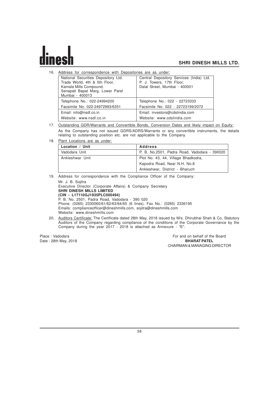16. Address for correspondence with Depositories are as under:

| National Securities Depository Ltd.<br>Trade World, 4th & 5th Floor,<br>Kamala Mills Compound,<br>Senapati Bapat Marg, Lower Parel<br>Mumbai - 400013 | Central Depository Services (India) Ltd.<br>P. J. Towers, 17th Floor,<br>Dalal Street, Mumbai - 400001 |
|-------------------------------------------------------------------------------------------------------------------------------------------------------|--------------------------------------------------------------------------------------------------------|
| Telephone No.: 022-24994200                                                                                                                           | Telephone No.: 022 - 22723333                                                                          |
| Facsimile No: 022-24972993/6351                                                                                                                       | Facsimile No: 022 - 22723199/2072                                                                      |
| Email: info@nsdl.co.in                                                                                                                                | Email: investors@cdslindia.com                                                                         |
| Website: www.nsdl.co.in                                                                                                                               | Website: www.cdslindia.com                                                                             |

- 17. Outstanding GDR/Warrants and Convertible Bonds, Conversion Dates and likely impact on Equity: As the Company has not issued GDRS/ADRS/Warrants or any convertible instruments, the details relating to outstanding position etc. are not applicable to the Company.
- 18. Plant Locations are as under:

| Location / Unit | <b>Address</b>                               |
|-----------------|----------------------------------------------|
| Vadodara Unit   | P. B. No.2501, Padra Road, Vadodara - 390020 |
| Ankleshwar Unit | Plot No. 43, 44, Village Bhadkodra,          |
|                 | Kapodra Road, Near N.H. No.8                 |
|                 | Ankleshwar, District - Bharuch               |

19. Address for correspondence with the Compliance Officer of the Company: Mr. J. B. Sojitra

Executive Director (Corporate Affairs) & Company Secretary **SHRI DINESH MILLS LIMITED (CIN - L17110GJ1935PLC000494)** P. B. No. 2501, Padra Road, Vadodara - 390 020 Phone: (0265) 2330060/61/62/63/64/65 (6 lines), Fax No.: (0265) 2336195 Emails: complianceofficer@dineshmills.com, sojitra@dineshmills.com Website: www.dineshmills.com

20. Auditors Certificate: The Certificate dated 28th May, 2018 issued by M/s. Dhirubhai Shah & Co, Statutory Auditors of the Company regarding compliance of the conditions of the Corporate Governance by the Company during the year 2017 - 2018 is attached as Annexure - "E".

Place : Vadodara For and on behalf of the Board of the Board on behalf of the Board Date : 28th May, 2018 **BHARAT PATEL** CHAIRMAN & MANAGING DIRECTOR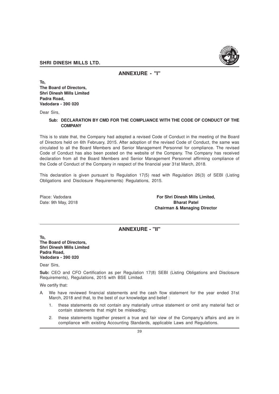

**ANNEXURE - "I"**

**To, The Board of Directors, Shri Dinesh Mills Limited Padra Road, Vadodara - 390 020**

Dear Sirs,

### **Sub: DECLARATION BY CMD FOR THE COMPLIANCE WITH THE CODE OF CONDUCT OF THE COMPANY**

This is to state that, the Company had adopted a revised Code of Conduct in the meeting of the Board of Directors held on 6th February, 2015. After adoption of the revised Code of Conduct, the same was circulated to all the Board Members and Senior Management Personnel for compliance. The revised Code of Conduct has also been posted on the website of the Company. The Company has received declaration from all the Board Members and Senior Management Personnel affirming compliance of the Code of Conduct of the Company in respect of the financial year 31st March, 2018.

This declaration is given pursuant to Regulation 17(5) read with Regulation 26(3) of SEBI (Listing Obligations and Disclosure Requirements) Regulations, 2015.

Place: Vadodara **For Shri Dinesh Mills Limited,** Date: 9th May, 2018 **Bharat Patel Chairman & Managing Director**

# **ANNEXURE - "II"**

**To,**

**The Board of Directors, Shri Dinesh Mills Limited Padra Road, Vadodara - 390 020**

Dear Sirs,

**Sub:** CEO and CFO Certification as per Regulation 17(8) SEBI (Listing Obligations and Disclosure Requirements), Regulations, 2015 with BSE Limited.

We certify that:

- We have reviewed financial statements and the cash flow statement for the year ended 31st March, 2018 and that, to the best of our knowledge and belief :
	- 1. these statements do not contain any materially untrue statement or omit any material fact or contain statements that might be misleading;
	- 2. these statements together present a true and fair view of the Company's affairs and are in compliance with existing Accounting Standards, applicable Laws and Regulations.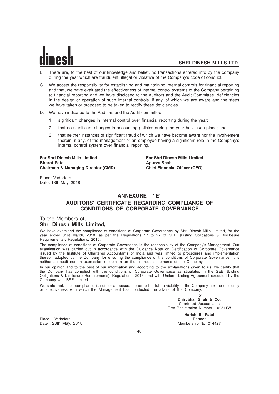- B. There are, to the best of our knowledge and belief, no transactions entered into by the company during the year which are fraudulent, illegal or violative of the Company's code of conduct.
- C. We accept the responsibility for establishing and maintaining internal controls for financial reporting and that, we have evaluated the effectiveness of internal control systems of the Company pertaining to financial reporting and we have disclosed to the Auditors and the Audit Committee, deficiencies in the design or operation of such internal controls, if any, of which we are aware and the steps we have taken or proposed to be taken to rectify these deficiencies.
- D. We have indicated to the Auditors and the Audit committee:
	- 1. significant changes in internal control over financial reporting during the year;
	- 2. that no significant changes in accounting policies during the year has taken place; and
	- 3. that neither instances of significant fraud of which we have become aware nor the involvement therein, if any, of the management or an employee having a significant role in the Company's internal control system over financial reporting.

**For Shri Dinesh Mills Limited For Shri Dinesh Mills Limited Bharat Patel Apurva Shah Chairman & Managing Director (CMD)** 

Place: Vadodara Date: 18th May, 2018

# **ANNEXURE - "E"**

# **AUDITORS' CERTIFICATE REGARDING COMPLIANCE OF CONDITIONS OF CORPORATE GOVERNANCE**

# To the Members of, **Shri Dinesh Mills Limited,**

We have examined the compliance of conditions of Corporate Governance by Shri Dinesh Mills Limited, for the year ended 31st March, 2018, as per the Regulations 17 to 27 of SEBI (Listing Obligations & Disclosure Requirements), Regulations, 2015.

The compliance of conditions of Corporate Governance is the responsibility of the Company's Management. Our examination was carried out in accordance with the Guidance Note on Certification of Corporate Governance issued by the Institute of Chartered Accountants of India and was limited to procedures and implementation thereof, adopted by the Company for ensuring the compliance of the conditions of Corporate Governance. It is neither an audit nor an expression of opinion on the financial statements of the Company.

In our opinion and to the best of our information and according to the explanations given to us, we certify that the Company has complied with the conditions of Corporate Governance as stipulated in the SEBI (Listing Obligations & Disclosure Requirements), Regulations, 2015 read with Uniform Listing Agreement executed by the Company with BSE Limited.

We state that, such compliance is neither an assurance as to the future viability of the Company nor the efficiency or effectiveness with which the Management has conducted the affairs of the Company.

> For **Dhirubhai Shah & Co.** Chartered Accountants Firm Registration Number: 102511W

Place : Vadodara<br>Date : 28th May, 2018

**Harish B. Patel**<br>Partner Membership No. 014427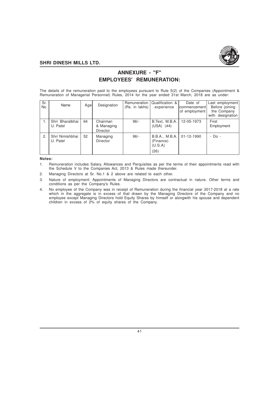

# **ANNEXURE - "F" EMPLOYEES' REMUNERATION:**

The details of the remuneration paid to the employees pursuant to Rule 5(2) of the Companies (Appointment & Remuneration of Managerial Personnel) Rules, 2014 for the year ended 31st March, 2018 are as under:

| Sr.<br>No. | Name                        | Agel | Designation                               | Remuneration<br>(Rs. in lakhs) | Qualification &<br>experience                  | Date of<br>Icommencement<br>of employment | Last employment<br>Before joining<br>the Company<br>with designation |
|------------|-----------------------------|------|-------------------------------------------|--------------------------------|------------------------------------------------|-------------------------------------------|----------------------------------------------------------------------|
|            | Shri Bharatbhai<br>U. Patel | 64   | Chairman<br>& Managing<br><b>Director</b> | $96/-$                         | B.Text, M.B.A.<br>(USA)<br>(44)                | 12-05-1973                                | First<br>Employment                                                  |
| 2.         | Shri Nimishbhai<br>U. Patel | 52   | Managing<br><b>Director</b>               | $96/-$                         | B.B.A., M.B.A.<br>(Finance)<br>(U.S.A)<br>(26) | 01-12-1990                                | - Do -                                                               |

#### **Notes:**

- 1. Remuneration includes Salary, Allowances and Perquisites as per the terms of their appointments read with the Schedule V to the Companies Act, 2013 & Rules made thereunder.
- 2. Managing Directors at Sr. No.1 & 2 above are related to each other.
- 3. Nature of employment: Appointments of Managing Directors are contractual in nature. Other terms and conditions as per the Company's Rules.
- 4. No employee of the Company was in receipt of Remuneration during the financial year 2017-2018 at a rate which in the aggregate is in excess of that drawn by the Managing Directors of the Company and no employee except Managing Directors hold Equity Shares by himself or alongwith his spouse and dependent children in excess of 2% of equity shares of the Company.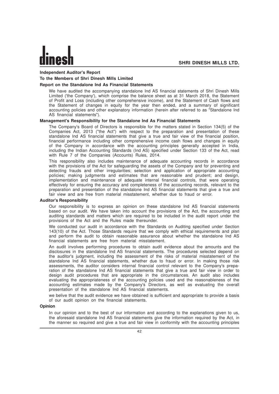# **Independent Auditor's Report**

# **To the Members of Shri Dinesh Mills Limited**

# **Report on the Standalone Ind As Financial Statements**

We have audited the accompanying standalone Ind AS financial statements of Shri Dinesh Mills Limited ('the Company'), which comprise the balance sheet as at 31 March 2018, the Statement of Profit and Loss (including other comprehensive income), and the Statement of Cash flows and the Statement of changes in equity for the year then ended, and a summary of significant accounting policies and other explanatory information (herein after referred to as "Standalone Ind AS financial statements").

#### **Management's Responsibility for the Standalone Ind As Financial Statements**

The Company's Board of Directors is responsible for the matters stated in Section 134(5) of the Companies Act, 2013 ("the Act") with respect to the preparation and presentation of these standalone Ind AS financial statements that give a true and fair view of the financial position, financial performance including other comprehensive income cash flows and changes in equity of the Company in accordance with the accounting principles generally accepted in India, including the Indian Accounting Standards (Ind AS) specified under Section 133 of the Act, read with Rule 7 of the Companies (Accounts) Rules, 2014.

This responsibility also includes maintenance of adequate accounting records in accordance with the provisions of the Act for safeguarding the assets of the Company and for preventing and detecting frauds and other irregularities; selection and application of appropriate accounting policies; making judgments and estimates that are reasonable and prudent; and design, implementation and maintenance of adequate internal financial controls, that were operating effectively for ensuring the accuracy and completeness of the accounting records, relevant to the preparation and presentation of the standalone Ind AS financial statements that give a true and fair view and are free from material misstatement, whether due to fraud or error.

#### **Auditor's Responsibility**

Our responsibility is to express an opinion on these standalone Ind AS financial statements based on our audit. We have taken into account the provisions of the Act, the accounting and auditing standards and matters which are required to be included in the audit report under the provisions of the Act and the Rules made thereunder.

We conducted our audit in accordance with the Standards on Auditing specified under Section 143(10) of the Act. Those Standards require that we comply with ethical requirements and plan and perform the audit to obtain reasonable assurance about whether the standalone Ind AS financial statements are free from material misstatement.

An audit involves performing procedures to obtain audit evidence about the amounts and the disclosures in the standalone Ind AS financial statements. The procedures selected depend on the auditor's judgment, including the assessment of the risks of material misstatement of the standalone Ind AS financial statements, whether due to fraud or error. In making those risk assessments, the auditor considers internal financial control relevant to the Company's preparation of the standalone Ind AS financial statements that give a true and fair view in order to design audit procedures that are appropriate in the circumstances. An audit also includes evaluating the appropriateness of the accounting policies used and the reasonableness of the accounting estimates made by the Company's Directors, as well as evaluating the overall presentation of the standalone Ind AS financial statements.

we belive that the audit evidence we have obtained is sufficient and appropriate to provide a basis of our audit opinion on the financial statements.

#### **Opinion**

In our opinion and to the best of our information and according to the explanations given to us, the aforesaid standalone Ind AS financial statements give the information required by the Act, in the manner so required and give a true and fair view in conformity with the accounting principles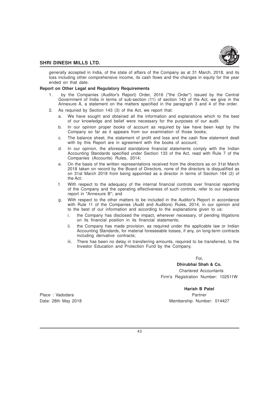

generally accepted in India, of the state of affairs of the Company as at 31 March, 2018, and its loss including other comprehensive income, its cash flows and the changes in equity for the year ended on that date.

#### **Report on Other Legal and Regulatory Requirements**

- 1. by the Companies (Auditor's Report) Order, 2016 ("the Order") issued by the Central Government of India in terms of sub-section (11) of section 143 of the Act, we give in the Annexure A, a statement on the matters specified in the paragraph 3 and 4 of the order.
- 2. As required by Section 143 (3) of the Act, we report that:
	- a. We have sought and obtained all the information and explanations which to the best of our knowledge and belief were necessary for the purposes of our audit.
	- b. In our opinion proper books of account as required by law have been kept by the Company so far as it appears from our examination of those books;
	- c. The balance sheet, the statement of profit and loss and the cash flow statement dealt with by this Report are in agreement with the books of account;
	- d. In our opinion, the aforesaid standalone financial statements comply with the Indian Accounting Standards specified under Section 133 of the Act, read with Rule 7 of the Companies (Accounts) Rules, 2014;
	- e. On the basis of the written representations received from the directors as on 31st March 2018 taken on record by the Board of Directors, none of the directors is disqualified as on 31st March 2018 from being appointed as a director in terms of Section 164 (2) of the Act;
	- f. With respect to the adequacy of the internal financial controls over financial reporting of the Company and the operating effectiveness of such controls, refer to our separate report in "Annexure B"; and
	- g. With respect to the other matters to be included in the Auditor's Report in accordance with Rule 11 of the Companies (Audit and Auditors) Rules, 2014, in our opinion and to the best of our information and according to the explanations given to us:
		- i. the Company has disclosed the impact, wherever necessary, of pending litigations on its financial position in its financial statements;
		- ii. the Company has made provision, as required under the applicable law or Indian Accounting Standards, for material foreseeable losses, if any, on long-term contracts including derivative contracts;
		- iii. There has been no delay in transferring amounts, required to be transferred, to the Investor Education and Protection Fund by the Company.

For,

**Dhirubhai Shah & Co.** Chartered Accountants Firm's Registration Number: 102511W

**Harish B Patel**

Date: 28th May 2018 Membership Number: 014427

Place : Vadodara Partner et al. 2009 - Place : Vadodara Partner et al. 2009 - Partner et al. 2009 - Partner et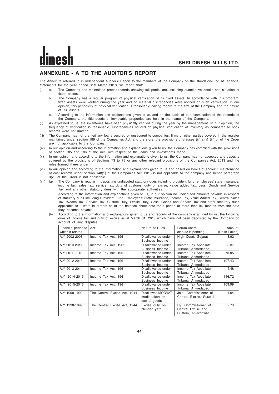# **ANNEXURE - A TO THE AUDITOR'S REPORT**

The Annexure referred to in Independent Auditors' Report to the members of the Company on the standalone Ind AS financial statements for the year ended 31st March 2018, we report that:

- (i) a. The Company has maintained proper records showing full particulars, including quantitative details and situation of fixed assets.
	- b. The Company has a regular program of physical verification of its fixed assets. In accordance with this program, fixed assets were verified during the year and no material discrepancies were noticed on such verification. In our opinion, this periodicity of physical verification is reasonable having regard to the size of the Company and the nature of its assets.
	- c. According to the information and explanations given to us and on the basis of our examination of the records of the Company, the title deeds of immovable properties are held in the name of the Company.
- (ii) As explained to us, the inventories have been physically verified during the year by the management. In our opinion, the frequency of verification is reasonable. Discrepancies noticed on physical verification of inventory as compared to book records were not material.
- (iii) The Company has not granted any loans secured or unsecured to companies, firms or other parties covered in the register maintained under section 189 of the Companies Act, and therefore, the provisions of clauses (iii)(a) & (iii)(b) of the Order are not applicable to the Company.
- (iv) In our opinion and according to the information and explanations given to us, the Company has complied with the provisions of section 185 and 186 of the Act, with respect to the loans and investments made.
- (v) In our opinion and according to the information and explanations given to us, the Company has not accepted any deposits covered by the provisions of Sections 73 to 76 or any other relevant provisions of the Companies Act, 2013 and the rules framed there under.
- (vi) In our opinion and according to the information and explanations given to us and based on books of account, maintenance of cost records under section 148(1) of the Companies Act, 2013 is not applicable to the company and hence paragraph 3(vi) of the Order is not applicable.
- (vii) (a) The Company is regular in depositing undisputed statutory dues including provident fund, employees' state insurance, income tax, sales tax, service tax, duty of customs, duty of excise, value added tax, cess, Goods and Service Tax and any other statutory dues with the appropriate authorities.

According to the information and explanations given to us, in our opinion no undisputed amounts payable in respect of statutory dues including Provident Fund, Employees' State Insurance, Income Tax, Value Added Tax, Central Sales Tax, Wealth Tax, Service Tax, Custom Duty, Excise Duty, Cess, Goods and Service Tax and other statutory dues applicable to it were in arrears as at the balance sheet date for a period of more than six months from the date they became payable.

(b) According to the information and explanations given to us and records of the company examined by us, the following dues of income tax and duty of excise as at March 31, 2018 which have not been deposited by the Company on account of any disputes.

| Financial period to<br>which it relates | Act                          | Nature of Dues                                        | Forum where<br>dispute is pending                               | Amount<br>(Rs.In Lakhs) |
|-----------------------------------------|------------------------------|-------------------------------------------------------|-----------------------------------------------------------------|-------------------------|
| A.Y 2002-2003                           | Income Tax Act, 1961         | Disallowance under<br>Business Income                 | High Court, Gujarat                                             | 8.92                    |
| A.Y 2010-2011                           | Income Tax Act, 1961         | Disallowance under<br>Business Income                 | Income Tax Appellate<br>Tribunal, Ahmedabad                     | 28.37                   |
| A.Y 2011-2012                           | Income Tax Act, 1961         | Disallowance under<br>Business Income                 | Income Tax Appellate<br>Tribunal, Ahmedabad                     | 275.95                  |
| A.Y 2012-2013                           | Income Tax Act, 1961         | Disallowance under<br>Business Income                 | Income Tax Appellate<br>Tribunal, Ahmedabad                     | 107.43                  |
| A.Y 2013-2014                           | Income Tax Act, 1961         | Disallowance under<br>Business Income                 | Income Tax Appellate<br>Tribunal, Ahmedabad                     | 5.48                    |
| A.Y. 2014-2015                          | Income Tax Act, 1961         | Disallowance under<br>Business Income                 | <b>Income Tax Appellate</b><br>Tribunal, Ahmedabad              | 146.72                  |
| A.Y. 2015-2016                          | Income Tax Act, 1961         | Disallowance under<br>Business Income                 | Income Tax Appellate<br>Tribunal, Ahmedabad                     | 109.99                  |
| A.Y 1998-1999                           | The Central Excise Act, 1944 | Disallowed MODVAT<br>credit taken on<br>capital goods | Joint Commissioner of<br>Central Excise, Surat-II               | 4.94                    |
| A.Y 1998-1999                           | The Central Excise Act, 1944 | Excise duty on<br>blended yarn                        | Dv. Commissioner of<br>Central Excise and<br>Custom, Ankleshwar | 2.73                    |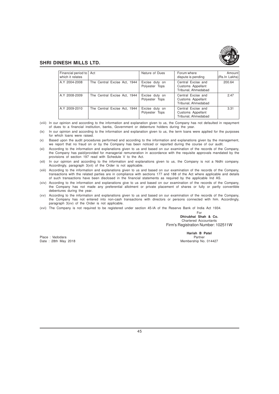

| Financial period to<br>which it relates | Act                          | Nature of Dues                   | Forum where<br>dispute is pending                              | Amount<br>(Rs.In Lakhs) |
|-----------------------------------------|------------------------------|----------------------------------|----------------------------------------------------------------|-------------------------|
| A.Y 2004-2008                           | The Central Excise Act, 1944 | Excise duty on<br>Polyester Tops | Central Excise and<br>Customs Appellant<br>Tribunal, Ahmedabad | 200.64                  |
| A.Y 2008-2009                           | The Central Excise Act, 1944 | Excise duty on<br>Polyester Tops | Central Excise and<br>Customs Appellant<br>Tribunal, Ahmedabad | 2.47                    |
| A.Y 2009-2010                           | The Central Excise Act, 1944 | Excise duty on<br>Polyester Tops | Central Excise and<br>Customs Appellant<br>Tribunal, Ahmedabad | 3.31                    |

(viii) In our opinion and according to the information and explanation given to us, the Company has not defaulted in repayment of dues to a financial institution, banks, Government or debenture holders during the year.

(ix) In our opinion and according to the information and explanation given to us, the term loans were applied for the purposes for which loans were raised.

(x) Based upon the audit procedures performed and according to the information and explanations given by the management, we report that no fraud on or by the Company has been noticed or reported during the course of our audit.

- (xi) According to the information and explanations given to us and based on our examination of the records of the Company, the Company has paid/provided for managerial remuneration in accordance with the requisite approvals mandated by the provisions of section 197 read with Schedule V to the Act.
- (xii) In our opinion and according to the information and explanations given to us, the Company is not a Nidhi company. Accordingly, paragraph 3(xii) of the Order is not applicable.
- (xiii) According to the information and explanations given to us and based on our examination of the records of the Company, transactions with the related parties are in compliance with sections 177 and 188 of the Act where applicable and details of such transactions have been disclosed in the financial statements as required by the applicable Ind AS.
- (xiv) According to the information and explanations give to us and based on our examination of the records of the Company, the Company has not made any preferential allotment or private placement of shares or fully or partly convertible debentures during the year.
- (xv) According to the information and explanations given to us and based on our examination of the records of the Company, the Company has not entered into non-cash transactions with directors or persons connected with him. Accordingly, paragraph 3(xv) of the Order is not applicable.
- (xvi) The Company is not required to be registered under section 45-IA of the Reserve Bank of India Act 1934.

For **Dhirubhai Shah & Co.** Chartered Accountants Firm's Registration Number: 102511W

Place : Vadodara **Partner** Partner Partner Partner Partner Partner Partner Partner Partner Partner Partner Partner<br>Partner : 28th May 2018 **Partner** Partner Partner Partner Partner Partner Partner Partner Partner Partner P Date : 28th May 2018

**Harish B Patel**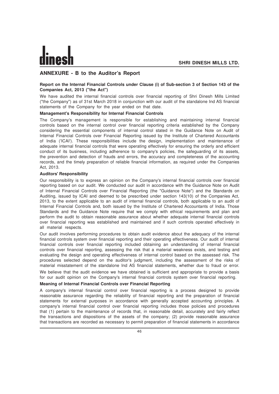# **ANNEXURE - B to the Auditor's Report**

### **Report on the Internal Financial Controls under Clause (i) of Sub-section 3 of Section 143 of the Companies Act, 2013 ("the Act")**

We have audited the internal financial controls over financial reporting of Shri Dinesh Mills Limited ("the Company") as of 31st March 2018 in conjunction with our audit of the standalone Ind AS financial statements of the Company for the year ended on that date.

#### **Management's Responsibility for Internal Financial Controls**

The Company's management is responsible for establishing and maintaining internal financial controls based on the internal control over financial reporting criteria established by the Company considering the essential components of internal control stated in the Guidance Note on Audit of Internal Financial Controls over Financial Reporting issued by the Institute of Chartered Accountants of India ('ICAI'). These responsibilities include the design, implementation and maintenance of adequate internal financial controls that were operating effectively for ensuring the orderly and efficient conduct of its business, including adherence to company's policies, the safeguarding of its assets, the prevention and detection of frauds and errors, the accuracy and completeness of the accounting records, and the timely preparation of reliable financial information, as required under the Companies Act, 2013.

#### **Auditors' Responsibility**

Our responsibility is to express an opinion on the Company's internal financial controls over financial reporting based on our audit. We conducted our audit in accordance with the Guidance Note on Audit of Internal Financial Controls over Financial Reporting (the "Guidance Note") and the Standards on Auditing, issued by ICAI and deemed to be prescribed under section 143(10) of the Companies Act, 2013, to the extent applicable to an audit of internal financial controls, both applicable to an audit of Internal Financial Controls and, both issued by the Institute of Chartered Accountants of India. Those Standards and the Guidance Note require that we comply with ethical requirements and plan and perform the audit to obtain reasonable assurance about whether adequate internal financial controls over financial reporting was established and maintained and if such controls operated effectively in all material respects.

Our audit involves performing procedures to obtain audit evidence about the adequacy of the internal financial controls system over financial reporting and their operating effectiveness. Our audit of internal financial controls over financial reporting included obtaining an understanding of internal financial controls over financial reporting, assessing the risk that a material weakness exists, and testing and evaluating the design and operating effectiveness of internal control based on the assessed risk. The procedures selected depend on the auditor's judgment, including the assessment of the risks of material misstatement of the standalone Ind AS financial statements, whether due to fraud or error.

We believe that the audit evidence we have obtained is sufficient and appropriate to provide a basis for our audit opinion on the Company's internal financial controls system over financial reporting.

# **Meaning of Internal Financial Controls over Financial Reporting**

A company's internal financial control over financial reporting is a process designed to provide reasonable assurance regarding the reliability of financial reporting and the preparation of financial statements for external purposes in accordance with generally accepted accounting principles. A company's internal financial control over financial reporting includes those policies and procedures that (1) pertain to the maintenance of records that, in reasonable detail, accurately and fairly reflect the transactions and dispositions of the assets of the company; (2) provide reasonable assurance that transactions are recorded as necessary to permit preparation of financial statements in accordance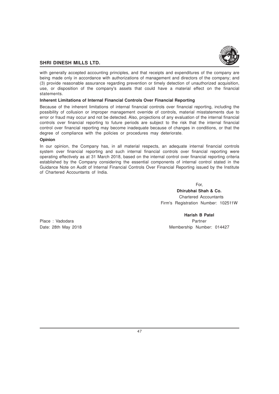

with generally accepted accounting principles, and that receipts and expenditures of the company are being made only in accordance with authorizations of management and directors of the company; and (3) provide reasonable assurance regarding prevention or timely detection of unauthorized acquisition, use, or disposition of the company's assets that could have a material effect on the financial statements.

### **Inherent Limitations of Internal Financial Controls Over Financial Reporting**

Because of the inherent limitations of internal financial controls over financial reporting, including the possibility of collusion or improper management override of controls, material misstatements due to error or fraud may occur and not be detected. Also, projections of any evaluation of the internal financial controls over financial reporting to future periods are subject to the risk that the internal financial control over financial reporting may become inadequate because of changes in conditions, or that the degree of compliance with the policies or procedures may deteriorate.

# **Opinion**

In our opinion, the Company has, in all material respects, an adequate internal financial controls system over financial reporting and such internal financial controls over financial reporting were operating effectively as at 31 March 2018, based on the internal control over financial reporting criteria established by the Company considering the essential components of internal control stated in the Guidance Note on Audit of Internal Financial Controls Over Financial Reporting issued by the Institute of Chartered Accountants of India.

For,

**Dhirubhai Shah & Co.** Chartered Accountants Firm's Registration Number: 102511W

Place : Vadodara **Partner** Partner Partner **Partner** 

**Harish B Patel** Date: 28th May 2018 Membership Number: 014427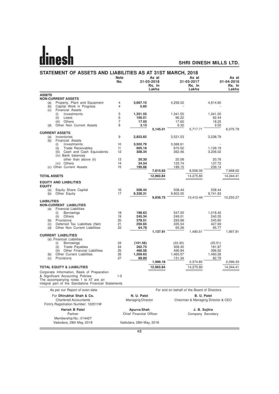# <u>dinesh</u>

# **SHRI DINESH MILLS LTD.**

|                     | STATEMENT OF ASSETS AND LIABILITIES AS AT 31ST MARCH, 2018                                    | <b>Note</b><br>No. |                          | As at<br>31-03-2018<br>Rs. In |                | As at<br>31-03-2017<br>Rs. In               | As at<br>01-04-2016<br>Rs. In |           |
|---------------------|-----------------------------------------------------------------------------------------------|--------------------|--------------------------|-------------------------------|----------------|---------------------------------------------|-------------------------------|-----------|
|                     |                                                                                               |                    |                          | Lakhs                         |                | Lakhs                                       |                               | Lakhs     |
| <b>ASSETS</b>       |                                                                                               |                    |                          |                               |                |                                             |                               |           |
|                     | <b>NON-CURRENT ASSETS</b>                                                                     |                    |                          |                               |                |                                             |                               |           |
| (a)                 | Property, Plant and Equipment                                                                 | 4                  | 3,667.15                 |                               | 4,256.02       |                                             | 4,914.60                      |           |
| (b)                 | Capital Work in Progress                                                                      | 4                  | 5.60                     |                               |                |                                             |                               |           |
| (c)                 | <b>Financial Assets</b>                                                                       |                    |                          |                               |                |                                             |                               |           |
|                     | Investments<br>(i)                                                                            | 5                  | 1,351.55                 |                               | 1,341.55       |                                             | 1,341.00                      |           |
|                     | (ii)<br>Loans<br>(iii)<br>Others                                                              | 6<br>7             | 100.51<br>17.05          |                               | 96.22<br>17.60 |                                             | 92.44<br>18.25                |           |
| (d)                 | Other Non Current Assets                                                                      | 8                  | 3.15                     |                               | 6.32           |                                             | 9.50                          |           |
|                     |                                                                                               |                    |                          | 5,145.01                      |                | 5,717.71                                    |                               | 6,375.79  |
|                     | <b>CURRENT ASSETS</b>                                                                         |                    |                          |                               |                |                                             |                               |           |
| (a)                 | Inventories                                                                                   | 9                  | 2,853.82                 |                               | 3,521.53       |                                             | 3,238.79                      |           |
| (b)                 | <b>Financial Assets</b>                                                                       |                    |                          |                               |                |                                             |                               |           |
|                     | Investments<br>(i)                                                                            | 10                 | 3,502.79                 |                               | 3,368.61       |                                             |                               |           |
|                     | (ii)<br>Trade Receivables                                                                     | 11                 | 905.18                   |                               | 970.52         |                                             | 1,126.19                      |           |
|                     | Cash and Cash Equivalents<br>(iii)<br>(iv) Bank balances                                      | 12                 | 308.34                   |                               | 362.46         |                                             | 3,206.02                      |           |
|                     | other than above (ii)                                                                         | 13                 | 20.30                    |                               | 20.08          |                                             | 20.76                         |           |
|                     | (vi) Others                                                                                   | 14                 | 34.54                    |                               | 125.74         |                                             | 137.72                        |           |
|                     | (c) Other Current Assets                                                                      | 15                 | 190.86                   |                               | 189.15         |                                             | 239.14                        |           |
|                     |                                                                                               |                    |                          | 7,815.83                      |                | 8,558.09                                    |                               | 7,968.62  |
| <b>TOTAL ASSETS</b> |                                                                                               |                    |                          | 12,960.84                     |                | 14,275.80                                   |                               | 14,344.41 |
|                     | <b>EQUITY AND LIABILITIES</b>                                                                 |                    |                          |                               |                |                                             |                               |           |
| <b>EQUITY</b>       |                                                                                               |                    |                          |                               |                |                                             |                               |           |
| (a)                 | Equity Share Capital                                                                          | 16                 | 508.44                   |                               | 508.44         |                                             | 508.44                        |           |
| (b)                 | Other Equity                                                                                  | 17                 | 9,328.31                 |                               | 9,902.00       |                                             | 9,741.83                      |           |
| <b>LIABILITIES</b>  |                                                                                               |                    |                          | 9,836.75                      |                | 10,410.44                                   |                               | 10,250.27 |
|                     | <b>NON-CURRENT LIABILITIES</b>                                                                |                    |                          |                               |                |                                             |                               |           |
| (a)                 | <b>Financial Liabilities</b>                                                                  |                    |                          |                               |                |                                             |                               |           |
|                     | <b>Borrowings</b><br>(i)                                                                      | 18                 | 198.63                   |                               | 547.00         |                                             | 1,018.40                      |           |
|                     | (ii)<br>Others                                                                                | 19                 | 245.34                   |                               | 249.01         |                                             | 240.35                        |           |
| (b)                 | Provisions                                                                                    | 20                 | 378.51                   |                               | 293.68         |                                             | 245.60                        |           |
| (c)                 | Deferred Tax Liabilities (Net)                                                                | 21                 | 250.65                   |                               | 335.54         |                                             | 427.69                        |           |
| (d)                 | Other Non Current Liabilities                                                                 | 22                 | 64.78                    |                               | 65.28          |                                             | 65.77                         |           |
|                     |                                                                                               |                    |                          | 1,137.91                      |                | 1,490.51                                    |                               | 1,997.81  |
|                     | <b>CURRENT LIABILITIES</b><br>(a) Financial Liabilities                                       |                    |                          |                               |                |                                             |                               |           |
|                     | Borrowings<br>(i)                                                                             | 23                 | (101.56)                 |                               | (22.30)        |                                             | (25.51)                       |           |
|                     | (ii)<br>Trade Payables                                                                        | 24                 | 262.73                   |                               | 309.30         |                                             | 181.87                        |           |
|                     | Other Financial Liabilities                                                                   | 25                 | 466.58                   |                               | 490.94         |                                             | 396.92                        |           |
| (b)                 | Other Current Liabilities                                                                     | 26                 | 1,269.63                 |                               | 1,465.57       |                                             | 1,460.26                      |           |
| (c)                 | Provisions                                                                                    | 27                 | 88.80                    |                               | 131.34         |                                             | 82.79                         |           |
|                     |                                                                                               |                    |                          | 1,986.18                      |                | 2,374.85                                    |                               | 2,096.33  |
|                     | <b>TOTAL EQUITY &amp; LIABILITIES</b>                                                         |                    |                          | 12,960.84                     |                | 14,275.80                                   |                               | 14,344.41 |
|                     | Corporate Information, Basis of Preparation                                                   |                    |                          |                               |                |                                             |                               |           |
|                     | & Significant Accounting Policies                                                             | $1-3$              |                          |                               |                |                                             |                               |           |
|                     | The accompanying notes 1 to 47 are an<br>integral part of the Standalone Financial Statements |                    |                          |                               |                |                                             |                               |           |
|                     | As per our Report of even date                                                                |                    |                          |                               |                | For and on behalf of the Board of Directors |                               |           |
|                     | For Dhirubhai Shah & Co.                                                                      |                    |                          |                               |                | B. U. Patel                                 |                               |           |
|                     | <b>Chartered Accountants</b>                                                                  |                    | N. U. Patel              |                               |                | Chairman & Managing Director & CEO          |                               |           |
|                     |                                                                                               |                    | <b>Managing Director</b> |                               |                |                                             |                               |           |
|                     | Firm's Registration Number: 102511W                                                           |                    |                          |                               |                |                                             |                               |           |
|                     | <b>Harish B Patel</b>                                                                         |                    | Apurva Shah              |                               |                | J. B. Sojitra                               |                               |           |
|                     | Partner                                                                                       |                    | Chief Financial Officer  |                               |                | Company Secretary                           |                               |           |
|                     | Membership No.: 014427                                                                        |                    |                          |                               |                |                                             |                               |           |
|                     | Vadodara, 28th May, 2018                                                                      |                    | Vadodara, 28th May, 2018 |                               |                |                                             |                               |           |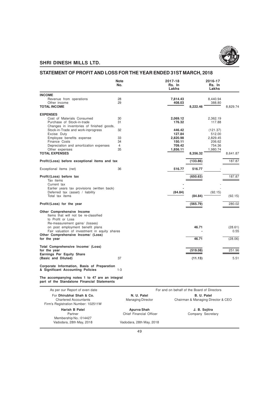

# **STATEMENT OF PROFIT AND LOSS FOR THE YEAR ENDED 31ST MARCH, 2018**

|                                                                                               | <b>Note</b><br>No. |             | 2017-18<br>Rs. In<br>Lakhs                  |             | 2016-17<br>Rs. In<br>Lakhs |          |
|-----------------------------------------------------------------------------------------------|--------------------|-------------|---------------------------------------------|-------------|----------------------------|----------|
| <b>INCOME</b>                                                                                 |                    |             |                                             |             |                            |          |
| Revenue from operations                                                                       | 28                 |             | 7,814.43                                    |             | 8,440.94                   |          |
| Other income                                                                                  | 29                 |             | 408.03                                      |             | 388.80                     |          |
| <b>TOTAL INCOME</b>                                                                           |                    |             |                                             | 8,222.46    |                            | 8,829.74 |
| <b>EXPENSES</b>                                                                               |                    |             |                                             |             |                            |          |
| Cost of Materials Consumed                                                                    | 30                 |             | 2,069.12                                    |             | 2,362.19                   |          |
| Purchase of Stock-in-trade                                                                    | 31                 |             | 176.32                                      |             | 117.88                     |          |
| Changes in inventories of finished goods,                                                     |                    |             |                                             |             |                            |          |
| Stock-in-Trade and work-inprogress                                                            | 32                 |             | 446.42                                      |             | (121.37)                   |          |
| Excise Duty                                                                                   |                    |             | 127.84                                      |             | 512.00                     |          |
| Employee benefits expense                                                                     | 33                 |             | 2,820.98                                    |             | 2,829.45                   |          |
| Finance Costs                                                                                 | 34                 |             | 150.11                                      |             | 206.62                     |          |
| Depreciation and amortization expenses                                                        | 4<br>35            |             | 709.42<br>1,856.11                          |             | 754.36<br>1,980.74         |          |
| Other expenses<br><b>TOTAL EXPENSES</b>                                                       |                    |             |                                             | 8,356.32    |                            | 8,641.87 |
|                                                                                               |                    |             |                                             |             |                            |          |
| Profit/(Loss) before exceptional items and tax                                                |                    |             |                                             | (133.86)    |                            | 187.87   |
| Exceptional items (net)                                                                       | 36                 |             | 516.77                                      | 516.77      |                            |          |
| Profit/(Loss) before tax                                                                      |                    |             |                                             | (650.63)    |                            | 187.87   |
| Tax items                                                                                     |                    |             |                                             |             |                            |          |
| Current tax                                                                                   |                    |             |                                             |             |                            |          |
| Earlier years tax provisions (written back)                                                   |                    |             |                                             |             |                            |          |
| Deferred tax (asset) / liability                                                              |                    |             | (84.84)                                     |             | (92.15)                    |          |
| Total tax items                                                                               |                    |             |                                             | (84.84)     |                            | (92.15)  |
| Profit/(Loss) for the year                                                                    |                    |             |                                             | (565.79)    |                            | 280.02   |
| Other Comprehensive Income                                                                    |                    |             |                                             |             |                            |          |
| Items that will not be re-classified                                                          |                    |             |                                             |             |                            |          |
| to Profit or Loss                                                                             |                    |             |                                             |             |                            |          |
| Re-measurement gains/ (losses)                                                                |                    |             |                                             |             |                            |          |
| on post employment benefit plans                                                              |                    |             |                                             | 46.71       |                            | (28.61)  |
| Fair valuation of investment in equity shares                                                 |                    |             |                                             |             |                            | 0.55     |
| Other Comprehensive Income/ (Loss)                                                            |                    |             |                                             |             |                            |          |
| for the year                                                                                  |                    |             |                                             | 46.71       |                            | (28.06)  |
| Total Comprehensive Income/ (Loss)                                                            |                    |             |                                             |             |                            |          |
| for the year                                                                                  |                    |             |                                             | (519.08)    |                            | 251.96   |
| Earnings Per Equity Share                                                                     |                    |             |                                             |             |                            |          |
| (Basic and Diluted)                                                                           | 37                 |             |                                             | (11.13)     |                            | 5.51     |
| Corporate Information, Basis of Preparation<br>& Significant Accounting Policies              | $1 - 3$            |             |                                             |             |                            |          |
| The accompanying notes 1 to 47 are an integral<br>part of the Standalone Financial Statements |                    |             |                                             |             |                            |          |
| As per our Report of even date                                                                |                    |             | For and on behalf of the Board of Directors |             |                            |          |
| For Dhirubhai Shah & Co.                                                                      |                    | N. U. Patel |                                             | B. U. Patel |                            |          |

| AS DEI OUI NEDOIL OI EVEIL UALE     | FUI and OIL Denall OF the Board OF Diffectors |                                    |  |  |
|-------------------------------------|-----------------------------------------------|------------------------------------|--|--|
| For Dhirubhai Shah & Co.            | N. U. Patel                                   | B. U. Patel                        |  |  |
| <b>Chartered Accountants</b>        | <b>Managing Director</b>                      | Chairman & Managing Director & CEO |  |  |
| Firm's Registration Number: 102511W |                                               |                                    |  |  |
| <b>Harish B Patel</b>               | Apurva Shah                                   | J. B. Sojitra                      |  |  |
| Partner                             | Chief Financial Officer                       | Company Secretary                  |  |  |
| Membership No.: 014427              |                                               |                                    |  |  |
| Vadodara, 28th May, 2018            | Vadodara, 28th May, 2018                      |                                    |  |  |
|                                     |                                               |                                    |  |  |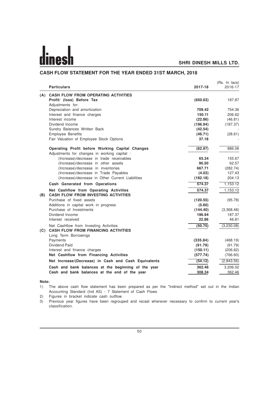# **CASH FLOW STATEMENT FOR THE YEAR ENDED 31ST MARCH, 2018**

|     | <b>Particulars</b>                                                                   | 2017-18  | (Rs. In lacs)<br>2016-17 |
|-----|--------------------------------------------------------------------------------------|----------|--------------------------|
|     | (A) CASH FLOW FROM OPERATING ACTIVITIES                                              |          |                          |
|     | Profit/ (loss) Before Tax                                                            | (650.63) | 187.87                   |
|     | Adjustments for:                                                                     |          |                          |
|     | Depreciation and amortization                                                        | 709.42   | 754.36                   |
|     | Interest and finance charges                                                         | 150.11   | 206.62                   |
|     | Interest income                                                                      | (22.86)  | (46.81)                  |
|     | Dividend Income                                                                      | (196.94) | (187.37)                 |
|     | Sundry Balances Written Back                                                         | (42.54)  |                          |
|     | <b>Employee Benefits</b>                                                             | (46.71)  | (28.61)                  |
|     | Fair Valuation of Employee Stock Options                                             | 37.18    |                          |
|     | Operating Profit before Working Capital Changes                                      | (62.97)  | 886.06                   |
|     | Adjustments for changes in working capital :                                         |          |                          |
|     | (Increase)/decrease in trade receivables                                             | 65.34    | 155.67                   |
|     | (Increase)/decrease in other assets                                                  | 90.50    | 62.57                    |
|     | (Increase)/decrease in inventories                                                   | 667.71   | (282.74)                 |
|     | (Increase)/decrease in Trade Payables                                                | (4.03)   | 127.43                   |
|     | (Increase)/decrease in Other Current Liabilities                                     | (182.18) | 204.13                   |
|     | Cash Generated from Operations                                                       | 574.37   | 1,153.12                 |
|     | Net Cashflow from Operating Activities                                               | 574.37   | 1.153.12                 |
| (B) | <b>CASH FLOW FROM INVESTING ACTIVITIES</b>                                           |          |                          |
|     | Purchase of fixed assets                                                             | (120.55) | (95.78)                  |
|     | Additions in capital work in progress                                                | (5.60)   |                          |
|     | Purchase of Investments                                                              | (144.40) | (3,368.48)               |
|     | Dividend Income                                                                      | 196.94   | 187.37                   |
|     | Interest received                                                                    | 22.86    | 46.81                    |
|     | Net Cashflow from Investing Activities<br><b>CASH FLOW FROM FINANCING ACTIVITIES</b> | (50.75)  | (3,230.08)               |
| (C) | Long Term Borrowings                                                                 |          |                          |
|     | Payments                                                                             | (335.84) | (468.19)                 |
|     | Dividend Paid                                                                        | (91.79)  | (91.79)                  |
|     | Interest and finance charges                                                         | (150.11) | (206.62)                 |
|     | Net Cashflow from Financing Activities                                               | (577.74) | (766.60)                 |
|     | Net Increase/(Decrease) in Cash and Cash Equivalents                                 | (54.12)  | (2,843.56)               |
|     | Cash and bank balances at the beginning of the year                                  | 362.46   | 3.206.02                 |
|     | Cash and bank balances at the end of the year                                        | 308.34   | 362.46                   |

#### **Note:**

1) The above cash flow statement has been prepared as per the "Indirect method" set out in the Indian Accounting Standard (Ind AS) - 7 Statement of Cash Flows

2) Figures in bracket indicate cash outflow.

3) Previous year figures have been regrouped and recast wherever necessary to confirm to current year's classification.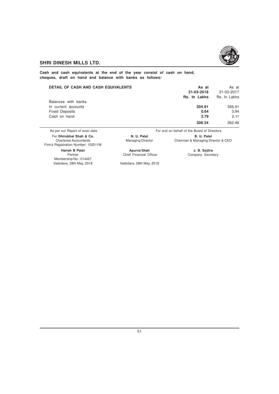

**Cash and cash equivalents at the end of the year consist of cash on hand, cheques, draft on hand and balance with banks as follows:**

| <b>DETAIL OF CASH AND CASH EQUIVALENTS</b> | As at<br>31-03-2018<br>Rs. In Lakhs | As at<br>31-03-2017<br>Rs. In Lakhs |
|--------------------------------------------|-------------------------------------|-------------------------------------|
| Balances with banks                        |                                     |                                     |
| In current accounts                        | 304.91                              | 356.41                              |
| <b>Fixed Deposits</b>                      | 0.64                                | 3.94                                |
| Cash on hand                               | 2.79                                | 2.11                                |
|                                            | 308.34                              | 362.46                              |

As per our Report of even date For and on behalf of the Board of Directors For **Dhirubhai Shah & Co. N. U. Patel B. B. U. Patel B. U. Patel B. U. Patel** Chartered Accountants **Managing Director** Chairman & Managing Director Chairman & Managing Director & CEO Firm's Registration Number: 102511W **Harish B Patel Apurva Shah J. B. Sojitra** Partner Chief Financial Officer Membership No.: 014427<br>Vadodara, 28th May, 2018 Vadodara, 28th May, 2018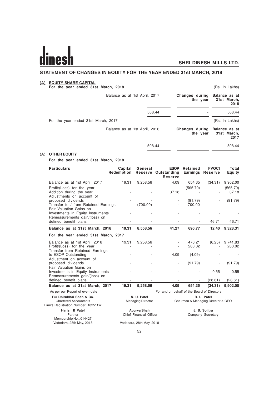$\overline{a}$ 

# **STATEMENT OF CHANGES IN EQUITY FOR THE YEAR ENDED 31st MARCH, 2018**

#### **(A) EQUITY SHARE CAPITAL**

**For the year ended 31st March, 2018** (Rs. In Lakhs)

| Balance as at 1st April, 2017       | Changes during Balance as at<br>the year | 31st March,<br>2018 |
|-------------------------------------|------------------------------------------|---------------------|
| 508.44                              |                                          | 508.44              |
| For the year ended 31st March, 2017 |                                          | (Rs. In Lakhs)      |
| Balance as at 1st April, 2016       | Changes during Balance as at<br>the year | 31st March,<br>2017 |
| 508.44                              |                                          | 508.44              |

### **(A) OTHER EQUITY**

#### **For the year ended 31st March, 2018**

| <b>Particulars</b>                                                                              | Capital<br>Redemption | General                                                                                      | <b>ESOP</b><br>Reserve Outstanding<br>Reserve | Retained                           | <b>FVOCI</b><br><b>Earnings Reserve</b> | Total<br>Equity |
|-------------------------------------------------------------------------------------------------|-----------------------|----------------------------------------------------------------------------------------------|-----------------------------------------------|------------------------------------|-----------------------------------------|-----------------|
| Balance as at 1st April, 2017                                                                   | 19.31                 | 9,258.56                                                                                     | 4.09                                          | 654.35                             | (34.31)                                 | 9,902.00        |
| Profit/(Loss) for the year                                                                      |                       |                                                                                              |                                               | (565.79)                           |                                         | (565.79)        |
| Addition during the year<br>Adjustments on account of                                           |                       |                                                                                              | 37.18                                         |                                    |                                         | 37.18           |
| proposed dividends<br>Transfer to / from Retained Earnings                                      |                       | (700.00)                                                                                     |                                               | (91.79)<br>700.00                  |                                         | (91.79)         |
| Fair Valuation Gains on<br>Investments in Equity Instruments<br>Remeasurements gain/(loss) on   |                       |                                                                                              |                                               |                                    |                                         |                 |
| defined benefit plans                                                                           |                       |                                                                                              |                                               |                                    | 46.71                                   | 46.71           |
| Balance as at 31st March, 2018                                                                  | 19.31                 | 8,558.56                                                                                     | 41.27                                         | 696.77                             | 12.40                                   | 9,328.31        |
| For the year ended 31st March, 2017                                                             |                       |                                                                                              |                                               |                                    |                                         |                 |
| Balance as at 1st April, 2016                                                                   | 19.31                 | 9,258.56                                                                                     |                                               | 470.21                             | (6.25)                                  | 9,741.83        |
| Profit/(Loss) for the year<br>Transfer from Retained Earnings                                   |                       |                                                                                              | $\overline{\phantom{a}}$                      | 280.02                             |                                         | 280.02          |
| to ESOP Outstanding<br>Adjustment on account of                                                 |                       |                                                                                              | 4.09                                          | (4.09)                             |                                         |                 |
| proposed dividends<br>Fair Valuation Gains on                                                   |                       |                                                                                              | $\overline{\phantom{a}}$                      | (91.79)                            |                                         | (91.79)         |
| Investments in Equity Instruments<br>Remeasurements gain/(loss) on                              |                       |                                                                                              |                                               |                                    | 0.55                                    | 0.55            |
| defined benefit plans                                                                           |                       |                                                                                              |                                               |                                    | (28.61)                                 | (28.61)         |
| Balance as at 31st March, 2017                                                                  | 19.31                 | 9,258.56                                                                                     | 4.09                                          | 654.35                             | (34.31)                                 | 9,902.00        |
| As per our Report of even date                                                                  |                       |                                                                                              | For and on behalf of the Board of Directors   |                                    |                                         |                 |
| For Dhirubhai Shah & Co.<br><b>Chartered Accountants</b><br>Firm's Registration Number: 102511W |                       | N. U. Patel<br>B. U. Patel<br><b>Managing Director</b><br>Chairman & Managing Director & CEO |                                               |                                    |                                         |                 |
| <b>Harish B Patel</b><br>Partner<br>Membership No.: 014427                                      |                       | Apurva Shah<br>Chief Financial Officer                                                       |                                               | J. B. Sojitra<br>Company Secretary |                                         |                 |
| Vadodara, 28th May, 2018                                                                        |                       | Vadodara, 28th May, 2018                                                                     |                                               |                                    |                                         |                 |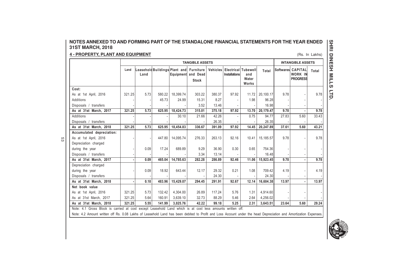# **NOTES ANNEXED TO AND FORMING PART OF THE STANDALONE FINANCIAL STATEMENTS FOR THE YEAR ENDED31ST MARCH, 2018**

# **4 - PROPERTY, PLANT AND EQUIPMENT**

53

| <b>4 - PROPERTY, PLANT AND EQUIPMENT</b><br>(Rs. In Lakhs) |        |      |        |                                                      |                          |          |                                             |                       |           |                          |                                                        |       |
|------------------------------------------------------------|--------|------|--------|------------------------------------------------------|--------------------------|----------|---------------------------------------------|-----------------------|-----------|--------------------------|--------------------------------------------------------|-------|
|                                                            |        |      |        |                                                      | <b>TANGIBLE ASSETS</b>   |          |                                             |                       |           | <b>INTANGIBLE ASSETS</b> |                                                        |       |
|                                                            | Land   | Land |        | Leasehold Buildings Plant and Furniture<br>Equipment | and Dead<br><b>Stock</b> | Vehicles | Electrical Tubewell<br><b>Installations</b> | and<br>Water<br>Works | Total     |                          | Softwares CAPITAL<br><b>WORK IN</b><br><b>PROGRESS</b> | Total |
| Cost:                                                      |        |      |        |                                                      |                          |          |                                             |                       |           |                          |                                                        |       |
| As at 1st April, 2016                                      | 321.25 | 5.73 | 580.22 | 18,399.74                                            | 303.22                   | 380.37   | 97.92                                       | 11.72                 | 20,100.17 | 9.78                     |                                                        | 9.78  |
| Additions                                                  |        |      | 45.73  | 24.99                                                | 15.31                    | 8.27     |                                             | 1.98                  | 96.28     |                          |                                                        |       |
| Disposals / transfers                                      |        |      |        |                                                      | 3.52                     | 13.46    |                                             |                       | 16.98     |                          |                                                        |       |
| As at 31st March, 2017                                     | 321.25 | 5.73 | 625.95 | 18,424.73                                            | 315.01                   | 375.18   | 97.92                                       | 13.70                 | 20,179.47 | 9.78                     |                                                        | 9.78  |
| <b>Additions</b>                                           |        |      |        | 30.10                                                | 21.66                    | 42.26    |                                             | 0.75                  | 94.77     | 27.83                    | 5.60                                                   | 33.43 |
| Disposals / transfers                                      |        |      |        |                                                      |                          | 26.35    |                                             |                       | 26.35     |                          |                                                        |       |
| As at 31st March, 2018                                     | 321.25 | 5.73 | 625.95 | 18,454.83                                            | 336.67                   | 391.09   | 97.92                                       | 14.45                 | 20,247.89 | 37.61                    | 5.60                                                   | 43.21 |
| Accumulated depreciation:                                  |        |      |        |                                                      |                          |          |                                             |                       |           |                          |                                                        |       |
| As at 1st April, 2016                                      |        |      | 447.80 | 14.095.74                                            | 276.33                   | 263.13   | 92.16                                       | 10.41                 | 15,185.57 | 9.78                     |                                                        | 9.78  |
| Depreciation charged                                       |        |      |        |                                                      |                          |          |                                             |                       |           |                          |                                                        |       |
| during the year                                            |        | 0.09 | 17.24  | 689.89                                               | 9.29                     | 36.90    | 0.30                                        | 0.65                  | 754.36    |                          |                                                        |       |
| Disposals / transfers                                      |        |      |        |                                                      | 3.34                     | 13.14    |                                             |                       | 16.48     |                          |                                                        |       |
| As at 31st March, 2017                                     |        | 0.09 | 465.04 | 14,785.63                                            | 282.28                   | 286.89   | 92.46                                       | 11.06                 | 15,923.45 | 9.78                     |                                                        | 9.78  |
| Depreciation charged                                       |        |      |        |                                                      |                          |          |                                             |                       |           |                          |                                                        |       |
| during the year                                            |        | 0.09 | 18.92  | 643.44                                               | 12.17                    | 29.32    | 0.21                                        | 1.08                  | 709.42    | 4.19                     |                                                        | 4.19  |
| Disposals / transfers                                      |        |      |        |                                                      |                          | 24.30    |                                             |                       | 24.30     |                          |                                                        |       |
| As at 31st March, 2018                                     |        | 0.18 | 483.96 | 15,429.07                                            | 294.45                   | 291.91   | 92.67                                       | 12.14                 | 16,604.38 | 13.97                    |                                                        | 13.97 |
| Net book value                                             |        |      |        |                                                      |                          |          |                                             |                       |           |                          |                                                        |       |
| As at 1st April, 2016                                      | 321.25 | 5.73 | 132.42 | 4,304.00                                             | 26.89                    | 117.24   | 5.76                                        | 1.31                  | 4,914.60  |                          |                                                        |       |
| As at 31st March, 2017                                     | 321.25 | 5.64 | 160.91 | 3,639.10                                             | 32.73                    | 88.29    | 5.46                                        | 2.64                  | 4,256.02  |                          |                                                        |       |
| As at 31st March. 2018                                     | 321.25 | 5.55 | 141.99 | 3.025.76                                             | 42.22                    | 99.18    | 5.25                                        | 2.31                  | 3,643.51  | 23.64                    | 5.60                                                   | 29.24 |

Note: 4.2 Amount written off Rs. 0.08 Lakhs of Leasehold Land has been debited to Profit and Loss Account under the head Depreciation and Amortization Expenses.

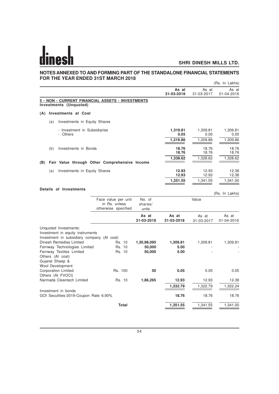# **NOTES ANNEXED TO AND FORMING PART OF THE STANDALONE FINANCIAL STATEMENTS FOR THE YEAR ENDED 31ST MARCH 2018**

|                                                                                                         |                                                             |                            |                     |                     | (Rs. In Lakhs)      |
|---------------------------------------------------------------------------------------------------------|-------------------------------------------------------------|----------------------------|---------------------|---------------------|---------------------|
|                                                                                                         |                                                             |                            | As at<br>31-03-2018 | As at<br>31-03-2017 | As at<br>01-04-2016 |
| 5 - NON - CURRENT FINANCIAL ASSETS - INVESTMENTS<br>Investments (Unquoted)                              |                                                             |                            |                     |                     |                     |
| <b>Investments at Cost</b><br>(A)                                                                       |                                                             |                            |                     |                     |                     |
| Investments in Equity Shares<br>(a)                                                                     |                                                             |                            |                     |                     |                     |
| - Investment in Subsidiaries<br>- Others                                                                |                                                             |                            | 1,319.81<br>0.05    | 1,309.81<br>0.05    | 1,309.81<br>0.05    |
|                                                                                                         |                                                             |                            | 1,319.86            | 1,309.86            | 1,309.86            |
| Investments in Bonds<br>(b)                                                                             |                                                             |                            | 18.76<br>18.76      | 18.76<br>18.76      | 18.76<br>18.76      |
|                                                                                                         |                                                             |                            | 1,338.62            | 1,328.62            | 1,328.62            |
| (B)                                                                                                     | Fair Value through Other Comprehensive Income               |                            |                     |                     |                     |
| Investments in Equity Shares<br>(a)                                                                     |                                                             |                            | 12.93<br>12.93      | 12.93<br>12.93      | 12.38<br>12.38      |
|                                                                                                         |                                                             |                            | 1,351.55            | 1,341.55            | 1,341.00            |
| Details of Investments                                                                                  |                                                             |                            |                     |                     |                     |
|                                                                                                         |                                                             |                            |                     |                     | (Rs. In Lakhs)      |
|                                                                                                         | Face value per unit<br>in Rs. unless<br>otherwise specified | No. of<br>shares/<br>units |                     | Value               |                     |
|                                                                                                         |                                                             | As at<br>31-03-2018        | As at<br>31-03-2018 | As at<br>31-03-2017 | As at<br>01-04-2016 |
| Unquoted Investments:<br>Investment in equity instruments<br>Investment in subsidiary company (At cost) |                                                             |                            |                     |                     |                     |
| <b>Dinesh Remedies Limited</b>                                                                          | Rs. 10                                                      | 1,30,98,095                | 1,309.81            | 1,309.81            | 1,309.81            |
| Fernway Technologies Limited<br>Fernway Textiles Limited                                                | Rs. 10<br>Rs. 10                                            | 50,000<br>50,000           | 5.00<br>5.00        |                     |                     |
| Others (At cost)<br>Gujarat Sheep &<br><b>Wool Development</b>                                          |                                                             |                            |                     |                     |                     |
| <b>Corporation Limited</b><br>Others (At FVOCI)                                                         | Rs. 100                                                     | 50                         | 0.05                | 0.05                | 0.05                |
| Narmada Cleantech Limited                                                                               | Rs. 10                                                      | 1,86,265                   | 12.93               | 12.93               | 12.38               |
|                                                                                                         |                                                             |                            | 1,332.79            | 1,322.79            | 1,322.24            |
| Investment in bonds<br>GOI Secutities-2019-Coupon Rate 6.90%                                            |                                                             |                            | 18.76               | 18.76               | 18.76               |

**Total 1,351.55 1,341.55 1,341.00**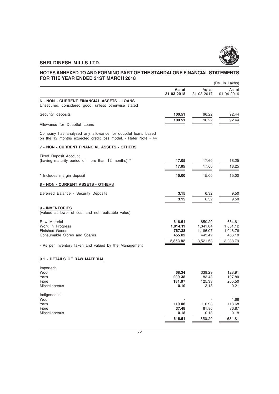

#### **NOTES ANNEXED TO AND FORMING PART OF THE STANDALONE FINANCIAL STATEMENTS FOR THE YEAR ENDED 31ST MARCH 2018** (Rs. In Lakhs)

|                                                                                                                               |                     |                     | (RS. In Lakns)      |
|-------------------------------------------------------------------------------------------------------------------------------|---------------------|---------------------|---------------------|
|                                                                                                                               | As at<br>31-03-2018 | As at<br>31-03-2017 | As at<br>01-04-2016 |
| 6 - NON - CURRENT FINANCIAL ASSETS - LOANS<br>Unsecured, considered good, unless otherwise stated                             |                     |                     |                     |
| Security deposits                                                                                                             | 100.51              | 96.22               | 92.44               |
| Allowance for Doubtful Loans                                                                                                  | 100.51              | 96.22               | 92.44               |
| Company has analysed any allowance for doubtful loans based<br>on the 12 months expected credit loss model. - Refer Note - 44 |                     |                     |                     |
| 7 - NON - CURRENT FINANCIAL ASSETS - OTHERS                                                                                   |                     |                     |                     |
| <b>Fixed Deposit Account</b><br>(having maturity period of more than 12 months) *                                             | 17.05               | 17.60               | 18.25               |
|                                                                                                                               | 17.05               | 17.60               | 18.25               |
| * Includes margin deposit                                                                                                     | 15.00               | 15.00               | 15.00               |
| 8 - NON - CURRENT ASSETS - OTHERS                                                                                             |                     |                     |                     |
| Deferred Balance - Security Deposits                                                                                          | 3.15                | 6.32                | 9.50                |
|                                                                                                                               | 3.15                | 6.32                | 9.50                |
| 9 - INVENTORIES<br>(valued at lower of cost and net realizable value)                                                         |                     |                     |                     |
| Raw Material<br>Work in Progress                                                                                              | 616.51<br>1,014.11  | 850.20<br>1,041.84  | 684.81<br>1,051.12  |
| <b>Finished Goods</b>                                                                                                         | 767.38              | 1,186.07            | 1,046.76            |
| Consumable Stores and Spares                                                                                                  | 455.82              | 443.42              | 456.10              |
| - As per inventory taken and valued by the Management                                                                         | 2,853.82            | 3,521.53            | 3,238.79            |
| 9.1 - DETAILS OF RAW MATERIAL                                                                                                 |                     |                     |                     |
| Imported:                                                                                                                     |                     |                     |                     |
| Wool                                                                                                                          | 68.34               | 339.29              | 123.91              |
| Yarn<br>Fibre                                                                                                                 | 209.38<br>181.97    | 183.43<br>125.33    | 197.80<br>205.50    |
| Miscellaneous                                                                                                                 | 0.10                | 3.18                | 0.21                |
| Indigeneous:                                                                                                                  |                     |                     |                     |
| Wool                                                                                                                          |                     |                     | 1.66                |
| Yarn<br>Fibre                                                                                                                 | 119.06<br>37.48     | 116.93<br>81.86     | 118.68<br>36.87     |
| Miscellaneous                                                                                                                 | 0.18                | 0.18                | 0.18                |
|                                                                                                                               | 616.51              | 850.20              | 684.81              |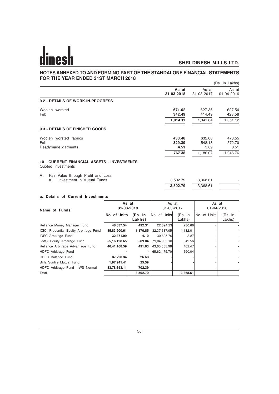#### **NOTES ANNEXED TO AND FORMING PART OF THE STANDALONE FINANCIAL STATEMENTS FOR THE YEAR ENDED 31ST MARCH 2018** (Rs. In Lakhs)

|                                                                          |                                    |                                      | (RS. III Lakiis)                     |
|--------------------------------------------------------------------------|------------------------------------|--------------------------------------|--------------------------------------|
|                                                                          | As at<br>31-03-2018                | As at<br>31-03-2017                  | As at<br>01-04-2016                  |
| 9.2 - DETAILS OF WORK-IN-PROGRESS                                        |                                    |                                      |                                      |
| Woolen worsted<br>Felt                                                   | 671.62<br>342.49<br>1,014.11       | 627.35<br>414.49<br>1,041.84         | 627.54<br>423.58<br>1,051.12         |
| 9.3 - DETAILS OF FINISHED GOODS                                          |                                    |                                      |                                      |
| Woolen worsted fabrics<br>Felt<br>Readymade garments                     | 433.48<br>329.39<br>4.51<br>767.38 | 632.00<br>548.18<br>5.89<br>1,186.07 | 473.55<br>572.70<br>0.51<br>1,046.76 |
| <b>10 - CURRENT FINANCIAL ASSETS - INVESTMENTS</b><br>Quoted investments |                                    |                                      |                                      |
| Fair Value through Profit and Loss<br>Α.                                 |                                    |                                      |                                      |

a. Investment in Mutual Funds 3,502.79 3,368.61 **3,502.79** 3,368.61 -

### **a. Details of Current Investments**

| Name of Funds                          | As at<br>31-03-2018 |                   | As at<br>31-03-2017 |                    | As at<br>01-04-2016 |                          |
|----------------------------------------|---------------------|-------------------|---------------------|--------------------|---------------------|--------------------------|
|                                        | No. of Units        | (Rs. In<br>Lakhs) | INo. of Unitsl      | (Rs, In)<br>Lakhs) | INo. of Unitsl      | (Rs. In<br>Lakhs)        |
| Reliance Money Manager Fund            | 48,837.54           | 492.31            | 22,894.23           | 230.66             |                     |                          |
| ICICI Prudential Equity Arbitrage Fund | 85,83,900.61        | 1,170.85          | 82,37,687.05        | 1,132.01           |                     |                          |
| <b>IDFC</b> Arbitrage Fund             | 32,371.99           | 4.10              | 30,625.76           | 3.87               |                     |                          |
| Kotak Equity Arbitrage Fund            | 55, 16, 198. 65     | 589.84            | 79,04,985.10        | 849.56             |                     |                          |
| Reliance Arbitrage Advantage Fund      | 46,41,108.59        | 491.03            | 43,65,085.98        | 462.47             |                     | $\overline{\phantom{a}}$ |
| HDFC Arbitrage Fund                    |                     | ٠                 | 65,62,475.70        | 690.04             |                     |                          |
| HDFC Balance Fund                      | 87,790.34           | 26.68             |                     |                    |                     |                          |
| Birla Sunlife Mutual Fund              | 1,97,941.41         | 25.59             |                     |                    |                     |                          |
| HDFC Arbitrage Fund - WS Normal        | 33,78,853.11        | 702.39            |                     |                    |                     |                          |
| <b>Total</b>                           |                     | 3,502.79          |                     | 3,368.61           |                     |                          |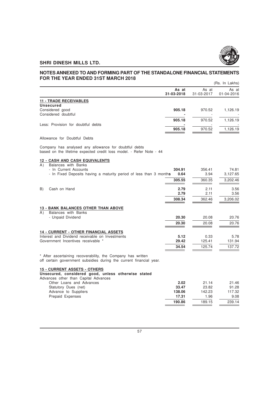

#### **NOTES ANNEXED TO AND FORMING PART OF THE STANDALONE FINANCIAL STATEMENTS FOR THE YEAR ENDED 31ST MARCH 2018** (Rs. In Lakhs)

|                                                                                                                                                                    |                     |                     | (RS. In Lakhs)      |
|--------------------------------------------------------------------------------------------------------------------------------------------------------------------|---------------------|---------------------|---------------------|
|                                                                                                                                                                    | As at<br>31-03-2018 | As at<br>31-03-2017 | As at<br>01-04-2016 |
| <b>11 - TRADE RECEIVABLES</b>                                                                                                                                      |                     |                     |                     |
| <b>Unsecured</b>                                                                                                                                                   |                     |                     |                     |
| Considered good                                                                                                                                                    | 905.18              | 970.52              | 1,126.19            |
| Considered doubtful                                                                                                                                                |                     |                     |                     |
|                                                                                                                                                                    | 905.18              | 970.52              | 1,126.19            |
| Less: Provision for doubtful debts                                                                                                                                 |                     |                     |                     |
|                                                                                                                                                                    | 905.18              | 970.52              | 1,126.19            |
| Allowance for Doubtful Debts                                                                                                                                       |                     |                     |                     |
| Company has analysed any allowance for doubtful debts<br>based on the lifetime expected credit loss model. - Refer Note - 44                                       |                     |                     |                     |
| <b>12 - CASH AND CASH EQUIVALENTS</b>                                                                                                                              |                     |                     |                     |
| A)<br>Balances with Banks<br>- In Current Accounts                                                                                                                 | 304.91              | 356.41              | 74.81               |
| - In Fixed Deposits having a maturity period of less than 3 months                                                                                                 | 0.64                | 3.94                | 3,127.65            |
|                                                                                                                                                                    |                     |                     |                     |
|                                                                                                                                                                    | 305.55              | 360.35              | 3,202.46            |
| B)<br>Cash on Hand                                                                                                                                                 | 2.79                | 2.11                | 3.56                |
|                                                                                                                                                                    | 2.79                | 2.11                | 3.56                |
|                                                                                                                                                                    | 308.34              | 362.46              | 3,206.02            |
|                                                                                                                                                                    |                     |                     |                     |
| <b>13 - BANK BALANCES OTHER THAN ABOVE</b>                                                                                                                         |                     |                     |                     |
| Balances with Banks<br>(A)                                                                                                                                         |                     |                     |                     |
| - Unpaid Dividend                                                                                                                                                  | 20.30               | 20.08               | 20.76               |
|                                                                                                                                                                    | 20.30               | 20.08               | 20.76               |
| <b>14 - CURRENT - OTHER FINANCIAL ASSETS</b>                                                                                                                       |                     |                     |                     |
| Interest and Dividend receivable on Investments                                                                                                                    | 5.12                | 0.33                | 5.78                |
| Government Incentives receivable *                                                                                                                                 | 29.42               | 125.41              | 131.94              |
|                                                                                                                                                                    | 34.54               | 125.74              | 137.72              |
| * After ascertaining recoverability, the Company has written<br>المقدم ومراتئ الموجودين والمراط المستوين والمستحدث والمقادم والمستحدث والمستحدث والمستحدث والمنافر |                     |                     |                     |

off certain government subsidies during the current financial year.

#### **15 - CURRENT ASSETS - OTHERS**

**Unsecured, considered good, unless otherwise stated**

| Advances other than Capital Advances |        |        |        |
|--------------------------------------|--------|--------|--------|
| Other Loans and Advances             | 2.02   | 21.14  | 21.46  |
| Statutory Dues (net)                 | 33.47  | 23.82  | 91.28  |
| Advance to Suppliers                 | 138.06 | 142.23 | 117.32 |
| Prepaid Expenses                     | 17.31  | 1.96   | 9.08   |
|                                      | 190.86 | 189.15 | 239.14 |
|                                      |        |        |        |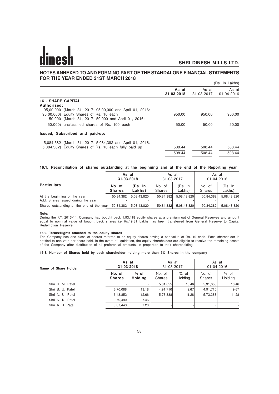### **NOTES ANNEXED TO AND FORMING PART OF THE STANDALONE FINANCIAL STATEMENTS FOR THE YEAR ENDED 31ST MARCH 2018**

|                                                                                                                                                           |                     |                     | (Rs. In Lakhs)      |
|-----------------------------------------------------------------------------------------------------------------------------------------------------------|---------------------|---------------------|---------------------|
|                                                                                                                                                           | As at<br>31-03-2018 | As at<br>31-03-2017 | As at<br>01-04-2016 |
| <b>16 - SHARE CAPITAL</b>                                                                                                                                 |                     |                     |                     |
| Authorised:                                                                                                                                               |                     |                     |                     |
| 95,00,000 (March 31, 2017: 95,00,000 and April 01, 2016:<br>95,00,000) Equity Shares of Rs. 10 each<br>50,000 (March 31, 2017: 50,000 and April 01, 2016: | 950.00              | 950.00              | 950.00              |
| 50,000) unclassified shares of Rs. 100 each                                                                                                               | 50.00               | 50.00               | 50.00               |
| Issued, Subscribed and paid-up:                                                                                                                           |                     |                     |                     |
| 5,084,382 (March 31, 2017: 5,084,382 and April 01, 2016:                                                                                                  |                     |                     |                     |
| 5,084,382) Equity Shares of Rs. 10 each fully paid up                                                                                                     | 508.44              | 508.44              | 508.44              |
|                                                                                                                                                           | 508.44              | 508.44              | 508.44              |

#### **16.1. Reconciliation of shares outstanding at the beginning and at the end of the Reporting year**

|                                                                    | As at         |             | As at      |             | As at      |             |
|--------------------------------------------------------------------|---------------|-------------|------------|-------------|------------|-------------|
|                                                                    | 31-03-2018    |             | 31-03-2017 |             | 01-04-2016 |             |
| <b>Particulars</b>                                                 | No. of        | (Rs. In     | No. of     | (Rs. In     | No. of     | (Rs. In     |
|                                                                    | <b>Shares</b> | Lakhs)      | Shares     | Lakhs)      | Shares     | Lakhs)      |
| At the beginning of the year<br>Add: Shares issued during the year | 50.84.382     | 5.08.43.820 | 50,84,382  | 5,08,43,820 | 50,84,382  | 5,08,43,820 |
| Shares outstanding at the end of the year                          | 50,84,382     | 5.08.43.820 | 50,84,382  | 5,08,43,820 | 50,84,382  | 5.08.43.820 |

#### **Note:**

During the F.Y. 2013-14, Company had bought back 1,93,118 equity shares at a premium out of General Reserves and amount equal to nominal value of bought back shares i.e Rs.19.31 Lakhs has been transferred from General Reserve to Capital Redemption Reserve.

#### **16.2. Terms/Rights attached to the equity shares**

The Company has one class of shares referred to as equity shares having a par value of Rs. 10 each. Each shareholder is entitled to one vote per share held. In the event of liquidation, the equity shareholders are eligible to receive the remaining assets of the Company after distribution of all preferential amounts, in proportion to their shareholding.

#### **16.3. Number of Shares held by each shareholder holding more than 5% Shares in the company**

| Name of Share Holder |                         | As at<br>31-03-2018      |                         | As at<br>31-03-2017 |                         | As at<br>01-04-2016 |  |
|----------------------|-------------------------|--------------------------|-------------------------|---------------------|-------------------------|---------------------|--|
|                      | No. of<br><b>Shares</b> | $%$ of<br><b>Holding</b> | No. of<br><b>Shares</b> | % of<br>Holding     | No. of<br><b>Shares</b> | $%$ of<br>Holding   |  |
| Shri U. M. Patel     | ٠                       |                          | 5,31,655                | 10.46               | 5,31,655                | 10.46               |  |
| Shri B. U. Patel     | 6,70,088                | 13.18                    | 4,91,710                | 9.67                | 4,91,710                | 9.67                |  |
| Shri N. U. Patel     | 6,43,852                | 12.66                    | 5,73,388                | 11.28               | 5,73,388                | 11.28               |  |
| Shri N. N. Patel     | 3,79,490                | 7.46                     |                         |                     |                         | ٠                   |  |
| Shri A. B. Patel     | 3,67,443                | 7.23                     |                         |                     |                         | ٠                   |  |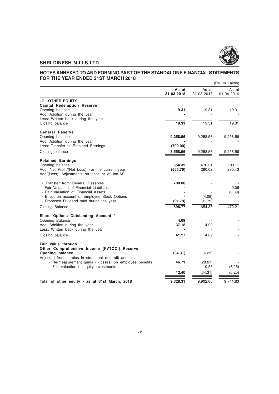

#### **NOTES ANNEXED TO AND FORMING PART OF THE STANDALONE FINANCIAL STATEMENTS FOR THE YEAR ENDED 31ST MARCH 2018** (Rs. In Lakhs)

|                                                                                                                 |                     |                     | (RS. In Lakhs)      |
|-----------------------------------------------------------------------------------------------------------------|---------------------|---------------------|---------------------|
|                                                                                                                 | As at<br>31-03-2018 | As at<br>31-03-2017 | As at<br>01-04-2016 |
| <b>17 - OTHER EQUITY</b>                                                                                        |                     |                     |                     |
| <b>Capital Redemption Reserve</b>                                                                               |                     |                     |                     |
| Opening balance                                                                                                 | 19.31               | 19.31               | 19.31               |
| Add: Addition during the year                                                                                   |                     |                     |                     |
| Less: Written back during the year                                                                              |                     |                     |                     |
| Closing balance                                                                                                 | 19.31               | 19.31               | 19.31               |
| <b>General Reserve</b>                                                                                          |                     |                     |                     |
| Opening balance                                                                                                 | 9,258.56            | 9,258.56            | 9,258.56            |
| Add: Addition during the year                                                                                   |                     |                     |                     |
| Less: Transfer to Retained Earnings                                                                             | (700.00)            |                     |                     |
| Closing balance                                                                                                 | 8,558.56            | 9,258.56            | 9,258.56            |
|                                                                                                                 |                     |                     |                     |
| <b>Retained Earnings</b>                                                                                        |                     |                     |                     |
| Opening balance                                                                                                 | 654.35              | 470.21              | 183.11<br>290.43    |
| Add: Net Profit/(Net Loss) For the current year<br>Add/(Less): Adjustments on account of Ind-AS                 | (565.79)            | 280.02              |                     |
|                                                                                                                 |                     |                     |                     |
| - Transfer from General Reserves                                                                                | 700.00              |                     |                     |
| - Fair Valuation of Financial Liabilities                                                                       |                     |                     | 0.06                |
| - Fair Valuation of Financial Assets                                                                            |                     |                     | (3.39)              |
| - Effect on account of Employee Stock Options                                                                   |                     | (4.09)              |                     |
| - Proposed Dividend paid during the year                                                                        | (91.79)             | (91.79)             |                     |
| Closing Balance                                                                                                 | 696.77              | 654.35              | 470.21              |
| Share Options Outstanding Account *                                                                             |                     |                     |                     |
| Opening Balance                                                                                                 | 4.09                |                     |                     |
| Add: Addition during the year                                                                                   | 37.18               | 4.09                |                     |
| Less: Written back during the year                                                                              |                     |                     |                     |
| Closing balance                                                                                                 | 41.27               | 4.09                |                     |
|                                                                                                                 |                     |                     |                     |
| Fair Value through                                                                                              |                     |                     |                     |
| Other Comprehensive Income [FVTOCI] Reserve                                                                     |                     |                     |                     |
| Opening balance                                                                                                 | (34.31)             | (6.25)              |                     |
| Adjusted from surplus in statement of profit and loss<br>- Re-measurement gains / (losses) on employee benefits | 46.71               |                     |                     |
| - Fair valuation of equity investments                                                                          |                     | (28.61)<br>0.55     | (6.25)              |
|                                                                                                                 |                     |                     |                     |
|                                                                                                                 | 12.40               | (34.31)             | (6.25)              |
| Total of other equity - as at 31st March, 2018                                                                  | 9,328.31            | 9,902.00            | 9,741.83            |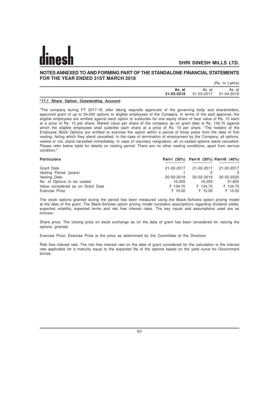#### **NOTES ANNEXED TO AND FORMING PART OF THE STANDALONE FINANCIAL STATEMENTS FOR THE YEAR ENDED 31ST MARCH 2018**

(Rs. In Lakhs)

| As at     | As at<br>31-03-2018 31-03-2017 01-04-2016 | As at |
|-----------|-------------------------------------------|-------|
| _________ |                                           |       |

#### **\*17.1 Share Option Outstanding Account**

"The company during FY 2017-18, after taking requisite approvals of the governing body and shareholders, approved grant of up to 54,000 options to eligible employees of the Company. In terms of the said approval, the eligible employees are entitled against each option to subscribe for one equity share of face value of Rs. 10 each at a price of Rs. 10 per share. Market value per share of the company as on grant date is Rs. 134.70 against which the eligible employees shall subsribe each share at a price of Rs. 10 per share. "The holders of the Employee Stock Options are entitled to exercise the option within a period of three years from the date of first vesting, failing which they stand cancelled. In the case of termination of employment by the Company, all options, vested or not, stand cancelled immediately. In case of voluntary resignation, all un-vested options stand cancelled. Please refer below table for details on vesting period. There are no other vesting conditions, apart from service condition."

| <b>Particulars</b>                |            | Part-I (30%) Part-II (30%) Part-III (40%) |            |
|-----------------------------------|------------|-------------------------------------------|------------|
| Grant Date                        | 21-02-2017 | 21-02-2017                                | 21-02-2017 |
| Vesting Period (years)            |            |                                           | 3          |
| Vesting Date                      | 20-02-2018 | 20-02-2019                                | 20-02-2020 |
| No. of Options to be vested       | 16.200     | 16.200                                    | 21,600     |
| Value considered as on Grant Date | ₹ 134.70   | ₹ 134.70                                  | ₹ 134.70   |
| Exercise Price                    | ₹ 10.00    | ₹ 10.00                                   | ₹ 10.00    |

The stock options granted during the period has been measured using the Black–Scholes option pricing model at the date of the grant. The Black-Scholes option pricing model considers assumptions regarding dividend yields, expected volatility, expected terms and risk free interest rates. The key inputs and assumptions used are as follows:

Share price: The closing price on stock exchange as on the date of grant has been considered for valuing the options granted.

Exercise Price: Exercise Price is the price as determined by the Committee of the Directors

Risk free interest rate: The risk free interest rate on the date of grant considered for the calculation is the interest rate applicable for a maturity equal to the expected life of the options based on the yield curve for Government bonds.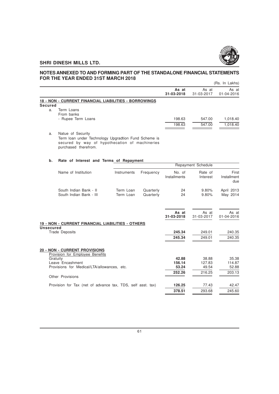

# **NOTES ANNEXED TO AND FORMING PART OF THE STANDALONE FINANCIAL STATEMENTS FOR THE YEAR ENDED 31ST MARCH 2018**

|         | י טוניווב ובתוו בשבש שבשות התקוניות היותר             |                     |                     | (Rs. In Lakhs)      |
|---------|-------------------------------------------------------|---------------------|---------------------|---------------------|
|         |                                                       | As at<br>31-03-2018 | As at<br>31-03-2017 | As at<br>01-04-2016 |
|         | 18 - NON - CURRENT FINANCIAL LIABILITIES - BORROWINGS |                     |                     |                     |
| Secured |                                                       |                     |                     |                     |
| a.      | Term Loans<br>From banks                              |                     |                     |                     |
|         | - Rupee Term Loans                                    | 198.63              | 547.00              | 1,018.40            |
|         |                                                       | 198.63              | 547.00              | 1,018.40            |
| a.      | Natue of Security                                     |                     |                     |                     |

Term loan under Technology Upgradtion Fund Scheme is secured by way of hypothecation of machineries purchased therefrom.

# **b. Rate of Interest and Terms of Repayment**

|                                                                         | Repayment Schedule     |                        |                        |                     |                             |
|-------------------------------------------------------------------------|------------------------|------------------------|------------------------|---------------------|-----------------------------|
| Name of Institution                                                     | Instruments            | Frequency              | No. of<br>Installments | Rate of<br>Interest | First<br>Installment<br>due |
| South Indian Bank - II<br>South Indian Bank - III                       | Term Loan<br>Term Loan | Quarterly<br>Quarterly | 24<br>24               | 9.80%<br>9.80%      | April 2013<br>May 2014      |
| 19 - NON - CURRENT FINANCIAL LIABILITIES - OTHERS                       |                        |                        | As at<br>31-03-2018    | As at<br>31-03-2017 | As at<br>01-04-2016         |
| <b>Unsecured</b>                                                        |                        |                        |                        |                     |                             |
| <b>Trade Deposits</b>                                                   |                        |                        | 245.34                 | 249.01              | 240.35                      |
|                                                                         |                        |                        | 245.34                 | 249.01              | 240.35                      |
| <b>20 - NON - CURRENT PROVISIONS</b><br>Provision for Employee Benefits |                        |                        |                        |                     |                             |
| Gratuity                                                                |                        |                        | 42.88                  | 38.88               | 35.38                       |
| Leave Encashment                                                        |                        |                        | 156.14                 | 127.83              | 114.87                      |
| Provisions for Medical/LTA/allowances, etc.                             |                        |                        | 53.24                  | 49.54               | 52.88                       |
| Other Provisions                                                        |                        |                        | 252.26                 | 216.25              | 203.13                      |
| Provision for Tax (net of advance tax, TDS, self asst. tax)             |                        |                        | 126.25                 | 77.43               | 42.47                       |
|                                                                         |                        |                        | 378.51                 | 293.68              | 245.60                      |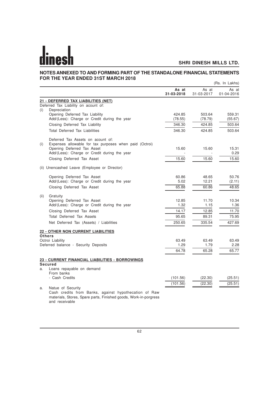#### **NOTES ANNEXED TO AND FORMING PART OF THE STANDALONE FINANCIAL STATEMENTS FOR THE YEAR ENDED 31ST MARCH 2018** (Rs. In Lakhs)

|      |                                                                            |                     |                     | (NS. III Lanis)     |
|------|----------------------------------------------------------------------------|---------------------|---------------------|---------------------|
|      |                                                                            | As at<br>31-03-2018 | As at<br>31-03-2017 | As at<br>01-04-2016 |
|      | 21 - DEFERRED TAX LIABILITIES (NET)                                        |                     |                     |                     |
|      | Deferred Tax Liability on acount of:                                       |                     |                     |                     |
| (i)  | Depreciation                                                               |                     |                     |                     |
|      | Opening Deferred Tax Liability                                             | 424.85              | 503.64              | 559.31              |
|      | Add/(Less): Charge or Credit during the year                               | (78.55)             | (78.79)             | (55.67)             |
|      | Closing Deferred Tax Liability                                             | 346.30              | 424.85              | 503.64              |
|      | <b>Total Deferred Tax Liabilities</b>                                      | 346.30              | 424.85              | 503.64              |
|      | Deferred Tax Assets on acount of:                                          |                     |                     |                     |
| (i)  | Expenses allowable for tax purposes when paid (Octroi)                     |                     |                     |                     |
|      | Opening Deferred Tax Asset                                                 | 15.60               | 15.60               | 15.31               |
|      | Add/(Less): Charge or Credit during the year                               |                     |                     | 0.29                |
|      | Closing Deferred Tax Asset                                                 | 15.60               | 15.60               | 15.60               |
|      | (ii) Unencashed Leave (Employee or Director)                               |                     |                     |                     |
|      | Opening Deferred Tax Asset                                                 | 60.86               | 48.65               | 50.76               |
|      | Add/(Less): Charge or Credit during the year                               | 5.02                | 12.21               | (2.11)              |
|      | Closing Deferred Tax Asset                                                 | 65.88               | 60.86               | 48.65               |
|      |                                                                            |                     |                     |                     |
| (ii) | Gratuity<br>Opening Deferred Tax Asset                                     | 12.85               | 11.70               | 10.34               |
|      | Add/(Less): Charge or Credit during the year                               | 1.32                | 1.15                | 1.36                |
|      | Closing Deferred Tax Asset                                                 | 14.17               | 12.85               | 11.70               |
|      | <b>Total Deferred Tax Assets</b>                                           | 95.65               | 89.31               | 75.95               |
|      | Net Deferred Tax (Assets) / Liabilities                                    | 250.65              | 335.54              | 427.69              |
|      |                                                                            |                     |                     |                     |
|      | <b>22 - OTHER NON CURRENT LIABILITIES</b><br><b>Others</b>                 |                     |                     |                     |
|      | Octroi Liability                                                           | 63.49               | 63.49               | 63.49               |
|      | Deferred balance - Security Deposits                                       | 1.29                | 1.79                | 2.28                |
|      |                                                                            | 64.78               | 65.28               | 65.77               |
|      | 23 - CURRENT FINANCIAL LIABILITIES - BORROWINGS                            |                     |                     |                     |
|      | <b>Secured</b>                                                             |                     |                     |                     |
| a.   | Loans repayable on demand                                                  |                     |                     |                     |
|      | From banks<br>- Cash Credits                                               |                     |                     |                     |
|      |                                                                            | (101.56)            | (22.30)             | (25.51)             |
|      |                                                                            | (101.56)            | (22.30)             | (25.51)             |
| a.   | Natue of Security<br>Cash credits from Banks, against hypothecation of Raw |                     |                     |                     |
|      | materials, Stores, Spare parts, Finished goods, Work-in-porgress           |                     |                     |                     |

and receivable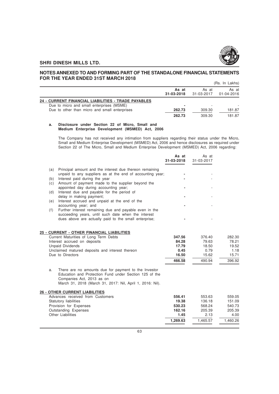

#### **NOTES ANNEXED TO AND FORMING PART OF THE STANDALONE FINANCIAL STATEMENTS FOR THE YEAR ENDED 31ST MARCH 2018** (Rs. In Lakhs)

|                                                                                                  |                     |                     | (RS. IN LAKNS)      |
|--------------------------------------------------------------------------------------------------|---------------------|---------------------|---------------------|
|                                                                                                  | As at<br>31-03-2018 | As at<br>31-03-2017 | As at<br>01-04-2016 |
| 24 - CURRENT FINANCIAL LIABILITIES - TRADE PAYABLES<br>Due to micro and small enterprises (MSME) |                     |                     |                     |
| Due to other than micro and small enterprises                                                    | 262.73              | 309.30              | 181.87              |
|                                                                                                  | 262.73              | 309.30              | 181.87              |

#### **a. Disclosure under Section 22 of Micro, Small and Medium Enterprise Development (MSMED) Act, 2006**

The Company has not received any intimation from suppliers regarding their status under the Micro, Small and Medium Enterprise Development (MSMED) Act, 2006 and hence disclosures as required under Section 22 of The Micro, Small and Medium Enterprise Development (MSMED) Act, 2006 regarding:

**As at** As at

|     |                                                                                                                                                                                                          | 31-03-2018      | 31-03-2017      |                 |
|-----|----------------------------------------------------------------------------------------------------------------------------------------------------------------------------------------------------------|-----------------|-----------------|-----------------|
| (a) | Principal amount and the interest due thereon remaining<br>unpaid to any suppliers as at the end of accounting year;                                                                                     |                 |                 |                 |
| (b) | Interest paid during the year                                                                                                                                                                            |                 |                 |                 |
| (c) | Amount of payment made to the supplier beyond the                                                                                                                                                        |                 |                 |                 |
| (d) | appointed day during accounting year;<br>Interest due and payable for the period of                                                                                                                      |                 |                 |                 |
|     | delay in making payment;                                                                                                                                                                                 |                 |                 |                 |
| (e) | Interest accrued and unpaid at the end of the                                                                                                                                                            |                 |                 |                 |
|     | accounting year; and                                                                                                                                                                                     |                 |                 |                 |
| (f) | Further interest remaining due and payable even in the                                                                                                                                                   |                 |                 |                 |
|     | succeeding years, until such date when the interest<br>dues above are actually paid to the small enterprise;                                                                                             |                 |                 |                 |
|     |                                                                                                                                                                                                          |                 |                 |                 |
|     |                                                                                                                                                                                                          |                 |                 |                 |
|     | 25 - CURRENT - OTHER FINANCIAL LIABILITIES                                                                                                                                                               |                 |                 |                 |
|     | Current Maturities of Long Term Debts<br>Interest accrued on deposits                                                                                                                                    | 347.56<br>84.28 | 376.40<br>79.63 | 282.30<br>78.21 |
|     | <b>Unpaid Dividends</b>                                                                                                                                                                                  | 17.79           | 18.50           | 19.52           |
|     | Unclaimed matured deposits and interest thereon                                                                                                                                                          | 0.45            | 0.79            | 1.18            |
|     | Due to Directors                                                                                                                                                                                         | 16.50           | 15.62           | 15.71           |
|     |                                                                                                                                                                                                          | 466.58          | 490.94          | 396.92          |
|     |                                                                                                                                                                                                          |                 |                 |                 |
| a.  | There are no amounts due for payment to the Investor<br>Education and Protection Fund under Section 125 of the<br>Companies Act, 2013 as on<br>March 31, 2018 (March 31, 2017: Nil, April 1, 2016: Nil). |                 |                 |                 |
|     | <b>26 - OTHER CURRENT LIABILITIES</b>                                                                                                                                                                    |                 |                 |                 |
|     | Advances received from Customers                                                                                                                                                                         | 556.41          | 553.63          | 559.05          |
|     | Statutory liabilities                                                                                                                                                                                    | 19.38           | 136.18          | 151.09          |
|     | Provision for Expenses                                                                                                                                                                                   | 530.23          | 568.24          | 540.73          |
|     | Outstanding Expenses                                                                                                                                                                                     | 162.16          | 205.39          | 205.39          |
|     | Other Liabilities                                                                                                                                                                                        | 1.45            | 2.13            | 4.00            |
|     |                                                                                                                                                                                                          | 1,269.63        | 1.465.57        | 1.460.26        |
|     |                                                                                                                                                                                                          |                 |                 |                 |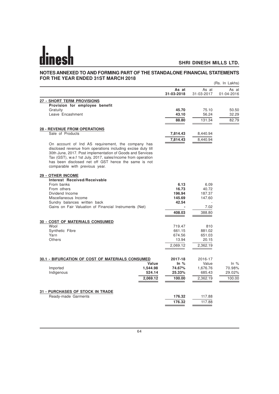#### **NOTES ANNEXED TO AND FORMING PART OF THE STANDALONE FINANCIAL STATEMENTS FOR THE YEAR ENDED 31ST MARCH 2018** (Rs. In Lakhs)

|                                                                                                                                                                                                                                                                                                                                           |                            |                     | (RS. III LAKIIS)    |
|-------------------------------------------------------------------------------------------------------------------------------------------------------------------------------------------------------------------------------------------------------------------------------------------------------------------------------------------|----------------------------|---------------------|---------------------|
|                                                                                                                                                                                                                                                                                                                                           | As at<br>31-03-2018        | As at<br>31-03-2017 | As at<br>01-04-2016 |
| 27 - SHORT TERM PROVISIONS                                                                                                                                                                                                                                                                                                                |                            |                     |                     |
| Provision for employee benefit                                                                                                                                                                                                                                                                                                            |                            |                     |                     |
| Gratuity                                                                                                                                                                                                                                                                                                                                  | 45.70                      | 75.10               | 50.50               |
| Leave Encashment                                                                                                                                                                                                                                                                                                                          | 43.10                      | 56.24               | 32.29               |
|                                                                                                                                                                                                                                                                                                                                           | 88.80                      | 131.34              | 82.79               |
| <b>28 - REVENUE FROM OPERATIONS</b>                                                                                                                                                                                                                                                                                                       |                            |                     |                     |
| Sale of Products                                                                                                                                                                                                                                                                                                                          | 7,814.43                   | 8,440.94            |                     |
|                                                                                                                                                                                                                                                                                                                                           | 7,814.43                   | 8,440.94            |                     |
| On account of Ind AS requirement, the company has<br>disclosed revenue from operations including excise duty till<br>30th June, 2017. Post implementation of Goods and Services<br>Tax (GST), w.e.f 1st July, 2017, sales/income from operation<br>has been disclosed net off GST hence the same is not<br>comparable with previous year. |                            |                     |                     |
| <b>29 - OTHER INCOME</b>                                                                                                                                                                                                                                                                                                                  |                            |                     |                     |
| Interest Received/Receivable                                                                                                                                                                                                                                                                                                              |                            |                     |                     |
| From banks                                                                                                                                                                                                                                                                                                                                | 6.13                       | 6.09                |                     |
| From others                                                                                                                                                                                                                                                                                                                               | 16.73                      | 40.72               |                     |
| Dividend Income                                                                                                                                                                                                                                                                                                                           | 196.94                     | 187.37              |                     |
| Miscellaneous Income<br>Sundry balances written back                                                                                                                                                                                                                                                                                      | 145.69<br>42.54            | 147.60              |                     |
| Gains on Fair Valuation of Financial Instruments (Net)                                                                                                                                                                                                                                                                                    |                            | 7.02                |                     |
|                                                                                                                                                                                                                                                                                                                                           | 408.03                     | 388.80              |                     |
|                                                                                                                                                                                                                                                                                                                                           |                            |                     |                     |
| <b>30 - COST OF MATERIALS CONSUMED</b>                                                                                                                                                                                                                                                                                                    |                            |                     |                     |
| Wool                                                                                                                                                                                                                                                                                                                                      | 719.47                     | 810                 |                     |
| Synthetic Fibre                                                                                                                                                                                                                                                                                                                           | 661.15                     | 881.02              |                     |
| Yarn                                                                                                                                                                                                                                                                                                                                      | 674.56                     | 651.03              |                     |
| Others                                                                                                                                                                                                                                                                                                                                    | 13.94                      | 20.15               |                     |
|                                                                                                                                                                                                                                                                                                                                           | 2,069.12                   | 2,362.19            |                     |
|                                                                                                                                                                                                                                                                                                                                           |                            |                     |                     |
| 30.1 - BIFURCATION OF COST OF MATERIALS CONSUMED                                                                                                                                                                                                                                                                                          | 2017-18<br>Value<br>In $%$ | 2016-17<br>Value    | In $%$              |
| Imported                                                                                                                                                                                                                                                                                                                                  | 1,544.98<br>74.67%         | 1,676.76            | 70.98%              |
| Indigenous                                                                                                                                                                                                                                                                                                                                | 524.14<br>25.33%           | 685.43              | 29.02%              |
|                                                                                                                                                                                                                                                                                                                                           | 2,069.12<br>100.00         | 2,362.19            | 100.00              |
|                                                                                                                                                                                                                                                                                                                                           |                            |                     |                     |
| <b>31 - PURCHASES OF STOCK IN TRADE</b>                                                                                                                                                                                                                                                                                                   |                            |                     |                     |
| Ready-made Garments                                                                                                                                                                                                                                                                                                                       | 176.32                     | 117.88              |                     |
|                                                                                                                                                                                                                                                                                                                                           | 176.32                     | 117.88              |                     |
|                                                                                                                                                                                                                                                                                                                                           |                            |                     |                     |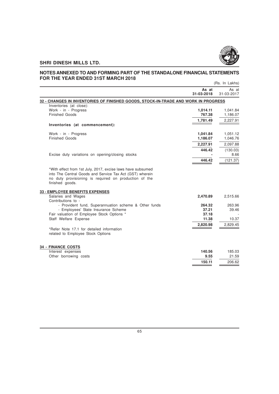

#### **NOTES ANNEXED TO AND FORMING PART OF THE STANDALONE FINANCIAL STATEMENTS FOR THE YEAR ENDED 31ST MARCH 2018** (Rs. In Lakhs)

|                                                                                                                                      |                     | (NS. III LANIS)      |
|--------------------------------------------------------------------------------------------------------------------------------------|---------------------|----------------------|
|                                                                                                                                      | As at<br>31-03-2018 | As at<br>31-03-2017  |
| 32 - CHANGES IN INVENTORIES OF FINISHED GOODS, STOCK-IN-TRADE AND WORK IN PROGRESS                                                   |                     |                      |
| Inventories (at close):                                                                                                              |                     |                      |
| Work - in - Progress<br><b>Finished Goods</b>                                                                                        | 1,014.11<br>767.38  | 1,041.84<br>1,186.07 |
|                                                                                                                                      | 1,781.49            | 2,227.91             |
| Inventories (at commencement):                                                                                                       |                     |                      |
| Work - in - Progress                                                                                                                 | 1,041.84            | 1,051.12             |
| <b>Finished Goods</b>                                                                                                                | 1,186.07            | 1,046.76             |
|                                                                                                                                      | 2,227.91            | 2,097.88             |
|                                                                                                                                      | 446.42              | (130.03)             |
| Excise duty variations on opening/closing stocks                                                                                     |                     | 8.66                 |
|                                                                                                                                      | 446.42              | (121.37)             |
| into The Central Goods and Service Tax Act (GST) wherein<br>no duty provisioning is required on production of the<br>finished goods. |                     |                      |
| <b>33 - EMPLOYEE BENEFITS EXPENSES</b>                                                                                               |                     |                      |
| Salaries and Wages<br>Contributions to -                                                                                             | 2,470.89            | 2,515.66             |
| - Provident fund, Superannuation scheme & Other funds                                                                                | 264.32              | 263.96               |
| - Employees' State Insurance Scheme                                                                                                  | 37.21<br>37.18      | 39.46                |
| Fair valuation of Employee Stock Options *<br>Staff Welfare Expense                                                                  | 11.38               | 10.37                |
|                                                                                                                                      | 2,820.98            | 2,829.45             |
| *Refer Note 17.1 for detailed information<br>related to Employee Stock Options                                                       |                     |                      |
| <b>34 - FINANCE COSTS</b>                                                                                                            |                     |                      |
| Interest expenses<br>Other borrowing costs                                                                                           | 140.56<br>9.55      | 185.03<br>21.59      |
|                                                                                                                                      | 150.11              | 206.62               |
|                                                                                                                                      |                     |                      |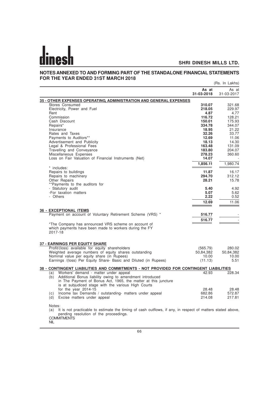#### **NOTES ANNEXED TO AND FORMING PART OF THE STANDALONE FINANCIAL STATEMENTS FOR THE YEAR ENDED 31ST MARCH 2018** (Rs. In Lakhs)

|                                                                                                                                                                                          | As at<br>31-03-2018 | As at<br>31-03-2017 |
|------------------------------------------------------------------------------------------------------------------------------------------------------------------------------------------|---------------------|---------------------|
| <b>35 - OTHER EXPENSES OPERATING, ADMINISTRATION AND GENERAL EXPENSES</b>                                                                                                                |                     |                     |
| Stores Consumed                                                                                                                                                                          | 310.07              | 321.68              |
| Electricity, Power and Fuel                                                                                                                                                              | 218.05              | 229.97              |
| Rent                                                                                                                                                                                     | 4.87                | 4.77                |
| Commission<br>Cash Discount                                                                                                                                                              | 116.72<br>150.01    | 128.21<br>175.93    |
| Repairs*                                                                                                                                                                                 | 334.78              | 344.07              |
| Insurance                                                                                                                                                                                | 18.95               | 21.22               |
| Rates and Taxes                                                                                                                                                                          | 32.26               | 33.77               |
| Payments to Auditors**                                                                                                                                                                   | 12.69               | 11.06               |
| Advertisement and Publicity                                                                                                                                                              | 18.13               | 14.30               |
| Legal & Professional Fees                                                                                                                                                                | 163.48              | 131.09              |
| Travelling and Conveyance<br>Miscellaneous Expenses                                                                                                                                      | 183.80<br>278.23    | 204.07<br>360.60    |
| Loss on Fair Valuation of Financial Instruments (Net)                                                                                                                                    | 14.07               |                     |
|                                                                                                                                                                                          | 1,856.11            | 1,980.74            |
| * includes:                                                                                                                                                                              |                     |                     |
| Repairs to buildings                                                                                                                                                                     | 11.87               | 16.17               |
| Repairs to machinery                                                                                                                                                                     | 294.70              | 312.12              |
| Other Repairs                                                                                                                                                                            | 28.21               | 15.78               |
| **Payments to the auditors for                                                                                                                                                           |                     |                     |
| - Statutory audit                                                                                                                                                                        | 5.40                | 4.92                |
| -For taxation matters                                                                                                                                                                    | 5.07                | 5.62                |
| - Others                                                                                                                                                                                 | 2.22                | 0.52                |
|                                                                                                                                                                                          | 12.69               | 11.06               |
| <b>36 - EXCEPTIONAL ITEMS</b>                                                                                                                                                            |                     |                     |
| Payment on account of Voluntary Retirement Scheme (VRS) *                                                                                                                                | 516.77              |                     |
|                                                                                                                                                                                          | 516.77              |                     |
| *The Company has announced VRS scheme on account of                                                                                                                                      |                     |                     |
| which payments have been made to workers during the FY<br>2017-18                                                                                                                        |                     |                     |
|                                                                                                                                                                                          |                     |                     |
| <b>37 - EARNINGS PER EQUITY SHARE</b>                                                                                                                                                    |                     |                     |
| Profit/(loss) available for equity shareholders                                                                                                                                          | (565.79)            | 280.02              |
| Weighted average numbers of equity shares outstanding                                                                                                                                    | 50,84,382           | 50,84,382           |
| Nominal value per equity share (in Rupees)                                                                                                                                               | 10.00               | 10.00               |
| Earnings /(loss) Per Equity Share- Basic and Diluted (in Rupees)                                                                                                                         | (11.13)             | 5.51                |
| 38 - CONTINGENT LIABILITIES AND COMMITMENTS - NOT PROVIDED FOR CONTINGENT LIABILITIES                                                                                                    |                     |                     |
| (a) Workers' demand - matter under appeal                                                                                                                                                | 42.93               | 228.34              |
| Additional Bonus liability owing to amendment introduced<br>(b)<br>in The Payment of Bonus Act, 1965, the matter at this juncture<br>is at subjudiced stage with the various High Courts |                     |                     |
| for the year $2014-15$                                                                                                                                                                   | 28.48               | 28.48               |
| Income tax Demands / outstanding- matters under appeal<br>(c)                                                                                                                            | 682.86              | 572.87              |
| Excise matters under appeal<br>(d)                                                                                                                                                       | 214.08              | 217.81              |
| Notes:<br>It is not practicable to estimate the timing of cash outflows, if any, in respect of matters stated above,<br>(a)                                                              |                     |                     |

(a) It is not practicable to estimate the timing of cash outflows, if any, in respect of matters stated above, pending resolution of the proceedings. **COMMITMENTS** 

NIL<sup>1</sup>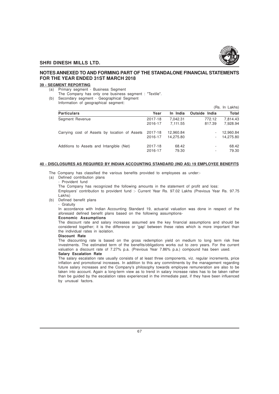

# **NOTES ANNEXED TO AND FORMING PART OF THE STANDALONE FINANCIAL STATEMENTS FOR THE YEAR ENDED 31ST MARCH 2018**

#### **39 - SEGMENT REPORTING**

- (a) Primary segment Business Segment
- The Company has only one business segment : "Textile".
- (b) Secondary segment Geographical Segment Information of geographical segment:

|                                               |         |           |               | (Rs. In Lakhs) |
|-----------------------------------------------|---------|-----------|---------------|----------------|
| <b>Particulars</b>                            | Year    | In India  | Outside India | Total          |
| Segment Revenue                               | 2017-18 | 7.042.31  | 772.12        | 7,814.43       |
|                                               | 2016-17 | 7.111.55  | 817.39        | 7,928.94       |
| Carrying cost of Assets by location of Assets | 2017-18 | 12,960.84 | ٠             | 12,960.84      |
|                                               | 2016-17 | 14.275.80 | ۰.            | 14,275.80      |
| Additions to Assets and Intangible (Net)      | 2017-18 | 68.42     | ٠             | 68.42          |
|                                               | 2016-17 | 79.30     | ٠             | 79.30          |

#### **40 - DISCLOSURES AS REQUIRED BY INDIAN ACCOUNTING STANDARD (IND AS) 19 EMPLOYEE BENEFITS**

- The Company has classified the various benefits provided to employees as under:-
- (a) Defined contribution plans - Provident fund

The Company has recognized the following amounts in the statement of profit and loss:

Employers' contribution to provident fund :- Current Year Rs. 97.02 Lakhs (Previous Year Rs. 97.75 Lakhs)

(b) Defined benefit plans

- Gratuity

In accordance with Indian Accounting Standard 19, actuarial valuation was done in respect of the aforesaid defined benefit plans based on the following assumptions-

#### **Economic Assumptions**

The discount rate and salary increases assumed are the key financial assumptions and should be considered together; it is the difference or 'gap' between these rates which is more important than the individual rates in isolation.

#### **Discount Rate**

The discounting rate is based on the gross redemption yield on medium to long term risk free investments. The estimated term of the benefits/obligations works out to zero years. For the current valuation a discount rate of 7.27% p.a. (Previous Year 7.86% p.a.) compound has been used. **Salary Escalation Rate**

The salary escalation rate usually consists of at least three components, viz. regular increments, price inflation and promotional increases. In addition to this any commitments by the management regarding future salary increases and the Company's philosophy towards employee remuneration are also to be taken into account. Again a long-term view as to trend in salary increase rates has to be taken rather than be guided by the escalation rates experienced in the immediate past, if they have been influenced by unusual factors.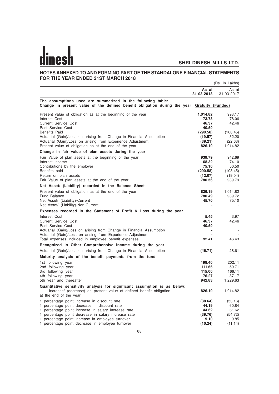# **NOTES ANNEXED TO AND FORMING PART OF THE STANDALONE FINANCIAL STATEMENTS FOR THE YEAR ENDED 31ST MARCH 2018**

|                                                                                                                                                            |                         | (Rs. In Lakhs)      |
|------------------------------------------------------------------------------------------------------------------------------------------------------------|-------------------------|---------------------|
|                                                                                                                                                            | As at<br>31-03-2018     | As at<br>31-03-2017 |
| The assumptions used are summarized in the following table:<br>Change in present value of the defined benefit obligation during the year Gratuity (Funded) |                         |                     |
| Present value of obligation as at the beginning of the year                                                                                                | 1,014.82                | 993.17              |
| Interest Cost                                                                                                                                              | 73.78                   | 78.06               |
| <b>Current Service Cost</b><br>Past Service Cost                                                                                                           | 46.37<br>40.59          | 42.46               |
| <b>Benefits Paid</b>                                                                                                                                       | (290.58)                | (108.45)            |
| Actuarial (Gain)/Loss on arising from Change in Financial Assumption                                                                                       | (19.57)                 | 32.20               |
| Actuarial (Gain)/Loss on arising from Experience Adjustment                                                                                                | (39.21)                 | (22.63)             |
| Present value of obligation as at the end of the year                                                                                                      | 826.19                  | 1,014.82            |
| Change in fair value of plan assets during the year                                                                                                        |                         |                     |
| Fair Value of plan assets at the beginning of the year                                                                                                     | 939.79                  | 942.69              |
| Interest Income                                                                                                                                            | 68.32                   | 74.10               |
| Contributions by the employer                                                                                                                              | 75.10                   | 50.50               |
| Benefits paid                                                                                                                                              | (290.58)                | (108.45)            |
| Return on plan assets                                                                                                                                      | (12.07)                 | (19.04)             |
| Fair Value of plan assets at the end of the year                                                                                                           | 780.56                  | 939.79              |
| Net Asset/ (Liability) recorded in the Balance Sheet                                                                                                       |                         |                     |
| Present value of obligation as at the end of the year                                                                                                      | 826.19                  | 1,014.82            |
| <b>Fund Balance</b>                                                                                                                                        | 780.49                  | 939.72              |
| Net Asset/ (Liability)-Current                                                                                                                             | 45.70                   | 75.10               |
| Net Asset/ (Liability)-Non-Current                                                                                                                         | $\blacksquare$          |                     |
| Expenses recorded in the Statement of Profit & Loss during the year                                                                                        |                         |                     |
| Interest Cost                                                                                                                                              | 5.45                    | 3.97                |
| <b>Current Service Cost</b>                                                                                                                                | 46.37                   | 42.46               |
| Past Service Cost<br>Actuarial (Gain)/Loss on arising from Change in Financial Assumption                                                                  | 40.59<br>$\blacksquare$ | $\sim$<br>$\sim$    |
| Actuarial (Gain)/Loss on arising from Experience Adjustment                                                                                                |                         |                     |
| Total expenses included in employee benefit expenses                                                                                                       | 92.41                   | 46.43               |
| Recognized in Other Comprehensive Income during the year                                                                                                   |                         |                     |
| Actuarial (Gain)/Loss on arising from Change in Financial Assumption                                                                                       | (46.71)                 | 28.61               |
| Maturity analysis of the benefit payments from the fund                                                                                                    |                         |                     |
| 1st following year                                                                                                                                         | 199.40                  | 202.11              |
| 2nd following year                                                                                                                                         | 111.66                  | 59.71               |
| 3rd following year                                                                                                                                         | 115.00                  | 166.11              |
| 4th following year                                                                                                                                         | 76.27                   | 87.17               |
| 5th year and thereafter                                                                                                                                    | 942.83                  | 1,229.63            |
| Quantitative sensitivity analysis for significant assumption is as below:                                                                                  |                         |                     |
| Increase/ (decrease) on present value of defined benefit obligation<br>at the end of the year                                                              | 826.19                  | 1,014.82            |
| 1 percentage point increase in discount rate                                                                                                               | (38.64)                 | (53.16)             |
| 1 percentage point decrease in discount rate                                                                                                               | 44.19                   | 60.84               |
| 1 percentage point increase in salary increase rate                                                                                                        | 44.62                   | 61.62               |
| 1 percentage point decrease in salary increase rate                                                                                                        | (39.76)                 | (54.72)             |
| 1 percentage point increase in employee turnover                                                                                                           | 9.10                    | 9.85                |
| 1 percentage point decrease in employee turnover                                                                                                           | (10.24)                 | (11.14)             |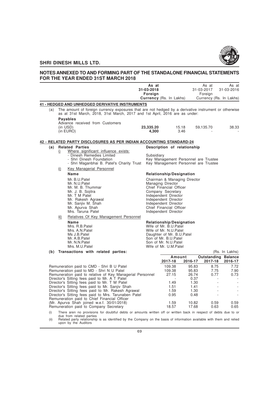

# **NOTES ANNEXED TO AND FORMING PART OF THE STANDALONE FINANCIAL STATEMENTS FOR THE YEAR ENDED 31ST MARCH 2018**

|     |      |                                                                                                                                                                                                                                                                                                                                                                                                                                                                       | As at<br>31-03-2018<br>Foreign |                                                                                                                                                                                              |                                                                 | As at<br>31-03-2017<br>Foreign                                               | As at<br>31-03-2016                   |                                          |
|-----|------|-----------------------------------------------------------------------------------------------------------------------------------------------------------------------------------------------------------------------------------------------------------------------------------------------------------------------------------------------------------------------------------------------------------------------------------------------------------------------|--------------------------------|----------------------------------------------------------------------------------------------------------------------------------------------------------------------------------------------|-----------------------------------------------------------------|------------------------------------------------------------------------------|---------------------------------------|------------------------------------------|
|     |      |                                                                                                                                                                                                                                                                                                                                                                                                                                                                       |                                | <b>Currency</b> (Rs. In Lakhs)                                                                                                                                                               |                                                                 |                                                                              | Currency (Rs. In Lakhs)               |                                          |
| (a) |      | <b>41 - HEDGED AND UNHEDGED DERIVATIVE INSTRUMENTS</b><br>The amount of foreign currency exposures that are not hedged by a derivative instrument or otherwise<br>as at 31st March, 2018, 31st March, 2017 and 1st April, 2016 are as under:                                                                                                                                                                                                                          |                                |                                                                                                                                                                                              |                                                                 |                                                                              |                                       |                                          |
|     |      | <b>Payables</b><br>Advance received from Customers<br>(in USD)<br>(in EURO)                                                                                                                                                                                                                                                                                                                                                                                           | 23,335.20<br>4,300             |                                                                                                                                                                                              | 15.18<br>3.46                                                   | 59,135.70                                                                    | 38.33                                 |                                          |
|     |      | 42 - RELATED PARTY DISCLOSURES AS PER INDIAN ACCOUNTING STANDARD-24                                                                                                                                                                                                                                                                                                                                                                                                   |                                |                                                                                                                                                                                              |                                                                 |                                                                              |                                       |                                          |
| (a) |      | <b>Related Parties</b>                                                                                                                                                                                                                                                                                                                                                                                                                                                |                                |                                                                                                                                                                                              | Description of relationship                                     |                                                                              |                                       |                                          |
|     | i)   | Where significant influence exists:<br>- Dinesh Remedies Limited<br>- Shri Dinesh Foundation<br>- Shri Maganbhai B. Patel's Charity Trust                                                                                                                                                                                                                                                                                                                             | Subsidiary                     |                                                                                                                                                                                              |                                                                 | Key Management Personnel are Trustee<br>Key Management Personnel are Trustee |                                       |                                          |
|     | ii)  | Key Managerial Personnel                                                                                                                                                                                                                                                                                                                                                                                                                                              |                                |                                                                                                                                                                                              |                                                                 |                                                                              |                                       |                                          |
|     |      | <b>Name</b>                                                                                                                                                                                                                                                                                                                                                                                                                                                           |                                |                                                                                                                                                                                              | <b>Relationship/Designation</b>                                 |                                                                              |                                       |                                          |
|     |      | Mr. B.U.Patel<br>Mr. N.U.Patel<br>Mr. M. B. Thummar<br>Mr. J. B. Sojitra<br>Mr. T M Patel<br>Mr. Rakesh Agrawal<br>Mr. Sanjiv M. Shah<br>Mr. Apurva Shah<br>Mrs. Taruna Patel                                                                                                                                                                                                                                                                                         |                                | Managing Director<br>Chief Financial Officer<br>Company Secretary<br>Independent Director<br>Independent Director<br>Independent Director<br>Chief Financial Officer<br>Independent Director | Chairman & Managing Director                                    |                                                                              |                                       |                                          |
|     | iii) | Relatives Of Key Management Personnel                                                                                                                                                                                                                                                                                                                                                                                                                                 |                                |                                                                                                                                                                                              |                                                                 |                                                                              |                                       |                                          |
|     |      | Name<br>Mrs. R.B.Patel<br>Mrs. A.N. Patel<br>Ms J.B.Patel<br>Mr. A.B.Patel<br>Mr. N.N.Patel<br>Mrs. M.U.Patel                                                                                                                                                                                                                                                                                                                                                         |                                | Wife of Mr. B.U.Patel<br>Wife of Mr. N.U.Patel<br>Son of Mr. B.U.Patel<br>Son of Mr. N.U.Patel<br>Wife of Mr. U.M.Patel                                                                      | <b>Relationship/Designation</b><br>Daughter of Mr. B.U.Patel    |                                                                              |                                       |                                          |
|     |      | (b) Transactions with related parties:                                                                                                                                                                                                                                                                                                                                                                                                                                |                                |                                                                                                                                                                                              |                                                                 |                                                                              | (Rs. In Lakhs)                        |                                          |
|     |      |                                                                                                                                                                                                                                                                                                                                                                                                                                                                       |                                | 2017-18                                                                                                                                                                                      | Amount<br>2016-17                                               | 2017-18                                                                      | <b>Outstanding Balance</b><br>2016-17 |                                          |
|     |      | Remuneration paid to CMD - Shri B U Patel<br>Remuneration paid to MD - Shri N U Patel<br>Remuneration paid to relative of Key Managerial Personnel<br>Director's Sitting fees paid to Mr. A T Patel<br>Director's Sitting fees paid to Mr. T M Patel<br>Director's Sitting fees paid to Mr. Sanjiv Shah<br>Director's Sitting fees paid to Mr. Rakesh Agrawal<br>Director's Sitting fees paid to Mrs. Tarunaben Patel<br>Remuneration paid to Chief Financial Officer |                                | 109.38<br>109.38<br>27.15<br>$\sim$<br>1.49<br>1.51<br>1.59<br>0.95                                                                                                                          | 95.83<br>95.83<br>26.74<br>0.37<br>1.30<br>1.41<br>1.30<br>0.48 | 8.75<br>7.75<br>0.77                                                         | 7.72<br>7.90<br>0.73<br>÷<br>÷.       | $\sim$<br>÷.<br>$\overline{\phantom{a}}$ |
|     |      | (Mr. Apurva Shah joined w.e.f. 30/01/2018)<br>Remuneration paid to Company Secretary                                                                                                                                                                                                                                                                                                                                                                                  |                                | 1.59<br>18.57                                                                                                                                                                                | 10.82<br>17.68                                                  | 0.59<br>0.63                                                                 | 0.59<br>0.65                          |                                          |

(i) There aren no provisions for doubtful debts or amounts written off or written back in respect of debts due to or

due from related parties (ii) Related party relationship is as identified by the Company on the basis of information available with them and relied upon by the Auditors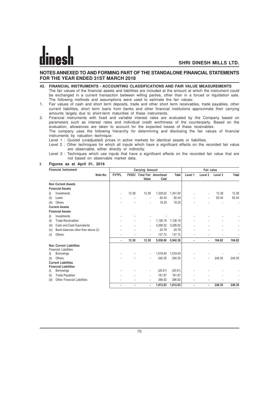# **NOTES ANNEXED TO AND FORMING PART OF THE STANDALONE FINANCIAL STATEMENTS FOR THE YEAR ENDED 31ST MARCH 2018**

- **43. FINANCIAL INSTRUMENTS ACCOUNTING CLASSIFICATIONS AND FAIR VALUE MEASUREMENTS** The fair values of the financial assets and liabilities are included at the amount at which the instrument could be exchanged in a current transaction between willing parties, other than in a forced or liquidation sale. The following methods and assumptions were used to estimate the fair values:
- 1. Fair values of cash and short term deposits, trade and other short term receivables, trade payables, other current liabilities, short term loans from banks and other financial institutions approximate their carrying amounts largely due to short-term maturities of these instruments.
- 2. Financial instruments with fixed and variable interest rates are evaluated by the Company based on parameters such as interest rates and individual credit worthiness of the counterparty. Based on the evaluation, allowances are taken to account for the expected losses of these receivables.

The company uses the following hierarchy for determining and disclosing the fair values of financial instruments by valuation technique:

Level 1 : Quoted (unadjusted) prices in active markets for identical assets or liabilities.

Level 2 : Other techniques for which all inputs which have a significant effects on the recorded fair value are observable, either directly or indirectly.

#### **I. Figures as at April 01, 2016**

|       | <b>Financial Instrument</b>         |              |       | Carrying Amount          |                                           | Fair value   |         |                          |         |        |
|-------|-------------------------------------|--------------|-------|--------------------------|-------------------------------------------|--------------|---------|--------------------------|---------|--------|
|       | Note No.                            | <b>FVTPL</b> |       | Value                    | <b>FVOCI Total Fair Amortised</b><br>Cost | <b>Total</b> | Level 1 | Level <sub>2</sub>       | Level 3 | Total  |
|       | <b>Non Current Assets</b>           |              |       |                          |                                           |              |         |                          |         |        |
|       |                                     |              |       |                          |                                           |              |         |                          |         |        |
|       | <b>Financial Assets</b>             |              |       |                          |                                           |              |         |                          |         |        |
| (i)   | Investments                         | ٠            | 12.38 | 12.38                    | 1,328.62                                  | 1,341.00     |         | $\overline{\phantom{a}}$ | 12.38   | 12.38  |
| (ii)  | Loans                               |              |       | $\blacksquare$           | 92.44                                     | 92.44        |         | ٠                        | 92.44   | 92.44  |
| (iii) | Others                              |              |       | ٠                        | 18.25                                     | 18.25        |         |                          |         |        |
|       | <b>Current Assets</b>               |              |       |                          |                                           |              |         |                          |         |        |
|       | <b>Financial Assets</b>             |              |       |                          |                                           |              |         |                          |         |        |
| (i)   | Investments                         |              |       |                          |                                           |              |         |                          |         |        |
| (ii)  | <b>Trade Receivables</b>            |              |       | $\overline{\phantom{a}}$ | 1,126.19                                  | 1,126.19     |         |                          |         |        |
| (iii) | Cash and Cash Equivalents           |              |       | $\blacksquare$           | 3,206.02                                  | 3,206.02     |         |                          |         |        |
| (iv)  | Bank balances other than above (ii) |              |       | $\blacksquare$           | 20.76                                     | 20.76        |         |                          |         |        |
| (v)   | Others                              |              |       | $\overline{\phantom{a}}$ | 137.72                                    | 137.72       |         |                          |         |        |
|       |                                     | ٠            | 12.38 | 12.38                    | 5,930.00                                  | 5,942.38     |         | ٠                        | 104.82  | 104.82 |
|       | <b>Non Current Liabilities</b>      |              |       |                          |                                           |              |         |                          |         |        |
|       | <b>Financial Liabilities</b>        |              |       |                          |                                           |              |         |                          |         |        |
| (i)   | Borrowings                          |              |       | $\overline{\phantom{a}}$ | 1,018.40                                  | 1,018.40     |         |                          |         |        |
| (ii)  | <b>Others</b>                       |              |       |                          | 240.35                                    | 240.35       |         | ٠                        | 240.35  | 240.35 |
|       | <b>Current Liabilities</b>          |              |       |                          |                                           |              |         |                          |         |        |
|       | <b>Financial Liabilities</b>        |              |       |                          |                                           |              |         |                          |         |        |
| (i)   | Borrowings                          |              |       | $\overline{\phantom{a}}$ | (25.51)                                   | (25.51)      |         |                          |         |        |
| (ii)  | <b>Trade Payables</b>               |              |       | $\blacksquare$           | 181.87                                    | 181.87       |         |                          |         |        |
| (iii) | <b>Other Financial Liabilities</b>  |              |       | ٠                        | 396.92                                    | 396.92       |         |                          |         |        |
|       |                                     | ۰            |       | $\blacksquare$           | 1.812.03                                  | 1,812.03     |         | ٠                        | 240.35  | 240.35 |

Level 3 : Techniques which use inputs that have a significant effects on the recorded fair value that are not based on observable market data.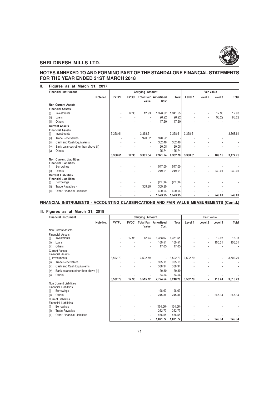

# **NOTES ANNEXED TO AND FORMING PART OF THE STANDALONE FINANCIAL STATEMENTS FOR THE YEAR ENDED 31ST MARCH 2018**

| н. | Figures as at March 31, 2017 |  |  |  |  |  |
|----|------------------------------|--|--|--|--|--|
|----|------------------------------|--|--|--|--|--|

| <b>Financial Instrument</b>                                    |              |                          | Carrying Amount          |                                     | Fair value  |          |                          |         |          |
|----------------------------------------------------------------|--------------|--------------------------|--------------------------|-------------------------------------|-------------|----------|--------------------------|---------|----------|
| Note No.                                                       | <b>FVTPL</b> | <b>FVOCI</b>             | Value                    | <b>Total Fair Amortised</b><br>Cost | Total       | Level 1  | Level 2                  | Level 3 | Total    |
| <b>Non Current Assets</b>                                      |              |                          |                          |                                     |             |          |                          |         |          |
| <b>Financial Assets</b>                                        |              |                          |                          |                                     |             |          |                          |         |          |
| Investments<br>(i)                                             |              | 12.93                    | 12.93                    | 1,328.62                            | 1,341.55    |          | ٠                        | 12.93   | 12.93    |
| (ii)<br>Loans                                                  |              |                          | ٠                        | 96.22                               | 96.22       |          | ٠                        | 96.22   | 96.22    |
| (iii)<br>Others                                                |              |                          | ٠                        | 17.60                               | 17.60       |          |                          |         |          |
| <b>Current Assets</b>                                          |              |                          |                          |                                     |             |          |                          |         |          |
| <b>Financial Assets</b>                                        |              |                          |                          |                                     |             |          |                          |         |          |
| Investments<br>(i)                                             | 3,368.61     | $\overline{\phantom{a}}$ | 3,368.61                 |                                     | $-3,368.61$ | 3,368.61 |                          |         | 3,368.61 |
| <b>Trade Receivables</b><br>(ii)                               |              |                          | 970.52                   | 970.52                              |             |          |                          |         |          |
| Cash and Cash Equivalents<br>(iii)                             |              |                          | ٠                        | 362.46                              | 362.46      |          |                          |         |          |
| Bank balances other than above (ii)<br>(iv)                    |              |                          | $\overline{\phantom{a}}$ | 20.08                               | 20.08       |          |                          |         |          |
| Others<br>(v)                                                  |              |                          | ٠                        | 125.74                              | 125.74      |          | ۰                        |         |          |
|                                                                | 3.368.61     | 12.93                    | 3,381.54                 | 2,921.24                            | 6,302.78    | 3,368.61 | ٠                        | 109.15  | 3,477.76 |
| <b>Non Current Liabilities</b><br><b>Financial Liabilities</b> |              |                          |                          |                                     |             |          |                          |         |          |
| Borrowings<br>i)                                               |              |                          | ٠                        | 547.00                              | 547.00      |          |                          |         |          |
| Others<br>(ii)                                                 |              |                          | $\overline{\phantom{a}}$ | 249.01                              | 249.01      |          |                          | 249.01  | 249.01   |
| <b>Current Liabilities</b>                                     |              |                          |                          |                                     |             |          |                          |         |          |
| <b>Financial Liabilities</b>                                   |              |                          |                          |                                     |             |          |                          |         |          |
| Borrowings<br>(i)                                              |              |                          |                          | (22.30)                             | (22.30)     |          |                          |         |          |
| Trade Payables -<br>(ii)                                       |              | ٠                        | 309.30                   | 309.30                              |             |          |                          |         |          |
| Other Financial Liabilities<br>(iii)                           |              | ٠                        |                          | 490.94                              | 490.94      |          |                          |         |          |
|                                                                | ÷            | $\blacksquare$           | ٠                        | 1,573.95                            | 1,573.95    |          | $\overline{\phantom{a}}$ | 249.01  | 249.01   |

**FINANCIAL INSTRUMENTS - ACCOUNTING CLASSIFICATIONS AND FAIR VALUE MEASUREMENTS (Contd.)**

### **III. Figures as at March 31, 2018**

| <b>Financial Instrument</b>                             |                |       | Carrying Amount          |                                   | Fair value   |          |                          |         |          |
|---------------------------------------------------------|----------------|-------|--------------------------|-----------------------------------|--------------|----------|--------------------------|---------|----------|
| Note No.                                                | <b>FVTPL</b>   |       |                          | <b>FVOCI Total Fair Amortised</b> | <b>Total</b> | Level 1  | Level 2                  | Level 3 | Total    |
| Non Current Assets                                      |                |       | Value                    | Cost                              |              |          |                          |         |          |
| <b>Financial Assets</b>                                 |                |       |                          |                                   |              |          |                          |         |          |
| Investments<br>(i)                                      | $\blacksquare$ | 12.93 | 12.93                    | 1,338.62                          | 1,351.55     |          |                          | 12.93   | 12.93    |
| Loans<br>(ii)                                           |                |       |                          | 100.51                            | 100.51       |          | $\overline{\phantom{a}}$ | 100.51  | 100.51   |
| (iii)<br>Others                                         |                |       |                          | 17.05                             | 17.05        |          |                          |         |          |
| <b>Current Assets</b>                                   |                |       |                          |                                   |              |          |                          |         |          |
| <b>Financial Assets</b>                                 |                |       |                          |                                   |              |          |                          |         |          |
| (i) Investments                                         | 3,502.79       |       | 3,502.79                 | $\blacksquare$                    | 3,502.79     | 3,502.79 |                          |         | 3,502.79 |
| <b>Trade Receivables</b><br>(ii)                        |                |       |                          | 905.18                            | 905.18       |          |                          |         |          |
| (iii)<br>Cash and Cash Equivalents                      |                |       | ٠                        | 308.34                            | 308.34       |          |                          |         |          |
| Bank balances other than above (ii)<br>(iv)             |                |       | ۰                        | 20.30                             | 20.30        |          |                          |         |          |
| Others<br>(v)                                           | ٠              |       |                          | 34.54                             | 34.54        |          |                          |         |          |
|                                                         | 3,502.79       | 12.93 | 3,515.72                 | 2,724.54                          | 6,240.26     | 3,502.79 | $\blacksquare$           | 113.44  | 3,616.23 |
| Non Current Liabilities<br><b>Financial Liabilities</b> |                |       |                          |                                   |              |          |                          |         |          |
| Borrowings<br>(i)                                       |                |       | ٠                        | 198.63                            | 198.63       |          |                          |         |          |
| Others<br>(ii)                                          |                |       |                          | 245.34                            | 245.34       |          |                          | 245.34  | 245.34   |
| <b>Current Liabilities</b>                              |                |       |                          |                                   |              |          |                          |         |          |
| <b>Financial Liabilities</b>                            |                |       |                          |                                   |              |          |                          |         |          |
| Borrowings<br>(i)                                       |                |       | $\overline{\phantom{a}}$ | (101.56)                          | (101.56)     |          |                          |         |          |
| <b>Trade Payables</b><br>(ii)                           |                |       |                          | 262.73                            | 262.73       |          |                          |         |          |
| <b>Other Financial Liabilities</b><br>(iii)             |                |       |                          | 466.58                            | 466.58       |          |                          |         |          |
|                                                         |                |       | ٠                        | 1,071.72                          | 1,071.72     |          |                          | 245.34  | 245.34   |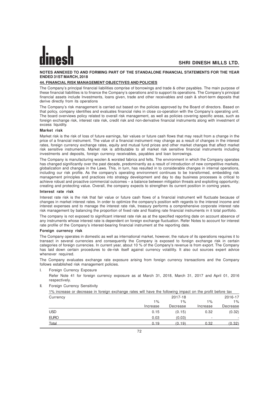## **NOTES ANNEXED TO AND FORMING PART OF THE STANDALONE FINANCIAL STATEMENTS FOR THE YEAR ENDED 31ST MARCH, 2018**

## **44. FINANCIAL RISK MANAGEMENT OBJECTIVES AND POLICIES**

The Company's principal financial liabilities comprise of borrowings and trade & other payables. The main purpose of these financial liabilities is to finance the Company's operations and to support its operations. The Company's principal financial assets include Investments, loans given, trade and other receivables and cash & short-term deposits that derive directly from its operations

The Company's risk management is carried out based on the policies approved by the Board of directors. Based on that policy, company identifies and evaluates financial risks in close co-operation with the Company's operating unit. The board overviews policy related to overall risk management, as well as policies covering specific areas, such as foreign exchange risk, interest rate risk, credit risk and non-derivative financial instruments along with investment of excess liquidity.

#### **Market risk**

Market risk is the risk of loss of future earnings, fair values or future cash flows that may result from a change in the price of a financial instrument. The value of a financial instrument may change as a result of changes in the interest rates, foreign currency exchange rates, equity and mutual fund prices and other market changes that affect market risk sensitive instruments. Market risk is attributable to all market risk sensitive financial instruments including investments and deposits, foreign currency receivables, payables and loan borrowings.

The Company is manufacturing woolen & worsted fabrics and felts. The environment in which the Company operates has changed significantly over the past decade, predominantly as a result of introduction of new competitive markets, globalization and changes in the Laws. This, in turn, has resulted in to considerable changes in internal operations, including our risk profile. As the company's operating environment continues to be transformed, embedding risk management principles and practices into strategy development and day to day business processes is critical to achieve robust and proactive commercial outcomes – a balance between mitigation threats and exploiting opportunity; creating and protecting value. Overall, the company expects to strengthen its current position in coming years.

#### **Interest rate risk**

Interest rate risk is the risk that fair value or future cash flows of a financial instrument will fluctuate because of changes in market interest rates. In order to optimize the company's position with regards to the interest income and interest expenses and to manage the interest rate risk, treasury performs a comprehensive corporate interest rate risk management by balancing the proportion of fixed rate and floating rate financial instruments in it total portfolio.

The company is not exposed to significant interest rate risk as at the specified reporting date on account absence of any instruments whose interest rate is dependent on foreign exchange fluctuation. Refer Notes to account for interest rate profile of the Company's interest-bearing financial instrument at the reporting date.

#### **Foreign currency risk**

The Company operates in domestic as well as international market, however, the nature of its operations requires it to transact in several currencies and consequently the Company is exposed to foreign exchange risk in certain categories of foreign currencies. In current year, about 10 % of the Company's revenue is from export. The Company has laid down certain procedures to de-risk itself against currency volatility. It also out sources expert advice whenever required.

The Company evaluates exchange rate exposure arising from foreign currency transactions and the Company follows established risk management policies.

I. Foreign Currency Exposure

Refer Note 41 for foreign currency exposure as at March 31, 2018, March 31, 2017 and April 01, 2016 respectively.

II. Foreign Currency Sensitivity

| 1% increase or decrease in foreign exchange rates will have the following impact on the profit before tax |          |          |          |          |
|-----------------------------------------------------------------------------------------------------------|----------|----------|----------|----------|
| Currency                                                                                                  |          | 2017-18  |          | 2016-17  |
|                                                                                                           | $1\%$    | 1%       | $1\%$    | $1\%$    |
|                                                                                                           | Increase | Decrease | Increase | Decrease |
| USD                                                                                                       | 0.15     | (0.15)   | 0.32     | (0.32)   |
| <b>EURO</b>                                                                                               | 0.03     | (0.03)   |          |          |
| Total                                                                                                     | 0.19     | (0.19)   | 0.32     | (0.32)   |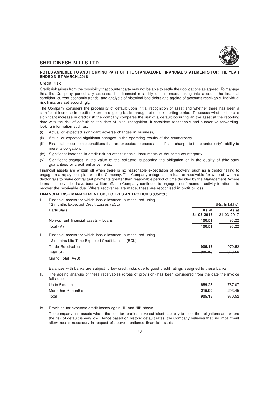

#### **NOTES ANNEXED TO AND FORMING PART OF THE STANDALONE FINANCIAL STATEMENTS FOR THE YEAR ENDED 31ST MARCH, 2018**

#### **Credit risk**

Credit risk arises from the possibility that counter party may not be able to settle their obligations as agreed. To manage this, the Company periodically assesses the financial reliability of customers, taking into account the financial condition, current economic trends, and analysis of historical bad debts and ageing of accounts receivable. Individual risk limits are set accordingly.

The Company considers the probability of default upon initial recognition of asset and whether there has been a significant increase in credit risk on an ongoing basis throughout each reporting period. To assess whether there is significant increase in credit risk the company compares the risk of a default occurring an the asset at the reporting date with the risk of default as the date of initial recognition. It considers reasonable and supportive forwardinglooking information such as:

- (i) Actual or expected significant adverse changes in business,
- (ii) Actual or expected significant changes in the operating results of the counterparty.
- (iii) Financial or economic conditions that are expected to cause a significant change to the counterparty's ability to mere its obligation,
- (iv) Significant increase in credit risk on other financial instruments of the same counterparty.
- (v) Significant changes in the value of the collateral supporting the obligation or in the quality of third-party guarantees or credit enhancements.

Financial assets are written off when there is no reasonable expectation of recovery, such as a debtor failing to engage in a repayment plan with the Company. The Company categorises a loan or receivable for write off when a debtor fails to make contractual payments greater than reasonable period of time decided by the Management. Where loans or receivables have been written off, the Company continues to engage in enforcement activity to attempt to recover the receivable due. Where recoveries are made, these are recognised in profit or loss.

#### **FINANCIAL RISK MANAGEMENT OBJECTIVES AND POLICIES (Contd.)**

| I.  | Financial assets for which loss allowance is measured using<br>12 months Expected Credit Losses (ECL) |                     | (Rs. In lakhs)      |
|-----|-------------------------------------------------------------------------------------------------------|---------------------|---------------------|
|     | <b>Particulars</b>                                                                                    | As at<br>31-03-2018 | As at<br>31-03-2017 |
|     | Non-current financial assets - Loans                                                                  | 100.51              | 96.22               |
|     | Total (A)                                                                                             | 100.51              | 96.22               |
| II. | Financial assets for which loss allowance is measured using                                           |                     |                     |
|     | 12 months Life Time Expected Credit Losses (ECL)                                                      |                     |                     |
|     | Trade Receivables                                                                                     | 905.18              | 970.52              |
|     | Total (A)                                                                                             | 905.18              | 970.52              |
|     | Grand Total (A+B)                                                                                     |                     |                     |

Balances with banks are subject to low credit risks due to good credit ratings assigned to these banks.

III. The ageing analysis of these receivables (gross of provision) has been considered from the date the invoice falls due

| Up to 6 months     | 689.28    | 767.07    |
|--------------------|-----------|-----------|
| More than 6 months | 215.90    | 203.45    |
| Total              | $-905,18$ | $-970.52$ |
|                    |           |           |

IV. Provision for expected credit losses again "II" and "III" above

The company has assets where the counter- parties have sufficient capacity to meet the obligations and where the risk of default is very low. Hence based on historic default rates, the Company believes that, no impairment allowance is necessary in respect of above mentioned financial assets.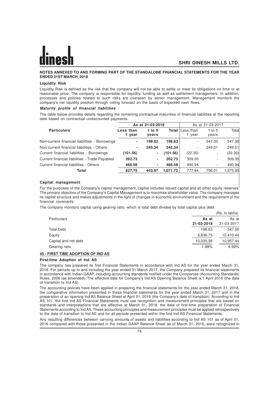#### **NOTES ANNEXED TO AND FORMING PART OF THE STANDALONE FINANCIAL STATEMENTS FOR THE YEAR ENDED 31ST MARCH, 2018**

#### **Liquidity Risk**

Liquidity Risk is defined as the risk that the company will not be able to settle or meet its obligations on time or at reasonable price. The company is responsible for liquidity, funding as well as settlement management. In addition, processes and policies related to such risks are overseen by senior management. Management monitors the company's net liquidity position through rolling forecast on the basis of expected cash flows.

#### **Maturity profile of financial liabilities**

The table below provides details regarding the remaining contractual maturities of financial liabilities at the reporting date based on contractual undiscounted payments.

|                                                | As at 31-03-2018  |                 |          | As at 31-03-2017               |                          |          |
|------------------------------------------------|-------------------|-----------------|----------|--------------------------------|--------------------------|----------|
| <b>Particulars</b>                             | Less than<br>vear | 1 to 5<br>vears |          | <b>Total</b> Less than<br>year | 1 to $5$<br>years        | Total    |
| Non-current financial liabilities - Borrowings | ۰                 | 198.63          | 198.63   | ٠                              | 547.00                   | 547.00   |
| Non-current financial liabilities - Others     | ۰                 | 245.34          | 245.34   | ٠                              | 249.01                   | 249.01   |
| Current financial liabilities - Borrowings     | (101.56)          | ٠               | (101.56) | (22.30)                        | $\overline{\phantom{a}}$ | (22.30)  |
| Current financial liabilities - Trade Payables | 262.73            | ٠               | 262.73   | 309.30                         | $\overline{\phantom{a}}$ | 309.30   |
| Current financial liabilities - Others         | 466.58            | ۰               | 466.58   | 490.94                         | ۰.                       | 490.94   |
| Total                                          | 627.75            | 443.97          | 1.071.72 | 777.94                         | 796.01                   | 1,573.95 |

#### **Capital management**

For the purposes of the Company's capital management, capital includes issued capital and all other equity reserves. The primary objective of the Company's Capital Management is to maximise shareholder value. The company manages its capital structure and makes adjustments in the light of changes in economic environment and the requirement of the financial covenants.

The company monitors capital using gearing ratio, which is total debt divided by total capital plus debt.

|                      |                     | (Rs. In lakhs)      |
|----------------------|---------------------|---------------------|
| Particulars          | As at<br>31-03-2018 | As at<br>31-03-2017 |
|                      |                     |                     |
| <b>Total Debt</b>    | 198.63              | 547.00              |
| Equity               | 9,836.75            | 10,410.44           |
| Capital and net debt | 10,035.38           | 10,957.44           |
| Gearing ratio        | 1.98%               | 4.99%               |

# **45 - FIRST TIME ADOPTION OF IND AS**

#### **First-time Adoption of Ind AS**

The company has prepared its first Financial Statements in accordance with Ind AS for the year ended March 31, 2018. For periods up to and including the year ended 31 March 2017, the Company prepared its financial statements in accordance with Indian GAAP, including accounting standards notified under the Companies (Accounting Standards) Rules, 2006 (as amended). The effective date for Company's Ind AS Opening Balance Sheet is 1 April 2016 (the date of transition to Ind AS).

The accounting policies have been applied in preparing the financial statements for the year ended March 31, 2018, the comparative information presented in these financial statements for the year ended March 31, 2017 and in the preparation of an opening Ind AS Balance Sheet at April 01, 2016 (the Company's date of transition). According to Ind AS 101, the first Ind AS Financial Statements must use recognition and measurement principles that are based on standards and interpretations that are effective at March 31, 2018, the date of first-time preparation of Financial Statements according to Ind AS. These accounting principles and measurement principles must be applied retrospectively to the date of transition to Ind AS and for all periods presented within the first Ind AS Financial Statements.

Any resulting differences between carrying amounts of assets and liabilities according to Ind AS 101 as of April 01, 2016 compared with those presented in the Indian GAAP Balance Sheet as of March 31, 2016, were recognized in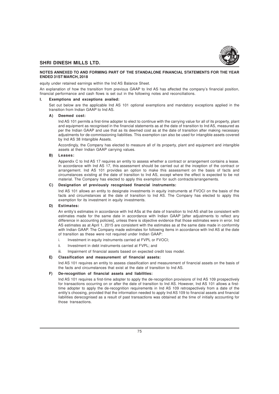

#### **NOTES ANNEXED TO AND FORMING PART OF THE STANDALONE FINANCIAL STATEMENTS FOR THE YEAR ENDED 31ST MARCH, 2018**

equity under retained earnings within the Ind AS Balance Sheet.

An explanation of how the transition from previous GAAP to Ind AS has affected the company's financial position, financial performance and cash flows is set out in the following notes and reconciliations.

#### **I. Exemptions and exceptions availed:**

Set out below are the applicable Ind AS 101 optional exemptions and mandatory exceptions applied in the transition from Indian GAAP to Ind AS.

#### **A) Deemed cost:**

Ind AS 101 permits a first-time adopter to elect to continue with the carrying value for all of its property, plant and equipment as recognised in the financial statements as at the date of transition to Ind AS, measured as per the Indian GAAP and use that as its deemed cost as at the date of transition after making necessary adjustments for de-commissioning liabilities. This exemption can also be used for intangible assets covered by Ind AS 38 Intangible Assets.

Accordingly, the Company has elected to measure all of its property, plant and equipment and intangible assets at their Indian GAAP carrying values.

#### **B) Leases:**

Appendix C to Ind AS 17 requires an entity to assess whether a contract or arrangement contains a lease. In accordance with Ind AS 17, this assessment should be carried out at the inception of the contract or arrangement. Ind AS 101 provides an option to make this assessment on the basis of facts and circumstances existing at the date of transition to Ind AS, except where the effect is expected to be not material. The Company has elected to apply this exemption for such contracts/arrangements.

#### **C) Designation of previously recognised financial instruments:**

Ind AS 101 allows an entity to designate investments in equity instruments at FVOCI on the basis of the facts and circumstances at the date of transition to Ind AS. The Company has elected to apply this exemption for its investment in equity investments.

#### **D) Estimates:**

An entity's estimates in accordance with Ind ASs at the date of transition to Ind AS shall be consistent with estimates made for the same date in accordance with Indian GAAP [after adjustments to reflect any difference in accounting policies], unless there is objective evidence that those estimates were in error. Ind AS estimates as at April 1, 2015 are consistent with the estimates as at the same date made in conformity with Indian GAAP. The Company made estimates for following items in accordance with Ind AS at the date of transition as these were not required under Indian GAAP:

- i. Investment in equity instruments carried at FVPL or FVOCI;
- ii. Investment in debt instruments carried at FVPL; and
- iii. Impairment of financial assets based on expected credit loss model.

#### **E) Classification and measurement of financial assets:**

Ind AS 101 requires an entity to assess classification and measurement of financial assets on the basis of the facts and circumstances that exist at the date of transition to Ind AS.

#### **F) De-recognition of financial assets and liabilities:**

Ind AS 101 requires a first-time adopter to apply the de-recognition provisions of Ind AS 109 prospectively for transactions occurring on or after the date of transition to Ind AS. However, Ind AS 101 allows a firsttime adopter to apply the de-recognition requirements in Ind AS 109 retrospectively from a date of the entity's choosing, provided that the information needed to apply Ind AS 109 to financial assets and financial liabilities derecognised as a result of past transactions was obtained at the time of initially accounting for those transactions.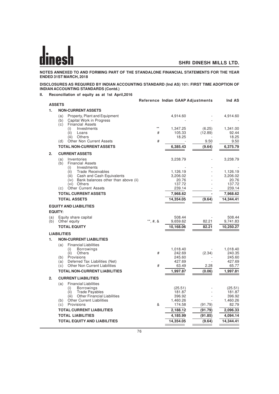**NOTES ANNEXED TO AND FORMING PART OF THE STANDALONE FINANCIAL STATEMENTS FOR THE YEAR ENDED 31ST MARCH, 2018**

#### **DISCLOSURES AS REQUIRED BY INDIAN ACCOUNTING STANDARD (Ind AS) 101: FIRST TIME ADOPTION OF INDIAN ACCOUNTING STANDARDS (Contd.)**

**II. Reconciliation of equity as at 1st April,2016**

|     |                                                                                                           |           | Reference Indian GAAP Adjustments |                    | Ind AS                       |
|-----|-----------------------------------------------------------------------------------------------------------|-----------|-----------------------------------|--------------------|------------------------------|
|     | <b>ASSETS</b>                                                                                             |           |                                   |                    |                              |
| 1.  | <b>NON-CURRENT ASSETS</b>                                                                                 |           |                                   |                    |                              |
|     | (a)<br>Property, Plant and Equipment<br>Capital Work in Progress<br>(b)<br><b>Financial Assets</b><br>(c) |           | 4,914.60                          |                    | 4,914.60                     |
|     | Investments<br>(i)<br>(ii)<br>Loans                                                                       | $**$<br># | 1,347.25<br>105.33                | (6.25)<br>(12.89)  | 1,341.00<br>92.44            |
|     | Others<br>(iii)<br>Other Non Current Assets<br>(d)                                                        | #         | 18.25                             | 9.50               | 18.25<br>9.50                |
|     | <b>TOTAL NON-CURRENT ASSETS</b>                                                                           |           | 6,385.43                          | (9.64)             | 6,375.79                     |
| 2.  | <b>CURRENT ASSETS</b>                                                                                     |           |                                   |                    |                              |
|     | Inventories<br>(a)<br><b>Financial Assets</b><br>(b)                                                      |           | 3,238.79                          |                    | 3,238.79                     |
|     | Investments<br>(i)<br>(ii)<br><b>Trade Receivables</b><br>(iii)<br>Cash and Cash Equivalents              |           | 1,126.19<br>3,206.02              |                    | 1,126.19<br>3,206.02         |
|     | Bank balances other than above (ii)<br>(iv)<br>(vi) Others<br><b>Other Current Assets</b><br>(c)          |           | 20.76<br>137.72<br>239.14         |                    | 20.76<br>137.72<br>239.14    |
|     | <b>TOTAL CURRENT ASSETS</b>                                                                               |           | 7,968.62                          |                    | 7,968.62                     |
|     | <b>TOTAL ASSETS</b>                                                                                       |           | 14,354.05                         | (9.64)             | 14,344.41                    |
|     | <b>EQUITY AND LIABILITIES</b>                                                                             |           |                                   |                    |                              |
|     | <b>EQUITY:</b>                                                                                            |           |                                   |                    |                              |
| (a) | Equity share capital                                                                                      |           | 508.44                            |                    | 508.44                       |
| (b) | Other equity<br><b>TOTAL EQUITY</b>                                                                       | **, #, &  | 9,659.62<br>10,168.06             | 82.21<br>82.21     | 9,741.83<br>10,250.27        |
|     |                                                                                                           |           |                                   |                    |                              |
|     | <b>LIABILITIES</b>                                                                                        |           |                                   |                    |                              |
| 1.  | <b>NON-CURRENT LIABILITIES</b>                                                                            |           |                                   |                    |                              |
|     | <b>Financial Liabilities</b><br>(a)<br><b>Borrowings</b><br>(i)<br>(ii)<br>Others<br>Provisions<br>(b)    | #         | 1,018.40<br>242.69<br>245.60      | (2.34)             | 1,018.40<br>240.35<br>245.60 |
|     | Deferred Tax Liabilities (Net)<br>(a)                                                                     |           | 427.69                            |                    | 427.69                       |
|     | <b>Other Non Current Liabilities</b><br>(c)                                                               | #         | 63.49                             | 2.28               | 65.77                        |
|     | <b>TOTAL NON-CURRENT LIABILITIES</b>                                                                      |           | 1,997.87                          | (0.06)             | 1,997.81                     |
| 2.  | <b>CURRENT LIABILITIES</b>                                                                                |           |                                   |                    |                              |
|     | <b>Financial Liabilities</b><br>(a)<br><b>Borrowings</b><br>(i)<br>(ii)<br><b>Trade Payables</b>          |           | (25.51)<br>181.87                 |                    | (25.51)<br>181.87            |
|     | <b>Other Financial Liabilities</b><br>(iii)                                                               |           | 396.92                            |                    | 396.92                       |
|     | <b>Other Current Liabilities</b><br>(b)                                                                   | &         | 1,460.26                          |                    | 1,460.26                     |
|     | Provisions<br>(c)<br><b>TOTAL CURRENT LIABILITIES</b>                                                     |           | 174.58<br>2,188.12                | (91.79)            | 82.79                        |
|     | <b>TOTAL LIABILITIES</b>                                                                                  |           | 4,185.99                          | (91.79)<br>(91.85) | 2,096.33<br>4,094.14         |
|     | <b>TOTAL EQUITY AND LIABILITIES</b>                                                                       |           | 14,354.05                         | (9.64)             | 14,344.41                    |
|     |                                                                                                           |           |                                   |                    |                              |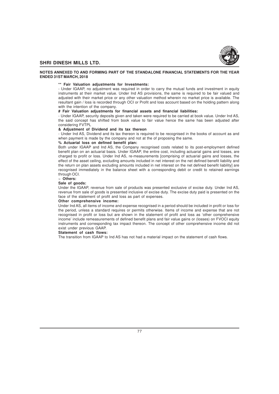

#### **NOTES ANNEXED TO AND FORMING PART OF THE STANDALONE FINANCIAL STATEMENTS FOR THE YEAR ENDED 31ST MARCH, 2018**

#### **\*\* Fair Valuation adjustments for Investments:**

- Under IGAAP, no adjustment was required in order to carry the mutual funds and investment in equity instruments at their market value. Under Ind AS provisions, the same is required to be fair valued and adjusted with their market price or any other valuation method wherein no market price is available. The resultant gain / loss is recorded through OCI or Profit and loss account based on the holding pattern along with the intention of the company.

#### **# Fair Valuation adjustments for financial assets and financial liabilities:**

- Under IGAAP, security deposits given and taken were required to be carried at book value. Under Ind AS, the said concept has shifted from book value to fair value hence the same has been adjusted after considering FVTPL

## **& Adjustment of Dividend and its tax thereon**

- Under Ind AS, Dividend and its tax thereon is required to be recognised in the books of account as and when payment is made by the company and not at the of proposing the same.

#### **% Actuarial loss on defined benefit plan:**

Both under IGAAP and Ind AS, the Company recognised costs related to its post-employment defined benefit plan on an actuarial basis. Under IGAAP, the entire cost, including actuarial gains and losses, are charged to profit or loss. Under Ind AS, re-measurements [comprising of actuarial gains and losses, the effect of the asset ceiling, excluding amounts included in net interest on the net defined benefit liability and the return on plan assets excluding amounts included in net interest on the net defined benefit liability] are recognised immediately in the balance sheet with a corresponding debit or credit to retained earnings through OCI.

#### **~ Others:**

#### **Sale of goods:**

Under the IGAAP, revenue from sale of products was presented exclusive of excise duty. Under Ind AS, revenue from sale of goods is presented inclusive of excise duty. The excise duty paid is presented on the face of the statement of profit and loss as part of expenses.

#### **Other comprehensive income:**

Under Ind AS, all items of income and expense recognised in a period should be included in profit or loss for the period, unless a standard requires or permits otherwise. Items of income and expense that are not recognised in profit or loss but are shown in the statement of profit and loss as 'other comprehensive income' include remeasurements of defined benefit plans and fair value gains or (losses) on FVOCI equity instruments and corresponding tax impact thereon. The concept of other comprehensive income did not exist under previous GAAP.

#### **Statement of cash flows:**

The transition from IGAAP to Ind AS has not had a material impact on the statement of cash flows.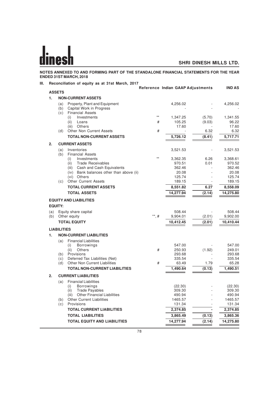**NOTES ANNEXED TO AND FORMING PART OF THE STANDALONE FINANCIAL STATEMENTS FOR THE YEAR ENDED 31ST MARCH, 2018**

# **III. Reconciliation of equity as at 31st March, 2017**

|     |                                                                         |                  | Reference Indian GAAP Adjustments |                  | <b>IND AS</b>     |
|-----|-------------------------------------------------------------------------|------------------|-----------------------------------|------------------|-------------------|
|     | <b>ASSETS</b>                                                           |                  |                                   |                  |                   |
| 1.  | <b>NON-CURRENT ASSETS</b>                                               |                  |                                   |                  |                   |
|     | Property, Plant and Equipment<br>(a)<br>Capital Work in Progress<br>(b) |                  | 4,256.02                          |                  | 4,256.02          |
|     | <b>Financial Assets</b><br>(c)                                          | $^{**}$          |                                   |                  |                   |
|     | Investments<br>(i)<br>(ii)<br>Loans                                     | #                | 1,347.25<br>105.25                | (5.70)<br>(9.03) | 1,341.55<br>96.22 |
|     | (iii)<br>Others                                                         |                  | 17.60                             |                  | 17.60             |
|     | (d)<br>Other Non Current Assets                                         | #                |                                   | 6.32             | 6.32              |
|     | <b>TOTAL NON-CURRENT ASSETS</b>                                         |                  | 5,726.12                          | (8.41)           | 5.717.71          |
| 2.  | <b>CURRENT ASSETS</b>                                                   |                  |                                   |                  |                   |
|     | (a)<br>Inventories<br>(b)<br><b>Financial Assets</b>                    |                  | 3,521.53                          |                  | 3,521.53          |
|     | Investments<br>(i)                                                      |                  | 3,362.35                          | 6.26             | 3,368.61          |
|     | (ii)<br><b>Trade Receivables</b>                                        |                  | 970.51                            | 0.01             | 970.52            |
|     | (iii)<br>Cash and Cash Equivalents                                      |                  | 362.46                            |                  | 362.46            |
|     | Bank balances other than above (ii)<br>(iv)                             |                  | 20.08                             |                  | 20.08             |
|     | (vi) Others                                                             |                  | 125.74                            |                  | 125.74            |
|     | <b>Other Current Assets</b><br>(c)                                      |                  | 189.15                            |                  | 189.15            |
|     | <b>TOTAL CURRENT ASSETS</b>                                             |                  | 8,551.82                          | 6.27             | 8,558.09          |
|     | <b>TOTAL ASSETS</b>                                                     |                  | 14,277.94                         | (2.14)           | 14,275.80         |
|     | <b>EQUITY AND LIABILITIES</b>                                           |                  |                                   |                  |                   |
|     | <b>EQUITY:</b>                                                          |                  |                                   |                  |                   |
| (a) | Equity share capital                                                    |                  | 508.44                            |                  | 508.44            |
| (b) | Other equity                                                            | $^{\ast\ast},$ # | 9,904.01                          | (2.01)           | 9,902.00          |
|     | <b>TOTAL EQUITY</b>                                                     |                  | 10,412.45                         | (2.01)           | 10,410.44         |
|     | <b>LIABILITIES</b>                                                      |                  |                                   |                  |                   |
| 1.  | <b>NON-CURRENT LIABILITIES</b>                                          |                  |                                   |                  |                   |
|     | <b>Financial Liabilities</b><br>(a)                                     |                  |                                   |                  |                   |
|     | <b>Borrowings</b><br>(i)                                                |                  | 547.00                            |                  | 547.00            |
|     | (ii)<br>Others<br>Provisions<br>(b)                                     | #                | 250.93<br>293.68                  | (1.92)           | 249.01<br>293.68  |
|     | Deferred Tax Liabilities (Net)<br>(c)                                   |                  | 335.54                            |                  | 335.54            |
|     | <b>Other Non Current Liabilities</b><br>(d)                             | #                | 63.49                             | 1.79             | 65.28             |
|     | <b>TOTAL NON-CURRENT LIABILITIES</b>                                    |                  | 1,490.64                          | (0.13)           | 1.490.51          |
| 2.  | <b>CURRENT LIABILITIES</b>                                              |                  |                                   |                  |                   |
|     | <b>Financial Liabilities</b><br>(a)                                     |                  |                                   |                  |                   |
|     | <b>Borrowings</b><br>(i)                                                |                  | (22.30)                           |                  | (22.30)           |
|     | <b>Trade Payables</b><br>(ii)                                           |                  | 309.30                            |                  | 309.30            |
|     | <b>Other Financial Liabilities</b><br>(iii)                             |                  | 490.94                            |                  | 490.94            |
|     | <b>Other Current Liabilities</b><br>(b)<br>Provisions<br>(c)            |                  | 1465.57<br>131.34                 |                  | 1465.57<br>131.34 |
|     | <b>TOTAL CURRENT LIABILITIES</b>                                        |                  | 2,374.85                          |                  | 2,374.85          |
|     | <b>TOTAL LIABILITIES</b>                                                |                  | 3,865.49                          | (0.13)           | 3,865.36          |
|     | <b>TOTAL EQUITY AND LIABILITIES</b>                                     |                  | 14,277.94                         | (2.14)           | 14,275.80         |
|     |                                                                         |                  |                                   |                  |                   |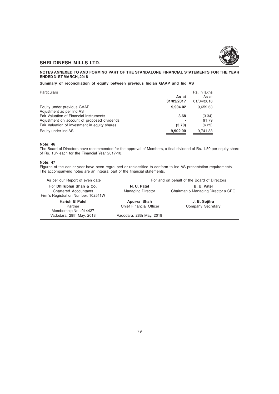

## **NOTES ANNEXED TO AND FORMING PART OF THE STANDALONE FINANCIAL STATEMENTS FOR THE YEAR ENDED 31ST MARCH, 2018**

## **Summary of reconciliation of equity between previous Indian GAAP and Ind AS**

| Particulars                                                                            | As at<br>31/03/2017 | Rs. In lakhs<br>As at<br>01/04/2016 |
|----------------------------------------------------------------------------------------|---------------------|-------------------------------------|
| Equity under previous GAAP<br>Adjustment as per Ind AS                                 | 9,904.02            | 9,659.63                            |
| Fair Valuation of Financial Instruments<br>Adjustment on account of proposed dividends | 3.68                | (3.34)<br>91.79                     |
| Fair Valuation of investment in equity shares                                          | (5.70)              | (6.25)                              |
| Equity under Ind AS                                                                    | 9,902.00            | 9,741.83                            |

#### **Note: 46**

The Board of Directors have recommended for the approval of Members, a final dividend of Rs. 1.50 per equity share of Rs. 10/- each for the Financial Year 2017-18.

#### **Note: 47**

Figures of the earlier year have been regrouped or reclassified to conform to Ind AS presentation requirements. The accompanying notes are an integral part of the financial statements.

| As per our Report of even date                                                                  |                                         | For and on behalf of the Board of Directors       |
|-------------------------------------------------------------------------------------------------|-----------------------------------------|---------------------------------------------------|
| For Dhirubhai Shah & Co.<br><b>Chartered Accountants</b><br>Firm's Registration Number: 102511W | N. U. Patel<br><b>Managing Director</b> | B. U. Patel<br>Chairman & Managing Director & CEO |
| <b>Harish B Patel</b>                                                                           | Apurva Shah                             | J. B. Sojitra                                     |
| Partner                                                                                         | <b>Chief Financial Officer</b>          | Company Secretary                                 |
| Membership No.: 014427                                                                          |                                         |                                                   |
| Vadodara, 28th May, 2018                                                                        | Vadodara, 28th May, 2018                |                                                   |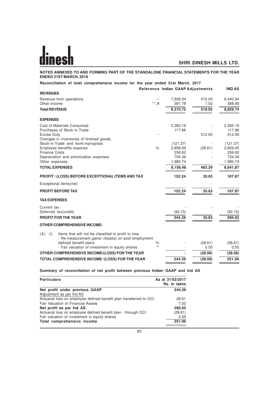**NOTES ANNEXED TO AND FORMING PART OF THE STANDALONE FINANCIAL STATEMENTS FOR THE YEAR ENDED 31ST MARCH, 2018**

| Reconciliation of total comprehensive income for the year ended 31st March, 2017                                         |               | Reference Indian GAAP Adjustments |         | <b>IND AS</b>      |
|--------------------------------------------------------------------------------------------------------------------------|---------------|-----------------------------------|---------|--------------------|
| <b>REVENUES</b>                                                                                                          |               |                                   |         |                    |
| Revenue from operations                                                                                                  |               | 7,928.94                          | 512.00  | 8,440.94           |
| Other income                                                                                                             | **, #         | 381.78                            | 7.02    | 388.80             |
| <b>Total REVENUE</b>                                                                                                     |               | 8,310.72                          | 519.02  | 8,829.74           |
| <b>EXPENSES</b>                                                                                                          |               |                                   |         |                    |
| Cost of Materials Consumed                                                                                               |               | 2,362.19                          |         | 2,362.19           |
| Purchases of Stock in Trade                                                                                              |               | 117.88                            |         | 117.88             |
| <b>Excise Duty</b>                                                                                                       |               |                                   | 512.00  | 512.00             |
| Changes in inventories of finished goods,                                                                                |               |                                   |         |                    |
| Stock-in-Trade and work-inprogress                                                                                       |               | (121.37)                          |         | (121.37)           |
| Employee benefits expense                                                                                                | $\frac{1}{6}$ | 2,858.06                          | (28.61) | 2,829.45           |
| <b>Finance Costs</b>                                                                                                     |               | 206.62                            |         | 206.62             |
| Depreciation and amortization expenses                                                                                   |               | 754.36<br>1,980.74                |         | 754.36<br>1,980.74 |
| Other expenses                                                                                                           |               |                                   |         |                    |
| <b>TOTAL EXPENSES</b>                                                                                                    |               | 8,158.48                          | 483.39  | 8,641.87           |
| <b>PROFIT / (LOSS) BEFORE EXCEPTIONAL ITEMS AND TAX</b>                                                                  |               | 152.24                            | 35.63   | 187.87             |
| Exceptional items(net)                                                                                                   |               |                                   |         |                    |
| <b>PROFIT BEFORE TAX</b>                                                                                                 |               | 152.24                            | 35.63   | 187.87             |
| <b>TAX EXPENSES</b>                                                                                                      |               |                                   |         |                    |
| Current tax                                                                                                              |               |                                   |         |                    |
| Deferred tax(credit)                                                                                                     |               | (92.15)                           |         | (92.15)            |
| <b>PROFIT FOR THE YEAR</b>                                                                                               |               | 244.39                            | 35.63   | 280.02             |
| <b>OTHER COMPREHENSIVE INCOME:</b>                                                                                       |               |                                   |         |                    |
| (A)<br>Items that will not be classified to profit or loss<br>(i)<br>- Re-measurement gains/ (losses) on post employment |               |                                   |         |                    |
| defined benefit plans                                                                                                    | $\%$<br>$**$  |                                   | (28.61) | (28.61)            |
| - Fair valuation of investment in equity shares                                                                          |               |                                   | 0.55    | 0.55               |
| OTHER COMPREHENSIVE INCOME/(LOSS) FOR THE YEAR                                                                           |               |                                   | (28.06) | (28.06)            |
| TOTAL COMPREHENSIVE INCOME /(LOSS) FOR THE YEAR                                                                          |               | 244.39                            | (28.06) | 251.96             |
|                                                                                                                          |               |                                   |         |                    |

**Summary of reconciliation of net profit between previous Indian GAAP and Ind AS**

| <b>Particulars</b>                                                 | As at 31/03/2017<br>Rs. In lakhs |
|--------------------------------------------------------------------|----------------------------------|
| Net profit under previous GAAP                                     | 244.39                           |
| Adjustment as per Ind AS                                           |                                  |
| Actuarial loss on employee defined benefit plan transferred to OCI | 28.61                            |
| Fair Valuation of Financial Assets                                 | 7.02                             |
| Net profit as per Ind AS                                           | 280.02                           |
| Actuarial loss on employee defined benefit plan - through OCI      | (28.61)                          |
| Fair valuation of investment in equity shares                      | 0.55                             |
| Total comprehensive income                                         | 251.96                           |
|                                                                    |                                  |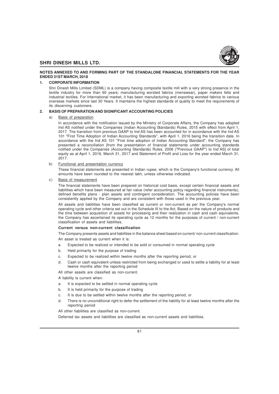

## **NOTES ANNEXED TO AND FORMING PART OF THE STANDALONE FINANCIAL STATEMENTS FOR THE YEAR ENDED 31ST MARCH, 2018**

#### **1. CORPORATE INFORMATION**

Shri Dinesh Mills Limited (SDML) is a company having composite textile mill with a very strong presence in the textile industry for more than 60 years; manufacturing worsted fabrics (menswear), paper makers felts and industrial textiles. For International market, it has been manufacturing and exporting worsted fabrics to various overseas markets since last 30 Years. It maintains the highest standards of quality to meet the requirements of its discerning customers.

#### **2. BASIS OF PREPARATION AND SIGNIFICANT ACCOUNTING POLICIES**

#### a) Basis of preparation

In accordance with the notification issued by the Ministry of Corporate Affairs, the Company has adopted Ind AS notified under the Companies (Indian Accounting Standards) Rules, 2015 with effect from April 1, 2017. The transition from previous GAAP to Ind AS has been accounted for in accordance with the Ind AS 101 "First Time Adoption of Indian Accounting Standards", with April 1, 2016 being the transition date. In accordance with the Ind AS 101 "First time adoption of Indian Accounting Standard", the Company has presented a reconciliation [from the presentation of financial statements under accounting standards notified under the Companies (Accounting Standards) Rules, 2006 ("Previous GAAP") to Ind AS] of total equity as at April 1, 2016, March 31, 2017 and Statement of Profit and Loss for the year ended March 31, 2017.

b) Functional and presentation currency

These financial statements are presented in Indian rupee, which is the Company's functional currency. All amounts have been rounded to the nearest lakh, unless otherwise indicated.

c) Basis of measurement

The financial statements have been prepared on historical cost basis, except certain financial assets and liabilities which have been measured at fair value (refer accounting policy regarding financial instruments), defined benefits plans - plan assets and contingent consideration. The accounting policies have been consistently applied by the Company and are consistent with those used in the previous year.

All assets and liabilities have been classified as current or non-current as per the Company's normal operating cycle and other criteria set out in the Schedule III to the Act. Based on the nature of products and the time between acquisition of assets for processing and their realization in cash and cash equivalents, the Company has ascertained its operating cycle as 12 months for the purposes of current / non-current classification of assets and liabilities.

#### **Current versus non-current classification**

The Company presents assets and liabilities in the balance sheet based on current/ non-current classification.

An asset is treated as current when it is:

- a. Expected to be realized or intended to be sold or consumed in normal operating cycle
- b. Held primarily for the purpose of trading
- c. Expected to be realized within twelve months after the reporting period, or
- d. Cash or cash equivalent unless restricted from being exchanged or used to settle a liability for at least twelve months after the reporting period

All other assets are classified as non-current.

A liability is current when:

- a. It is expected to be settled in normal operating cycle
- b. It is held primarily for the purpose of trading
- c. It is due to be settled within twelve months after the reporting period, or
- There is no unconditional right to defer the settlement of the liability for at least twelve months after the reporting period

All other liabilities are classified as non-current.

Deferred tax assets and liabilities are classified as non-current assets and liabilities.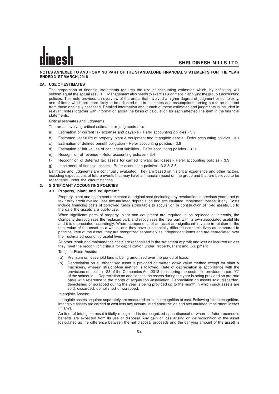#### **NOTES ANNEXED TO AND FORMING PART OF THE STANDALONE FINANCIAL STATEMENTS FOR THE YEAR ENDED 31ST MARCH, 2018**

#### **2A. USE OF ESTIMATES**

The preparation of financial statements requires the use of accounting estimates which, by definition, will seldom equal the actual results. Management also needs to exercise judgment in applying the group's accounting policies. This note provides an overview of the areas that involved a higher degree of judgment or complexity, and of items which are more likely to be adjusted due to estimates and assumptions turning out to be different from those originally assessed. Detailed information about each of these estimates and judgments is included in relevant notes together with information about the basis of calculation for each affected line item in the financial statements.

#### Critical estimates and judgments

The areas involving critical estimates or judgments are:

- a) Estimation of current tax expense and payable Refer accounting policies 3.9
- b) Estimated useful life of property, plant & equipment and intangible assets Refer accounting policies 3.1
- c) Estimation of defined benefit obligation Refer accounting policies 3.8
- d) Estimation of fair values of contingent liabilities Refer accounting policies 3.12
- e) Recognition of revenue Refer accounting policies 3.4
- f ) Recognition of deferred tax assets for carried forward tax losses Refer accounting policies 3.9
- g) Impairment of financial assets Refer accounting policies 3.2 & 3.5

Estimates and judgments are continually evaluated. They are based on historical experience and other factors, including expectations of future events that may have a financial impact on the group and that are believed to be reasonable under the circumstances.

#### **3. SIGNIFICANT ACCOUNTING POLICIES**

#### **3.1 Property, plant and equipment:**

Property, plant and equipment are stated at original cost (including any revaluation in previous years) net of tax / duty credit availed, less accumulated depreciation and accumulated impairment losses, if any. Costs include financing costs of borrowed funds attributable to acquisition or construction of fixed assets, up to the date the assets are put-to-use.

When significant parts of property, plant and equipment are required to be replaced at intervals, the Company derecognizes the replaced part, and recognizes the new part with its own associated useful life and it is depreciated accordingly. Where components of an asset are significant in value in relation to the total value of the asset as a whole, and they have substantially different economic lives as compared to principal item of the asset, they are recognized separately as independent items and are depreciated over their estimated economic useful lives.

All other repair and maintenance costs are recognized in the statement of profit and loss as incurred unless they meet the recognition criteria for capitalization under Property, Plant and Equipment

#### Tangible Fixed Assets:

- (a) Premium on leasehold land is being amortized over the period of lease.
- (b) Depreciation on all other fixed asset is provided on written down value method except for plant & machinery, wherein straight-line method is followed. Rate of depreciation is accordance with the provisions of section 123 of the Companies Act, 2013 considering the useful life provided in part "C" of the schedule II. Depreciation on additions to the assets during the year is being provided on pro-rata basis with reference to the month of acquisition /installation. Depreciation on assets sold, discarded, demolished or scrapped during the year is being provided up to the month in which such assets are sold, discarded, demolished or scrapped.

#### Intangible Assets:

Intangible assets acquired separately are measured on initial recognition at cost. Following initial recognition, intangible assets are carried at cost less any accumulated amortization and accumulated impairment losses (if any).

An item of intangible asset initially recognized is derecognized upon disposal or when no future economic benefits are expected from its use or disposal. Any gain or loss arising on de-recognition of the asset [calculated as the difference between the net disposal proceeds and the carrying amount of the asset] is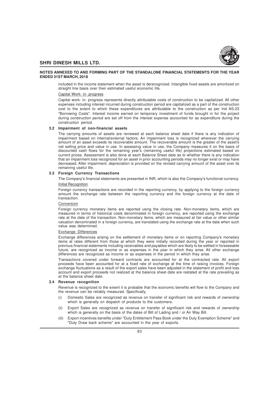

#### **NOTES ANNEXED TO AND FORMING PART OF THE STANDALONE FINANCIAL STATEMENTS FOR THE YEAR ENDED 31ST MARCH, 2018**

included in the income statement when the asset is derecognized. Intangible fixed assets are amortized on straight line basis over their estimated useful economic life.

#### Capital Work- in- progress

Capital work- in- progress represents directly attributable costs of construction to be capitalized. All other expenses including interest incurred during construction period are capitalized as a part of the construction cost to the extent to which these expenditures are attributable to the construction as per Ind AS-23 "Borrowing Costs". Interest income earned on temporary investment of funds brought in for the project during construction period are set off from the interest expense accounted for as expenditure during the construction period.

## **3.2 Impairment of non-financial assets**

The carrying amounts of assets are reviewed at each balance sheet date if there is any indication of impairment based on internal/external factors. An impairment loss is recognized wherever the carrying amount of an asset exceeds its recoverable amount. The recoverable amount is the greater of the asset's net selling price and value in use. In assessing value in use, the Company measures it on the basis of discounted cash flows for the remaining year's (remaining useful life) projections estimated based on current prices. Assessment is also done at each Balance Sheet date as to whether there is any indication that an impairment loss recognized for an asset in prior accounting periods may no longer exist or may have decreased. After impairment, depreciation is provided on the revised carrying amount of the asset over its remaining useful life.

#### **3.3 Foreign Currency Transactions**

The Company's financial statements are presented in INR, which is also the Company's functional currency. Initial Recognition

Foreign currency transactions are recorded in the reporting currency, by applying to the foreign currency amount the exchange rate between the reporting currency and the foreign currency at the date of transaction.

#### Conversion

Foreign currency monetary items are reported using the closing rate. Non-monetary items, which are measured in terms of historical costs denominated in foreign currency, are reported using the exchange rate at the date of the transaction. Non-monetary items, which are measured at fair value or other similar valuation denominated in a foreign currency, are translated using the exchange rate at the date when such value was determined.

#### Exchange Differences

Exchange differences arising on the settlement of monetary items or on reporting Company's monetary items at rates different from those at which they were initially recorded during the year or reported in previous financial statements including receivables and payables which are likely to be settled in foreseeable future, are recognized as income or as expenses in the year in which they arise. All other exchange differences are recognized as income or as expenses in the period in which they arise.

Transactions covered under forward contracts are accounted for at the contracted rate. All export proceeds have been accounted for at a fixed rate of exchange at the time of raising invoices. Foreign exchange fluctuations as a result of the export sales have been adjusted in the statement of profit and loss account and export proceeds not realized at the balance sheet date are restated at the rate prevailing as at the balance sheet date.

#### **3.4 Revenue recognition**

Revenue is recognized to the extent it is probable that the economic benefits will flow to the Company and the revenue can be reliably measured. Specifically,

- (i) Domestic Sales are recognized as revenue on transfer of significant risk and rewards of ownership which is generally on dispatch of products to the customers.
- (ii) Export Sales are recognized as revenue on transfer of significant risk and rewards of ownership which is generally on the basis of the dates of Bill of Lading and / or Air Way Bill.
- (iii) Export incentives benefits under "Duty Entitlement Pass Book under the Duty Exemption Scheme" and "Duty Draw back scheme" are accounted in the year of exports.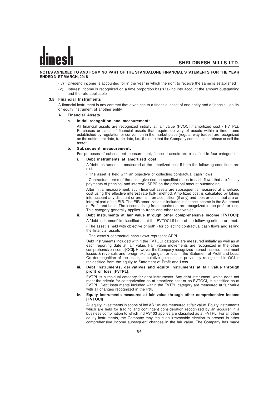#### **NOTES ANNEXED TO AND FORMING PART OF THE STANDALONE FINANCIAL STATEMENTS FOR THE YEAR ENDED 31ST MARCH, 2018**

- (iv) Dividend income is accounted for in the year in which the right to receive the same is established
- Interest income is recognized on a time proportion basis taking into account the amount outstanding and the rate applicable

#### **3.5 Financial Instruments**

A financial instrument is any contract that gives rise to a financial asset of one entity and a financial liability or equity instrument of another entity.

#### **A. Financial Assets**

# **a. Initial recognition and measurement:**

All financial assets are recognized initially at fair value (FVOCI / amortized cost / FVTPL). Purchases or sales of financial assets that require delivery of assets within a time frame established by regulation or convention in the market place [regular way trades] are recognized on the settlement date, trade date, i.e., the date that the Company commits to purchase or sell the asset.

#### **b. Subsequent measurement:**

For purposes of subsequent measurement, financial assets are classified in four categories:

#### **i. Debt instruments at amortized cost:**

A 'debt instrument' is measured at the amortized cost if both the following conditions are met:

- The asset is held with an objective of collecting contractual cash flows

- Contractual terms of the asset give rise on specified dates to cash flows that are "solely payments of principal and interest" [SPPI] on the principal amount outstanding.

After initial measurement, such financial assets are subsequently measured at amortized cost using the effective interest rate [EIR] method. Amortized cost is calculated by taking into account any discount or premium on acquisition (if any) and fees or costs that are an integral part of the EIR. The EIR amortization is included in finance income in the Statement of Profit and Loss. The losses arising from impairment are recognized in the profit or loss. This category generally applies to trade and other receivables.

# **ii. Debt instruments at fair value through other comprehensive income [FVTOCI]:**

A 'debt instrument' is classified as at the FVTOCI if both of the following criteria are met: - The asset is held with objective of both - for collecting contractual cash flows and selling the financial assets

- The asset's contractual cash flows represent SPPI.

Debt instruments included within the FVTOCI category are measured initially as well as at each reporting date at fair value. Fair value movements are recognized in the other comprehensive income [OCI]. However, the Company recognizes interest income, impairment losses & reversals and foreign exchange gain or loss in the Statement of Profit and Loss. On derecognition of the asset, cumulative gain or loss previously recognized in OCI is reclassified from the equity to Statement of Profit and Loss.

#### **iii. Debt instruments, derivatives and equity instruments at fair value through profit or loss [FVTPL]:**

FVTPL is a residual category for debt instruments. Any debt instrument, which does not meet the criteria for categorization as at amortized cost or as FVTOCI, is classified as at FVTPL. Debt instruments included within the FVTPL category are measured at fair value with all changes recognized in the P&L.

#### **iv. Equity instruments measured at fair value through other comprehensive income [FVTOCI]:**

All equity investments in scope of Ind AS 109 are measured at fair value. Equity instruments which are held for trading and contingent consideration recognized by an acquirer in a business combination to which Ind AS103 applies are classified as at FVTPL. For all other equity instruments, the Company may make an irrevocable election to present in other comprehensive income subsequent changes in the fair value. The Company has made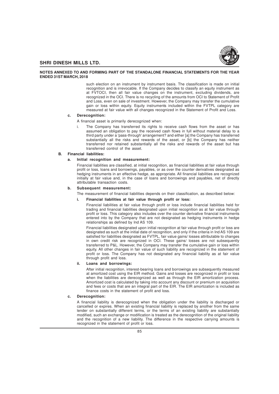

#### **NOTES ANNEXED TO AND FORMING PART OF THE STANDALONE FINANCIAL STATEMENTS FOR THE YEAR ENDED 31ST MARCH, 2018**

such election on an instrument by instrument basis. The classification is made on initial recognition and is irrevocable. If the Company decides to classify an equity instrument as at FVTOCI, then all fair value changes on the instrument, excluding dividends, are recognized in the OCI. There is no recycling of the amounts from OCI to Statement of Profit and Loss, even on sale of investment. However, the Company may transfer the cumulative gain or loss within equity. Equity instruments included within the FVTPL category are measured at fair value with all changes recognized in the Statement of Profit and Loss.

#### **c. Derecognition:**

- A financial asset is primarily derecognized when:
- i. The Company has transferred its rights to receive cash flows from the asset or has assumed an obligation to pay the received cash flows in full without material delay to a third party under a 'pass-through' arrangement? and either [a] the Company has transferred substantially all the risks and rewards of the asset, or [b] the Company has neither transferred nor retained substantially all the risks and rewards of the asset but has transferred control of the asset.

#### **B. Financial liabilities:**

#### **a. Initial recognition and measurement:**

Financial liabilities are classified, at initial recognition, as financial liabilities at fair value through profit or loss, loans and borrowings, payables, or as over the counter derivatives designated as hedging instruments in an effective hedge, as appropriate. All financial liabilities are recognized initially at fair value and, in the case of loans and borrowings and payables, net of directly attributable transaction costs.

#### **b. Subsequent measurement:**

The measurement of financial liabilities depends on their classification, as described below:

#### **i. Financial liabilities at fair value through profit or loss:**

Financial liabilities at fair value through profit or loss include financial liabilities held for trading and financial liabilities designated upon initial recognition as at fair value through profit or loss. This category also includes over the counter derivative financial instruments entered into by the Company that are not designated as hedging instruments in hedge relationships as defined by Ind AS 109.

Financial liabilities designated upon initial recognition at fair value through profit or loss are designated as such at the initial date of recognition, and only if the criteria in Ind AS 109 are satisfied for liabilities designated as FVTPL, fair value gains/ losses attributable to changes in own credit risk are recognized in OCI. These gains/ losses are not subsequently transferred to P&L. However, the Company may transfer the cumulative gain or loss within equity. All other changes in fair value of such liability are recognized in the statement of profit or loss. The Company has not designated any financial liability as at fair value through profit and loss.

#### **ii. Loans and borrowings:**

After initial recognition, interest-bearing loans and borrowings are subsequently measured at amortized cost using the EIR method. Gains and losses are recognized in profit or loss when the liabilities are derecognized as well as through the EIR amortization process. Amortized cost is calculated by taking into account any discount or premium on acquisition and fees or costs that are an integral part of the EIR. The EIR amortization is included as finance costs in the statement of profit and loss.

#### **c. Derecognition:**

A financial liability is derecognized when the obligation under the liability is discharged or cancelled or expires. When an existing financial liability is replaced by another from the same lender on substantially different terms, or the terms of an existing liability are substantially modified, such an exchange or modification is treated as the derecognition of the original liability and the recognition of a new liability. The difference in the respective carrying amounts is recognized in the statement of profit or loss.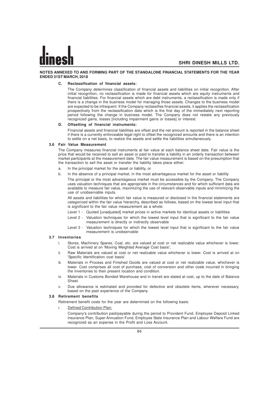#### **NOTES ANNEXED TO AND FORMING PART OF THE STANDALONE FINANCIAL STATEMENTS FOR THE YEAR ENDED 31ST MARCH, 2018**

#### **C. Reclassification of financial assets:**

The Company determines classification of financial assets and liabilities on initial recognition. After initial recognition, no reclassification is made for financial assets which are equity instruments and financial liabilities. For financial assets which are debt instruments, a reclassification is made only if there is a change in the business model for managing those assets. Changes to the business model are expected to be infrequent. If the Company reclassifies financial assets, it applies the reclassification prospectively from the reclassification date which is the first day of the immediately next reporting period following the change in business model. The Company does not restate any previously recognized gains, losses [including impairment gains or losses] or interest.

#### **D. Offsetting of financial instruments:**

Financial assets and financial liabilities are offset and the net amount is reported in the balance sheet if there is a currently enforceable legal right to offset the recognized amounts and there is an intention to settle on a net basis, to realize the assets and settle the liabilities simultaneously.

#### **3.6 Fair Value Measurement**

The Company measures financial instruments at fair value at each balance sheet date. Fair value is the price that would be received to sell an asset or paid to transfer a liability in an orderly transaction between market participants at the measurement date. The fair value measurement is based on the presumption that the transaction to sell the asset or transfer the liability takes place either:

- a. In the principal market for the asset or liability, or
- b. In the absence of a principal market, in the most advantageous market for the asset or liability

The principal or the most advantageous market must be accessible by the Company. The Company uses valuation techniques that are appropriate in the circumstances and for which sufficient data are available to measure fair value, maximizing the use of relevant observable inputs and minimizing the use of unobservable inputs.

All assets and liabilities for which fair value is measured or disclosed in the financial statements are categorized within the fair value hierarchy, described as follows, based on the lowest level input that is significant to the fair value measurement as a whole:

- Level 1 Quoted [unadjusted] market prices in active markets for identical assets or liabilities
- Level 2 Valuation techniques for which the lowest level input that is significant to the fair value measurement is directly or indirectly observable
- Level 3 Valuation techniques for which the lowest level input that is significant to the fair value measurement is unobservable

#### **3.7 Inventories**

- i. Stores, Machinery Spares, Coal, etc. are valued at cost or net realizable value whichever is lower. Cost is arrived at on 'Moving Weighted Average Cost basis';
- ii. Raw Materials are valued at cost or net realizable value whichever is lower. Cost is arrived at on 'Specific Identification cost basis'
- iii. Materials in Process and Finished Goods are valued at cost or net realizable value, whichever is lower. Cost comprises all cost of purchase, cost of conversion and other costs incurred in bringing the inventories to their present location and condition.
- iv. Materials in Customs Bonded Warehouse and in transit are stated at cost, up to the date of Balance Sheet.
- v. Due allowance is estimated and provided for defective and obsolete items, wherever necessary, based on the past experience of the Company.

## **3.8 Retirement benefits**

- Retirement benefit costs for the year are determined on the following basis:
	- i. Defined Contribution Plan:
		- Company's contribution paid/payable during the period to Provident Fund, Employee Deposit Linked Insurance Plan, Super Annuation Fund, Employee State Insurance Plan and Labour Welfare Fund are recognized as an expense in the Profit and Loss Account.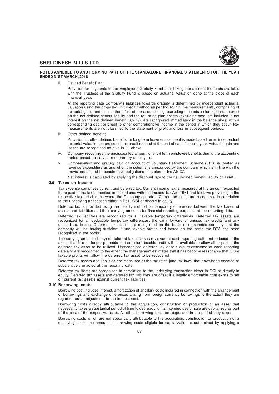

#### **NOTES ANNEXED TO AND FORMING PART OF THE STANDALONE FINANCIAL STATEMENTS FOR THE YEAR ENDED 31ST MARCH, 2018**

Defined Benefit Plan:

Provision for payments to the Employees Gratuity Fund after taking into account the funds available with the Trustees of the Gratuity Fund is based on actuarial valuation done at the close of each financial year.

At the reporting date Company's liabilities towards gratuity is determined by independent actuarial valuation using the projected unit credit method as per Ind AS 19. Re-measurements, comprising of actuarial gains and losses, the effect of the asset ceiling, excluding amounts included in net interest on the net defined benefit liability and the return on plan assets (excluding amounts included in net interest on the net defined benefit liability), are recognized immediately in the balance sheet with a corresponding debit or credit to other comprehensive income in the period in which they occur. Remeasurements are not classified to the statement of profit and loss in subsequent periods.

iii. Other defined benefits

Provision for other defined benefits for long term leave encashment is made based on an independent actuarial valuation on projected unit credit method at the end of each financial year. Actuarial gain and losses are recognized as give in (ii) above.

- iv. Company recognizes the undiscounted amount of short term employee benefits during the accounting period based on service rendered by employees.
- v. Compensation and gratuity paid on account of Voluntary Retirement Scheme (VRS) is treated as revenue expenditure as and when the scheme is announced by the company which is in line with the provisions related to constructive obligations as stated in Ind AS 37.

Net interest is calculated by applying the discount rate to the net defined benefit liability or asset.

## **3.9 Taxes on Income**

Tax expense comprises current and deferred tax. Current income tax is measured at the amount expected to be paid to the tax authorities in accordance with the Income Tax Act, 1961 and tax laws prevailing in the respective tax jurisdictions where the Company operates. Current tax items are recognized in correlation to the underlying transaction either in P&L, OCI or directly in equity.

Deferred tax is provided using the liability method on temporary differences between the tax bases of assets and liabilities and their carrying amounts for financial reporting purposes at the reporting date.

Deferred tax liabilities are recognized for all taxable temporary differences. Deferred tax assets are recognized for all deductible temporary differences, the carry forward of unused tax credits and any unused tax losses. Deferred tax assets are recognized on the basis of reasonable certainty that the company will be having sufficient future taxable profits and based on the same the DTA has been recognized in the books.

The carrying amount (if any) of deferred tax assets is reviewed at each reporting date and reduced to the extent that it is no longer probable that sufficient taxable profit will be available to allow all or part of the deferred tax asset to be utilized. Unrecognized deferred tax assets are re-assessed at each reporting date and are recognized to the extent the management estimates that it has become reasonable that future taxable profits will allow the deferred tax asset to be recovered.

Deferred tax assets and liabilities are measured at the tax rates [and tax laws] that have been enacted or substantively enacted at the reporting date.

Deferred tax items are recognized in correlation to the underlying transaction either in OCI or directly in equity. Deferred tax assets and deferred tax liabilities are offset if a legally enforceable right exists to set off current tax assets against current tax liabilities.

#### **3.10 Borrowing costs**

Borrowing cost includes interest, amortization of ancillary costs incurred in connection with the arrangement of borrowings and exchange differences arising from foreign currency borrowings to the extent they are regarded as an adjustment to the interest cost.

Borrowing costs directly attributable to the acquisition, construction or production of an asset that necessarily takes a substantial period of time to get ready for its intended use or sale are capitalized as part of the cost of the respective asset. All other borrowing costs are expensed in the period they occur.

Borrowing costs which are not specifically attributable to the acquisition, construction or production of a qualifying asset, the amount of borrowing costs eligible for capitalization is determined by applying a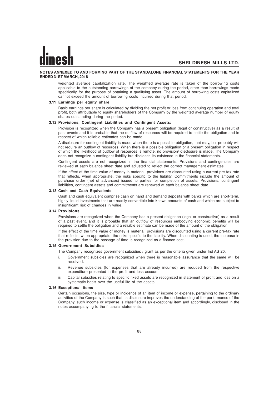#### **NOTES ANNEXED TO AND FORMING PART OF THE STANDALONE FINANCIAL STATEMENTS FOR THE YEAR ENDED 31ST MARCH, 2018**

weighted average capitalization rate. The weighted average rate is taken of the borrowing costs applicable to the outstanding borrowings of the company during the period, other than borrowings made specifically for the purpose of obtaining a qualifying asset. The amount of borrowing costs capitalized cannot exceed the amount of borrowing costs incurred during that period.

#### **3.11 Earnings per equity share**

Basic earnings per share is calculated by dividing the net profit or loss from continuing operation and total profit, both attributable to equity shareholders of the Company by the weighted average number of equity shares outstanding during the period.

## **3.12 Provisions, Contingent Liabilities and Contingent Assets:**

Provision is recognized when the Company has a present obligation (legal or constructive) as a result of past events and it is probable that the outflow of resources will be required to settle the obligation and in respect of which reliable estimates can be made.

A disclosure for contingent liability is made when there is a possible obligation, that may, but probably will not require an outflow of resources. When there is a possible obligation or a present obligation in respect of which the likelihood of outflow of resources is remote, no provision/ disclosure is made. The Company does not recognize a contingent liability but discloses its existence in the financial statements.

Contingent assets are not recognized in the financial statements. Provisions and contingencies are reviewed at each balance sheet date and adjusted to reflect the correct management estimates.

If the effect of the time value of money is material, provisions are discounted using a current pre-tax rate that reflects, when appropriate, the risks specific to the liability. Commitments include the amount of purchase order (net of advances) issued to parties for completion of assets. Provisions, contingent liabilities, contingent assets and commitments are renewed at each balance sheet date.

#### **3.13 Cash and Cash Equivalents**

Cash and cash equivalent comprise cash on hand and demand deposits with banks which are short-term, highly liquid investments that are readily convertible into known amounts of cash and which are subject to insignificant risk of changes in value.

## **3.14 Provisions**

Provisions are recognized when the Company has a present obligation (legal or constructive) as a result of a past event, and it is probable that an outflow of resources embodying economic benefits will be required to settle the obligation and a reliable estimate can be made of the amount of the obligation.

If the effect of the time value of money is material, provisions are discounted using a current pre-tax rate that reflects, when appropriate, the risks specific to the liability. When discounting is used, the increase in the provision due to the passage of time is recognized as a finance cost.

## **3.15 Government Subsidies**

The Company recognizes government subsidies / grant as per the criteria given under Ind AS 20.

- i. Government subsidies are recognized when there is reasonable assurance that the same will be received.
- ii. Revenue subsidies (for expenses that are already incurred) are reduced from the respective expenditure presented in the profit and loss account.
- iii. Capital subsidies relating to specific fixed assets are recognized in statement of profit and loss on a systematic basis over the useful life of the assets.

#### **3.16 Exceptional items**

Certain occasions, the size, type or incidence of an item of income or expense, pertaining to the ordinary activities of the Company is such that its disclosure improves the understanding of the performance of the Company, such income or expense is classified as an exceptional item and accordingly, disclosed in the notes accompanying to the financial statements.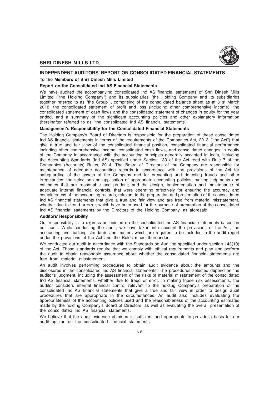

## **INDEPENDENT AUDITORS' REPORT ON CONSOLIDATED FINANCIAL STATEMENTS**

## **To the Members of Shri Dinesh Mills Limited**

# **Report on the Consolidated Ind AS Financial Statements**

We have audited the accompanying consolidated Ind AS financial statements of Shri Dinesh Mills Limited ("the Holding Company") and its subsidiaries (the Holding Company and its subsidiaries together referred to as "the Group"), comprising of the consolidated balance sheet as at 31st March 2018, the consolidated statement of profit and loss (including other comprehensive income), the consolidated statement of cash flows and the consolidated statement of changes in equity for the year ended, and a summary of the significant accounting policies and other explanatory information (hereinafter referred to as "the consolidated Ind AS financial statements".

## **Management's Responsibility for the Consolidated Financial Statements**

The Holding Company's Board of Directors is responsible for the preparation of these consolidated Ind AS financial statements in terms of the requirements of the Companies Act, 2013 ("the Act") that give a true and fair view of the consolidated financial position, consolidated financial performance including other comprehensive income, consolidated cash flows, and consolidated changes in equity of the Company in accordance with the accounting principles generally accepted in India, including the Accounting Standards (Ind AS) specified under Section 133 of the Act read with Rule 7 of the Companies (Accounts) Rules, 2014. The Board of Directors of the Company are responsible for maintenance of adequate accounting records in accordance with the provisions of the Act for safeguarding of the assets of the Company and for preventing and detecting frauds and other irregularities; the selection and application of appropriate accounting policies; making judgments and estimates that are reasonable and prudent; and the design, implementation and maintenance of adequate internal financial controls, that were operating effectively for ensuring the accuracy and completeness of the accounting records, relevant to the preparation and presentation of the consolidated Ind AS financial statements that give a true and fair view and are free from material misstatement, whether due to fraud or error, which have been used for the purpose of preparation of the consolidated Ind AS financial statements by the Directors of the Holding Company, as aforesaid.

#### **Auditors' Responsibility**

Our responsibility is to express an opinion on the consolidated Ind AS financial statements based on our audit. While conducting the audit, we have taken into account the provisions of the Act, the accounting and auditing standards and matters which are required to be included in the audit report under the provisions of the Act and the Rules made thereunder.

We conducted our audit in accordance with the Standards on Auditing specified under section 143(10) of the Act. Those standards require that we comply with ethical requirements and plan and perform the audit to obtain reasonable assurance about whether the consolidated financial statements are free from material misstatement.

An audit involves performing procedures to obtain audit evidence about the amounts and the disclosures in the consolidated Ind AS financial statements. The procedures selected depend on the auditor's judgment, including the assessment of the risks of material misstatement of the consolidated Ind AS financial statements, whether due to fraud or error. In making those risk assessments, the auditor considers internal financial control relevant to the holding Company's preparation of the consolidated Ind AS financial statements that give a true and fair view in order to design audit procedures that are appropriate in the circumstances. An audit also includes evaluating the appropriateness of the accounting policies used and the reasonableness of the accounting estimates made by the holding Company's Board of Directors, as well as evaluating the overall presentation of the consolidated Ind AS financial statements.

We believe that the audit evidence obtained is sufficient and appropriate to provide a basis for our audit opinion on the consolidated financial statements.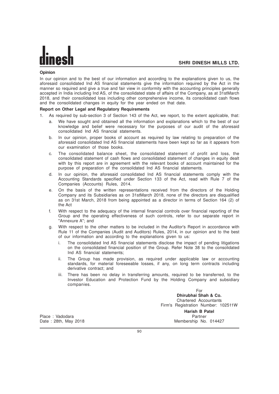# **Opinion**

In our opinion and to the best of our information and according to the explanations given to us, the aforesaid consolidated Ind AS financial statements give the information required by the Act in the manner so required and give a true and fair view in conformity with the accounting principles generally accepted in India including Ind AS, of the consolidated state of affairs of the Company, as at 31stMarch 2018, and their consolidated loss including other comprehensive income, its consolidated cash flows and the consolidated changes in equity for the year ended on that date.

# **Report on Other Legal and Regulatory Requirements**

- 1. As required by sub-section 3 of Section 143 of the Act, we report, to the extent applicable, that:
	- a. We have sought and obtained all the information and explanations which to the best of our knowledge and belief were necessary for the purposes of our audit of the aforesaid consolidated Ind AS financial statements.
	- b. In our opinion, proper books of account as required by law relating to preparation of the aforesaid consolidated Ind AS financial statements have been kept so far as it appears from our examination of those books.
	- c. The consolidated balance sheet, the consolidated statement of profit and loss, the consolidated statement of cash flows and consolidated statement of changes in equity dealt with by this report are in agreement with the relevant books of account maintained for the purpose of preparation of the consolidated Ind AS financial statements.
	- d. In our opinion, the aforesaid consolidated Ind AS financial statements comply with the Accounting Standards specified under Section 133 of the Act, read with Rule 7 of the Companies (Accounts) Rules, 2014.
	- e. On the basis of the written representations received from the directors of the Holding Company and its Subsidiaries as on 31stMarch 2018, none of the directors are disqualified as on 31st March, 2018 from being appointed as a director in terms of Section 164 (2) of the Act
	- f. With respect to the adequacy of the internal financial controls over financial reporting of the Group and the operating effectiveness of such controls, refer to our separate report in "Annexure A"; and
	- g. With respect to the other matters to be included in the Auditor's Report in accordance with Rule 11 of the Companies (Audit and Auditors) Rules, 2014, in our opinion and to the best of our information and according to the explanations given to us:
		- i. The consolidated Ind AS financial statements disclose the impact of pending litigations on the consolidated financial position of the Group. Refer Note 38 to the consolidated Ind AS financial statements;
		- ii. The Group has made provision, as required under applicable law or accounting standards, for material foreseeable losses, if any, on long term contracts including derivative contract; and
		- iii. There has been no delay in transferring amounts, required to be transferred, to the Investor Education and Protection Fund by the Holding Company and subsidiary companies.

For **Dhirubhai Shah & Co.** Chartered Accountants Firm's Registration Number: 102511W

Place : Vadodara Partner Partner Partner Partner Partner Partner Partner Partner

**Harish B Patel** Date : 28th, May 2018 Membership No. 014427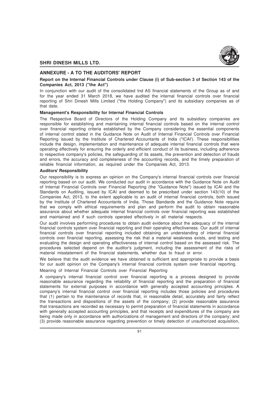

# **ANNEXURE - A TO THE AUDITORS' REPORT**

# **Report on the Internal Financial Controls under Clause (i) of Sub-section 3 of Section 143 of the Companies Act, 2013 ("the Act")**

In conjunction with our audit of the consolidated Ind AS financial statements of the Group as of and for the year ended 31 March 2018, we have audited the internal financial controls over financial reporting of Shri Dinesh Mills Limited ("the Holding Company") and its subsidiary companies as of that date.

## **Management's Responsibility for Internal Financial Controls**

The Respective Board of Directors of the Holding Company and its subsidiary companies are responsible for establishing and maintaining internal financial controls based on the internal control over financial reporting criteria established by the Company considering the essential components of internal control stated in the Guidance Note on Audit of Internal Financial Controls over Financial Reporting issued by the Institute of Chartered Accountants of India ("ICAI'). These responsibilities include the design, implementation and maintenance of adequate internal financial controls that were operating effectively for ensuring the orderly and efficient conduct of its business, including adherence to respective company's policies, the safeguarding of its assets, the prevention and detection of frauds and errors, the accuracy and completeness of the accounting records, and the timely preparation of reliable financial information, as required under the Companies Act, 2013.

## **Auditors' Responsibility**

Our responsibility is to express an opinion on the Company's internal financial controls over financial reporting based on our audit. We conducted our audit in accordance with the Guidance Note on Audit of Internal Financial Controls over Financial Reporting (the "Guidance Note") issued by ICAI and the Standards on Auditing, issued by ICAI and deemed to be prescribed under section 143(10) of the Companies Act, 2013, to the extent applicable to an audit of internal financial controls, both issued by the Institute of Chartered Accountants of India. Those Standards and the Guidance Note require that we comply with ethical requirements and plan and perform the audit to obtain reasonable assurance about whether adequate internal financial controls over financial reporting was established and maintained and if such controls operated effectively in all material respects.

Our audit involves performing procedures to obtain audit evidence about the adequacy of the internal financial controls system over financial reporting and their operating effectiveness. Our audit of internal financial controls over financial reporting included obtaining an understanding of internal financial controls over financial reporting, assessing the risk that a material weakness exists, and testing and evaluating the design and operating effectiveness of internal control based on the assessed risk. The procedures selected depend on the auditor's judgment, including the assessment of the risks of material misstatement of the financial statements, whether due to fraud or error.

We believe that the audit evidence we have obtained is sufficient and appropriate to provide a basis for our audit opinion on the Company's internal financial controls system over financial reporting.

# Meaning of Internal Financial Controls over Financial Reporting

A company's internal financial control over financial reporting is a process designed to provide reasonable assurance regarding the reliability of financial reporting and the preparation of financial statements for external purposes in accordance with generally accepted accounting principles. A company's internal financial control over financial reporting includes those policies and procedures that (1) pertain to the maintenance of records that, in reasonable detail, accurately and fairly reflect the transactions and dispositions of the assets of the company; (2) provide reasonable assurance that transactions are recorded as necessary to permit preparation of financial statements in accordance with generally accepted accounting principles, and that receipts and expenditures of the company are being made only in accordance with authorizations of management and directors of the company; and (3) provide reasonable assurance regarding prevention or timely detection of unauthorized acquisition,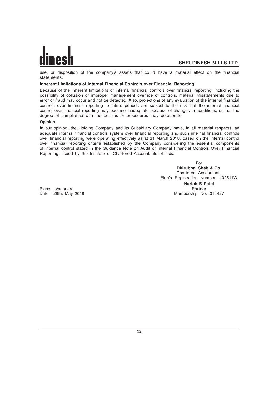use, or disposition of the company's assets that could have a material effect on the financial statements.

# **Inherent Limitations of Internal Financial Controls over Financial Reporting**

Because of the inherent limitations of internal financial controls over financial reporting, including the possibility of collusion or improper management override of controls, material misstatements due to error or fraud may occur and not be detected. Also, projections of any evaluation of the internal financial controls over financial reporting to future periods are subject to the risk that the internal financial control over financial reporting may become inadequate because of changes in conditions, or that the degree of compliance with the policies or procedures may deteriorate.

# **Opinion**

In our opinion, the Holding Company and its Subsidiary Company have, in all material respects, an adequate internal financial controls system over financial reporting and such internal financial controls over financial reporting were operating effectively as at 31 March 2018, based on the internal control over financial reporting criteria established by the Company considering the essential components of internal control stated in the Guidance Note on Audit of Internal Financial Controls Over Financial Reporting issued by the Institute of Chartered Accountants of India

> For **Dhirubhai Shah & Co.** Chartered Accountants Firm's Registration Number: 102511W **Harish B Patel** Membership No. 014427

Place : Vadodara Partner (Place : Vadodara Partner Place of Partner Partner Partner Partner Partner Partner Pa<br>Partner Partner (Place in 2018 Partner Partner Partner Partner Partner Partner Partner Partner Partner Partner<br>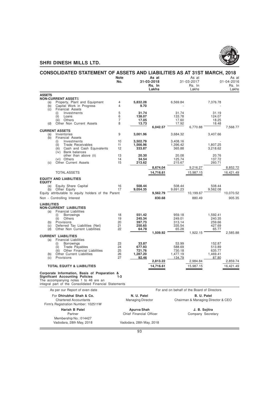

|                    | CONSOLIDATED STATEMENT OF ASSETS AND LIABILITIES AS AT 31ST MARCH, 2018         |                |                          |                      |                      |                                             |                                    |                      |
|--------------------|---------------------------------------------------------------------------------|----------------|--------------------------|----------------------|----------------------|---------------------------------------------|------------------------------------|----------------------|
|                    |                                                                                 | <b>Note</b>    |                          | As at                |                      | As at                                       |                                    | As at                |
|                    |                                                                                 | No.            |                          | 31-03-2018<br>Rs. In |                      | 31-03-2017<br>Rs. In                        |                                    | 01-04-2016<br>Rs. In |
|                    |                                                                                 |                |                          | Lakhs                |                      | Lakhs                                       |                                    | Lakhs                |
| <b>ASSETS</b>      |                                                                                 |                |                          |                      |                      |                                             |                                    |                      |
| (a)                | <b>NON-CURRENT ASSETS</b><br>Property, Plant and Equipment                      | $\overline{4}$ | 5,832.28                 |                      | 6,569.84             |                                             | 7,376.78                           |                      |
| (b)                | Capital Work in Progress                                                        | 4              | 9.70                     |                      |                      |                                             |                                    |                      |
| (c)                | <b>Financial Assets</b>                                                         |                |                          |                      |                      |                                             |                                    |                      |
|                    | (i)<br>Investments<br>(ii)<br>Loans                                             | 5<br>6         | 31.74<br>138.07          |                      | 31.74<br>133.78      |                                             | 31.19<br>124.07                    |                      |
|                    | Others<br>(iii)                                                                 | $\overline{7}$ | 17.05                    |                      | 17.60                |                                             | 18.25                              |                      |
| (d)                | Other Non Current Assets                                                        | 8              | 13.73                    |                      | 17.92                |                                             | 18.48                              |                      |
|                    | <b>CURRENT ASSETS</b>                                                           |                |                          | 6,042.57             |                      | 6,770.88                                    |                                    | 7,568.77             |
| (a)                | Inventories                                                                     | 9              | 3,001.96                 |                      | 3,684.32             |                                             | 3,407.66                           |                      |
| (b)                | <b>Financial Assets</b>                                                         |                |                          |                      |                      |                                             |                                    |                      |
|                    | Investments<br>(i)<br>(ii)<br>Trade Receivables                                 | 10<br>11       | 3,502.79<br>1,566.96     |                      | 3,408.16<br>1,396.42 |                                             | 1,807.25                           |                      |
|                    | Cash and Cash Equivalents<br>(iii)                                              | 12             | 333.87                   |                      | 365.88               |                                             | 3,218.62                           |                      |
|                    | (iv) Bank balances<br>other than above (ii)                                     | 13             | 20.30                    |                      | 20.08                |                                             | 20.76                              |                      |
|                    | (vi) Others                                                                     | 14             | 34.54                    |                      | 125.74               |                                             | 137.72                             |                      |
| (c)                | <b>Other Current Assets</b>                                                     | 15             | 213.62                   |                      | 215.67               |                                             | 260.71                             |                      |
|                    |                                                                                 |                |                          | 8,674.04             |                      | 9,216.27                                    |                                    | 8,852.72             |
|                    | <b>TOTAL ASSETS</b>                                                             |                |                          | 14,716.61            |                      | 15,987.15                                   |                                    | 16,421.49            |
|                    | <b>EQUITY AND LIABILITIES</b>                                                   |                |                          |                      |                      |                                             |                                    |                      |
| <b>EQUITY</b>      |                                                                                 | 16             | 508.44                   |                      | 508.44               |                                             | 508.44                             |                      |
| (a)<br>(b)         | Equity Share Capital<br>Other Equity                                            | 17             | 9,054.35                 |                      | 9.691.23             |                                             | 9,562.08                           |                      |
|                    | Equity attributable to equity holders of the Parent                             |                |                          | 9,562.79             |                      | 10,199.67                                   |                                    | 10,070.52            |
|                    | Non - Controlling Interest                                                      |                |                          | 830.68               |                      | 880.49                                      |                                    | 905.35               |
| <b>LIABILITIES</b> |                                                                                 |                |                          |                      |                      |                                             |                                    |                      |
|                    | <b>NON-CURRENT LIABILITIES</b>                                                  |                |                          |                      |                      |                                             |                                    |                      |
| (a)                | <b>Financial Liabilities</b><br><b>Borrowings</b><br>(i)                        | 18             | 551.42                   |                      | 959.18               |                                             | 1,592.41                           |                      |
|                    | (ii)<br>Others                                                                  | 19             | 245.34                   |                      | 249.01               |                                             | 240.35                             |                      |
| (b)                | Provisions                                                                      | 20             | 397.73                   |                      | 313.14               |                                             | 259.66                             |                      |
| (c)<br>(d)         | Deferred Tax Liabilities (Net)<br>Other Non Current Liabilities                 | 21<br>22       | 250.65<br>64.78          |                      | 335.54<br>65.28      |                                             | 427.69<br>65.77                    |                      |
|                    |                                                                                 |                |                          | 1,509.92             |                      | 1,922.15                                    |                                    | 2,585.88             |
| (a)                | <b>CURRENT LIABILITIES</b><br><b>Financial Liabilities</b>                      |                |                          |                      |                      |                                             |                                    |                      |
|                    | Borrowings<br>(i)                                                               | 23             | 33.87                    |                      | 53.99                |                                             | 152.87                             |                      |
|                    | Trade Payables<br>(ii)                                                          | 24             | 677.93                   |                      | 588.69               |                                             | 513.89                             |                      |
| (b)                | Other Financial Liabilities<br>Other Current Liabilities                        | 25<br>26       | 721.76<br>1.287.20       |                      | 730.18<br>1,477.19   |                                             | 635.77<br>1,469.41                 |                      |
| (c)                | Provisions                                                                      | 27             | 92.46                    |                      | 134.79               |                                             | 87.80                              |                      |
|                    |                                                                                 |                |                          | 2,813.22             |                      | 2,984.84                                    |                                    | 2,859.74             |
|                    | <b>TOTAL EQUITY &amp; LIABILITIES</b>                                           |                |                          | 14,716.61            |                      | 15,987.15                                   |                                    | 16,421.49            |
|                    | Corporate Information, Basis of Preparation &                                   |                |                          |                      |                      |                                             |                                    |                      |
|                    | <b>Significant Accounting Policies</b><br>The accompanying notes 1 to 46 are an | $1 - 3$        |                          |                      |                      |                                             |                                    |                      |
|                    | integral part of the Consolidated Financial Statements                          |                |                          |                      |                      |                                             |                                    |                      |
|                    | As per our Report of even date                                                  |                |                          |                      |                      | For and on behalf of the Board of Directors |                                    |                      |
|                    | For Dhirubhai Shah & Co.                                                        |                | N. U. Patel              |                      |                      | B. U. Patel                                 |                                    |                      |
|                    | <b>Chartered Accountants</b>                                                    |                | <b>Managing Director</b> |                      |                      |                                             | Chairman & Managing Director & CEO |                      |
|                    | Firm's Registration Number: 102511W                                             |                |                          |                      |                      |                                             |                                    |                      |
|                    | Harish B Patel                                                                  |                | Apurva Shah              |                      |                      | J. B. Sojitra                               |                                    |                      |
|                    | Partner                                                                         |                | Chief Financial Officer  |                      |                      | Company Secretary                           |                                    |                      |
|                    | Membership No.: 014427                                                          |                |                          |                      |                      |                                             |                                    |                      |
|                    | Vadodara, 28th May, 2018                                                        |                | Vadodara, 28th May, 2018 |                      |                      |                                             |                                    |                      |
|                    |                                                                                 |                |                          |                      |                      |                                             |                                    |                      |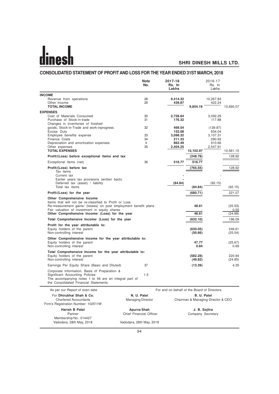# $\mathbf{d}$ ine

# **SHRI DINESH MILLS LTD.**

# **CONSOLIDATED STATEMENT OF PROFIT AND LOSS FOR THE YEAR ENDED 31ST MARCH, 2018**

|                                                                                                                                                                                                                                                             | <b>Note</b><br>No.       | 2017-18<br>Rs. In<br>Lakhs                  |                                    | 2016-17<br>Rs. In<br>Lakhs |                            |
|-------------------------------------------------------------------------------------------------------------------------------------------------------------------------------------------------------------------------------------------------------------|--------------------------|---------------------------------------------|------------------------------------|----------------------------|----------------------------|
| <b>INCOME</b>                                                                                                                                                                                                                                               |                          |                                             |                                    |                            |                            |
| Revenue from operations                                                                                                                                                                                                                                     | 28                       | 9,414.32                                    |                                    | 10,267.83                  |                            |
| Other income                                                                                                                                                                                                                                                | 29                       | 439.87                                      |                                    | 422.24                     |                            |
| <b>TOTAL INCOME</b>                                                                                                                                                                                                                                         |                          |                                             | 9,854.19                           |                            | 10,690.07                  |
| <b>EXPENSES</b>                                                                                                                                                                                                                                             |                          |                                             |                                    |                            |                            |
| Cost of Materials Consumed<br>Purchase of Stock-in-trade                                                                                                                                                                                                    | 30<br>31                 | 2,728.64<br>176.32                          |                                    | 3,092.29<br>117.88         |                            |
| Changes in inventories of finished                                                                                                                                                                                                                          |                          |                                             |                                    |                            |                            |
| goods, Stock-in-Trade and work-inprogress                                                                                                                                                                                                                   | 32                       | 469.54                                      |                                    | (139.87)                   |                            |
| Excise Duty                                                                                                                                                                                                                                                 |                          | 152.08                                      |                                    | 634.04                     |                            |
| Employee benefits expense<br>Finance Costs                                                                                                                                                                                                                  | 33<br>34                 | 3,098.32<br>211.33                          |                                    | 3,107.31<br>290.93         |                            |
| Depreciation and amortization expenses                                                                                                                                                                                                                      | $\overline{4}$           | 862.49                                      |                                    | 910.66                     |                            |
| Other expenses                                                                                                                                                                                                                                              | 35                       | 2,404.25                                    |                                    | 2,547.91                   |                            |
| <b>TOTAL EXPENSES</b>                                                                                                                                                                                                                                       |                          |                                             | 10,102.97                          |                            | 10,561.15                  |
| Profit/(Loss) before exceptional items and tax                                                                                                                                                                                                              |                          |                                             | (248.78)                           |                            | 128.92                     |
| Exceptional items (net)                                                                                                                                                                                                                                     | 36                       | 516.77                                      | 516.77                             |                            |                            |
| Profit/(Loss) before tax                                                                                                                                                                                                                                    |                          |                                             | (765.55)                           |                            | 128.92                     |
| Tax items                                                                                                                                                                                                                                                   |                          |                                             |                                    |                            |                            |
| Current tax                                                                                                                                                                                                                                                 |                          |                                             |                                    |                            |                            |
| Earlier years tax provisions (written back)                                                                                                                                                                                                                 |                          |                                             |                                    |                            |                            |
| Deferred tax (asset) / liability<br>Total tax items                                                                                                                                                                                                         |                          | (84.84)                                     | (84.84)                            | (92.15)                    | (92.15)                    |
|                                                                                                                                                                                                                                                             |                          |                                             |                                    |                            |                            |
| Profit/(Loss) for the year                                                                                                                                                                                                                                  |                          |                                             | (680.71)                           |                            | 221.07                     |
| Other Comprehensive Income<br>Items that will not be re-classified to Profit or Loss<br>Re-measurement gains/ (losses) on post employment benefit plans<br>Fair valuation of investment in equity shares<br>Other Comprehensive Income/ (Loss) for the year |                          |                                             | 48.61<br>48.61                     |                            | (25.53)<br>0.55<br>(24.98) |
| Total Comprehensive Income/ (Loss) for the year                                                                                                                                                                                                             |                          |                                             | (632.10)                           |                            | 196.09                     |
|                                                                                                                                                                                                                                                             |                          |                                             |                                    |                            |                            |
| Profit for the year attributable to:<br>Equity holders of the parent                                                                                                                                                                                        |                          |                                             | (630.05)                           |                            | 246.61                     |
| Non-controlling interest                                                                                                                                                                                                                                    |                          |                                             | (50.66)                            |                            | (25.54)                    |
| Other Comprehensive Income for the year attributable to:                                                                                                                                                                                                    |                          |                                             |                                    |                            |                            |
| Equity holders of the parent                                                                                                                                                                                                                                |                          |                                             | 47.77                              |                            | (25.67)                    |
| Non-controlling interest                                                                                                                                                                                                                                    |                          |                                             | 0.84                               |                            | 0.69                       |
| Total Comprehensive Income for the year attributable to:                                                                                                                                                                                                    |                          |                                             |                                    |                            |                            |
| Equity holders of the parent                                                                                                                                                                                                                                |                          |                                             | (582.28)                           |                            | 220.94                     |
| Non-controlling interest                                                                                                                                                                                                                                    |                          |                                             | (49.82)                            |                            | (24.85)                    |
| Earnings Per Equity Share (Basic and Diluted)                                                                                                                                                                                                               | 37                       |                                             | (13.39)                            |                            | 4.35                       |
| Corporate Information, Basis of Preparation &<br>Significant Accounting Policies<br>The accompanying notes 1 to 46 are an integral part of<br>the Consolidated Financial Statements                                                                         | $1 - 3$                  |                                             |                                    |                            |                            |
| As per our Report of even date                                                                                                                                                                                                                              |                          | For and on behalf of the Board of Directors |                                    |                            |                            |
| For Dhirubhai Shah & Co.                                                                                                                                                                                                                                    | N. U. Patel              |                                             | B. U. Patel                        |                            |                            |
| <b>Chartered Accountants</b><br>Firm's Registration Number: 102511W                                                                                                                                                                                         | <b>Managing Director</b> |                                             | Chairman & Managing Director & CEO |                            |                            |
| Harish B Patel                                                                                                                                                                                                                                              | <b>Apurva Shah</b>       |                                             | J. B. Sojitra                      |                            |                            |
| Partner                                                                                                                                                                                                                                                     | Chief Financial Officer  |                                             | Company Secretary                  |                            |                            |
| Membership No.: 014427<br>Vadodara, 28th May, 2018                                                                                                                                                                                                          | Vadodara, 28th May, 2018 |                                             |                                    |                            |                            |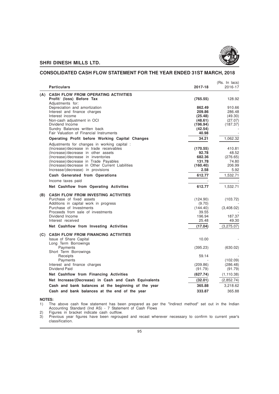

# **CONSOLIDATED CASH FLOW STATEMENT FOR THE YEAR ENDED 31ST MARCH, 2018**

|     | <b>Particulars</b>                                                      | 2017-18          | (Rs. In lacs)<br>2016-17 |
|-----|-------------------------------------------------------------------------|------------------|--------------------------|
| (A) | <b>CASH FLOW FROM OPERATING ACTIVITIES</b><br>Profit/ (loss) Before Tax | (765.55)         | 128.92                   |
|     | Adjustments for:                                                        |                  |                          |
|     | Depreciation and amortization                                           | 862.49<br>209.86 | 910.66                   |
|     | Interest and finance charges<br>Interest income                         | (25.48)          | 286.48<br>(49.30)        |
|     | Non-cash adjustment in OCI                                              | (48.61)          | (27.07)                  |
|     | Dividend Income                                                         | (196.94)         | (187.37)                 |
|     | Sundry Balances written back                                            | (42.54)          |                          |
|     | Fair Valuation of Financial Instruments                                 | 40.98            |                          |
|     | Operating Profit before Working Capital Changes                         | 34.21            | 1,062.32                 |
|     | Adjustments for changes in working capital :                            |                  |                          |
|     | (Increase)/decrease in trade receivables                                | (170.55)         | 410.81                   |
|     | (Increase)/decrease in other assets                                     | 92.78            | 48.52                    |
|     | (Increase)/decrease in inventories                                      | 682.36           | (276.65)                 |
|     | (Increase)/decrease in Trade Payables                                   | 131.78           | 74.80                    |
|     | (Increase)/decrease in Other Current Liabilities                        | (160.40)         | 206.99                   |
|     | Increase/(decrease) in provisions                                       | 2.58             | 5.92                     |
|     | Cash Generated from Operations                                          | 612.77           | 1.532.71                 |
|     | Income taxes paid                                                       |                  |                          |
|     | Net Cashflow from Operating Activities                                  | 612.77           | 1,532.71                 |
| (B) | <b>CASH FLOW FROM INVESTING ACTIVITIES</b>                              |                  |                          |
|     | Purchase of fixed assets                                                | (124.90)         | (103.72)                 |
|     | Additions in capital work in progress                                   | (9.70)           |                          |
|     | Purchase of Investments                                                 | (144.40)         | (3,408.02)               |
|     | Proceeds from sale of investments                                       | 39.55            |                          |
|     | Dividend Income                                                         | 196.94           | 187.37                   |
|     | Interest received                                                       | 25.48            | 49.30                    |
|     | Net Cashflow from Investing Activities                                  | (17.04)          | (3,275.07)               |
|     | (C) CASH FLOW FROM FINANCING ACTIVITIES                                 |                  |                          |
|     | Issue of Share Capital                                                  | 10.00            |                          |
|     | Long Term Borrowings                                                    |                  |                          |
|     | Payments<br>Short Term Borrowings                                       | (395.23)         | (630.02)                 |
|     | Receipts                                                                | 59.14            |                          |
|     | Payments                                                                |                  | (102.09)                 |
|     | Interest and finance charges                                            | (209.86)         | (286.48)                 |
|     | Dividend Paid                                                           | (91.79)          | (91.79)                  |
|     | Net Cashflow from Financing Activities                                  | (627.74)         | (1, 110.38)              |
|     | Net Increase/(Decrease) in Cash and Cash Equivalents                    | (32.01)          | (2,852.74)               |
|     | Cash and bank balances at the beginning of the year                     | 365.88           | 3,218.62                 |
|     | Cash and bank balances at the end of the year                           | 333.87           | 365.88                   |
|     |                                                                         |                  |                          |

**NOTES:**<br>1) The The above cash flow statement has been prepared as per the "Indirect method" set out in the Indian Accounting Standard (Ind AS) - 7 Statement of Cash Flows

2) Figures in bracket indicate cash outflow.

3) Previous year figures have been regrouped and recast wherever necessary to confirm to current year's classification.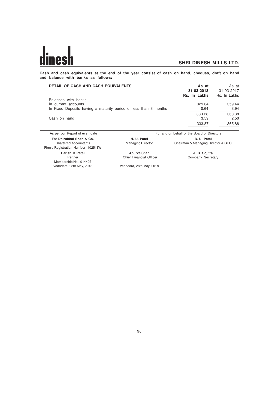**Cash and cash equivalents at the end of the year consist of cash on hand, cheques, draft on hand and balance with banks as follows:**

| <b>DETAIL OF CASH AND CASH EQUIVALENTS</b>                       | As at<br>31-03-2018<br>Rs. In Lakhs         | As at<br>31-03-2017<br>Rs. In Lakhs |
|------------------------------------------------------------------|---------------------------------------------|-------------------------------------|
| Balances with banks                                              | 329.64                                      |                                     |
| In current accounts                                              |                                             | 359.44                              |
| In Fixed Deposits having a maturity period of less than 3 months | 0.64                                        | 3.94                                |
|                                                                  | 330.28                                      | 363.38                              |
| Cash on hand                                                     | 3.59                                        | 2.50                                |
|                                                                  | 333.87                                      | 365.88                              |
| As per our Report of even date                                   | For and on behalf of the Board of Directors |                                     |

For **Dhirubhai Shah & Co. N. U. Patel B. U. Patel B. U. Patel B. U. Patel** Chartered Accountants **Managing Director** Chairman & Managing Director Chairman & Managing Director & CEO Firm's Registration Number: 102511W **Harish B Patel Apurva Shah J. B. Sojitra** Partner Chief Financial Officer Membership No.: 014427 Vadodara, 28th May, 2018 Vadodara, 28th May, 2018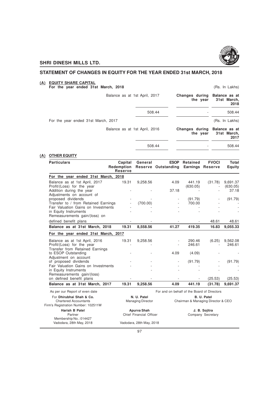

# **STATEMENT OF CHANGES IN EQUITY FOR THE YEAR ENDED 31st MARCH, 2018**

#### **(A) EQUITY SHARE CAPITAL**

#### **For the year ended 31st March, 2018** (Rs. In Lakhs)

| Balance as at 1st April, 2017       |        | Changes during Balance as at<br>the year | 31st March,<br>2018 |
|-------------------------------------|--------|------------------------------------------|---------------------|
|                                     | 508.44 |                                          | 508.44              |
| For the year ended 31st March, 2017 |        |                                          | (Rs. In Lakhs)      |
| Balance as at 1st April, 2016       |        | Changes during Balance as at<br>the year | 31st March,<br>2017 |
|                                     | 508.44 |                                          | 508.44              |

# **(A) OTHER EQUITY**

| <b>Particulars</b>                                                                              | Capital<br>Redemption<br><b>Reserve</b> | General                                 | <b>ESOP</b><br>Reserve Outstanding          | Retained                                          | <b>FVOCI</b><br><b>Earnings Reserve</b> | Total<br>Equity      |
|-------------------------------------------------------------------------------------------------|-----------------------------------------|-----------------------------------------|---------------------------------------------|---------------------------------------------------|-----------------------------------------|----------------------|
| For the year ended 31st March, 2018                                                             |                                         |                                         |                                             |                                                   |                                         |                      |
| Balance as at 1st April, 2017<br>Profit/(Loss) for the year                                     | 19.31                                   | 9,258.56                                | 4.09                                        | 441.19<br>(630.05)                                | (31.78)                                 | 9,691.37<br>(630.05) |
| Addition during the year<br>Adjustments on account of                                           |                                         |                                         | 37.18                                       |                                                   |                                         | 37.18                |
| proposed dividends<br>Transfer to / from Retained Earnings                                      |                                         | (700.00)                                |                                             | (91.79)<br>700.00                                 |                                         | (91.79)              |
| Fair Valuation Gains on Investments<br>in Equity Instruments<br>Remeasurements gain/(loss) on   |                                         |                                         |                                             |                                                   |                                         |                      |
| defined benefit plans                                                                           |                                         |                                         |                                             |                                                   | 48.61                                   | 48.61                |
| Balance as at 31st March, 2018                                                                  | 19.31                                   | 8,558.56                                | 41.27                                       | 419.35                                            | 16.83                                   | 9,055.33             |
| For the year ended 31st March, 2017                                                             |                                         |                                         |                                             |                                                   |                                         |                      |
| Balance as at 1st April, 2016<br>Profit/(Loss) for the year<br>Transfer from Retained Earnings  | 19.31                                   | 9,258.56                                |                                             | 290.46<br>246.61                                  | (6.25)                                  | 9,562.08<br>246.61   |
| to ESOP Outstanding<br>Adjustment on account                                                    |                                         |                                         | 4.09                                        | (4.09)                                            |                                         |                      |
| of proposed dividends                                                                           |                                         |                                         |                                             | (91.79)                                           |                                         | (91.79)              |
| Fair Valuation Gains on Investments<br>in Equity Instruments                                    |                                         |                                         |                                             |                                                   |                                         |                      |
| Remeasurements gain/(loss)<br>on defined benefit plans                                          |                                         |                                         |                                             |                                                   | (25.53)                                 | (25.53)              |
| Balance as at 31st March, 2017                                                                  | 19.31                                   | 9,258.56                                | 4.09                                        | 441.19                                            | (31.78)                                 | 9,691.37             |
| As per our Report of even date                                                                  |                                         |                                         | For and on behalf of the Board of Directors |                                                   |                                         |                      |
| For Dhirubhai Shah & Co.<br><b>Chartered Accountants</b><br>Firm's Registration Number: 102511W |                                         | N. U. Patel<br><b>Managing Director</b> |                                             | B. U. Patel<br>Chairman & Managing Director & CEO |                                         |                      |
| <b>Harish B Patel</b><br>Partner<br>Membership No.: 014427                                      |                                         | Apurva Shah<br>Chief Financial Officer  |                                             | J. B. Sojitra<br>Company Secretary                |                                         |                      |
| Vadodara, 28th May, 2018                                                                        |                                         | Vadodara, 28th May, 2018                |                                             |                                                   |                                         |                      |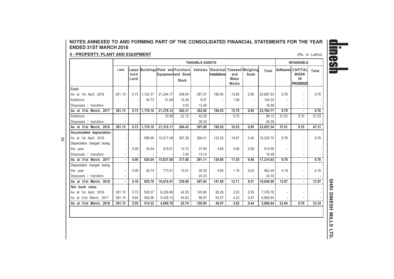# **NOTES ANNEXED TO AND FORMING PART OF THE CONSOLIDATED FINANCIAL STATEMENTS FOR THE YEARENDED 31ST MARCH 2018**

#### **4 - PROPERTY, PLANT AND EQUIPMENT** $\overline{\mathbf{I}}$  (Rs. In Lakhs)

98

|                             |        |                       |                               |           |                                   | <b>TANGIBLE ASSETS</b> |                                                          |                       |                          |           | <b>INTANGIBLE</b> |                                                           |       |
|-----------------------------|--------|-----------------------|-------------------------------|-----------|-----------------------------------|------------------------|----------------------------------------------------------|-----------------------|--------------------------|-----------|-------------------|-----------------------------------------------------------|-------|
|                             | Land   | Lease<br>hold<br>Land | Buildings Plant and Furniture |           | Equipmentand Dead<br><b>Stock</b> |                        | Vehicles   Electrical Tubewell Weighing<br>Installations | and<br>Water<br>Works | Scale                    | Total     |                   | Softwares CAPITAL<br><b>WORK</b><br>IN<br><b>PROGRESS</b> | Total |
| Cost:                       |        |                       |                               |           |                                   |                        |                                                          |                       |                          |           |                   |                                                           |       |
| As at 1st April, 2016       | 381.15 | 5.73                  | 1.124.37                      | 21,244.17 | 349.54                            | 387.27                 | 190.55                                                   | 13.80                 | 0.95                     | 23,697.53 | 9.78              | $\blacksquare$                                            | 9.78  |
| <b>Additions</b>            |        |                       | 45.73                         | 31.95     | 16.29                             | 8.27                   |                                                          | 1.98                  |                          | 104.22    |                   | ٠                                                         |       |
| Disposals / transfers       |        |                       |                               |           | 3.52                              | 13.46                  |                                                          |                       |                          | 16.98     |                   | ٠                                                         |       |
| As at 31st March, 2017      | 381.15 |                       | $5.73$   1,170.10             | 21.276.12 | 362.31                            | 382.08                 | 190.55                                                   | 15.78                 | 0.95                     | 23,784.77 | 9.78              | $\blacksquare$                                            | 9.78  |
| Additions                   |        |                       |                               | 33.99     | 22.12                             | 42.26                  |                                                          | 0.75                  | $\overline{\phantom{a}}$ | 99.12     | 27.83             | 9.70                                                      | 37.53 |
| Disposals / transfers       |        |                       |                               |           |                                   | 26.35                  |                                                          |                       |                          | 26.35     |                   |                                                           |       |
| As at 31st March, 2018      | 381.15 |                       | $5.73$   1,170.10             | 21,310.11 | 384.43                            | 397.99                 | 190.55                                                   | 16.53                 | 0.95                     | 23,857.54 | 37.61             | 9.70                                                      | 47.31 |
| Accumulated depreciation:   |        |                       |                               |           |                                   |                        |                                                          |                       |                          |           |                   |                                                           |       |
| As at 1st April, 2016       |        |                       | 586.00                        | 15,017.49 | 307.29                            | 266.41                 | 132.29                                                   | 10.87                 | 0.40                     | 16,320.75 | 9.78              | ÷                                                         | 9.78  |
| Depreciation charged during |        |                       |                               |           |                                   |                        |                                                          |                       |                          |           |                   |                                                           |       |
| the year                    |        | 0.09                  | 34.04                         | 819.51    | 13.73                             | 37.84                  | 4.69                                                     | 0.68                  | 0.08                     | 910.66    |                   | $\blacksquare$                                            |       |
| Disposals / transfers       |        |                       |                               |           | 3.34                              | 13.14                  |                                                          |                       |                          | 16.48     |                   | $\sim$                                                    |       |
| As at 31st March, 2017      |        | 0.09                  | 620.04                        | 15,837.00 | 317.68                            | 291.11                 | 136.98                                                   | 11.55                 | 0.48                     | 17.214.93 | 9.78              | ×.                                                        | 9.78  |
| Depreciation charged during |        |                       |                               |           |                                   |                        |                                                          |                       |                          |           |                   |                                                           |       |
| the year                    |        | 0.09                  | 35.74                         | 773.41    | 13.01                             | 30.26                  | 4.60                                                     | 1.16                  | 0.03                     | 862.49    | 4.19              | $\blacksquare$                                            | 4.19  |
| Disposals / transfers       |        |                       |                               |           |                                   | 24.33                  |                                                          |                       |                          | 24.33     |                   | $\sim$                                                    |       |
| As at 31st March, 2018      |        | 0.18                  | 655.78                        | 16,610.41 | 330.69                            | 297.04                 | 141.58                                                   | 12.71                 | 0.51                     | 18,048.90 | 13.97             | $\blacksquare$                                            | 13.97 |
| Net book value              |        |                       |                               |           |                                   |                        |                                                          |                       |                          |           |                   |                                                           |       |
| As at 1st April, 2016       | 381.15 | 5.73                  | 538.37                        | 6,226.68  | 42.25                             | 120.86                 | 58.26                                                    | 2.93                  | 0.55                     | 7,376.78  |                   | ٠                                                         |       |
| As at 31st March, 2017      | 381.15 | 5.64                  | 550.06                        | 5,439.12  | 44.63                             | 90.97                  | 53.57                                                    | 4.23                  | 0.47                     | 6,569.84  |                   |                                                           |       |
| As at 31st March, 2018      | 381.15 | 5.55                  | 514.32                        | 4,699.70  | 53.74                             | 100.95                 | 48.97                                                    | 3.82                  | 0.44                     | 5,808.64  | 23.64             | 9.70                                                      | 33.34 |
|                             |        |                       |                               |           |                                   |                        |                                                          |                       |                          |           |                   |                                                           |       |

**Samilines**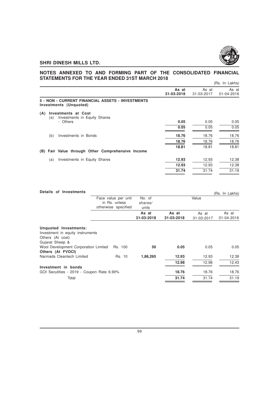

# **NOTES ANNEXED TO AND FORMING PART OF THE CONSOLIDATED FINANCIAL STATEMENTS FOR THE YEAR ENDED 31ST MARCH 2018**

|                                          |                                                   |                     |                     | (Rs. In Lakhs)      |
|------------------------------------------|---------------------------------------------------|---------------------|---------------------|---------------------|
|                                          |                                                   | As at<br>31-03-2018 | As at<br>31-03-2017 | As at<br>01-04-2016 |
| Investments (Unquoted)                   | 5 - NON - CURRENT FINANCIAL ASSETS - INVESTMENTS  |                     |                     |                     |
| (A)<br><b>Investments at Cost</b><br>(a) | Investments in Equity Shares                      |                     |                     |                     |
| - Others                                 |                                                   | 0.05                | 0.05                | 0.05                |
|                                          |                                                   | 0.05                | 0.05                | 0.05                |
| Investments in Bonds<br>(b)              |                                                   | 18.76               | 18.76               | 18.76               |
|                                          |                                                   | 18.76               | 18.76               | 18.76               |
|                                          | (B) Fair Value through Other Comprehensive Income | 18.81               | 18.81               | 18.81               |
| (a)                                      | Investments in Equity Shares                      | 12.93               | 12.93               | 12.38               |
|                                          |                                                   | 12.93               | 12.93               | 12.38               |
|                                          |                                                   | 31.74               | 31.74               | 31.19               |
|                                          |                                                   |                     |                     |                     |

| Details of Investments                                                                                                                                        |                                      |                  |            |            | (Rs. In Lakhs) |
|---------------------------------------------------------------------------------------------------------------------------------------------------------------|--------------------------------------|------------------|------------|------------|----------------|
|                                                                                                                                                               | Face value per unit                  | No. of           |            | Value      |                |
|                                                                                                                                                               | in Rs. unless<br>otherwise specified | shares/<br>units |            |            |                |
|                                                                                                                                                               |                                      | As at            | As at      | As at      | As at          |
|                                                                                                                                                               |                                      | 31-03-2018       | 31-03-2018 | 31-03-2017 | 01-04-2016     |
| Unquoted Investments:<br>Investment in equity instruments<br>Others (At cost)<br>Gujarat Sheep &<br>Wool Development Corporation Limited<br>Others (At FVOCI) | Rs. 100                              | 50               | 0.05       | 0.05       | 0.05           |
| Narmada Cleantech Limited                                                                                                                                     | Rs. 10                               | 1,86,265         | 12.93      | 12.93      | 12.38          |
|                                                                                                                                                               |                                      |                  | 12.98      | 12.98      | 12.43          |
| Investment in bonds                                                                                                                                           |                                      |                  |            |            |                |
| GOI Secutities - 2019 - Coupon Rate 6.90%                                                                                                                     |                                      |                  | 18.76      | 18.76      | 18.76          |
| Total                                                                                                                                                         |                                      |                  | 31.74      | 31.74      | 31.19          |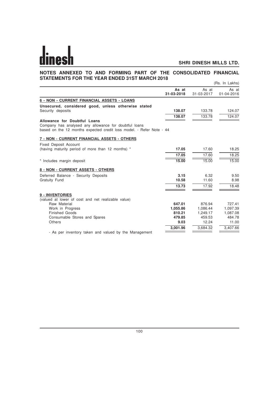## **NOTES ANNEXED TO AND FORMING PART OF THE CONSOLIDATED FINANCIAL STATEMENTS FOR THE YEAR ENDED 31ST MARCH 2018** (Rs. In Lakhs)

|                                                                                                                                                               |                     |                     | (113. III Lanis)          |
|---------------------------------------------------------------------------------------------------------------------------------------------------------------|---------------------|---------------------|---------------------------|
|                                                                                                                                                               | As at<br>31-03-2018 | As at<br>31-03-2017 | As at<br>$01 - 04 - 2016$ |
| 6 - NON - CURRENT FINANCIAL ASSETS - LOANS                                                                                                                    |                     |                     |                           |
| Unsecured, considered good, unless otherwise stated                                                                                                           |                     |                     |                           |
| Security deposits                                                                                                                                             | 138.07              | 133.78              | 124.07                    |
|                                                                                                                                                               | 138.07              | 133.78              | 124.07                    |
| Allowance for Doubtful Loans<br>Company has analysed any allowance for doubtful loans<br>based on the 12 months expected credit loss model. - Refer Note - 44 |                     |                     |                           |
| 7 - NON - CURRENT FINANCIAL ASSETS - OTHERS                                                                                                                   |                     |                     |                           |
| <b>Fixed Deposit Account</b>                                                                                                                                  |                     |                     |                           |
| (having maturity period of more than 12 months) *                                                                                                             | 17.05               | 17.60               | 18.25                     |
|                                                                                                                                                               | 17.05               | 17.60               | 18.25                     |
| * Includes margin deposit                                                                                                                                     | 15.00               | 15.00               | 15.00                     |
| 8 - NON - CURRENT ASSETS - OTHERS                                                                                                                             |                     |                     |                           |
| Deferred Balance - Security Deposits                                                                                                                          | 3.15                | 6.32                | 9.50                      |
| <b>Gratuity Fund</b>                                                                                                                                          | 10.58               | 11.60               | 8.98                      |
|                                                                                                                                                               | 13.73               | 17.92               | 18.48                     |
| 9 - INVENTORIES                                                                                                                                               |                     |                     |                           |
| (valued at lower of cost and net realizable value)                                                                                                            |                     |                     |                           |
| Raw Material<br>Work in Progress                                                                                                                              | 647.01<br>1,055.86  | 876.94<br>1,086.44  | 727.41<br>1,097.39        |
| <b>Finished Goods</b>                                                                                                                                         | 810.21              | 1.249.17            | 1.087.08                  |
| Consumable Stores and Spares                                                                                                                                  | 479.85              | 459.53              | 484.78                    |
| Others                                                                                                                                                        | 9.03                | 12.24               | 11.00                     |
|                                                                                                                                                               | 3,001.96            | 3,684.32            | 3,407.66                  |
| - As per inventory taken and valued by the Management                                                                                                         |                     |                     |                           |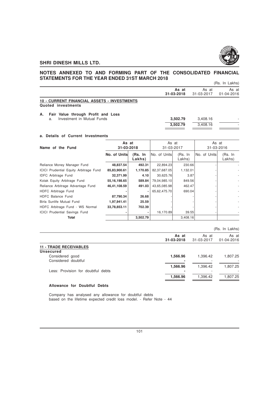

# **NOTES ANNEXED TO AND FORMING PART OF THE CONSOLIDATED FINANCIAL STATEMENTS FOR THE YEAR ENDED 31ST MARCH 2018**

|  | (Rs. In Lakhs) |
|--|----------------|
|  |                |

|    |                                                                          | As at<br>31-03-2018 | As at<br>31-03-2017 | As at<br>01-04-2016 |
|----|--------------------------------------------------------------------------|---------------------|---------------------|---------------------|
|    | <b>10 - CURRENT FINANCIAL ASSETS - INVESTMENTS</b><br>Quoted investments |                     |                     |                     |
| А. | Fair Value through Profit and Loss                                       |                     |                     |                     |
|    | Investment in Mutual Funds<br>a.                                         | 3.502.79            | 3.408.16            |                     |
|    |                                                                          | 3.502.79            | 3.408.16            |                     |

## **a. Details of Current Investments**

| Name of the Fund                              | As at<br>31-03-2018 |                   | As at<br>31-03-2017 |                   | As at<br>31-03-2016 |                   |
|-----------------------------------------------|---------------------|-------------------|---------------------|-------------------|---------------------|-------------------|
|                                               | No. of Units        | (Rs. In<br>Lakhs) | INo. of UnitsI      | (Rs. In<br>Lakhs) | No. of Units        | (Rs. In<br>Lakhs) |
| Reliance Money Manager Fund                   | 48,837.54           | 492.31            | 22,894.23           | 230.66            |                     |                   |
| <b>ICICI Prudential Equity Arbitrage Fund</b> | 85,83,900.61        | 1,170.85          | 82,37,687.05        | 1,132.01          |                     |                   |
| <b>IDFC</b> Arbitrage Fund                    | 32,371.99           | 4.10              | 30,625.76           | 3.87              |                     |                   |
| Kotak Equity Arbitrage Fund                   | 55, 16, 198. 65     | 589.84            | 79,04,985.10        | 849.56            |                     |                   |
| Reliance Arbitrage Advantage Fund             | 46,41,108.59        | 491.03            | 43,65,085.98        | 462.47            |                     |                   |
| HDFC Arbitrage Fund                           |                     |                   | 65,62,475.70        | 690.04            |                     |                   |
| HDFC Balance Fund                             | 87,790.34           | 26.68             |                     |                   |                     |                   |
| Birla Sunlife Mutual Fund                     | 1,97,941.41         | 25.59             |                     |                   |                     |                   |
| HDFC Arbitrage Fund - WS Normal               | 33,78,853.11        | 702.39            |                     |                   |                     |                   |
| <b>ICICI Prudential Savings Fund</b>          | ٠                   |                   | 16,170.89           | 39.55             |                     |                   |
| Total                                         |                     | 3,502.79          |                     | 3,408.16          |                     |                   |

|                                                   |                     |                     | (Rs. In Lakhs)      |
|---------------------------------------------------|---------------------|---------------------|---------------------|
|                                                   | As at<br>31-03-2018 | As at<br>31-03-2017 | As at<br>01-04-2016 |
| <b>11 - TRADE RECEIVABLES</b><br><b>Unsecured</b> |                     |                     |                     |
| Considered good<br>Considered doubtful            | 1,566.96            | 1,396.42            | 1,807.25            |
| Less: Provision for doubtful debts                | 1,566.96            | 1,396.42            | 1,807.25            |
|                                                   | 1,566.96            | 1,396.42            | 1.807.25            |

# **Allowance for Doubtful Debts**

Company has analysed any allowance for doubtful debts based on the lifetime expected credit loss model. - Refer Note - 44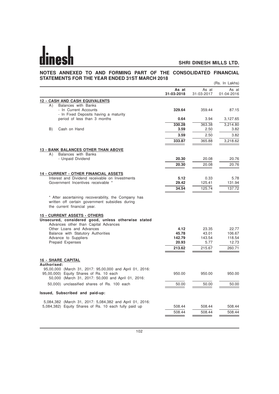# **NOTES ANNEXED TO AND FORMING PART OF THE CONSOLIDATED FINANCIAL STATEMENTS FOR THE YEAR ENDED 31ST MARCH 2018**

|                                                                                                                                                           |                     |                     | (Rs. In Lakhs)      |
|-----------------------------------------------------------------------------------------------------------------------------------------------------------|---------------------|---------------------|---------------------|
|                                                                                                                                                           | As at<br>31-03-2018 | As at<br>31-03-2017 | As at<br>01-04-2016 |
| <b>12 - CASH AND CASH EQUIVALENTS</b>                                                                                                                     |                     |                     |                     |
| Balances with Banks<br>A)<br>- In Current Accounts<br>- In Fixed Deposits having a maturity                                                               | 329.64              | 359.44              | 87.15               |
| period of less than 3 months                                                                                                                              | 0.64                | 3.94                | 3,127.65            |
|                                                                                                                                                           | 330.28              | 363.38              | 3,214.80            |
| B)<br>Cash on Hand                                                                                                                                        | 3.59                | 2.50                | 3.82                |
|                                                                                                                                                           | 3.59                | 2.50                | 3.82                |
|                                                                                                                                                           | 333.87              | 365.88              | 3,218.62            |
| <b>13 - BANK BALANCES OTHER THAN ABOVE</b>                                                                                                                |                     |                     |                     |
| Balances with Banks<br>A)                                                                                                                                 |                     |                     |                     |
| - Unpaid Dividend                                                                                                                                         | 20.30               | 20.08               | 20.76               |
|                                                                                                                                                           | 20.30               | 20.08               | 20.76               |
| <b>14 - CURRENT - OTHER FINANCIAL ASSETS</b>                                                                                                              |                     |                     |                     |
| Interest and Dividend receivable on Investments                                                                                                           | 5.12                | 0.33                | 5.78                |
| Government Incentives receivable *                                                                                                                        | 29.42               | 125.41              | 131.94              |
|                                                                                                                                                           | 34.54               | 125.74              | 137.72              |
| * After ascertaining recoverability, the Company has<br>written off certain government subsidies during<br>the current financial year.                    |                     |                     |                     |
| <b>15 - CURRENT ASSETS - OTHERS</b><br>Unsecured, considered good, unless otherwise stated<br>Advances other than Capital Advances                        |                     |                     |                     |
| Other Loans and Advances                                                                                                                                  | 4.12                | 23.35               | 22.77               |
| Balance with Statutory Authorities                                                                                                                        | 45.78<br>142.79     | 43.01               | 106.67              |
| Advance to Suppliers<br>Prepaid Expenses                                                                                                                  | 20.93               | 143.54<br>5.77      | 118.54<br>12.73     |
|                                                                                                                                                           | 213.62              | 215.67              | 260.71              |
|                                                                                                                                                           |                     |                     |                     |
| <b>16 - SHARE CAPITAL</b><br>Authorised:                                                                                                                  |                     |                     |                     |
| 95,00,000 (March 31, 2017: 95,00,000 and April 01, 2016:<br>95,00,000) Equity Shares of Rs. 10 each<br>50,000 (March 31, 2017: 50,000 and April 01, 2016: | 950.00              | 950.00              | 950.00              |
| 50,000) unclassified shares of Rs. 100 each                                                                                                               | 50.00               | 50.00               | 50.00               |
| Issued, Subscribed and paid-up:                                                                                                                           |                     |                     |                     |
| 5,084,382 (March 31, 2017: 5,084,382 and April 01, 2016:                                                                                                  |                     |                     |                     |
| 5,084,382) Equity Shares of Rs. 10 each fully paid up                                                                                                     | 508.44              | 508.44              | 508.44              |
|                                                                                                                                                           | 508.44              | 508.44              | 508.44              |
|                                                                                                                                                           |                     |                     |                     |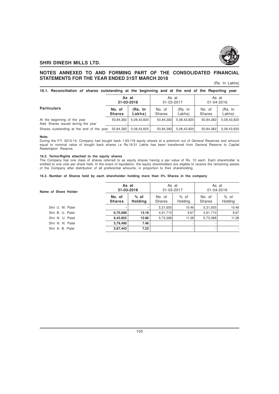

# **NOTES ANNEXED TO AND FORMING PART OF THE CONSOLIDATED FINANCIAL STATEMENTS FOR THE YEAR ENDED 31ST MARCH 2018**

## (Rs. In Lakhs)

| 16.1. Reconciliation of shares outstanding at the beginning and at the end of the Reporting year |        |                     |              |              |               |                     |
|--------------------------------------------------------------------------------------------------|--------|---------------------|--------------|--------------|---------------|---------------------|
|                                                                                                  |        | As at<br>31-03-2018 | 31-03-2017   | As at        |               | As at<br>01-04-2016 |
| <b>Particulars</b>                                                                               | No. of | (Rs. In<br>.        | No. of<br>__ | (Rs. In<br>. | No. of<br>$-$ | (Rs. In             |

|                                                                    | IVO. UI<br><b>Shares</b> | เทร. แเ<br>Lakhs) | <b>IVU. UI</b><br>Shares | ווו .כחו<br>Lakhs) | IVU. UI<br>Shares | ווו .כחו<br>Lakhs) |
|--------------------------------------------------------------------|--------------------------|-------------------|--------------------------|--------------------|-------------------|--------------------|
| At the beginning of the year<br>Add: Shares issued during the year | 50.84.382                | 5.08.43.820       | 50.84.382                | 5.08.43.820        | 50.84.382         | 5.08.43.820        |
| Shares outstanding at the end of the year $50.84.382$ 5.08.43.820  |                          |                   | 50,84,382                | 5.08.43.820        | 50.84.382         | 5.08.43.820        |

#### **Note:**

During the F.Y. 2013-14, Company had bought back 1,93,118 equity shares at a premium out of General Reserves and amount equal to nominal value of bought back shares i.e Rs.19.31 Lakhs has been transferred from General Reserve to Capital Redemtpion Reserve.

#### **16.2. Terms/Rights attached to the equity shares**

The Company has one class of shares referred to as equity shares having a par value of Rs. 10 each. Each shareholder is entitled to one vote per share held. In the event of liquidation, the equity shareholders are eligible to receive the remaining assets of the Company after distribution of all preferential amounts, in proportion to their shareholding.

#### **16.3. Number of Shares held by each shareholder holding more than 5% Shares in the company**

| Name of Share Holder | As at<br>31-03-2018      |                          | As at<br>31-03-2017     |                   | As at<br>01-04-2016     |                          |
|----------------------|--------------------------|--------------------------|-------------------------|-------------------|-------------------------|--------------------------|
|                      | No. of<br><b>Shares</b>  | $%$ of<br><b>Holding</b> | No. of<br><b>Shares</b> | $%$ of<br>Holding | No. of<br><b>Shares</b> | $%$ of<br>Holding        |
| Shri U. M. Patel     | $\overline{\phantom{a}}$ |                          | 5,31,655                | 10.46             | 5,31,655                | 10.46                    |
| Shri B. U. Patel     | 6,70,088                 | 13.18                    | 4,91,710                | 9.67              | 4,91,710                | 9.67                     |
| Shri N. U. Patel     | 6,43,852                 | 12.66                    | 5,73,388                | 11.28             | 5,73,388                | 11.28                    |
| Shri N. N. Patel     | 3,79,490                 | 7.46                     |                         |                   |                         | $\overline{\phantom{a}}$ |
| Shri A. B. Patel     | 3,67,443                 | 7.23                     |                         |                   |                         | $\overline{\phantom{a}}$ |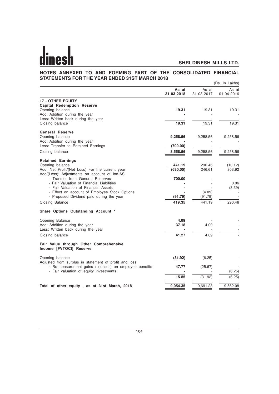#### **NOTES ANNEXED TO AND FORMING PART OF THE CONSOLIDATED FINANCIAL STATEMENTS FOR THE YEAR ENDED 31ST MARCH 2018** (Rs. In Lakhs)

|                                                                                  |                     |                     | (nS. III LANIS)     |
|----------------------------------------------------------------------------------|---------------------|---------------------|---------------------|
|                                                                                  | As at<br>31-03-2018 | As at<br>31-03-2017 | As at<br>01-04-2016 |
| <b>17 - OTHER EQUITY</b>                                                         |                     |                     |                     |
| <b>Capital Redemption Reserve</b>                                                |                     |                     |                     |
| Opening balance                                                                  | 19.31               | 19.31               | 19.31               |
| Add: Addition during the year                                                    |                     |                     |                     |
| Less: Written back during the year                                               |                     |                     |                     |
| Closing balance                                                                  | 19.31               | 19.31               | 19.31               |
| <b>General Reserve</b>                                                           |                     |                     |                     |
| Opening balance                                                                  | 9,258.56            | 9,258.56            | 9,258.56            |
| Add: Addition during the year                                                    |                     |                     |                     |
| Less: Transfer to Retained Earnings                                              | (700.00)            |                     |                     |
| Closing balance                                                                  | 8,558.56            | 9,258.56            | 9,258.56            |
|                                                                                  |                     |                     |                     |
| <b>Retained Earnings</b>                                                         |                     |                     |                     |
| Opening balance                                                                  | 441.19              | 290.46              | (10.12)             |
| Add: Net Profit/(Net Loss) For the current year                                  | (630.05)            | 246.61              | 303.92              |
| Add/(Less): Adjustments on account of Ind-AS<br>- Transfer from General Reserves | 700.00              |                     |                     |
| - Fair Valuation of Financial Liabilities                                        |                     |                     | 0.06                |
| - Fair Valuation of Financial Assets                                             |                     |                     | (3.39)              |
| - Effect on account of Employee Stock Options                                    |                     | (4.09)              |                     |
| - Proposed Dividend paid during the year                                         | (91.79)             | (91.79)             |                     |
| Closing Balance                                                                  | 419.35              | 441.19              | 290.46              |
| Share Options Outstanding Account *                                              |                     |                     |                     |
| Opening Balance                                                                  | 4.09                |                     |                     |
| Add: Addition during the year                                                    | 37.18               | 4.09                |                     |
| Less: Written back during the year                                               |                     |                     |                     |
| Closing balance                                                                  | 41.27               | 4.09                |                     |
| Fair Value through Other Comprehensive<br>Income [FVTOCI] Reserve                |                     |                     |                     |
| Opening balance                                                                  | (31.92)             | (6.25)              |                     |
| Adjusted from surplus in statement of profit and loss                            |                     |                     |                     |
| - Re-measurement gains / (losses) on employee benefits                           | 47.77               | (25.67)             |                     |
| - Fair valuation of equity investments                                           |                     |                     | (6.25)              |
|                                                                                  | 15.85               | (31.92)             | (6.25)              |
| Total of other equity - as at 31st March, 2018                                   | 9,054.35            | 9,691.23            | 9,562.08            |
|                                                                                  |                     |                     |                     |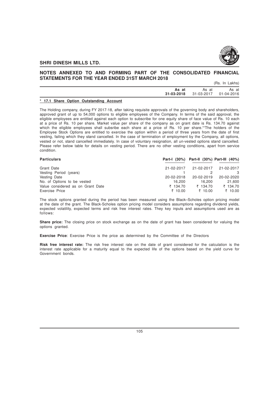

# **NOTES ANNEXED TO AND FORMING PART OF THE CONSOLIDATED FINANCIAL STATEMENTS FOR THE YEAR ENDED 31ST MARCH 2018**

(Rs. In Lakhs)

| As at | As at<br>31-03-2018 31-03-2017 01-04-2016 | As at |
|-------|-------------------------------------------|-------|
|       |                                           |       |

#### **\* 17.1 Share Option Outstanding Account**

The Holding company, during FY 2017-18, after taking requisite approvals of the governing body and shareholders, approved grant of up to 54,000 options to eligible employees of the Company. In terms of the said approval, the eligible employees are entitled against each option to subscribe for one equity share of face value of Rs. 10 each at a price of Rs. 10 per share. Market value per share of the company as on grant date is Rs. 134.70 against which the eligible employees shall subsribe each share at a price of Rs. 10 per share. "The holders of the Employee Stock Options are entitled to exercise the option within a period of three years from the date of first vesting, failing which they stand cancelled. In the case of termination of employment by the Company, all options, vested or not, stand cancelled immediately. In case of voluntary resignation, all un-vested options stand cancelled. Please refer below table for details on vesting period. There are no other vesting conditions, apart from service condition.

| <b>Particulars</b>                |            | Part-I (30%) Part-II (30%) Part-III (40%) |               |
|-----------------------------------|------------|-------------------------------------------|---------------|
| Grant Date                        | 21-02-2017 | 21-02-2017                                | 21-02-2017    |
| Vesting Period (years)            |            |                                           | $\mathcal{R}$ |
| Vesting Date                      | 20-02-2018 | 20-02-2019                                | 20-02-2020    |
| No. of Options to be vested       | 16.200     | 16.200                                    | 21,600        |
| Value considered as on Grant Date | ₹ 134.70   | ₹ 134.70                                  | ₹ 134.70      |
| Exercise Price                    | ₹ 10.00    | ₹ 10.00                                   | ₹ 10.00       |

The stock options granted during the period has been measured using the Black–Scholes option pricing model at the date of the grant. The Black-Scholes option pricing model considers assumptions regarding dividend yields, expected volatility, expected terms and risk free interest rates. They key inputs and assumptions used are as follows:

**Share price:** The closing price on stock exchange as on the date of grant has been considered for valuing the options granted.

**Exercise Price**: Exercise Price is the price as determined by the Committee of the Directors

**Risk free interest rate:** The risk free interest rate on the date of grant considered for the calculation is the interest rate applicable for a maturity equal to the expected life of the options based on the yield curve for Government bonds.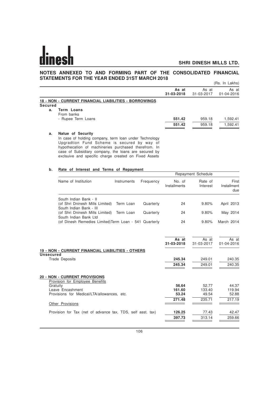# **NOTES ANNEXED TO AND FORMING PART OF THE CONSOLIDATED FINANCIAL STATEMENTS FOR THE YEAR ENDED 31ST MARCH 2018**

|         |                                                                                                                            |                     |                     | (Rs. In Lakhs)      |
|---------|----------------------------------------------------------------------------------------------------------------------------|---------------------|---------------------|---------------------|
|         |                                                                                                                            | As at<br>31-03-2018 | As at<br>31-03-2017 | As at<br>01-04-2016 |
|         | 18 - NON - CURRENT FINANCIAL LIABILITIES - BORROWINGS                                                                      |                     |                     |                     |
| Secured |                                                                                                                            |                     |                     |                     |
| а.      | <b>Term Loans</b><br>From banks<br>- Rupee Term Loans                                                                      | 551.42              | 959.18              | 1,592.41            |
|         |                                                                                                                            | 551.42              | 959.18              | 1,592.41            |
| a.      | Natue of Security<br>In case of holding company, term loan under Technology<br>Unaradtion Fund Schame is secured by way of |                     |                     |                     |

Upgradtion Fund Scheme is secured by way hypothecation of machineries purchased therefrom. In case of Subsidiary company, the loans are secured by exclsuive and specific charge created on Fixed Assets

# **b. Rate of Interest and Terms of Repayment**

|                                                                                      |             |           |                        | Repayment Schedule  |                             |
|--------------------------------------------------------------------------------------|-------------|-----------|------------------------|---------------------|-----------------------------|
| Name of Institution                                                                  | Instruments | Frequency | No. of<br>Installments | Rate of<br>Interest | First<br>Installment<br>due |
| South Indian Bank - II<br>(of Shri Dninesh Mills Limited)<br>South Indian Bank - III | Term Loan   | Quarterly | 24                     | 9.80%               | April 2013                  |
| (of Shri Dninesh Mills Limited)<br>South Indian Bank Ltd                             | Term Loan   | Quarterly | 24                     | 9.80%               | May 2014                    |
| (of Dinesh Remedies Limited) Term Loan - 541 Quarterly                               |             |           | 24                     | 9.80%               | March 2014                  |
| 19 - NON - CURRENT FINANCIAL LIABILITIES - OTHERS                                    |             |           | As at<br>31-03-2018    | As at<br>31-03-2017 | As at<br>01-04-2016         |
| <b>Unsecured</b><br><b>Trade Deposits</b>                                            |             |           | 245.34<br>245.34       | 249.01<br>249.01    | 240.35<br>240.35            |
| <b>20 - NON - CURRENT PROVISIONS</b><br>Provision for Employee Benefits              |             |           |                        |                     |                             |
| Gratuity<br>Leave Encashment                                                         |             |           | 56.64<br>161.60        | 52.77<br>133.40     | 44.37<br>119.94             |
| Provisions for Medical/LTA/allowances, etc.                                          |             |           | 53.24                  | 49.54               | 52.88                       |
| Other Provisions                                                                     |             |           | 271.48                 | 235.71              | 217.19                      |
| Provision for Tax (net of advance tax, TDS, self asst. tax)                          |             |           | 126.25                 | 77.43               | 42.47                       |
|                                                                                      |             |           | 397.73                 | 313.14              | 259.66                      |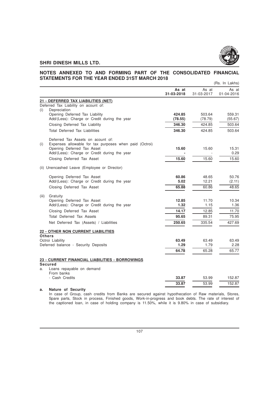

#### **NOTES ANNEXED TO AND FORMING PART OF THE CONSOLIDATED FINANCIAL STATEMENTS FOR THE YEAR ENDED 31ST MARCH 2018** (Rs. In Lakhs)

|       |                                                        |                     |                     | ונטוואם ווו במוזוסן |
|-------|--------------------------------------------------------|---------------------|---------------------|---------------------|
|       |                                                        | As at<br>31-03-2018 | As at<br>31-03-2017 | As at<br>01-04-2016 |
|       | 21 - DEFERRED TAX LIABILITIES (NET)                    |                     |                     |                     |
|       | Deferred Tax Liability on acount of:                   |                     |                     |                     |
| (i)   | Depreciation                                           |                     |                     |                     |
|       | Opening Deferred Tax Liability                         | 424.85              | 503.64              | 559.31              |
|       | Add/(Less): Charge or Credit during the year           | (78.55)             | (78.79)             | (55.67)             |
|       | Closing Deferred Tax Liability                         | 346.30              | 424.85              | 503.64              |
|       | <b>Total Deferred Tax Liabilities</b>                  | 346.30              | 424.85              | 503.64              |
|       | Deferred Tax Assets on acount of:                      |                     |                     |                     |
| (i)   | Expenses allowable for tax purposes when paid (Octroi) |                     |                     |                     |
|       | Opening Deferred Tax Asset                             | 15.60               | 15.60               | 15.31               |
|       | Add/(Less): Charge or Credit during the year           |                     |                     | 0.29                |
|       | Closing Deferred Tax Asset                             | 15.60               | 15.60               | 15.60               |
|       | (ii) Unencashed Leave (Employee or Director)           |                     |                     |                     |
|       | Opening Deferred Tax Asset                             | 60.86               | 48.65               | 50.76               |
|       | Add/(Less): Charge or Credit during the year           | 5.02                | 12.21               | (2.11)              |
|       | Closing Deferred Tax Asset                             | 65.88               | 60.86               | 48.65               |
|       |                                                        |                     |                     |                     |
| (iii) | Gratuity<br>Opening Deferred Tax Asset                 | 12.85               | 11.70               | 10.34               |
|       | Add/(Less): Charge or Credit during the year           | 1.32                | 1.15                | 1.36                |
|       | Closing Deferred Tax Asset                             | 14.17               | 12.85               | 11.70               |
|       | <b>Total Deferred Tax Assets</b>                       | 95.65               | 89.31               | 75.95               |
|       | Net Deferred Tax (Assets) / Liabilities                | 250.65              | 335.54              | 427.69              |
|       |                                                        |                     |                     |                     |
|       | <b>22 - OTHER NON CURRENT LIABILITIES</b>              |                     |                     |                     |
|       | <b>Others</b><br>Octroi Liability                      | 63.49               | 63.49               | 63.49               |
|       | Deferred balance - Security Deposits                   | 1.29                | 1.79                | 2.28                |
|       |                                                        | 64.78               | 65.28               | 65.77               |
|       |                                                        |                     |                     |                     |
|       | 23 - CURRENT FINANCIAL LIABILITIES - BORROWINGS        |                     |                     |                     |
| a.    | <b>Secured</b><br>Loans repayable on demand            |                     |                     |                     |
|       | From banks                                             |                     |                     |                     |
|       | - Cash Credits                                         | 33.87               | 53.99               | 152.87              |
|       |                                                        | 33.87               | 53.99               | 152.87              |
| a.    | Nature of Security                                     |                     |                     |                     |

In case of Group, cash credits from Banks are secured against hypothecation of Raw materials, Stores, Spare parts, Stock in process, Finished goods, Work-in-progress and book debts. The rate of interest of the captioned loan, in case of holding company is 11.50%, while it is 9.80% in case of subsidiary.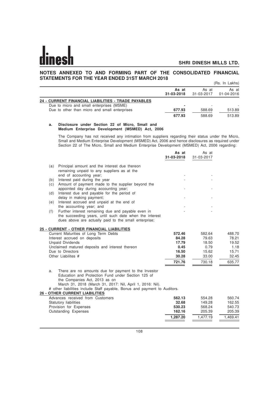# **NOTES ANNEXED TO AND FORMING PART OF THE CONSOLIDATED FINANCIAL STATEMENTS FOR THE YEAR ENDED 31ST MARCH 2018**

|                                                     |                     |                     | (Rs. In Lakhs)      |
|-----------------------------------------------------|---------------------|---------------------|---------------------|
|                                                     | As at<br>31-03-2018 | As at<br>31-03-2017 | As at<br>01-04-2016 |
| 24 - CURRENT FINANCIAL LIABILITIES - TRADE PAYABLES |                     |                     |                     |
| Due to micro and small enterprises (MSME)           |                     |                     |                     |
| Due to other than micro and small enterprises       | 677.93              | 588.69              | 513.89              |
|                                                     | 677.93              | 588.69              | 513.89              |

### **a. Disclosure under Section 22 of Micro, Small and Medium Enterprise Development (MSMED) Act, 2006**

The Company has not received any intimation from suppliers regarding their status under the Micro, Small and Medium Enterprise Development (MSMED) Act, 2006 and hence disclosures as required under Section 22 of The Micro, Small and Medium Enterprise Development (MSMED) Act, 2006 regarding:

|     |                                                                                                                                                                                                                                                                                                                                | As at<br>31-03-2018 | As at<br>31-03-2017 |          |
|-----|--------------------------------------------------------------------------------------------------------------------------------------------------------------------------------------------------------------------------------------------------------------------------------------------------------------------------------|---------------------|---------------------|----------|
| (a) | Principal amount and the interest due thereon<br>remaining unpaid to any suppliers as at the<br>end of accounting year;                                                                                                                                                                                                        |                     |                     |          |
| (b) | Interest paid during the year                                                                                                                                                                                                                                                                                                  |                     |                     |          |
| (c) | Amount of payment made to the supplier beyond the                                                                                                                                                                                                                                                                              |                     |                     |          |
| (d) | appointed day during accounting year;<br>Interest due and payable for the period of                                                                                                                                                                                                                                            |                     |                     |          |
| (e) | delay in making payment;<br>Interest accrued and unpaid at the end of                                                                                                                                                                                                                                                          |                     |                     |          |
|     | the accounting year; and                                                                                                                                                                                                                                                                                                       |                     |                     |          |
| (f) | Further interest remaining due and payable even in<br>the succeeding years, until such date when the interest<br>dues above are actually paid to the small enterprise;                                                                                                                                                         |                     |                     |          |
|     | 25 - CURRENT - OTHER FINANCIAL LIABILITIES                                                                                                                                                                                                                                                                                     |                     |                     |          |
|     | Current Maturities of Long Term Debts                                                                                                                                                                                                                                                                                          | 572.46              | 582.64              | 488.70   |
|     | Interest accrued on deposits                                                                                                                                                                                                                                                                                                   | 84.28               | 79.63               | 78.21    |
|     | <b>Unpaid Dividends</b>                                                                                                                                                                                                                                                                                                        | 17.79               | 18.50               | 19.52    |
|     | Unclaimed matured deposits and interest thereon                                                                                                                                                                                                                                                                                | 0.45                | 0.79                | 1.18     |
|     | Due to Directors                                                                                                                                                                                                                                                                                                               | 16.50               | 15.62               | 15.71    |
|     | Other Liabilites #                                                                                                                                                                                                                                                                                                             | 30.28               | 33.00               | 32.45    |
|     |                                                                                                                                                                                                                                                                                                                                | 721.76              | 730.18              | 635.77   |
| a.  | There are no amounts due for payment to the Investor<br>Education and Protection Fund under Section 125 of<br>the Companies Act, 2013 as on<br>March 31, 2018 (March 31, 2017: Nil, April 1, 2016: Nil).<br># other liabilities include Staff payable, Bonus and payment to Auditors.<br><b>26 - OTHER CURRENT LIABILITIES</b> |                     |                     |          |
|     | Advances received from Customers                                                                                                                                                                                                                                                                                               | 562.13              | 554.28              | 560.74   |
|     | Statutory liabilities                                                                                                                                                                                                                                                                                                          | 32.68               | 149.28              | 162.55   |
|     | Provision for Expenses                                                                                                                                                                                                                                                                                                         | 530.23              | 568.24              | 540.73   |
|     | Outstanding Expenses                                                                                                                                                                                                                                                                                                           | 162.16              | 205.39              | 205.39   |
|     |                                                                                                                                                                                                                                                                                                                                | 1,287.20            | 1,477.19            | 1,469.41 |
|     |                                                                                                                                                                                                                                                                                                                                |                     |                     |          |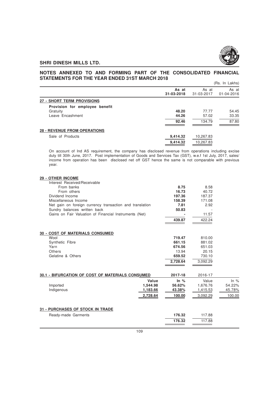

### **NOTES ANNEXED TO AND FORMING PART OF THE CONSOLIDATED FINANCIAL STATEMENTS FOR THE YEAR ENDED 31ST MARCH 2018** (Rs. In Lakhs)

|                                                                | (RS. IN LAKNS)          |                          |                         |  |  |
|----------------------------------------------------------------|-------------------------|--------------------------|-------------------------|--|--|
|                                                                | As at<br>31-03-2018     | As at<br>31-03-2017      | As at<br>01-04-2016     |  |  |
| 27 - SHORT TERM PROVISIONS                                     |                         |                          |                         |  |  |
| Provision for employee benefit<br>Gratuity<br>Leave Encashment | 48.20<br>44.26<br>92.46 | 77.77<br>57.02<br>134.79 | 54.45<br>33.35<br>87.80 |  |  |
| <b>28 - REVENUE FROM OPERATIONS</b>                            |                         |                          |                         |  |  |
| Sale of Products                                               | 9,414.32                | 10,267.83                |                         |  |  |
|                                                                | 9.414.32                | 10.267.83                |                         |  |  |

On account of Ind AS requirement, the company has disclosed revenue from operations including excise duty till 30th June, 2017. Post implementation of Goods and Services Tax (GST), w.e.f 1st July, 2017, sales/ income from operation has been disclosed net off GST hence the same is not comparable with previous year.

| 29 - OTHER INCOME<br>Interest Received/Receivable        |          |          |          |        |
|----------------------------------------------------------|----------|----------|----------|--------|
| From banks                                               |          | 8.75     | 8.58     |        |
| From others                                              |          | 16.73    | 40.72    |        |
| Dividend Income                                          |          | 197.36   | 187.37   |        |
| Miscellaneous Income                                     |          | 158.39   | 171.08   |        |
| Net gain on foreign currency transaction and translation |          | 7.81     | 2.92     |        |
| Sundry balances written back                             |          | 50.83    |          |        |
| Gains on Fair Valuation of Financial Instruments (Net)   |          |          | 11.57    |        |
|                                                          |          | 439.87   | 422.24   |        |
|                                                          |          |          |          |        |
|                                                          |          |          |          |        |
| <b>30 - COST OF MATERIALS CONSUMED</b>                   |          |          |          |        |
| Wool                                                     |          | 719.47   | 810.00   |        |
| Synthetic Fibre                                          |          | 661.15   | 881.02   |        |
| Yarn                                                     |          | 674.56   | 651.03   |        |
| Others                                                   |          | 13.94    | 20.15    |        |
| Gelatine & Others                                        |          | 659.52   | 730.10   |        |
|                                                          |          | 2,728.64 | 3,092.29 |        |
|                                                          |          |          |          |        |
|                                                          |          |          |          |        |
| 30.1 - BIFURCATION OF COST OF MATERIALS CONSUMED         |          | 2017-18  | 2016-17  |        |
|                                                          | Value    | In $%$   | Value    | In $%$ |
| Imported                                                 | 1,544.98 | 56.62%   | 1,676.76 | 54.22% |
| Indigenous                                               | 1,183.66 | 43.38%   | 1,415.53 | 45.78% |
|                                                          | 2,728.64 | 100.00   | 3,092.29 | 100.00 |
|                                                          |          |          |          |        |
| <b>31 - PURCHASES OF STOCK IN TRADE</b>                  |          |          |          |        |
| Ready-made Garments                                      |          | 176.32   | 117.88   |        |
|                                                          |          |          |          |        |
|                                                          |          | 176.32   | 117.88   |        |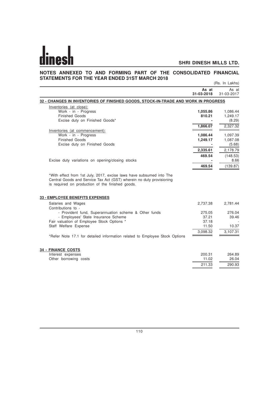# **NOTES ANNEXED TO AND FORMING PART OF THE CONSOLIDATED FINANCIAL STATEMENTS FOR THE YEAR ENDED 31ST MARCH 2018** (Rs. In Lakhs)

|                                                                                    | As at<br>31-03-2018 | As at<br>31-03-2017 |
|------------------------------------------------------------------------------------|---------------------|---------------------|
| 32 - CHANGES IN INVENTORIES OF FINISHED GOODS, STOCK-IN-TRADE AND WORK IN PROGRESS |                     |                     |
| Inventories (at close):                                                            |                     |                     |
| Work - in - Progress                                                               | 1,055.86            | 1,086.44            |
| <b>Finished Goods</b>                                                              | 810.21              | 1,249.17            |
| Excise duty on Finished Goods*                                                     |                     | (8.29)              |
|                                                                                    | 1,866.07            | 2,327.32            |
| Inventories (at commencement):                                                     |                     |                     |
| Work - in - Progress                                                               | 1,086.44            | 1,097.39            |
| <b>Finished Goods</b>                                                              | 1,249.17            | 1,087.08            |
| Excise duty on Finished Goods                                                      |                     | (5.68)              |
|                                                                                    | 2,335.61            | 2,178.79            |
|                                                                                    | 469.54              | (148.53)            |
| Excise duty variations on opening/closing stocks                                   |                     | 8.66                |
|                                                                                    | 469.54              | (139.87)            |
| <b>33 - EMPLOYEE BENEFITS EXPENSES</b>                                             |                     |                     |
|                                                                                    |                     |                     |
| Salaries and Wages<br>Contributions to -                                           | 2,737.38            | 2,781.44            |
| - Provident fund, Superannuation scheme & Other funds                              | 275.05              | 276.04              |
| - Employees' State Insurance Scheme                                                | 37.21               | 39.46               |
| Fair valuation of Employee Stock Options *                                         | 37.18               |                     |
| Staff Welfare Expense                                                              | 11.50               | 10.37               |
|                                                                                    | 3,098.32            | 3,107.31            |
| *Refer Note 17.1 for detailed information related to Employee Stock Options        |                     |                     |
|                                                                                    |                     |                     |
| <b>34 - FINANCE COSTS</b>                                                          |                     |                     |
| Interest expenses                                                                  | 200.31              | 264.89              |
| Other borrowing costs                                                              | 11.02               | 26.04               |
|                                                                                    | 211.33              | 290.93              |
|                                                                                    |                     |                     |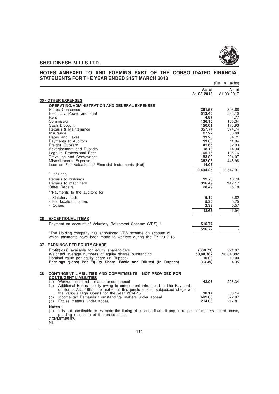

# **NOTES ANNEXED TO AND FORMING PART OF THE CONSOLIDATED FINANCIAL STATEMENTS FOR THE YEAR ENDED 31ST MARCH 2018** (Rs. In Lakhs)

|                                                                                                                                                             | As at<br>31-03-2018 | As at<br>31-03-2017 |
|-------------------------------------------------------------------------------------------------------------------------------------------------------------|---------------------|---------------------|
| <b>35 - OTHER EXPENSES</b>                                                                                                                                  |                     |                     |
| <b>OPERATING, ADMINISTRATION AND GENERAL EXPENSES</b>                                                                                                       |                     |                     |
| Stores Consumed                                                                                                                                             | 381.56              | 393.66              |
| Electricity, Power and Fuel                                                                                                                                 | 513.40              | 535.10              |
| Rent                                                                                                                                                        | 4.87                | 4.77                |
| Commission                                                                                                                                                  | 136.15              | 150.34              |
| Cash Discount<br>Repairs & Maintenance                                                                                                                      | 150.01<br>357.74    | 175.93<br>374.74    |
| Insurance                                                                                                                                                   | 27.22               | 30.68               |
| Rates and Taxes                                                                                                                                             | 33.20               | 34.71               |
| Payments to Auditors                                                                                                                                        | 13.63               | 11.94               |
| Freight Outward                                                                                                                                             | 42.65               | 32.93               |
| Advertisement and Publicity                                                                                                                                 | 18.13               | 14.30               |
| Legal & Professional Fees                                                                                                                                   | 165.76              | 135.76              |
| Travelling and Conveyance                                                                                                                                   | 183.80<br>362.06    | 204.07<br>448.98    |
| Miscellaneous Expenses<br>Loss on Fair Valuation of Financial Instruments (Net)                                                                             | 14.07               |                     |
|                                                                                                                                                             |                     |                     |
| * includes:                                                                                                                                                 | 2,404.25            | 2,547.91            |
| Repairs to buildings                                                                                                                                        | 12.76               | 16.79               |
| Repairs to machinery                                                                                                                                        | 316.49              | 342.17              |
| <b>Other Repairs</b>                                                                                                                                        | 28.49               | 15.78               |
| **Payments to the auditors for                                                                                                                              |                     |                     |
| - Statutory audit                                                                                                                                           | 6.10                | 5.62                |
| - For taxation matters                                                                                                                                      | 5.20                | 5.75                |
| - Others                                                                                                                                                    | 2.33                | 0.57                |
|                                                                                                                                                             | 13.63               | 11.94               |
| <b>36 - EXCEPTIONAL ITEMS</b>                                                                                                                               |                     |                     |
| Payment on account of Voluntary Retirement Scheme (VRS) *                                                                                                   | 516.77              |                     |
|                                                                                                                                                             | 516.77              |                     |
| *The Holding company has announced VRS scheme on acoount of                                                                                                 |                     |                     |
| which payments have been made to workers during the FY 2017-18                                                                                              |                     |                     |
| <b>37 - EARNINGS PER EQUITY SHARE</b>                                                                                                                       |                     |                     |
| Profit/(loss) available for equity shareholders                                                                                                             | (680.71)            | 221.07              |
| Weighted average numbers of equity shares outstanding                                                                                                       | 50.84.382           | 50.84.382           |
| Nominal value per equity share (in Rupees)                                                                                                                  | 10.00               | 10.00               |
| Earnings /(loss) Per Equity Share- Basic and Diluted (in Rupees)                                                                                            | (13.39)             | 4.35                |
| 38 - CONTINGENT LIABILITIES AND COMMITMENTS - NOT PROVIDED FOR                                                                                              |                     |                     |
| <b>CONTINGENT LIABILITIES</b>                                                                                                                               |                     |                     |
| Workers' demand - matter under appeal<br>(a)                                                                                                                | 42.93               | 228.34              |
| Additional Bonus liability owing to amendment introduced in The Payment<br>(b)                                                                              |                     |                     |
| of Bonus Act, 1965, the matter at this juncture is at subjudiced stage with                                                                                 |                     |                     |
| the various High Courts for the year 2014-15                                                                                                                | 30.14               | 30.14               |
| Income tax Demands / outstanding- matters under appeal<br>(c)                                                                                               | 682.86              | 572.87              |
| Excise matters under appeal<br>(d)                                                                                                                          | 214.08              | 217.81              |
| Notes:                                                                                                                                                      |                     |                     |
| It is not practicable to estimate the timing of cash outflows, if any, in respect of matters stated above,<br>(a)<br>pending resolution of the proceedings. |                     |                     |
| <b>COMMITMENTS</b>                                                                                                                                          |                     |                     |
| <b>NIL</b>                                                                                                                                                  |                     |                     |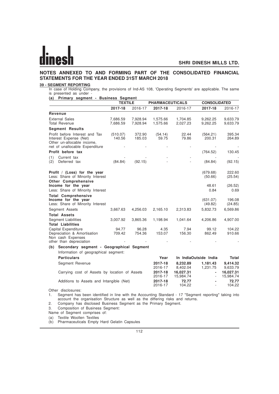# **NOTES ANNEXED TO AND FORMING PART OF THE CONSOLIDATED FINANCIAL STATEMENTS FOR THE YEAR ENDED 31ST MARCH 2018**

# **39 - SEGMENT REPORTING**

In case of Holding Company, the provisions of Ind-AS 108, 'Operating Segments' are applicable. The same is presented as under -**(a) Primary segment - Business Segment**

| $-9.9111$                                                                                                                | 0090000<br><b>TEXTILE</b> |                      | <b>PHARMACEUTICALS</b> |                        | <b>CONSOLIDATED</b>      |                        |
|--------------------------------------------------------------------------------------------------------------------------|---------------------------|----------------------|------------------------|------------------------|--------------------------|------------------------|
|                                                                                                                          | 2017-18                   | 2016-17              | 2017-18                | 2016-17                | 2017-18                  | 2016-17                |
| Revenue                                                                                                                  |                           |                      |                        |                        |                          |                        |
| <b>External Sales</b><br><b>Total Revenue</b>                                                                            | 7,686.59<br>7,686.59      | 7,928.94<br>7,928.94 | 1,575.66<br>1,575.66   | 1,704.85<br>2,027.23   | 9,262.25<br>9,262.25     | 9,633.79<br>9,633.79   |
| <b>Segment Results</b>                                                                                                   |                           |                      |                        |                        |                          |                        |
| Profit before Interest and Tax<br>Interest Expense (Net)<br>Other un-allocable income,<br>net of unallocable Expenditure | (510.07)<br>140.56        | 372.90<br>185.03     | (54.14)<br>59.75       | 22.44<br>79.86         | (564.21)<br>200.31       | 395.34<br>264.89       |
| Profit before tax                                                                                                        |                           |                      |                        |                        | (764.52)                 | 130.45                 |
| Current tax<br>(1)<br>Deferred tax<br>(2)                                                                                | (84.84)                   | (92.15)              |                        |                        | (84.84)                  | (92.15)                |
| Profit / (Loss) for the year<br>Less: Share of Minority Interest<br><b>Other Comprehensive</b>                           |                           |                      |                        |                        | (679.68)<br>(50.66)      | 222.60<br>(25.54)      |
| Income for the year<br>Less: Share of Minority Interest                                                                  |                           |                      |                        |                        | 48.61<br>0.84            | (26.52)<br>0.69        |
| <b>Total Comprehensive</b><br>Income for the year<br>Less: Share of Minority Interest                                    |                           |                      |                        |                        | (631.07)<br>(49.82)      | 196.08<br>(24.85)      |
| Segment Assets                                                                                                           | 3,667.63                  | 4,256.03             | 2,165.10               | 2,313.83               | 5,832.73                 | 6,569.86               |
| <b>Total Assets</b>                                                                                                      |                           |                      |                        |                        |                          |                        |
| <b>Segment Liabilities</b><br><b>Total Liabilities</b>                                                                   | 3,007.92                  | 3,865.36             | 1,198.94               | 1,041.64               | 4,206.86                 | 4,907.00               |
| Capital Expenditure<br>Depreciation & Amortisation<br>Non cash Expenses<br>other than depreciation                       | 94.77<br>709.42           | 96.28<br>754.36      | 4.35<br>153.07         | 7.94<br>156.30         | 99.12<br>862.49          | 104.22<br>910.66       |
| Secondary segment - Geographical Segment<br>(b)                                                                          |                           |                      |                        |                        |                          |                        |
| Information of geographical segment:                                                                                     |                           |                      |                        |                        |                          |                        |
| <b>Particulars</b>                                                                                                       |                           |                      | Year                   |                        | In IndiaOutside India    | <b>Total</b>           |
| Segment Revenue                                                                                                          |                           |                      | 2017-18<br>2016-17     | 8,232.89<br>8,402.04   | 1,181.43<br>1,231.75     | 9,414.32<br>9,633.79   |
| Carrying cost of Assets by location of Assets                                                                            |                           |                      | 2017-18<br>2016-17     | 16,027.31<br>15,984.74 | $\overline{\phantom{a}}$ | 16,027.31<br>15,984.74 |
| Additions to Assets and Intangible (Net)                                                                                 |                           |                      | 2017-18<br>2016-17     | 72.77<br>104.22        |                          | 72.77<br>104.22        |
| Other disclosures:<br>Convention has identified in line with the Accounting Ctenderal 17 "Convent repeting" tolding into |                           |                      |                        |                        |                          |                        |

1. Segment has been identified in line with the Accounting Standard - 17 "Segment reporting" taking into account the organisation Structure as well as the differing risks and returns.

2. Company has disclosed Business Segment as the Primary Segment.

3. Composition of Business Segment:

Name of Segment comprises of:

(a) Textile Woollen Textiles

(b) Pharmaceuticals Empty Hard Gelatin Capsules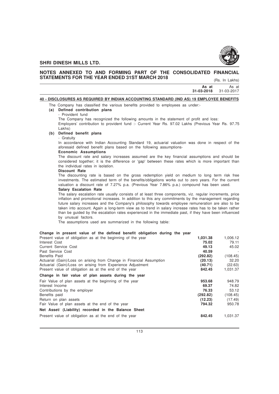

# **NOTES ANNEXED TO AND FORMING PART OF THE CONSOLIDATED FINANCIAL STATEMENTS FOR THE YEAR ENDED 31ST MARCH 2018**

(Rs. In Lakhs)

| As at                                                                                  | As at      |
|----------------------------------------------------------------------------------------|------------|
| 31-03-2018                                                                             | 31-03-2017 |
| siasi aangga ta meangga mitulitit taaannoola amin'ny ilay ta'uu mintandrondrondrondron |            |

# **40 - DISCLOSURES AS REQUIRED BY INDIAN ACCOUNTING STANDARD (IND AS) 19 EMPLOYEE BENEFITS**

The Company has classified the various benefits provided to employees as under:-

# **(a) Defined contribution plans**

- Provident fund

The Company has recognized the following amounts in the statement of profit and loss: Employers' contribution to provident fund :- Current Year Rs. 97.02 Lakhs (Previous Year Rs. 97.75 Lakhs)

# **(b) Defined benefit plans**

### - Gratuity

In accordance with Indian Accounting Standard 19, actuarial valuation was done in respect of the aforesaid defined benefit plans based on the following assumptions-

# **Economic Assumptions**

The discount rate and salary increases assumed are the key financial assumptions and should be considered together; it is the difference or 'gap' between these rates which is more important than the individual rates in isolation.

### **Discount Rate**

The discounting rate is based on the gross redemption yield on medium to long term risk free investments. The estimated term of the benefits/obligations works out to zero years. For the current valuation a discount rate of 7.27% p.a. (Previous Year 7.86% p.a.) compound has been used.

# **Salary Escalation Rate**

The salary escalation rate usually consists of at least three components, viz. regular increments, price inflation and promotional increases. In addition to this any commitments by the management regarding future salary increases and the Company's philosophy towards employee remuneration are also to be taken into account. Again a long-term view as to trend in salary increase rates has to be taken rather than be guided by the escalation rates experienced in the immediate past, if they have been influenced by unusual factors.

The assumptions used are summarized in the following table:

# **Change in present value of the defined benefit obligation during the year**

| Present value of obligation as at the beginning of the year          | 1,031.38 | 1.006.12 |
|----------------------------------------------------------------------|----------|----------|
| Interest Cost                                                        | 75.02    | 79.11    |
| Current Service Cost                                                 | 49.13    | 45.02    |
| Past Service Cost                                                    | 40.59    |          |
| <b>Benefits Paid</b>                                                 | (292.82) | (108.45) |
| Actuarial (Gain)/Loss on arising from Change in Financial Assumption | (20.13)  | 32.20    |
| Actuarial (Gain)/Loss on arising from Experience Adjustment          | (40.71)  | (22.63)  |
| Present value of obligation as at the end of the year                | 842.45   | 1,031.37 |
| Change in fair value of plan assets during the year                  |          |          |
| Fair Value of plan assets at the beginning of the year               | 953.68   | 948.79   |
| Interest Income                                                      | 69.37    | 74.82    |
| Contributions by the employer                                        | 76.33    | 53.12    |
| Benefits paid                                                        | (292.82) | (108.45) |
| Return on plan assets                                                | (12.23)  | (17.49)  |
| Fair Value of plan assets at the end of the year                     | 794.32   | 950.78   |
| Net Asset/ (Liability) recorded in the Balance Sheet                 |          |          |
| Present value of obligation as at the end of the year                | 842.45   | 1.031.37 |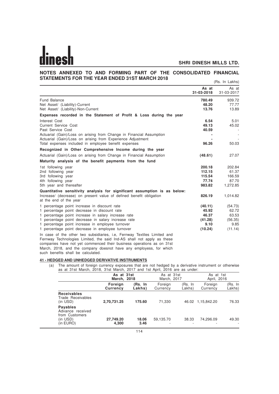### **NOTES ANNEXED TO AND FORMING PART OF THE CONSOLIDATED FINANCIAL STATEMENTS FOR THE YEAR ENDED 31ST MARCH 2018** (Rs. In Lakhs)

|                                                                                                                                                                                                                                                                                                | As at<br>31-03-2018 | As at<br>31-03-2017 |
|------------------------------------------------------------------------------------------------------------------------------------------------------------------------------------------------------------------------------------------------------------------------------------------------|---------------------|---------------------|
| Fund Balance                                                                                                                                                                                                                                                                                   | 780.49              | 939.72              |
| Net Asset/ (Liability)-Current<br>Net Asset/ (Liability)-Non-Current                                                                                                                                                                                                                           | 48.20<br>13.76      | 77.77<br>13.89      |
| Expenses recorded in the Statement of Profit & Loss during the year                                                                                                                                                                                                                            |                     |                     |
| Interest Cost                                                                                                                                                                                                                                                                                  | 6.54                | 5.01                |
| <b>Current Service Cost</b>                                                                                                                                                                                                                                                                    | 49.13               | 45.02               |
| Past Service Cost                                                                                                                                                                                                                                                                              | 40.59               |                     |
| Actuarial (Gain)/Loss on arising from Change in Financial Assumption                                                                                                                                                                                                                           |                     |                     |
| Actuarial (Gain)/Loss on arising from Experience Adjustment                                                                                                                                                                                                                                    |                     |                     |
| Total expenses included in employee benefit expenses                                                                                                                                                                                                                                           | 96.26               | 50.03               |
| Recognized in Other Comprehensive Income during the year                                                                                                                                                                                                                                       |                     |                     |
| Actuarial (Gain)/Loss on arising from Change in Financial Assumption                                                                                                                                                                                                                           | (48.61)             | 27.07               |
| Maturity analysis of the benefit payments from the fund                                                                                                                                                                                                                                        |                     |                     |
| 1st following year                                                                                                                                                                                                                                                                             | 200.18              | 202.84              |
| 2nd following year                                                                                                                                                                                                                                                                             | 112.15              | 61.37               |
| 3rd following year                                                                                                                                                                                                                                                                             | 115.54              | 166.59              |
| 4th following year                                                                                                                                                                                                                                                                             | 77.74               | 87.70               |
| 5th year and thereafter                                                                                                                                                                                                                                                                        | 983.82              | 1,272.85            |
| Quantitative sensitivity analysis for significant assumption is as below:                                                                                                                                                                                                                      |                     |                     |
| Increase/ (decrease) on present value of defined benefit obligation<br>at the end of the year                                                                                                                                                                                                  | 826.19              | 1,014.82            |
| 1 percentage point increase in discount rate                                                                                                                                                                                                                                                   | (40.11)             | (54.73)             |
| 1 percentage point decrease in discount rate                                                                                                                                                                                                                                                   | 45.92               | 62.72               |
| 1 percentage point increase in salary increase rate                                                                                                                                                                                                                                            | 46.37               | 63.53               |
| 1 percentage point decrease in salary increase rate                                                                                                                                                                                                                                            | (41.28)             | (56.35)             |
| 1 percentage point increase in employee turnover                                                                                                                                                                                                                                               | 9.10                | 9.85                |
| 1 percentage point decrease in employee turnover                                                                                                                                                                                                                                               | (10.24)             | (11.14)             |
| In case of the other two subsidiaries, i.e. Fernway Textiles Limited and<br>Fernway Technologies Limited, the said Ind-AS shall not apply as these<br>companies have not yet commenced their business operations as on 31st<br>March 2018, and the company decept have any employees for which |                     |                     |

March, 2018, and the company doesnot have any employess, for which such benefits shall be calculated.

### **41 - HEDGED AND UNHEDGED DERIVATIVE INSTRUMENTS**

(a) The amount of foreign currency exposures that are not hedged by a derivative instrument or otherwise as at 31st March, 2018, 31st March, 2017 and 1st April, 2016 are as under:

|                                                                       | As at 31st<br>March, 2018  |                   | As at 31st<br>March, 2017 |                   | As at 1st<br>April, 2016 |                   |
|-----------------------------------------------------------------------|----------------------------|-------------------|---------------------------|-------------------|--------------------------|-------------------|
|                                                                       | Foreign<br><b>Currency</b> | (Rs. In<br>Lakhs) | Foreign<br>Currency       | (Rs. In<br>Lakhs) | Foreign<br>Currency      | (Rs. In<br>Lakhs) |
| <b>Receivables</b><br>Trade Receivables<br>(in USD)                   | 2,70,731.25                | 175.60            | 71,330                    |                   | 46.02 1,15,842.20        | 76.33             |
| <b>Payables</b><br>Advance received<br>from Customers<br>$(in$ $USD)$ | 27,749.20                  | 18.06             | 59,135.70                 | 38.33             | 74.296.09                | 49.30             |
| (in EURO)                                                             | 4,300                      | 3.46              |                           |                   |                          |                   |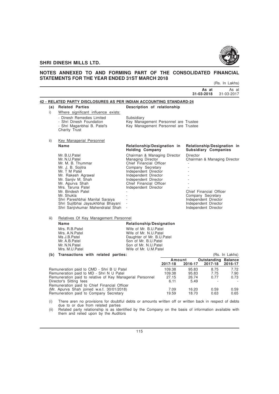

# **NOTES ANNEXED TO AND FORMING PART OF THE CONSOLIDATED FINANCIAL STATEMENTS FOR THE YEAR ENDED 31ST MARCH 2018**

(Rs. In Lakhs)

|      |                                                                                                                                                                                                                                                                                                                                |                                                                                                                                                                                                                              |                                   | 31-03-2018                                                                                                                       | As at                | As at<br>31-03-2017                   |
|------|--------------------------------------------------------------------------------------------------------------------------------------------------------------------------------------------------------------------------------------------------------------------------------------------------------------------------------|------------------------------------------------------------------------------------------------------------------------------------------------------------------------------------------------------------------------------|-----------------------------------|----------------------------------------------------------------------------------------------------------------------------------|----------------------|---------------------------------------|
|      | 42 - RELATED PARTY DISCLOSURES AS PER INDIAN ACCOUNTING STANDARD-24                                                                                                                                                                                                                                                            |                                                                                                                                                                                                                              |                                   |                                                                                                                                  |                      |                                       |
|      | (a) Related Parties                                                                                                                                                                                                                                                                                                            | Description of relationship                                                                                                                                                                                                  |                                   |                                                                                                                                  |                      |                                       |
| i)   | Where significant influence exists:                                                                                                                                                                                                                                                                                            |                                                                                                                                                                                                                              |                                   |                                                                                                                                  |                      |                                       |
|      | - Dinesh Remedies Limited<br>- Shri Dinesh Foundation<br>- Shri Maganbhai B. Patel's<br>Charity Trust                                                                                                                                                                                                                          | Subsidiary<br>Key Management Personnel are Trustee<br>Key Management Personnel are Trustee                                                                                                                                   |                                   |                                                                                                                                  |                      |                                       |
| ii)  | Key Managerial Personnel                                                                                                                                                                                                                                                                                                       |                                                                                                                                                                                                                              |                                   |                                                                                                                                  |                      |                                       |
|      | Name                                                                                                                                                                                                                                                                                                                           | Relationship/Designation in<br><b>Holding Company</b>                                                                                                                                                                        |                                   | <b>Subsidiary Companies</b>                                                                                                      |                      | Relationship/Designation in           |
|      | Mr. B.U.Patel<br>Mr. N.U.Patel<br>Mr. M. B. Thummar<br>Mr. J. B. Sojitra<br>Mr. T M Patel<br>Mr. Rakesh Agrawal<br>Mr. Sanjiv M. Shah<br>Mr. Apurva Shah<br>Mrs. Taruna Patel<br>Mr. Bindesh Patel<br>Mr. Shukla<br>Shri Pareshbhai Manilal Saraiya<br>Shri Sujitbhai Jaysukhbhai Bhayani<br>Shri Sanjivkumar Mahendralal Shah | Chairman & Managing Director<br>Managing Director<br>Chief Financial Officer<br>Company Secretary<br>Independent Director<br>Independent Director<br>Independent Director<br>Chief Financial Officer<br>Independent Director |                                   | Director<br>Chief Financial Officer<br>Company Secretary<br>Independent Director<br>Independent Director<br>Independent Director |                      | Chairman & Managing Director          |
| iii) | Relatives Of Key Management Personnel                                                                                                                                                                                                                                                                                          |                                                                                                                                                                                                                              |                                   |                                                                                                                                  |                      |                                       |
|      | Name                                                                                                                                                                                                                                                                                                                           | Relationship/Designation                                                                                                                                                                                                     |                                   |                                                                                                                                  |                      |                                       |
|      | Mrs. R.B.Patel<br>Mrs. A.N. Patel<br>Ms J.B.Patel<br>Mr. A.B.Patel<br>Mr. N.N.Patel<br>Mrs. M.U.Patel                                                                                                                                                                                                                          | Wife of Mr. B.U.Patel<br>Wife of Mr. N.U. Patel<br>Daughter of Mr. B.U.Patel<br>Son of Mr. B.U.Patel<br>Son of Mr. N.U.Patel<br>Wife of Mr. U.M.Patel                                                                        |                                   |                                                                                                                                  |                      |                                       |
|      | (b) Transactions with related parties:                                                                                                                                                                                                                                                                                         |                                                                                                                                                                                                                              |                                   |                                                                                                                                  |                      | (Rs. In Lakhs)                        |
|      |                                                                                                                                                                                                                                                                                                                                |                                                                                                                                                                                                                              | Amount<br>2017-18                 | 2016-17                                                                                                                          | 2017-18              | <b>Outstanding Balance</b><br>2016-17 |
|      | Remuneration paid to CMD - Shri B U Patel<br>Remuneration paid to MD - Shri N U Patel<br>Remuneration paid to relative of Key Managerial Personnel<br>Director's Sitting fees<br>Remuneration paid to Chief Financial Officer                                                                                                  |                                                                                                                                                                                                                              | 109.38<br>109.38<br>27.15<br>6.11 | 95.83<br>95.83<br>26.74<br>5.49                                                                                                  | 8.75<br>7.75<br>0.77 | 7.72<br>7.90<br>0.73                  |
|      | (Mr. Apurva Shah joined w.e.f. 30/01/2018)                                                                                                                                                                                                                                                                                     |                                                                                                                                                                                                                              | 7.09                              | 16.20                                                                                                                            | 0.59                 | 0.59                                  |
|      | Remuneration paid to Company Secretary                                                                                                                                                                                                                                                                                         |                                                                                                                                                                                                                              | 19.59                             | 18.70                                                                                                                            | 0.63                 | 0.65                                  |

- (i) There aren no provisions for doubtful debts or amounts written off or written back in respect of debts due to or due from related parties
- (ii) Related party relationship is as identified by the Company on the basis of information available with them and relied upon by the Auditors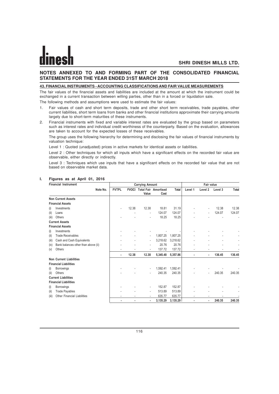# **NOTES ANNEXED TO AND FORMING PART OF THE CONSOLIDATED FINANCIAL STATEMENTS FOR THE YEAR ENDED 31ST MARCH 2018**

### **43. FINANCIAL INSTRUMENTS - ACCOUNTING CLASSIFICATIONS AND FAIR VALUE MEASUREMENTS**

The fair values of the financial assets and liabilities are included at the amount at which the instrument could be exchanged in a current transaction between willing parties, other than in a forced or liquidation sale.

The following methods and assumptions were used to estimate the fair values:

- 1. Fair values of cash and short term deposits, trade and other short term receivables, trade payables, other current liabilities, short term loans from banks and other financial institutions approximate their carrying amounts largely due to short-term maturities of these instruments.
- 2. Financial instruments with fixed and variable interest rates are evaluated by the group based on parameters such as interest rates and individual credit worthiness of the counterparty. Based on the evaluation, allowances are taken to account for the expected losses of these receivables.

The group uses the following hierarchy for determining and disclosing the fair values of financial instruments by valuation technique:

Level 1 : Quoted (unadjusted) prices in active markets for identical assets or liabilities.

Level 2 : Other techniques for which all inputs which have a significant effects on the recorded fair value are observable, either directly or indirectly.

Level 3 : Techniques which use inputs that have a significant effects on the recorded fair value that are not based on observable market data.

|       | <b>Financial Instrument</b>         | <b>Carrying Amount</b> |       |                          |                                           |          | <b>Fair value</b> |         |         |              |
|-------|-------------------------------------|------------------------|-------|--------------------------|-------------------------------------------|----------|-------------------|---------|---------|--------------|
|       | Note No.                            | <b>FVTPL</b>           |       | Value                    | <b>FVOCI Total Fair Amortised</b><br>Cost | Total    | Level 1           | Level 2 | Level 3 | <b>Total</b> |
|       | <b>Non Current Assets</b>           |                        |       |                          |                                           |          |                   |         |         |              |
|       | <b>Financial Assets</b>             |                        |       |                          |                                           |          |                   |         |         |              |
| (i)   | Investments                         |                        | 12.38 | 12.38                    | 18.81                                     | 31.19    |                   | ٠       | 12.38   | 12.38        |
| (ii)  | Loans                               |                        |       | $\overline{\phantom{a}}$ | 124.07                                    | 124.07   |                   | ٠       | 124.07  | 124.07       |
| (iii) | Others                              |                        |       |                          | 18.25                                     | 18.25    |                   |         |         |              |
|       | <b>Current Assets</b>               |                        |       |                          |                                           |          |                   |         |         |              |
|       | <b>Financial Assets</b>             |                        |       |                          |                                           |          |                   |         |         |              |
| (i)   | Investments                         |                        |       |                          |                                           |          |                   |         |         |              |
| (ii)  | <b>Trade Receivables</b>            |                        |       | ٠                        | 1,807.25                                  | 1,807.25 |                   |         |         |              |
| (iii) | Cash and Cash Equivalents           |                        |       |                          | 3,218.62                                  | 3,218.62 |                   |         |         |              |
| (iv)  | Bank balances other than above (ii) |                        |       |                          | 20.76                                     | 20.76    |                   |         |         |              |
| (v)   | Others                              |                        |       |                          | 137.72                                    | 137.72   |                   | Ĭ.      |         |              |
|       |                                     |                        | 12.38 | 12.38                    | 5,345.48                                  | 5,357.86 |                   | ٠       | 136.45  | 136.45       |
|       | <b>Non Current Liabilities</b>      |                        |       |                          |                                           |          |                   |         |         |              |
|       | <b>Financial Liabilities</b>        |                        |       |                          |                                           |          |                   |         |         |              |
| (i)   | <b>Borrowings</b>                   |                        |       | ٠                        | 1,592.41                                  | 1,592.41 |                   |         |         |              |
| (ii)  | Others                              |                        |       |                          | 240.35                                    | 240.35   |                   |         | 240.35  | 240.35       |
|       | <b>Current Liabilities</b>          |                        |       |                          |                                           |          |                   |         |         |              |
|       | <b>Financial Liabilities</b>        |                        |       |                          |                                           |          |                   |         |         |              |
| (i)   | <b>Borrowings</b>                   |                        |       | ٠                        | 152.87                                    | 152.87   |                   |         |         |              |
| (iii) | <b>Trade Payables</b>               |                        |       | ٠                        | 513.89                                    | 513.89   |                   |         |         |              |
| (iii) | <b>Other Financial Liabilities</b>  |                        |       |                          | 635.77                                    | 635.77   |                   |         |         |              |
|       |                                     |                        |       |                          | 3,135.29                                  | 3,135.29 |                   | ٠       | 240.35  | 240.35       |

# **I. Figures as at April 01, 2016**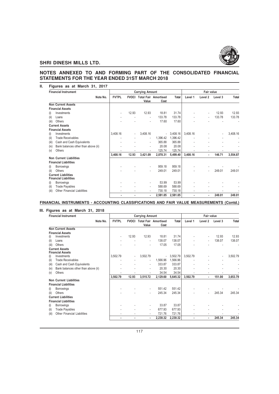

# **NOTES ANNEXED TO AND FORMING PART OF THE CONSOLIDATED FINANCIAL STATEMENTS FOR THE YEAR ENDED 31ST MARCH 2018**

| <b>Financial Instrument</b>                                |          |                | <b>Carrying Amount</b> |          |                                     |          | <b>Fair value</b> |         |         |          |
|------------------------------------------------------------|----------|----------------|------------------------|----------|-------------------------------------|----------|-------------------|---------|---------|----------|
|                                                            | Note No. | <b>FVTPL</b>   | <b>FVOCI</b>           | Value    | <b>Total Fair Amortised</b><br>Cost | Total    | Level 1           | Level 2 | Level 3 | Total    |
| <b>Non Current Assets</b>                                  |          |                |                        |          |                                     |          |                   |         |         |          |
| <b>Financial Assets</b>                                    |          |                |                        |          |                                     |          |                   |         |         |          |
| Investments<br>(i)                                         |          | ٠              | 12.93                  | 12.93    | 18.81                               | 31.74    |                   |         | 12.93   | 12.93    |
| Loans<br>(ii)                                              |          |                |                        | ä,       | 133.78                              | 133.78   |                   | ٠       | 133.78  | 133.78   |
| (iii)<br>Others                                            |          |                |                        | ٠        | 17.60                               | 17.60    |                   |         |         |          |
| <b>Current Assets</b>                                      |          |                |                        |          |                                     |          |                   |         |         |          |
| <b>Financial Assets</b>                                    |          |                |                        |          |                                     |          |                   |         |         |          |
| Investments<br>(i)                                         |          | 3,408.16       | ٠                      | 3,408.16 | $\overline{\phantom{a}}$            | 3,408.16 | 3,408.16          |         |         | 3,408.16 |
| <b>Trade Receivables</b><br>(ii)                           |          |                |                        | ٠        | 1.396.42                            | 1,396.42 |                   |         |         |          |
| Cash and Cash Equivalents<br>(iii)                         |          |                |                        | ٠        | 365.88                              | 365.88   |                   |         |         |          |
| Bank balances other than above (ii)<br>(iv)                |          |                |                        | ٠        | 20.08                               | 20.08    |                   |         |         |          |
| Others<br>(v)                                              |          |                |                        |          | 125.74                              | 125.74   |                   |         |         |          |
|                                                            |          | 3,408.16       | 12.93                  | 3,421.09 | 2,078.31                            | 5,499.40 | 3,408.16          | ٠       | 146.71  | 3,554.87 |
| <b>Non Current Liabilities</b>                             |          |                |                        |          |                                     |          |                   |         |         |          |
| <b>Financial Liabilities</b>                               |          |                |                        |          |                                     |          |                   |         |         |          |
| Borrowings<br>(i)                                          |          |                |                        | ٠        | 959.18                              | 959.18   |                   |         |         |          |
| Others<br>(ii)                                             |          |                |                        | ٠        | 249.01                              | 249.01   |                   |         | 249.01  | 249.01   |
| <b>Current Liabilities</b><br><b>Financial Liabilities</b> |          |                |                        |          |                                     |          |                   |         |         |          |
| <b>Borrowings</b><br>(i)                                   |          |                |                        | ٠        | 53.99                               | 53.99    |                   |         |         |          |
| <b>Trade Payables</b><br>(ii)                              |          |                |                        | ٠        | 588.69                              | 588.69   |                   |         |         |          |
| <b>Other Financial Liabilities</b><br>(iii)                |          |                |                        | ٠        | 730.18                              | 730.18   |                   |         |         |          |
|                                                            |          | $\blacksquare$ |                        | ۰        | 2,581.05                            | 2,581.05 |                   | ٠       | 249.01  | 249.01   |

**FINANCIAL INSTRUMENTS - ACCOUNTING CLASSIFICATIONS AND FAIR VALUE MEASUREMENTS (Contd.)**

# **III. Figures as at March 31, 2018**

| <b>Financial Instrument</b>                 |              | <b>Carrying Amount</b> |                          |                                   |             |                          | Fair value     |         |              |  |
|---------------------------------------------|--------------|------------------------|--------------------------|-----------------------------------|-------------|--------------------------|----------------|---------|--------------|--|
| Note No.                                    | <b>FVTPL</b> |                        |                          | <b>FVOCI Total Fair Amortised</b> | Total       | Level 1                  | Level 2        | Level 3 | <b>Total</b> |  |
|                                             |              |                        | Value                    | Cost                              |             |                          |                |         |              |  |
| <b>Non Current Assets</b>                   |              |                        |                          |                                   |             |                          |                |         |              |  |
| <b>Financial Assets</b>                     |              |                        |                          |                                   |             |                          |                |         |              |  |
| Investments<br>(i)                          | ٠            | 12.93                  | 12.93                    | 18.81                             | 31.74       |                          |                | 12.93   | 12.93        |  |
| Loans<br>(ii)                               |              |                        | ä,                       | 138.07                            | 138.07      |                          | $\blacksquare$ | 138.07  | 138.07       |  |
| (iii)<br>Others                             |              |                        | ٠                        | 17.05                             | 17.05       |                          |                |         |              |  |
| <b>Current Assets</b>                       |              |                        |                          |                                   |             |                          |                |         |              |  |
| <b>Financial Assets</b>                     |              |                        |                          |                                   |             |                          |                |         |              |  |
| Investments<br>(i)                          | 3,502.79     | ٠                      | 3,502.79                 |                                   | $-3,502.79$ | 3,502.79                 |                | ٠       | 3,502.79     |  |
| <b>Trade Receivables</b><br>(ii)            |              |                        | $\overline{\phantom{0}}$ | 1,566.96                          | 1,566.96    |                          |                |         |              |  |
| Cash and Cash Equivalents<br>(iii)          |              |                        | ٠                        | 333.87                            | 333.87      |                          |                |         |              |  |
| Bank balances other than above (ii)<br>(iv) |              |                        |                          | 20.30                             | 20.30       |                          |                |         |              |  |
| Others<br>(v)                               |              |                        |                          | 34.54                             | 34.54       |                          |                |         |              |  |
|                                             | 3,502.79     | 12.93                  | 3,515.72                 | 2,129.60                          | 5,645.32    | 3,502.79                 |                | 151.00  | 3,653.79     |  |
| <b>Non Current Liabilities</b>              |              |                        |                          |                                   |             |                          |                |         |              |  |
| <b>Financial Liabilities</b>                |              |                        |                          |                                   |             |                          |                |         |              |  |
| Borrowings<br>(i)                           |              |                        |                          | 551.42                            | 551.42      |                          |                |         |              |  |
| Others<br>(ii)                              |              |                        | ä,                       | 245.34                            | 245.34      |                          |                | 245.34  | 245.34       |  |
| <b>Current Liabilities</b>                  |              |                        |                          |                                   |             |                          |                |         |              |  |
| <b>Financial Liabilities</b>                |              |                        |                          |                                   |             |                          |                |         |              |  |
| Borrowings<br>(i)                           |              |                        | ٠                        | 33.87                             | 33.87       |                          |                |         |              |  |
| <b>Trade Payables</b><br>(ii)               |              |                        | ٠                        | 677.93                            | 677.93      |                          |                |         |              |  |
| Other Financial Liabilities<br>(iii)        |              | ٠                      | ٠                        | 721.76                            | 721.76      | $\overline{\phantom{a}}$ |                |         |              |  |
|                                             | ۰            | ٠                      | ٠                        | 2,230.32                          | 2,230.32    | $\blacksquare$           | ٠              | 245.34  | 245.34       |  |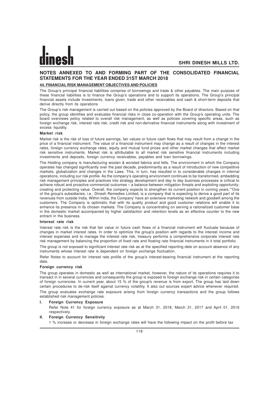# **NOTES ANNEXED TO AND FORMING PART OF THE CONSOLIDATED FINANCIAL STATEMENTS FOR THE YEAR ENDED 31ST MARCH 2018**

# **44. FINANCIAL RISK MANAGEMENT OBJECTIVES AND POLICIES**

The Group's principal financial liabilities comprise of borrowings and trade & other payables. The main purpose of these financial liabilities is to finance the Group's operations and to support its operations. The Group's principal financial assets include Investments, loans given, trade and other receivables and cash & short-term deposits that derive directly from its operations

The Group's risk management is carried out based on the policies approved by the Board of directors. Based on that policy, the group identifies and evaluates financial risks in close co-operation with the Group's operating units. The board overviews policy related to overall risk management, as well as policies covering specific areas, such as foreign exchange risk, interest rate risk, credit risk and non-derivative financial instruments along with investment of excess liquidity.

### **Market risk**

Market risk is the risk of loss of future earnings, fair values or future cash flows that may result from a change in the price of a financial instrument. The value of a financial instrument may change as a result of changes in the interest rates, foreign currency exchange rates, equity and mutual fund prices and other market changes that affect market risk sensitive instruments. Market risk is attributable to all market risk sensitive financial instruments including investments and deposits, foreign currency receivables, payables and loan borrowings.

The Holding company is manufacturing woolen & worsted fabrics and felts. The environment in which the Company operates has changed significantly over the past decade, predominantly as a result of introduction of new competitive markets, globalization and changes in the Laws. This, in turn, has resulted in to considerable changes in internal operations, including our risk profile. As the company's operating environment continues to be transformed, embedding risk management principles and practices into strategy development and day to day business processes is critical to achieve robust and proactive commercial outcomes – a balance between mitigation threats and exploiting opportunity; creating and protecting value. Overall, the company expects to strengthen its current position in coming years.""One of the group's subsidiaries, i.e., Dinesh Remedies Limited, is a company that is expecting to derive a good part of its revenues from outside India. Within India, the Company' have an extensive marketing network and goodwill among the customers. The Company is optimistic that with its quality product and good customer relations will enable it to enhance its presence in its chosen markets. The Company is concentrating on serving a rationalized customer base in the domestic market accompanied by higher satisfaction and retention levels as an effective counter to the new entrant in the business.

### **Interest rate risk**

Interest rate risk is the risk that fair value or future cash flows of a financial instrument will fluctuate because of changes in market interest rates. In order to optimize the group's position with regards to the interest income and interest expenses and to manage the interest rate risk, treasury performs a comprehensive corporate interest rate risk management by balancing the proportion of fixed rate and floating rate financial instruments in it total portfolio.

The group is not exposed to significant interest rate risk as at the specified reporting date on account absence of any instruments whose interest rate is dependent on foreign exchange fluctuation.

Refer Notes to account for interest rate profile of the group's interest-bearing financial instrument at the reporting date.

### **Foreign currency risk**

The group operates in domestic as well as international market, however, the nature of its operations requires it to transact in in several currencies and consequently the group is exposed to foreign exchange risk in certain categories of foreign currencies. In current year, about 15 % of the group's revenue is from export. The group has laid down certain procedures to de-risk itself against currency volatility. It also out sources expert advice whenever required. The group evaluates exchange rate exposure arising from foreign currency transactions and the group follows established risk management policies.

### **I. Foreign Currency Exposure**

Refer Note 41 for foreign currency exposure as at March 31, 2018, March 31, 2017 and April 01, 2016 respectively.

### **II. Foreign Currency Sensitivity**

1 % increase or decrease in foreign exchange rates will have the following impact on the profit before tax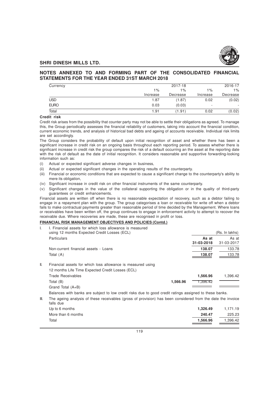

# **NOTES ANNEXED TO AND FORMING PART OF THE CONSOLIDATED FINANCIAL STATEMENTS FOR THE YEAR ENDED 31ST MARCH 2018**

| Currency    | 2016-17<br>2017-18 |          |          |          |  |  |  |
|-------------|--------------------|----------|----------|----------|--|--|--|
|             | $1\%$              | $1\%$    | 1%       | $1\%$    |  |  |  |
|             | Increase           | Decrease | Increase | Decrease |  |  |  |
| <b>USD</b>  | 1.87               | (1.87)   | 0.02     | (0.02)   |  |  |  |
| <b>EURO</b> | 0.03               | (0.03)   | ۰        |          |  |  |  |
| Total       | 1.91               | (1.91)   | 0.02     | (0.02)   |  |  |  |

# **Credit risk**

Credit risk arises from the possibility that counter party may not be able to settle their obligations as agreed. To manage this, the Group periodically assesses the financial reliability of customers, taking into account the financial condition, current economic trends, and analysis of historical bad debts and ageing of accounts receivable. Individual risk limits are set accordingly.

The Group considers the probability of default upon initial recognition of asset and whether there has been a significant increase in credit risk on an ongoing basis throughout each reporting period. To assess whether there is significant increase in credit risk the group compares the risk of a default occurring an the asset at the reporting date with the risk of default as the date of initial recognition. It considers reasonable and supportive forwarding-looking information such as:

- (i) Actual or expected significant adverse changes in business,
- (ii) Actual or expected significant changes in the operating results of the counterparty.
- (iii) Financial or economic conditions that are expected to cause a significant change to the counterparty's ability to mere its obligation,
- (iv) Significant increase in credit risk on other financial instruments of the same counterparty.
- (v) Significant changes in the value of the collateral supporting the obligation or in the quality of third-party guarantees or credit enhancements.

Financial assets are written off when there is no reasonable expectation of recovery, such as a debtor failing to engage in a repayment plan with the group. The group categorises a loan or receivable for write off when a debtor fails to make contractual payments greater than reasonable period of time decided by the Management. Where loans or receivables have been written off, the group continues to engage in enforcement activity to attempt to recover the receivable due. Where recoveries are made, these are recognised in profit or loss.

# **FINANCIAL RISK MANAGEMENT OBJECTIVES AND POLICIES (Contd.)**

| I.   | I. Financial assets for which loss allowance is measured<br>using 12 months Expected Credit Losses (ECL)                   |            | (Rs. In lakhs) |
|------|----------------------------------------------------------------------------------------------------------------------------|------------|----------------|
|      | Particulars                                                                                                                | As at      | As at          |
|      |                                                                                                                            | 31-03-2018 | 31-03-2017     |
|      | Non-current financial assets - Loans                                                                                       | 138.07     | 133.78         |
|      | Total (A)                                                                                                                  | 138.07     | 133.78         |
| II.  | Financial assets for which loss allowance is measured using                                                                |            |                |
|      | 12 months Life Time Expected Credit Losses (ECL)                                                                           |            |                |
|      | <b>Trade Receivables</b>                                                                                                   | 1.566.96   | 1.396.42       |
|      | 1,566.96<br>Total (B)                                                                                                      | 1,396.42   |                |
|      | Grand Total (A+B)                                                                                                          |            |                |
|      | Balances with banks are subject to low credit risks due to good credit ratings assigned to these banks.                    |            |                |
| III. | The ageing analysis of these receivables (gross of provision) has been considered from the date the invoice<br>مببام والمك |            |                |

| ialis que          |          |          |
|--------------------|----------|----------|
| Up to 6 months     | 1.326.49 | 1,171.19 |
| More than 6 months | 240.47   | 225.23   |
| Total              | 1.566.96 | 1.396.42 |
|                    |          |          |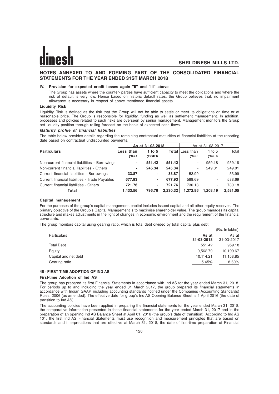# **NOTES ANNEXED TO AND FORMING PART OF THE CONSOLIDATED FINANCIAL STATEMENTS FOR THE YEAR ENDED 31ST MARCH 2018**

### **IV. Provision for expected credit losses again "II" and "III" above**

The Group has assets where the counter- parties have sufficient capacity to meet the obligations and where the risk of default is very low. Hence based on historic default rates, the Group believes that, no impairment allowance is necessary in respect of above mentioned financial assets.

### **Liquidity Risk**

Liquidity Risk is defined as the risk that the Group will not be able to settle or meet its obligations on time or at reasonable price. The Group is responsible for liquidity, funding as well as settlement management. In addition, processes and policies related to such risks are overseen by senior management. Management monitors the Group net liquidity position through rolling forecast on the basis of expected cash flows.

### **Maturity profile of financial liabilities**

The table below provides details regarding the remaining contractual maturities of financial liabilities at the reporting date based on contractual undiscounted payments.

|                                                | As at 31-03-2018  |                 |          | As at 31-03-2017               |                   |          |
|------------------------------------------------|-------------------|-----------------|----------|--------------------------------|-------------------|----------|
| <b>Particulars</b>                             | Less than<br>vear | 1 to 5<br>vears |          | <b>Total</b> Less than<br>vear | 1 to $5$<br>years | Total    |
| Non-current financial liabilities - Borrowings | ٠                 | 551.42          | 551.42   | ٠                              | 959.18            | 959.18   |
| Non-current financial liabilities - Others     | ٠                 | 245.34          | 245.34   | ٠                              | 249.01            | 249.01   |
| Current financial liabilities - Borrowings     | 33.87             | ٠               | 33.87    | 53.99                          | ۰                 | 53.99    |
| Current financial liabilities - Trade Payables | 677.93            | ٠               | 677.93   | 588.69                         | ۰.                | 588.69   |
| Current financial liabilities - Others         | 721.76            | ٠               | 721.76   | 730.18                         | ۰.                | 730.18   |
| Total                                          | 1.433.56          | 796.76          | 2.230.32 | 1.372.86                       | 1.208.19          | 2.581.05 |

### **Capital management**

For the purposes of the group's capital management, capital includes issued capital and all other equity reserves. The primary objective of the Group's Capital Management is to maximise shareholder value. The group manages its capital structure and makes adjustments in the light of changes in economic environment and the requirement of the financial covenants.

The group monitors capital using gearing ratio, which is total debt divided by total capital plus debt.

| <b>Particulars</b><br>31-03-2018<br><b>Total Debt</b><br>Equity<br>9.562.79<br>Capital and net debt<br>10,114.21<br>Gearing ratio |        | (Rs. In lakhs)      |
|-----------------------------------------------------------------------------------------------------------------------------------|--------|---------------------|
|                                                                                                                                   | As at  | As at<br>31-03-2017 |
|                                                                                                                                   | 551.42 | 959.18              |
|                                                                                                                                   |        | 10,199.67           |
|                                                                                                                                   |        | 11,158.85           |
|                                                                                                                                   | 5.45%  | 8.60%               |

# **45 - FIRST TIME ADOPTION OF IND AS**

### **First-time Adoption of Ind AS**

The group has prepared its first Financial Statements in accordance with Ind AS for the year ended March 31, 2018. For periods up to and including the year ended 31 March 2017, the group prepared its financial statements in accordance with Indian GAAP, including accounting standards notified under the Companies (Accounting Standards) Rules, 2006 (as amended). The effective date for group's Ind AS Opening Balance Sheet is 1 April 2016 (the date of transition to Ind AS).

The accounting policies have been applied in preparing the financial statements for the year ended March 31, 2018, the comparative information presented in these financial statements for the year ended March 31, 2017 and in the preparation of an opening Ind AS Balance Sheet at April 01, 2016 (the group's date of transition). According to Ind AS 101, the first Ind AS Financial Statements must use recognition and measurement principles that are based on standards and interpretations that are effective at March 31, 2018, the date of first-time preparation of Financial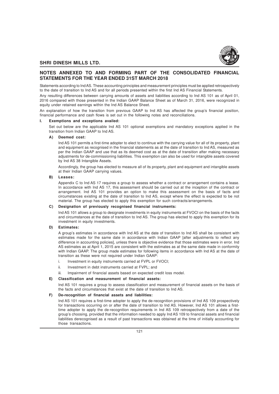

# **NOTES ANNEXED TO AND FORMING PART OF THE CONSOLIDATED FINANCIAL STATEMENTS FOR THE YEAR ENDED 31ST MARCH 2018**

Statements according to Ind AS. These accounting principles and measurement principles must be applied retrospectively to the date of transition to Ind AS and for all periods presented within the first Ind AS Financial Statements.

Any resulting differences between carrying amounts of assets and liabilities according to Ind AS 101 as of April 01, 2016 compared with those presented in the Indian GAAP Balance Sheet as of March 31, 2016, were recognized in equity under retained earnings within the Ind AS Balance Sheet.

An explanation of how the transition from previous GAAP to Ind AS has affected the group's financial position, financial performance and cash flows is set out in the following notes and reconciliations.

# **I. Exemptions and exceptions availed:**

Set out below are the applicable Ind AS 101 optional exemptions and mandatory exceptions applied in the transition from Indian GAAP to Ind AS.

### **A) Deemed cost:**

Ind AS 101 permits a first-time adopter to elect to continue with the carrying value for all of its property, plant and equipment as recognised in the financial statements as at the date of transition to Ind AS, measured as per the Indian GAAP and use that as its deemed cost as at the date of transition after making necessary adjustments for de-commissioning liabilities. This exemption can also be used for intangible assets covered by Ind AS 38 Intangible Assets.

Accordingly, the group has elected to measure all of its property, plant and equipment and intangible assets at their Indian GAAP carrying values.

### **B) Leases:**

Appendix C to Ind AS 17 requires a group to assess whether a contract or arrangement contains a lease. In accordance with Ind AS 17, this assessment should be carried out at the inception of the contract or arrangement. Ind AS 101 provides an option to make this assessment on the basis of facts and circumstances existing at the date of transition to Ind AS, except where the effect is expected to be not material. The group has elected to apply this exemption for such contracts/arrangements.

### **C) Designation of previously recognised financial instruments:**

Ind AS 101 allows a group to designate investments in equity instruments at FVOCI on the basis of the facts and circumstances at the date of transition to Ind AS. The group has elected to apply this exemption for its investment in equity investments.

# **D) Estimates:**

A group's estimates in accordance with Ind AS at the date of transition to Ind AS shall be consistent with estimates made for the same date in accordance with Indian GAAP [after adjustments to reflect any difference in accounting policies], unless there is objective evidence that those estimates were in error. Ind AS estimates as at April 1, 2015 are consistent with the estimates as at the same date made in conformity with Indian GAAP. The group made estimates for following items in accordance with Ind AS at the date of transition as these were not required under Indian GAAP:

- i. Investment in equity instruments carried at FVPL or FVOCI;
- ii. Investment in debt instruments carried at FVPL; and
- Impairment of financial assets based on expected credit loss model.

# **E) Classification and measurement of financial assets:**

Ind AS 101 requires a group to assess classification and measurement of financial assets on the basis of the facts and circumstances that exist at the date of transition to Ind AS.

### **F) De-recognition of financial assets and liabilities:**

Ind AS 101 requires a first-time adopter to apply the de-recognition provisions of Ind AS 109 prospectively for transactions occurring on or after the date of transition to Ind AS. However, Ind AS 101 allows a firsttime adopter to apply the de-recognition requirements in Ind AS 109 retrospectively from a date of the group's choosing, provided that the information needed to apply Ind AS 109 to financial assets and financial liabilities derecognised as a result of past transactions was obtained at the time of initially accounting for those transactions.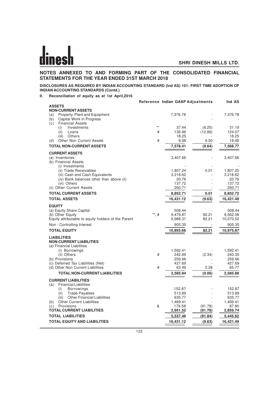# **NOTES ANNEXED TO AND FORMING PART OF THE CONSOLIDATED FINANCIAL STATEMENTS FOR THE YEAR ENDED 31ST MARCH 2018**

# **DISCLOSURES AS REQUIRED BY INDIAN ACCOUNTING STANDARD (Ind AS) 101: FIRST TIME ADOPTION OF INDIAN ACCOUNTING STANDARDS (Contd.)**

**II. Reconciliation of equity as at 1st April,2016**

|                                                       |             | Reference Indian GAAP Adjustments |         | Ind AS            |
|-------------------------------------------------------|-------------|-----------------------------------|---------|-------------------|
| <b>ASSETS</b>                                         |             |                                   |         |                   |
| <b>NON-CURRENT ASSETS</b>                             |             |                                   |         |                   |
| Property, Plant and Equipment<br>(a)                  |             | 7,376.78                          |         | 7,376.78          |
| Capital Work in Progress<br>(b)                       |             |                                   |         |                   |
| <b>Financial Assets</b><br>(c)<br>Investments<br>(i)  | $^{**}$     | 37.44                             | (6.25)  | 31.19             |
| (ii)<br>Loans                                         | #           | 136.96                            | (12.89) | 124.07            |
| (iii)<br>Others                                       |             | 18.25                             |         | 18.25             |
| <b>Other Non Current Assets</b><br>(d)                | #           | 8.98                              | 9.50    | 18.48             |
| <b>TOTAL NON-CURRENT ASSETS</b>                       |             | 7,578.41                          | (9.64)  | 7,568.77          |
| <b>CURRENT ASSETS</b>                                 |             |                                   |         |                   |
| (a) Inventories                                       |             | 3,407.66                          |         | 3,407.66          |
| (b) Financial Assets                                  |             |                                   |         |                   |
| (i) Investments                                       |             |                                   |         |                   |
| (ii) Trade Receivables                                |             | 1,807.24                          | 0.01    | 1,807.25          |
| (iii) Cash and Cash Equivalents                       |             | 3,218.62                          |         | 3,218.62          |
| (iv) Bank balances other than above (ii)              |             | 20.76                             |         | 20.76             |
| (vi) Others<br>(c) Other Current Assets               |             | 137.72<br>260.71                  |         | 137.72<br>260.71  |
| <b>TOTAL CURRENT ASSETS</b>                           |             | 8,852.71                          | 0.01    | 8,852.72          |
|                                                       |             |                                   |         |                   |
| <b>TOTAL ASSETS</b>                                   |             | 16,431.12                         | (9.63)  | 16,421.49         |
| <b>EQUITY</b>                                         |             |                                   |         |                   |
| (a) Equity Share Capital                              |             | 508.44                            |         | 508.44            |
| (b) Other Equity                                      | $^{**}$ , # | 9,479.87                          | 82.21   | 9,562.08          |
| Equity attributable to equity holders of the Parent   |             | 9,988.31                          | 82.21   | 10,070.52         |
| Non - Controlling Interest                            |             | 905.35                            |         | 905.35            |
| <b>TOTAL EQUITY</b>                                   |             | 10,893.66                         | 82.21   | 10,975.87         |
| <b>LIABILITIES</b>                                    |             |                                   |         |                   |
| <b>NON-CURRENT LIABILITIES</b>                        |             |                                   |         |                   |
| (a) Financial Liabilities                             |             |                                   |         |                   |
| (i) Borrowings                                        |             | 1,592.41                          |         | 1,592.41          |
| (ii) Others<br>(b) Provisions                         | #           | 242.69<br>259.66                  | (2.34)  | 240.35<br>259.66  |
| (c) Deferred Tax Liabilities (Net)                    |             | 427.69                            |         | 427.69            |
| (d) Other Non Current Liabilities                     | #           | 63.49                             | 2.28    | 65.77             |
| <b>TOTAL NON-CURRENT LIABILITIES</b>                  |             | 2,585.94                          | (0.06)  | 2,585.88          |
| <b>CURRENT LIABILITIES</b>                            |             |                                   |         |                   |
| <b>Financial Liabilities</b><br>(a)                   |             |                                   |         |                   |
| <b>Borrowings</b><br>(i)                              |             | 152.87                            |         | 152.87            |
| (ii)<br><b>Trade Payables</b>                         |             | 513.89                            |         | 513.89            |
| <b>Other Financial Liabilities</b><br>(iii)           |             | 635.77                            |         | 635.77            |
| <b>Other Current Liabilities</b><br>(b)<br>Provisions | &           | 1,469.41<br>179.58                | (91.78) | 1,469.41<br>87.80 |
| (c)<br><b>TOTAL CURRENT LIABILITIES</b>               |             | 2,951.52                          | (91.78) | 2,859.74          |
| <b>TOTAL LIABILITIES</b>                              |             | 5,537.46                          | (91.84) | 5,445.62          |
|                                                       |             |                                   |         |                   |
| <b>TOTAL EQUITY AND LIABILITIES</b>                   |             | 16,431.12                         | (9.63)  | 16,421.49         |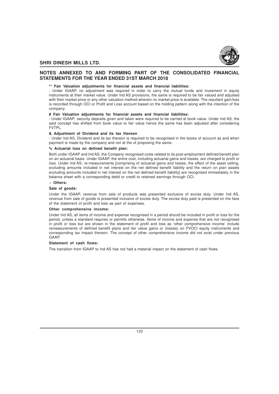

# **NOTES ANNEXED TO AND FORMING PART OF THE CONSOLIDATED FINANCIAL STATEMENTS FOR THE YEAR ENDED 31ST MARCH 2018**

### **\*\* Fair Valuation adjustments for financial assets and financial liabilities:**

- Under IGAAP, no adjustment was required in order to carry the mutual funds and invesment in equity instruments at their market value. Under Ind AS provisions, the same is required to be fair valued and adjusted with their market price or any other valuation method wherein no market price is available. The resultant gain/loss is recorded through OCI or Profit and Loss account based on the holding pattern along with the intention of the company.

### **# Fair Valuation adjustments for financial assets and financial liabilities:**

- Under IGAAP, security deposits given and taken were required to be carried at book value. Under Ind AS, the said concept has shifted from book value to fair value hence the same has been adjusted after considering FVTPL.

### **& Adjustment of Dividend and its tax thereon**

- Under Ind AS, Dividend and its tax thereon is required to be recognised in the books of account as and when payment is made by the company and not at the of proposing the same.

# **% Actuarial loss on defined benefit plan:**

Both under IGAAP and Ind AS, the Company recognised costs related to its post-employment defined benefit plan on an actuarial basis. Under IGAAP, the entire cost, including actuarial gains and losses, are charged to profit or loss. Under Ind AS, re-measurements [comprising of actuarial gains and losses, the effect of the asset ceiling, excluding amounts included in net interest on the net defined benefit liability and the return on plan assets excluding amounts included in net interest on the net defined benefit liability] are recognised immediately in the balance sheet with a corresponding debit or credit to retained earnings through OCI.

# **~ Others:**

### **Sale of goods:**

Under the IGAAP, revenue from sale of products was presented exclusive of excise duty. Under Ind AS, revenue from sale of goods is presented inclusive of excise duty. The excise duty paid is presented on the face of the statement of profit and loss as part of expenses.

### **Other comprehensive income:**

Under Ind AS, all items of income and expense recognised in a period should be included in profit or loss for the period, unless a standard requires or permits otherwise. Items of income and expense that are not recognised in profit or loss but are shown in the statement of profit and loss as 'other comprehensive income' include remeasurements of defined benefit plans and fair value gains or (losses) on FVOCI equity instruments and corresponding tax impact thereon. The concept of other comprehensive income did not exist under previous GAAP.

### **Statement of cash flows:**

The transition from IGAAP to Ind AS has not had a material impact on the statement of cash flows.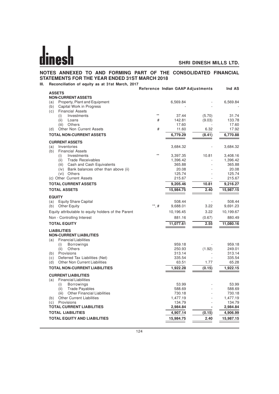# **NOTES ANNEXED TO AND FORMING PART OF THE CONSOLIDATED FINANCIAL STATEMENTS FOR THE YEAR ENDED 31ST MARCH 2018**

**III. Reconciliation of equity as at 31st March, 2017**

|                                                           |             | Reference Indian GAAP Adjustments |        | Ind AS         |
|-----------------------------------------------------------|-------------|-----------------------------------|--------|----------------|
| <b>ASSETS</b>                                             |             |                                   |        |                |
| <b>NON-CURRENT ASSETS</b>                                 |             |                                   |        |                |
| Property, Plant and Equipment<br>(a)                      |             | 6,569.84                          |        | 6,569.84       |
| Capital Work in Progress<br>(b)                           |             |                                   |        |                |
| (c)<br><b>Financial Assets</b>                            | $**$        |                                   |        |                |
| Investments<br>(i)                                        |             | 37.44                             | (5.70) | 31.74          |
| (ii)<br>Loans                                             | #           | 142.81                            | (9.03) | 133.78         |
| (iii)<br>Others<br><b>Other Non Current Assets</b><br>(d) | #           | 17.60<br>11.60                    | 6.32   | 17.60<br>17.92 |
| <b>TOTAL NON-CURRENT ASSETS</b>                           |             | 6,779.29                          | (8.41) | 6,770.88       |
| <b>CURRENT ASSETS</b>                                     |             |                                   |        |                |
| (a)<br>Inventories                                        |             | 3,684.32                          |        | 3,684.32       |
| (b)<br><b>Financial Assets</b>                            |             |                                   |        |                |
| Investments<br>(i)                                        | $**$        | 3,397.35                          | 10.81  | 3,408.16       |
| <b>Trade Receivables</b><br>(ii)                          |             | 1,396.42                          |        | 1,396.42       |
| Cash and Cash Equivalents<br>(iii)                        |             | 365.88                            |        | 365.88         |
| Bank balances other than above (ii)<br>(iv)               |             | 20.08                             |        | 20.08          |
| (vi) Others                                               |             | 125.74                            |        | 125.74         |
| (c) Other Current Assets                                  |             | 215.67                            |        | 215.67         |
| <b>TOTAL CURRENT ASSETS</b>                               |             | 9,205.46                          | 10.81  | 9,216.27       |
| <b>TOTAL ASSETS</b>                                       |             | 15,984.75                         | 2.40   | 15,987.15      |
| <b>EQUITY</b>                                             |             |                                   |        |                |
| <b>Equity Share Capital</b><br>(a)                        |             | 508.44                            |        | 508.44         |
| <b>Other Equity</b><br>(b)                                | $^{**}$ , # | 9,688.01                          | 3.22   | 9,691.23       |
| Equity attributable to equity holders of the Parent       |             | 10,196.45                         | 3.22   | 10,199.67      |
| Non - Controlling Interest                                |             | 881.16                            | (0.67) | 880.49         |
| <b>TOTAL EQUITY</b>                                       |             | 11,077.61                         | 2.55   | 11,080.16      |
| <b>LIABILITIES</b>                                        |             |                                   |        |                |
| <b>NON-CURRENT LIABILITIES</b>                            |             |                                   |        |                |
| <b>Financial Liabilities</b><br>(a)                       |             |                                   |        |                |
| (i)<br><b>Borrowings</b>                                  |             | 959.18                            |        | 959.18         |
| <b>Others</b><br>(ii)                                     |             | 250.93                            | (1.92) | 249.01         |
| Provisions<br>(b)                                         |             | 313.14                            |        | 313.14         |
| Deferred Tax Liabilities (Net)<br>(c)                     |             | 335.54                            |        | 335.54         |
| <b>Other Non Current Liabilities</b><br>(d)               |             | 63.51                             | 1.77   | 65.28          |
| <b>TOTAL NON-CURRENT LIABILITIES</b>                      |             | 1,922.28                          | (0.15) | 1,922.15       |
| <b>CURRENT LIABILITIES</b>                                |             |                                   |        |                |
| <b>Financial Liabilities</b><br>(a)<br><b>Borrowings</b>  |             | 53.99                             |        | 53.99          |
| (i)<br><b>Trade Payables</b><br>(ii)                      |             | 588.69                            |        | 588.69         |
| <b>Other Financial Liabilities</b><br>(iii)               |             | 730.18                            |        | 730.18         |
| <b>Other Current Liabilities</b><br>(b)                   |             | 1,477.19                          |        | 1,477.19       |
| Provisions<br>(c)                                         |             | 134.79                            |        | 134.79         |
| <b>TOTAL CURRENT LIABILITIES</b>                          |             | 2,984.84                          |        | 2,984.84       |
| <b>TOTAL LIABILITIES</b>                                  |             | 4,907.14                          | (0.15) | 4,906.99       |
| <b>TOTAL EQUITY AND LIABILITIES</b>                       |             | 15,984.75                         | 2.40   | 15,987.15      |
|                                                           |             |                                   |        |                |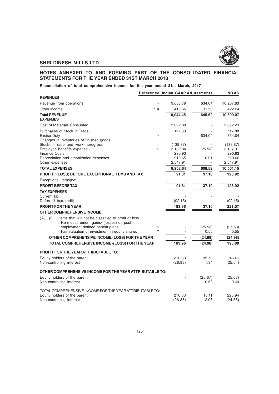

# **NOTES ANNEXED TO AND FORMING PART OF THE CONSOLIDATED FINANCIAL STATEMENTS FOR THE YEAR ENDED 31ST MARCH 2018**

**Reconciliation of total comprehensive income for the year ended 31st March, 2017**

|                                                                                                              |           | Reference Indian GAAP Adjustments |                 | <b>IND AS</b>      |
|--------------------------------------------------------------------------------------------------------------|-----------|-----------------------------------|-----------------|--------------------|
| <b>REVENUES</b>                                                                                              |           |                                   |                 |                    |
| Revenue from operations                                                                                      |           | 9,633.79                          | 634.04          | 10,267.83          |
| Other income                                                                                                 | **, #     | 410.66                            | 11.58           | 422.24             |
| <b>Total REVENUE</b><br><b>EXPENSES</b>                                                                      |           | 10,044.45                         | 645.62          | 10,690.07          |
| Cost of Materials Consumed                                                                                   |           | 3,092.30                          |                 | 3,092.29           |
| Purchases of Stock in Trade                                                                                  |           | 117.88                            |                 | 117.88             |
| <b>Excise Duty</b><br>Changes in inventories of finished goods,                                              |           |                                   | 634.04          | 634.04             |
| Stock-in-Trade and work-inprogress                                                                           |           | (139.87)                          |                 | (139.87)           |
| Employee benefits expense                                                                                    | $\%$      | 3,132.84                          | (25.53)         | 3,107.31           |
| <b>Finance Costs</b>                                                                                         |           | 290.93                            |                 | 290.93             |
| Depreciation and amortization expenses<br>Other expenses                                                     |           | 910.65<br>2,547.91                | 0.01            | 910.66<br>2,547.91 |
| <b>TOTAL EXPENSES</b>                                                                                        |           | 9,952.64                          | 608.52          | 10,561.15          |
| PROFIT / (LOSS) BEFORE EXCEPTIONAL ITEMS AND TAX                                                             |           | 91.81                             | 37.10           | 128.92             |
| Exceptional items(net)                                                                                       |           |                                   |                 |                    |
| <b>PROFIT BEFORE TAX</b>                                                                                     |           | 91.81                             | 37.10           | 128.92             |
| <b>TAX EXPENSES</b>                                                                                          |           |                                   |                 |                    |
| Current tax                                                                                                  |           |                                   |                 |                    |
| Deferred tax(credit)                                                                                         |           | (92.15)                           |                 | (92.15)            |
| PROFIT FOR THE YEAR                                                                                          |           | 183.96                            | 37.10           | 221.07             |
| <b>OTHER COMPREHENSIVE INCOME:</b>                                                                           |           |                                   |                 |                    |
| $(A)$ (i)<br>Items that will not be classified to profit or loss<br>- Re-measurement gains/ (losses) on post |           |                                   |                 |                    |
| employment defined benefit plans<br>- Fair valuation of investment in equity shares                          | %<br>$**$ |                                   | (25.53)<br>0.55 | (25.53)<br>0.55    |
| OTHER COMPREHENSIVE INCOME/(LOSS) FOR THE YEAR                                                               |           |                                   | (24.98)         | (24.98)            |
| TOTAL COMPREHENSIVE INCOME /(LOSS) FOR THE YEAR                                                              |           | 183.96                            | (24.98)         | 196.09             |
| <b>PROFIT FOR THE YEAR ATTRIBUTABLE TO:</b>                                                                  |           |                                   |                 |                    |
| Equity holders of the parent                                                                                 |           | 210.83                            | 35.78           | 246.61             |
| Non-controlling interest                                                                                     |           | (26.88)                           | 1.34            | (25.54)            |
|                                                                                                              |           |                                   |                 |                    |
| OTHER COMPREHENSIVE INCOME FOR THE YEAR ATTRIBUTABLE TO:                                                     |           |                                   |                 |                    |
| Equity holders of the parent                                                                                 |           |                                   | (25.67)         | (25.67)            |
| Non-controlling interest                                                                                     |           |                                   | 0.69            | 0.69               |
| TOTAL COMPREHENSIVE INCOME FOR THE YEAR ATTRIBUTABLE TO:                                                     |           |                                   |                 |                    |
| Equity holders of the parent                                                                                 |           | 210.83                            | 10.11           | 220.94             |
| Non-controlling interest                                                                                     |           | (26.88)                           | 2.03            | (24.85)            |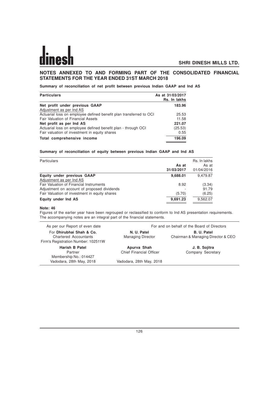# **NOTES ANNEXED TO AND FORMING PART OF THE CONSOLIDATED FINANCIAL STATEMENTS FOR THE YEAR ENDED 31ST MARCH 2018**

**Summary of reconciliation of net profit between previous Indian GAAP and Ind AS**

| <b>Particulars</b>                                                 | As at 31/03/2017<br>Rs. In lakhs |
|--------------------------------------------------------------------|----------------------------------|
| Net profit under previous GAAP                                     | 183.96                           |
| Adjustment as per Ind AS                                           |                                  |
| Actuarial loss on employee defined benefit plan transferred to OCI | 25.53                            |
| Fair Valuation of Financial Assets                                 | 11.58                            |
| Net profit as per Ind AS                                           | 221.07                           |
| Actuarial loss on employee defined benefit plan - through OCI      | (25.53)                          |
| Fair valuation of investment in equity shares                      | 0.55                             |
| Total comprehensive income                                         | 196.09                           |

# **Summary of reconciliation of equity between previous Indian GAAP and Ind AS**

| Particulars                                   | As at<br>31/03/2017 | Rs. In lakhs<br>As at<br>01/04/2016 |
|-----------------------------------------------|---------------------|-------------------------------------|
| Equity under previous GAAP                    | 9,688.01            | 9.479.87                            |
| Adjustment as per Ind AS                      |                     |                                     |
| Fair Valuation of Financial Instruments       | 8.92                | (3.34)                              |
| Adjustment on account of proposed dividends   |                     | 91.79                               |
| Fair Valuation of investment in equity shares | (5.70)              | (6.25)                              |
| Equity under Ind AS                           | 9,691.23            | 9,562.07                            |

### **Note: 46**

Figures of the earlier year have been regrouped or reclassified to conform to Ind AS presentation requirements. The accompanying notes are an integral part of the financial statements.

| As per our Report of even date                                                                  | For and on behalf of the Board of Directors |                                                   |  |
|-------------------------------------------------------------------------------------------------|---------------------------------------------|---------------------------------------------------|--|
| For Dhirubhai Shah & Co.<br><b>Chartered Accountants</b><br>Firm's Registration Number: 102511W | N. U. Patel<br><b>Managing Director</b>     | B. U. Patel<br>Chairman & Managing Director & CEO |  |
| <b>Harish B Patel</b>                                                                           | Apurva Shah                                 | J. B. Sojitra                                     |  |
| Partner<br>Membership No.: 014427                                                               | <b>Chief Financial Officer</b>              | Company Secretary                                 |  |
| Vadodara, 28th May, 2018                                                                        | Vadodara, 28th May, 2018                    |                                                   |  |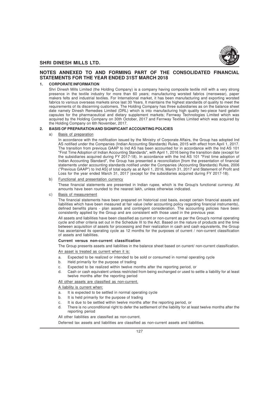

# **NOTES ANNEXED TO AND FORMING PART OF THE CONSOLIDATED FINANCIAL STATEMENTS FOR THE YEAR ENDED 31ST MARCH 2018**

### **1. CORPORATE INFORMATION**

Shri Dinesh Mills Limited (the Holding Company) is a company having composite textile mill with a very strong presence in the textile industry for more than 60 years; manufacturing worsted fabrics (menswear), paper makers felts and industrial textiles. For International market, it has been manufacturing and exporting worsted fabrics to various overseas markets since last 30 Years. It maintains the highest standards of quality to meet the requirements of its discerning customers. The Holding Company has three subsidiaries as on the balance sheet date namely Dinesh Remedies Limited (DRL) which is into manufacturing high quality two-piece hard gelatin capsules for the pharmaceutical and dietary supplement markets; Fernway Technologies Limited which was acquired by the Holding Company on 30th October, 2017 and Fernway Textiles Limited which was acquired by the Holding Company on 6th November, 2017.

### **2. BASIS OF PREPARATION AND SIGNIFICANT ACCOUNTING POLICIES**

### a) Basis of preparation

In accordance with the notification issued by the Ministry of Corporate Affairs, the Group has adopted Ind AS notified under the Companies (Indian Accounting Standards) Rules, 2015 with effect from April 1, 2017. The transition from previous GAAP to Ind AS has been accounted for in accordance with the Ind AS 101 "First Time Adoption of Indian Accounting Standards", with April 1, 2016 being the transition date (except for the subsidiaries acquired during FY 2017-18). In accordance with the Ind AS 101 "First time adoption of Indian Accounting Standard", the Group has presented a reconciliation [from the presentation of financial statements under accounting standards notified under the Companies (Accounting Standards) Rules, 2006 ("Previous GAAP") to Ind AS] of total equity as at April 1, 2016, March 31, 2017 and Statement of Profit and Loss for the year ended March 31, 2017 (except for the subsidiaries acquired during FY 2017-18).

### b) Functional and presentation currency

These financial statements are presented in Indian rupee, which is the Group's functional currency. All amounts have been rounded to the nearest lakh, unless otherwise indicated.

### c) Basis of measurement

The financial statements have been prepared on historical cost basis, except certain financial assets and liabilities which have been measured at fair value (refer accounting policy regarding financial instruments), defined benefits plans - plan assets and contingent consideration. The accounting policies have been consistently applied by the Group and are consistent with those used in the previous year.

All assets and liabilities have been classified as current or non-current as per the Group's normal operating cycle and other criteria set out in the Schedule III to the Act. Based on the nature of products and the time between acquisition of assets for processing and their realization in cash and cash equivalents, the Group has ascertained its operating cycle as 12 months for the purposes of current / non-current classification of assets and liabilities.

### **Current versus non-current classification**

The Group presents assets and liabilities in the balance sheet based on current/ non-current classification.

An asset is treated as current when it is:

- a. Expected to be realized or intended to be sold or consumed in normal operating cycle
- b. Held primarily for the purpose of trading
- c. Expected to be realized within twelve months after the reporting period, or
- d. Cash or cash equivalent unless restricted from being exchanged or used to settle a liability for at least twelve months after the reporting period

All other assets are classified as non-current.

A liability is current when:

- a. It is expected to be settled in normal operating cycle
- b. It is held primarily for the purpose of trading
- c. It is due to be settled within twelve months after the reporting period, or
- d. There is no unconditional right to defer the settlement of the liability for at least twelve months after the reporting period

All other liabilities are classified as non-current.

Deferred tax assets and liabilities are classified as non-current assets and liabilities.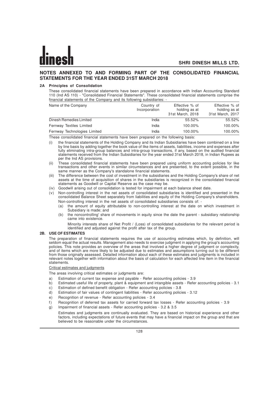# **NOTES ANNEXED TO AND FORMING PART OF THE CONSOLIDATED FINANCIAL STATEMENTS FOR THE YEAR ENDED 31ST MARCH 2018**

# **2A Principles of Consolidation**

These consolidated financial statements have been prepared in accordance with Indian Accounting Standard 110 (Ind AS 110) - "Consolidated Financial Statements". These consolidated financial statements comprise the financial statements of the Company and its following subsidiaries: -

| Name of the Company          | Country of<br>Incorporation | Effective % of<br>holding as at<br>31st March, 2018 | Effective % of<br>holding as at<br>31st March, 2017 |
|------------------------------|-----------------------------|-----------------------------------------------------|-----------------------------------------------------|
| Dinesh Remedies Limited      | India                       | 55.52%                                              | 55.52%                                              |
| Fernway Textiles Limited     | India                       | 100.00%                                             | 100.00%                                             |
| Fernway Technologies Limited | India                       | 100.00%                                             | 100.00%                                             |

These consolidated financial statements have been prepared on the following basis:

- (i) the financial statements of the Holding Company and its Indian Subsidiaries have been combined on a line by line basis by adding together the book value of like items of assets, liabilities, income and expenses after fully eliminating intra-group balances and intra-group transactions, if any, based on the audited financial statements received from the Indian Subsidiaries for the year ended 31st March 2018, in Indian Rupees as per the Ind AS provisions.
- (ii) These consolidated financial statements have been prepared using uniform accounting policies for like transactions and other events in similar circumstances and are presented, to the extent possible, in the same manner as the Company's standalone financial statements.
- The difference between the cost of investment in the subsidiaries and the Holding Company's share of net assets at the time of acquisition of shares in the subsidiaries is recognized in the consolidated financial statements as Goodwill or Capital Reserve as the case may be.
- (iv) Goodwill arising out of consolidation is tested for impairment at each balance sheet date.
- (v) Non-controlling interest in the net assets of consolidated subsidiaries is identified and presented in the consolidated Balance Sheet separately from liabilities and equity of the Holding Company's shareholders. Non-controlling interest in the net assets of consolidated subsidiaries consists of: -
	- (a) the amount of equity attributable to non-controlling interest at the date on which investment in Subsidiary is made; and
	- (b) the noncontrolling' share of movements in equity since the date the parent subsidiary relationship came into existence.

Minority interests share of Net Profit / (Loss) of consolidated subsidiaries for the relevant period is identified and adjusted against the profit after tax of the group.

### **2B. USE OF ESTIMATES**

The preparation of financial statements requires the use of accounting estimates which, by definition, will seldom equal the actual results. Management also needs to exercise judgment in applying the group's accounting policies. This note provides an overview of the areas that involved a higher degree of judgment or complexity, and of items which are more likely to be adjusted due to estimates and assumptions turning out to be different from those originally assessed. Detailed information about each of these estimates and judgments is included in relevant notes together with information about the basis of calculation for each affected line item in the financial statements.

### Critical estimates and judgments

The areas involving critical estimates or judgments are:

- a) Estimation of current tax expense and payable Refer accounting policies 3.9
- b) Estimated useful life of property, plant & equipment and intangible assets Refer accounting policies 3.1
- c) Estimation of defined benefit obligation Refer accounting policies 3.8
- d) Estimation of fair values of contingent liabilities Refer accounting policies 3.12
- e) Recognition of revenue Refer accounting policies 3.4
- f) Recognition of deferred tax assets for carried forward tax losses Refer accounting policies 3.9
- g) Impairment of financial assets Refer accounting policies 3.2 & 3.5 Estimates and judgments are continually evaluated. They are based on historical experience and other factors, including expectations of future events that may have a financial impact on the group and that are believed to be reasonable under the circumstances.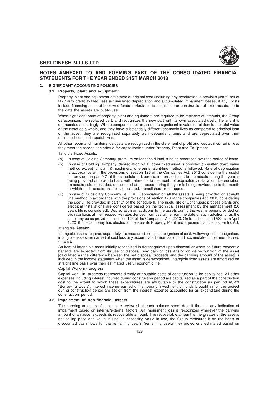

# **NOTES ANNEXED TO AND FORMING PART OF THE CONSOLIDATED FINANCIAL STATEMENTS FOR THE YEAR ENDED 31ST MARCH 2018**

# **3. SIGNIFICANT ACCOUNTING POLICIES**

# **3.1 Property, plant and equipment:**

Property, plant and equipment are stated at original cost (including any revaluation in previous years) net of tax / duty credit availed, less accumulated depreciation and accumulated impairment losses, if any. Costs include financing costs of borrowed funds attributable to acquisition or construction of fixed assets, up to the date the assets are put-to-use.

When significant parts of property, plant and equipment are required to be replaced at intervals, the Group derecognizes the replaced part, and recognizes the new part with its own associated useful life and it is depreciated accordingly. Where components of an asset are significant in value in relation to the total value of the asset as a whole, and they have substantially different economic lives as compared to principal item of the asset, they are recognized separately as independent items and are depreciated over their estimated economic useful lives.

All other repair and maintenance costs are recognized in the statement of profit and loss as incurred unless they meet the recognition criteria for capitalization under Property, Plant and Equipment

# Tangible Fixed Assets:

- (a) In case of Holding Company, premium on leasehold land is being amortized over the period of lease.
- (b) In case of Holding Company, depreciation on all other fixed asset is provided on written down value method except for plant & machinery, wherein straight-line method is followed. Rate of depreciation is accordance with the provisions of section 123 of the Companies Act, 2013 considering the useful life provided in part "C" of the schedule II. Depreciation on additions to the assets during the year is being provided on pro-rata basis with reference to the month of acquisition /installation. Depreciation on assets sold, discarded, demolished or scrapped during the year is being provided up to the month in which such assets are sold, discarded, demolished or scrapped.
- (c) In case of Subsidiary Company i.e. DRL, Depreciation on all the assets is being provided on straight line method in accordance with the provisions of section 123 of the companies Act, 2013 considering the useful life provided in part "C" of the schedule II. The useful life of Continuous process plants and electrical installations are considered based on the technical assessment by the management (20 years life is considered). Depreciation on additions to the assets during the year is being provided on pro rata basis at their respective rates derived from useful life from the date of such addition or as the case may be as provided in section 123 of the Companies Act, 2013. On transition to Ind AS as on April 1, 2016, the Company has elected to measure its Property, Plant and Equipment at cost as per Ind AS.

### Intangible Assets:

Intangible assets acquired separately are measured on initial recognition at cost. Following initial recognition, intangible assets are carried at cost less any accumulated amortization and accumulated impairment losses (if any).

An item of intangible asset initially recognized is derecognized upon disposal or when no future economic benefits are expected from its use or disposal. Any gain or loss arising on de-recognition of the asset [calculated as the difference between the net disposal proceeds and the carrying amount of the asset] is included in the income statement when the asset is derecognized. Intangible fixed assets are amortized on straight line basis over their estimated useful economic life.

### Capital Work- in- progress

Capital work- in- progress represents directly attributable costs of construction to be capitalized. All other expenses including interest incurred during construction period are capitalized as a part of the construction cost to the extent to which these expenditures are attributable to the construction as per Ind AS-23 "Borrowing Costs". Interest income earned on temporary investment of funds brought in for the project during construction period are set off from the interest expense accounted for as expenditure during the construction period.

### **3.2 Impairment of non-financial assets**

The carrying amounts of assets are reviewed at each balance sheet date if there is any indication of impairment based on internal/external factors. An impairment loss is recognized wherever the carrying amount of an asset exceeds its recoverable amount. The recoverable amount is the greater of the asset's net selling price and value in use. In assessing value in use, the Group measures it on the basis of discounted cash flows for the remaining year's (remaining useful life) projections estimated based on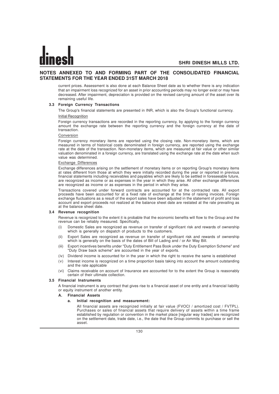# **NOTES ANNEXED TO AND FORMING PART OF THE CONSOLIDATED FINANCIAL STATEMENTS FOR THE YEAR ENDED 31ST MARCH 2018**

current prices. Assessment is also done at each Balance Sheet date as to whether there is any indication that an impairment loss recognized for an asset in prior accounting periods may no longer exist or may have decreased. After impairment, depreciation is provided on the revised carrying amount of the asset over its remaining useful life.

### **3.3 Foreign Currency Transactions**

The Group's financial statements are presented in INR, which is also the Group's functional currency.

### Initial Recognition

Foreign currency transactions are recorded in the reporting currency, by applying to the foreign currency amount the exchange rate between the reporting currency and the foreign currency at the date of transaction.

### Conversion

Foreign currency monetary items are reported using the closing rate. Non-monetary items, which are measured in terms of historical costs denominated in foreign currency, are reported using the exchange rate at the date of the transaction. Non-monetary items, which are measured at fair value or other similar valuation denominated in a foreign currency, are translated using the exchange rate at the date when such value was determined.

### Exchange Differences

Exchange differences arising on the settlement of monetary items or on reporting Group's monetary items at rates different from those at which they were initially recorded during the year or reported in previous financial statements including receivables and payables which are likely to be settled in foreseeable future, are recognized as income or as expenses in the year in which they arise. All other exchange differences are recognized as income or as expenses in the period in which they arise.

Transactions covered under forward contracts are accounted for at the contracted rate. All export proceeds have been accounted for at a fixed rate of exchange at the time of raising invoices. Foreign exchange fluctuations as a result of the export sales have been adjusted in the statement of profit and loss account and export proceeds not realized at the balance sheet date are restated at the rate prevailing as at the balance sheet date.

### **3.4 Revenue recognition**

Revenue is recognized to the extent it is probable that the economic benefits will flow to the Group and the revenue can be reliably measured. Specifically,

- (i) Domestic Sales are recognized as revenue on transfer of significant risk and rewards of ownership which is generally on dispatch of products to the customers.
- (ii) Export Sales are recognized as revenue on transfer of significant risk and rewards of ownership which is generally on the basis of the dates of Bill of Lading and / or Air Way Bill.
- (iii) Export incentives benefits under "Duty Entitlement Pass Book under the Duty Exemption Scheme" and "Duty Draw back scheme" are accounted in the year of exports.
- (iv) Dividend income is accounted for in the year in which the right to receive the same is established
- (v) Interest income is recognized on a time proportion basis taking into account the amount outstanding and the rate applicable
- (vi) Claims receivable on account of Insurance are accounted for to the extent the Group is reasonably certain of their ultimate collection.

### **3.5 Financial Instruments**

A financial instrument is any contract that gives rise to a financial asset of one entity and a financial liability or equity instrument of another entity.

**A. Financial Assets**

### **a. Initial recognition and measurement:**

All financial assets are recognized initially at fair value (FVOCI / amortized cost / FVTPL). Purchases or sales of financial assets that require delivery of assets within a time frame established by regulation or convention in the market place [regular way trades] are recognized on the settlement date, trade date, i.e., the date that the Group commits to purchase or sell the asset.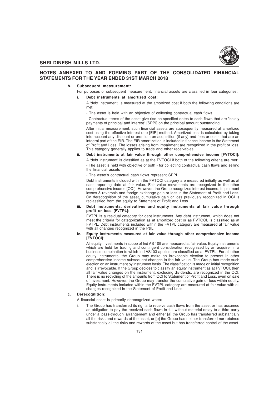

# **NOTES ANNEXED TO AND FORMING PART OF THE CONSOLIDATED FINANCIAL STATEMENTS FOR THE YEAR ENDED 31ST MARCH 2018**

### **b. Subsequent measurement:**

For purposes of subsequent measurement, financial assets are classified in four categories:

### **i. Debt instruments at amortized cost:**

- A 'debt instrument' is measured at the amortized cost if both the following conditions are met:
- The asset is held with an objective of collecting contractual cash flows

- Contractual terms of the asset give rise on specified dates to cash flows that are "solely payments of principal and interest" [SPPI] on the principal amount outstanding.

After initial measurement, such financial assets are subsequently measured at amortized cost using the effective interest rate [EIR] method. Amortized cost is calculated by taking into account any discount or premium on acquisition (if any) and fees or costs that are an integral part of the EIR. The EIR amortization is included in finance income in the Statement of Profit and Loss. The losses arising from impairment are recognized in the profit or loss. This category generally applies to trade and other receivables.

# **ii. Debt instruments at fair value through other comprehensive income [FVTOCI]:**

A 'debt instrument' is classified as at the FVTOCI if both of the following criteria are met: - The asset is held with objective of both - for collecting contractual cash flows and selling the financial assets

- The asset's contractual cash flows represent SPPI.

Debt instruments included within the FVTOCI category are measured initially as well as at each reporting date at fair value. Fair value movements are recognized in the other comprehensive income [OCI]. However, the Group recognizes interest income, impairment losses & reversals and foreign exchange gain or loss in the Statement of Profit and Loss. On derecognition of the asset, cumulative gain or loss previously recognized in OCI is reclassified from the equity to Statement of Profit and Loss.

### **iii. Debt instruments, derivatives and equity instruments at fair value through profit or loss [FVTPL]:**

FVTPL is a residual category for debt instruments. Any debt instrument, which does not meet the criteria for categorization as at amortized cost or as FVTOCI, is classified as at FVTPL. Debt instruments included within the FVTPL category are measured at fair value with all changes recognized in the P&L.

### **iv. Equity instruments measured at fair value through other comprehensive income [FVTOCI]:**

All equity investments in scope of Ind AS 109 are measured at fair value. Equity instruments which are held for trading and contingent consideration recognized by an acquirer in a business combination to which Ind AS103 applies are classified as at FVTPL. For all other equity instruments, the Group may make an irrevocable election to present in other comprehensive income subsequent changes in the fair value. The Group has made such election on an instrument by instrument basis. The classification is made on initial recognition and is irrevocable. If the Group decides to classify an equity instrument as at FVTOCI, then all fair value changes on the instrument, excluding dividends, are recognized in the OCI. There is no recycling of the amounts from OCI to Statement of Profit and Loss, even on sale of investment. However, the Group may transfer the cumulative gain or loss within equity. Equity instruments included within the FVTPL category are measured at fair value with all changes recognized in the Statement of Profit and Loss.

# **c. Derecognition:**

A financial asset is primarily derecognized when:

i. The Group has transferred its rights to receive cash flows from the asset or has assumed an obligation to pay the received cash flows in full without material delay to a third party under a 'pass-through' arrangement and either [a] the Group has transferred substantially all the risks and rewards of the asset, or [b] the Group has neither transferred nor retained substantially all the risks and rewards of the asset but has transferred control of the asset.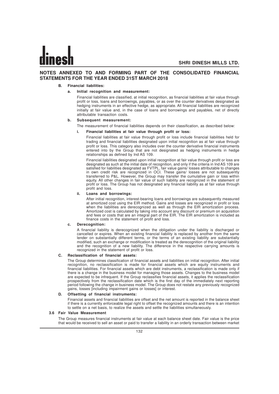# **NOTES ANNEXED TO AND FORMING PART OF THE CONSOLIDATED FINANCIAL STATEMENTS FOR THE YEAR ENDED 31ST MARCH 2018**

# **B. Financial liabilities:**

### **a. Initial recognition and measurement:**

Financial liabilities are classified, at initial recognition, as financial liabilities at fair value through profit or loss, loans and borrowings, payables, or as over the counter derivatives designated as hedging instruments in an effective hedge, as appropriate. All financial liabilities are recognized initially at fair value and, in the case of loans and borrowings and payables, net of directly attributable transaction costs.

# **b. Subsequent measurement:**

The measurement of financial liabilities depends on their classification, as described below:

# **i. Financial liabilities at fair value through profit or loss:**

Financial liabilities at fair value through profit or loss include financial liabilities held for trading and financial liabilities designated upon initial recognition as at fair value through profit or loss. This category also includes over the counter derivative financial instruments entered into by the Group that are not designated as hedging instruments in hedge relationships as defined by Ind AS 109.

Financial liabilities designated upon initial recognition at fair value through profit or loss are designated as such at the initial date of recognition, and only if the criteria in Ind AS 109 are satisfied for liabilities designated as FVTPL, fair value gains/ losses attributable to changes in own credit risk are recognized in OCI. These gains/ losses are not subsequently transferred to P&L. However, the Group may transfer the cumulative gain or loss within equity. All other changes in fair value of such liability are recognized in the statement of profit or loss. The Group has not designated any financial liability as at fair value through profit and loss.

### **ii. Loans and borrowings:**

After initial recognition, interest-bearing loans and borrowings are subsequently measured at amortized cost using the EIR method. Gains and losses are recognized in profit or loss when the liabilities are derecognized as well as through the EIR amortization process. Amortized cost is calculated by taking into account any discount or premium on acquisition and fees or costs that are an integral part of the EIR. The EIR amortization is included as finance costs in the statement of profit and loss.

### **c. Derecognition:**

A financial liability is derecognized when the obligation under the liability is discharged or cancelled or expires. When an existing financial liability is replaced by another from the same lender on substantially different terms, or the terms of an existing liability are substantially modified, such an exchange or modification is treated as the derecognition of the original liability and the recognition of a new liability. The difference in the respective carrying amounts is recognized in the statement of profit or loss.

### **C. Reclassification of financial assets:**

The Group determines classification of financial assets and liabilities on initial recognition. After initial recognition, no reclassification is made for financial assets which are equity instruments and financial liabilities. For financial assets which are debt instruments, a reclassification is made only if there is a change in the business model for managing those assets. Changes to the business model are expected to be infrequent. If the Group reclassifies financial assets, it applies the reclassification prospectively from the reclassification date which is the first day of the immediately next reporting period following the change in business model. The Group does not restate any previously recognized gains, losses [including impairment gains or losses] or interest.

### **D. Offsetting of financial instruments:**

Financial assets and financial liabilities are offset and the net amount is reported in the balance sheet if there is a currently enforceable legal right to offset the recognized amounts and there is an intention to settle on a net basis, to realize the assets and settle the liabilities simultaneously.

### **3.6 Fair Value Measurement**

The Group measures financial instruments at fair value at each balance sheet date. Fair value is the price that would be received to sell an asset or paid to transfer a liability in an orderly transaction between market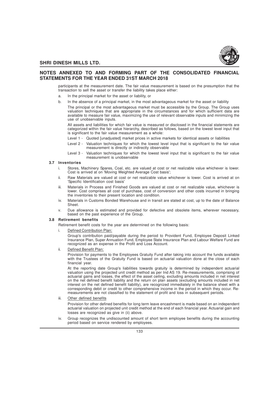

# **NOTES ANNEXED TO AND FORMING PART OF THE CONSOLIDATED FINANCIAL STATEMENTS FOR THE YEAR ENDED 31ST MARCH 2018**

participants at the measurement date. The fair value measurement is based on the presumption that the transaction to sell the asset or transfer the liability takes place either:

- a. In the principal market for the asset or liability, or
- b. In the absence of a principal market, in the most advantageous market for the asset or liability

The principal or the most advantageous market must be accessible by the Group. The Group uses valuation techniques that are appropriate in the circumstances and for which sufficient data are available to measure fair value, maximizing the use of relevant observable inputs and minimizing the use of unobservable inputs.

All assets and liabilities for which fair value is measured or disclosed in the financial statements are categorized within the fair value hierarchy, described as follows, based on the lowest level input that is significant to the fair value measurement as a whole:

- Level 1 Quoted [unadjusted] market prices in active markets for identical assets or liabilities
- Level 2 Valuation techniques for which the lowest level input that is significant to the fair value measurement is directly or indirectly observable
- Level 3 Valuation techniques for which the lowest level input that is significant to the fair value measurement is unobservable

# **3.7 Inventories**

- i. Stores, Machinery Spares, Coal, etc. are valued at cost or net realizable value whichever is lower. Cost is arrived at on 'Moving Weighted Average Cost basis';
- ii. Raw Materials are valued at cost or net realizable value whichever is lower. Cost is arrived at on 'Specific Identification cost basis'
- iii. Materials in Process and Finished Goods are valued at cost or net realizable value, whichever is lower. Cost comprises all cost of purchase, cost of conversion and other costs incurred in bringing the inventories to their present location and condition.
- iv. Materials in Customs Bonded Warehouse and in transit are stated at cost, up to the date of Balance **Sheet**
- v. Due allowance is estimated and provided for defective and obsolete items, wherever necessary, based on the past experience of the Group.

### **3.8 Retirement benefits**

Retirement benefit costs for the year are determined on the following basis:

i. Defined Contribution Plan:

Group's contribution paid/payable during the period to Provident Fund, Employee Deposit Linked Insurance Plan, Super Annuation Fund, Employee State Insurance Plan and Labour Welfare Fund are recognized as an expense in the Profit and Loss Account.

Defined Benefit Plan:

Provision for payments to the Employees Gratuity Fund after taking into account the funds available with the Trustees of the Gratuity Fund is based on actuarial valuation done at the close of each financial year.

At the reporting date Group's liabilities towards gratuity is determined by independent actuarial valuation using the projected unit credit method as per Ind AS 19. Re-measurements, comprising of actuarial gains and losses, the effect of the asset ceiling, excluding amounts included in net interest on the net defined benefit liability and the return on plan assets (excluding amounts included in net interest on the net defined benefit liability), are recognized immediately in the balance sheet with a corresponding debit or credit to other comprehensive income in the period in which they occur. Remeasurements are not classified to the statement of profit and loss in subsequent periods.

iii. Other defined benefits

Provision for other defined benefits for long term leave encashment is made based on an independent actuarial valuation on projected unit credit method at the end of each financial year. Actuarial gain and losses are recognized as give in (ii) above.

iv. Group recognizes the undiscounted amount of short term employee benefits during the accounting period based on service rendered by employees.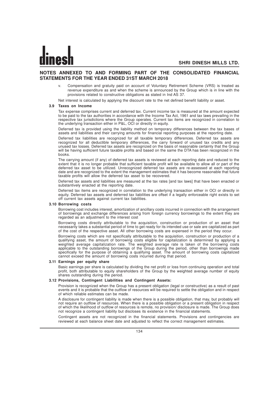# **NOTES ANNEXED TO AND FORMING PART OF THE CONSOLIDATED FINANCIAL STATEMENTS FOR THE YEAR ENDED 31ST MARCH 2018**

v. Compensation and gratuity paid on account of Voluntary Retirement Scheme (VRS) is treated as revenue expenditure as and when the scheme is announced by the Group which is in line with the provisions related to constructive obligations as stated in Ind AS 37.

Net interest is calculated by applying the discount rate to the net defined benefit liability or asset.

### **3.9 Taxes on Income**

Tax expense comprises current and deferred tax. Current income tax is measured at the amount expected to be paid to the tax authorities in accordance with the Income Tax Act, 1961 and tax laws prevailing in the respective tax jurisdictions where the Group operates. Current tax items are recognized in correlation to the underlying transaction either in P&L, OCI or directly in equity.

Deferred tax is provided using the liability method on temporary differences between the tax bases of assets and liabilities and their carrying amounts for financial reporting purposes at the reporting date.

Deferred tax liabilities are recognized for all taxable temporary differences. Deferred tax assets are recognized for all deductible temporary differences, the carry forward of unused tax credits and any unused tax losses. Deferred tax assets are recognized on the basis of reasonable certainty that the Group will be having sufficient future taxable profits and based on the same the DTA has been recognized in the books.

The carrying amount (if any) of deferred tax assets is reviewed at each reporting date and reduced to the extent that it is no longer probable that sufficient taxable profit will be available to allow all or part of the deferred tax asset to be utilized. Unrecognized deferred tax assets are re-assessed at each reporting date and are recognized to the extent the management estimates that it has become reasonable that future taxable profits will allow the deferred tax asset to be recovered.

Deferred tax assets and liabilities are measured at the tax rates [and tax laws] that have been enacted or substantively enacted at the reporting date.

Deferred tax items are recognized in correlation to the underlying transaction either in OCI or directly in equity. Deferred tax assets and deferred tax liabilities are offset if a legally enforceable right exists to set off current tax assets against current tax liabilities.

### **3.10 Borrowing costs**

Borrowing cost includes interest, amortization of ancillary costs incurred in connection with the arrangement of borrowings and exchange differences arising from foreign currency borrowings to the extent they are regarded as an adjustment to the interest cost

Borrowing costs directly attributable to the acquisition, construction or production of an asset that necessarily takes a substantial period of time to get ready for its intended use or sale are capitalized as part of the cost of the respective asset. All other borrowing costs are expensed in the period they occur.

Borrowing costs which are not specifically attributable to the acquisition, construction or production of a qualifying asset, the amount of borrowing costs eligible for capitalization is determined by applying a weighted average capitalization rate. The weighted average rate is taken of the borrowing costs applicable to the outstanding borrowings of the Group during the period, other than borrowings made specifically for the purpose of obtaining a qualifying asset. The amount of borrowing costs capitalized cannot exceed the amount of borrowing costs incurred during that period.

### **3.11 Earnings per equity share**

Basic earnings per share is calculated by dividing the net profit or loss from continuing operation and total profit, both attributable to equity shareholders of the Group by the weighted average number of equity shares outstanding during the period.

# **3.12 Provisions, Contingent Liabilities and Contingent Assets:**

Provision is recognized when the Group has a present obligation (legal or constructive) as a result of past events and it is probable that the outflow of resources will be required to settle the obligation and in respect of which reliable estimates can be made.

A disclosure for contingent liability is made when there is a possible obligation, that may, but probably will not require an outflow of resources. When there is a possible obligation or a present obligation in respect of which the likelihood of outflow of resources is remote, no provision/ disclosure is made. The Group does not recognize a contingent liability but discloses its existence in the financial statements.

Contingent assets are not recognized in the financial statements. Provisions and contingencies are reviewed at each balance sheet date and adjusted to reflect the correct management estimates.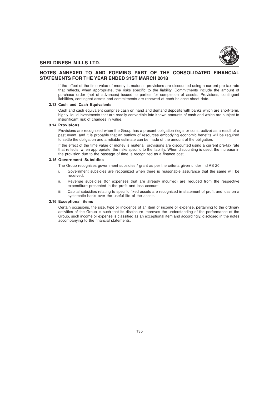

# **NOTES ANNEXED TO AND FORMING PART OF THE CONSOLIDATED FINANCIAL STATEMENTS FOR THE YEAR ENDED 31ST MARCH 2018**

If the effect of the time value of money is material, provisions are discounted using a current pre-tax rate that reflects, when appropriate, the risks specific to the liability. Commitments include the amount of purchase order (net of advances) issued to parties for completion of assets. Provisions, contingent liabilities, contingent assets and commitments are renewed at each balance sheet date.

# **3.13 Cash and Cash Equivalents**

Cash and cash equivalent comprise cash on hand and demand deposits with banks which are short-term, highly liquid investments that are readily convertible into known amounts of cash and which are subject to insignificant risk of changes in value.

### **3.14 Provisions**

Provisions are recognized when the Group has a present obligation (legal or constructive) as a result of a past event, and it is probable that an outflow of resources embodying economic benefits will be required to settle the obligation and a reliable estimate can be made of the amount of the obligation.

If the effect of the time value of money is material, provisions are discounted using a current pre-tax rate that reflects, when appropriate, the risks specific to the liability. When discounting is used, the increase in the provision due to the passage of time is recognized as a finance cost.

### **3.15 Government Subsidies**

The Group recognizes government subsidies / grant as per the criteria given under Ind AS 20.

- i. Government subsidies are recognized when there is reasonable assurance that the same will be received.
- Revenue subsidies (for expenses that are already incurred) are reduced from the respective expenditure presented in the profit and loss account.
- iii. Capital subsidies relating to specific fixed assets are recognized in statement of profit and loss on a systematic basis over the useful life of the assets.

# **3.16 Exceptional items**

Certain occasions, the size, type or incidence of an item of income or expense, pertaining to the ordinary activities of the Group is such that its disclosure improves the understanding of the performance of the Group, such income or expense is classified as an exceptional item and accordingly, disclosed in the notes accompanying to the financial statements.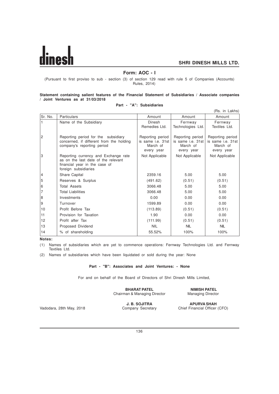# **Form: AOC - I**

(Pursuant to first proviso to sub - section (3) of section 129 read with rule 5 of Companies (Accounts) Rules, 2014)

# **Statement containing salient features of the Financial Statement of Subsidiaries / Associate companies / Joint Ventures as at 31/03/2018**

# **Part - "A": Subsidiaries**

|                |                                                                                                                                      |                                                                        |                                                                        | (Rs. in Lakhs)                                                         |
|----------------|--------------------------------------------------------------------------------------------------------------------------------------|------------------------------------------------------------------------|------------------------------------------------------------------------|------------------------------------------------------------------------|
| Sr. No.        | <b>Particulars</b>                                                                                                                   | Amount                                                                 | Amount                                                                 | Amount                                                                 |
|                | Name of the Subsidiary                                                                                                               | Dinesh<br>Remedies Ltd.                                                | Fernway<br>Technologies Ltd.                                           | Fernway<br>Textiles Ltd.                                               |
| $\overline{c}$ | Reporting period for the subsidiary<br>concerned, if different from the holding<br>company's reporting period                        | Reporting period<br>is same <i>i.e.</i> 31st<br>March of<br>every year | Reporting period<br>is same <i>i.e.</i> 31st<br>March of<br>every year | Reporting period<br>is same <i>i.e.</i> 31st<br>March of<br>every year |
| 3              | Reporting currency and Exchange rate<br>as on the last date of the relevant<br>financial year in the case of<br>foreign subsidiaries | Not Applicable                                                         | Not Applicable                                                         | Not Applicable                                                         |
| 4              | Share Capital                                                                                                                        | 2359.16                                                                | 5.00                                                                   | 5.00                                                                   |
| 5              | Reserves & Surplus                                                                                                                   | (491.62)                                                               | (0.51)                                                                 | (0.51)                                                                 |
| 6              | <b>Total Assets</b>                                                                                                                  | 3066.48                                                                | 5.00                                                                   | 5.00                                                                   |
| $\overline{7}$ | <b>Total Liabilities</b>                                                                                                             | 3066.48                                                                | 5.00                                                                   | 5.00                                                                   |
| 8              | Investments                                                                                                                          | 0.00                                                                   | 0.00                                                                   | 0.00                                                                   |
| 9              | Turnover                                                                                                                             | 1599.89                                                                | 0.00                                                                   | 0.00                                                                   |
| 10             | Profit Before Tax                                                                                                                    | (113.89)                                                               | (0.51)                                                                 | (0.51)                                                                 |
| 11             | Provision for Taxation                                                                                                               | 1.90                                                                   | 0.00                                                                   | 0.00                                                                   |
| 12             | Profit after Tax                                                                                                                     | (111.99)                                                               | (0.51)                                                                 | (0.51)                                                                 |
| 13             | Proposed Dividend                                                                                                                    | <b>NIL</b>                                                             | <b>NIL</b>                                                             | <b>NIL</b>                                                             |
| 14             | % of shareholding                                                                                                                    | 55.52%                                                                 | 100%                                                                   | 100%                                                                   |

**Notes:**

(1) Names of subsidiaries which are yet to commence operations: Fernway Technologies Ltd. and Fernway Textiles Ltd.

(2) Names of subsidiaries which have been liquidated or sold during the year: None

### **Part - "B": Associates and Joint Ventures: - None**

For and on behalf of the Board of Directors of Shri Dinesh Mills Limited,

### **BHARAT PATEL NIMISH PATEL**<br>
Managing Director Managing Director Chairman & Managing Director

**J. B. SOJITRA APURVA SHAH**

Vadodara, 28th May, 2018 Company Secretary Chief Financial Officer (CFO)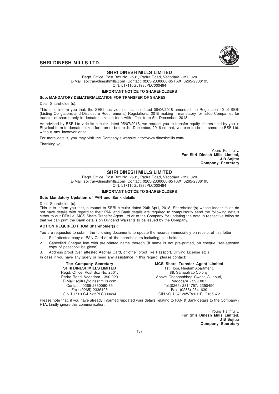

# **SHRI DINESH MILLS LIMITED**

Regd. Office: Post Box No. 2501, Padra Road, Vadodara - 390 020 E-Mail: sojitra@dineshmills.com Contact: 0265-2330060-65 FAX: 0265-2336195 CIN: L17110GJ1935PLC000494

**IMPORTANT NOTICE TO SHAREHOLDERS** 

### **Sub: MANDATORY DEMATERIALIZATION FOR TRANSFER OF SHARES**

Dear Shareholder(s).

This is to inform you that, the SEBI has vide notification dated 08/06/2018 amended the Regulation 40 of SEBI (Listing Obligations and Disclosure Requirements) Regulations, 2015 making it mandatory for listed Companies for transfer of shares only in dematerialization form with effect from 5th December, 2018.

As advised by BSE Ltd vide its circular dated 05/07/2018, we request you to transfer equity shares held by you in Physical form to dematerialized form on or before 4th December, 2018 so that, you can trade the same on BSE Ltd. without any inconvenience.

For more details, you may visit the Company's website http://www.dineshmills.com/

Thanking you,

Yours Faithfully, **For Shri Dinesh Mills Limited, J B Sojitra Company Secretary**

# **SHRI DINESH MILLS LIMITED**

Regd. Office: Post Box No. 2501, Padra Road, Vadodara - 390 020 E-Mail: sojitra@dineshmills.com Contact: 0265-2330060-65 FAX: 0265-2336195

CIN: L17110GJ1935PLC000494

# **IMPORTANT NOTICE TO SHAREHOLDERS**

# **Sub: Mandatory Updation of PAN and Bank details**

Dear Shareholder(s),

This is to inform you that, pursuant to SEBI circular dated 20th April, 2018, Shareholder(s) whose ledger folios do not have details with regard to their PAN and Bank details are required to compulsorily send the following details either to our RTA i.e. MCS Share Transfer Agent Ltd or to the Company for updating the data in respective folios so that we can print the Bank details on Dividend Warrants to be issued by the Company.

### **ACTION REQUIRED FROM Shareholder(s):**

You are requested to submit the following documents to update the records immediately on receipt of this letter:

- 1. Self-attested copy of PAN Card of all the shareholders including joint holders.
- 2. Cancelled Cheque leaf with pre-printed name thereon (If name is not pre-printed, on cheque, self-attested copy of passbook be given)
- 3. Address proof (Self attested Aadhar Card, or other proof like Passport, Driving License etc.)

In case if you have any query or need any assistance in this regard, please contact;

| The Company Secretary            | <b>MCS Share Transfer Agent Limited</b> |
|----------------------------------|-----------------------------------------|
| <b>SHRI DINESH MILLS LIMITED</b> | 1st Floor, Neelam Apartment,            |
| Regd. Office: Post Box No. 2501, | 88, Sampatrao Colony,                   |
| Padra Road, Vadodara - 390 020   | Above Chappanbhog Sweet, Alkapuri,      |
| E-Mail: sojitra@dineshmills.com  | Vadodara - 390 007                      |
| Contact: 0265-2330060-65         | Tel: (0265) 2314757, 2350490            |
| Fax: (0265) 2336195              | Fax: (0265) 2341639                     |
| CIN: L17110GJ1935PLC000494       | CIN NO. U67120WB2011PLC165872           |

Please note that, if you have already informed /updated your details relating to PAN & Bank details to the Company / RTA, kindly ignore this communication.

> Yours Faithfully, **For Shri Dinesh Mills Limited, J B Sojitra Company Secretary**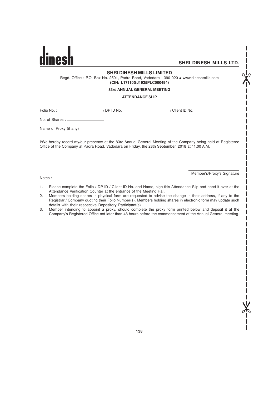$\chi^2$ 

# **SHRI DINESH MILLS LIMITED**

Regd. Office : P.O. Box No. 2501, Padra Road, Vadodara - 390 020 · www.dineshmills.com **(CIN: L17110GJ1935PLC000494)**

# **83rd ANNUAL GENERAL MEETING**

### **ATTENDANCE SLIP**

Folio No. : <u>/ DP ID No. / / DP ID No. / / Client ID No. / / Client ID No. / / Client ID No.</u>

No. of Shares :  $\_\_$ 

Name of Proxy (if any)

I/We hereby record my/our presence at the 83rd Annual General Meeting of the Company being held at Registered Office of the Company at Padra Road, Vadodara on Friday, the 28th September, 2018 at 11.00 A.M.

Notes :

Member's/Proxy's Signature

X<br>K

- 1. Please complete the Folio / DP-ID / Client ID No. and Name, sign this Attendance Slip and hand it over at the Attendance Verification Counter at the entrance of the Meeting Hall.
- 2. Members holding shares in physical form are requested to advise the change in their address, if any to the Registrar / Company quoting their Folio Number(s). Members holding shares in electronic form may update such details with their respective Depository Participant(s).
- 3. Member intending to appoint a proxy, should complete the proxy form printed below and deposit it at the Company's Registered Office not later than 48 hours before the commencement of the Annual General meeting.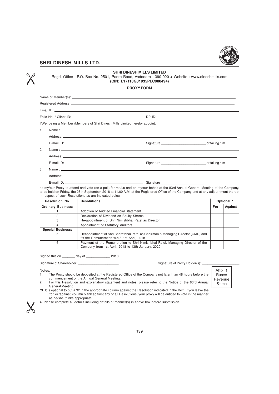

 $\chi$ 

 $\sigma$ 

# **SHRI DINESH MILLS LIMITED**

Regd. Office : P.O. Box No. 2501, Padra Road, Vadodara - 390 020 • Website : www.dineshmills.com **(CIN: L17110GJ1935PLC000494)**

**PROXY FORM**

|    | Name of Member(s): ______________ |                                                                                                                                                                                     |     |            |
|----|-----------------------------------|-------------------------------------------------------------------------------------------------------------------------------------------------------------------------------------|-----|------------|
|    |                                   |                                                                                                                                                                                     |     |            |
|    |                                   |                                                                                                                                                                                     |     |            |
|    |                                   |                                                                                                                                                                                     |     |            |
|    |                                   | I/We, being a Member /Members of Shri Dinesh Mills Limited hereby appoint:                                                                                                          |     |            |
| 1. |                                   |                                                                                                                                                                                     |     |            |
|    | Address: ____________             |                                                                                                                                                                                     |     |            |
|    |                                   |                                                                                                                                                                                     |     |            |
| 2. |                                   |                                                                                                                                                                                     |     |            |
|    |                                   |                                                                                                                                                                                     |     |            |
|    |                                   |                                                                                                                                                                                     |     |            |
| 3. |                                   |                                                                                                                                                                                     |     |            |
|    |                                   |                                                                                                                                                                                     |     |            |
|    | $E$ -mail ID:                     | Signature                                                                                                                                                                           |     |            |
|    |                                   | to be held on Friday, the 28th September, 2018 at 11.00 A.M. at the Registered Office of the Company and at any adjournment thereof                                                 |     |            |
|    | Resolution No.                    | in respect of such Resolutions as are indicated below:<br><b>Resolutions</b>                                                                                                        |     | Optional * |
|    | <b>Ordinary Business:</b>         |                                                                                                                                                                                     | For | Against    |
|    | $\mathbf{1}$                      | Adoption of Audited Financial Statement                                                                                                                                             |     |            |
|    | $\overline{2}$                    | Declaration of Dividend on Equity Shares                                                                                                                                            |     |            |
|    | 3                                 | Re-appointment of Shri Nimishbhai Patel as Director                                                                                                                                 |     |            |
|    | $\overline{4}$                    | Appointment of Statutory Auditors                                                                                                                                                   |     |            |
|    | <b>Special Business:</b><br>5     | Reappointment of Shri Bharatbhai Patel as Chairman & Managing Director (CMD) and                                                                                                    |     |            |
|    | 6                                 | fix the Remuneration w.e.f. 1st April, 2018<br>Payment of the Remuneration to Shri Nimishbhai Patel, Managing Director of the<br>Company from 1st April, 2018 to 13th January, 2020 |     |            |
|    |                                   | Signed this on _________ day of __________________ 2018                                                                                                                             |     |            |
|    |                                   | Signature of Shareholder: Signature of Shareholder:<br>Signature of Proxy Holder(s):                                                                                                |     |            |